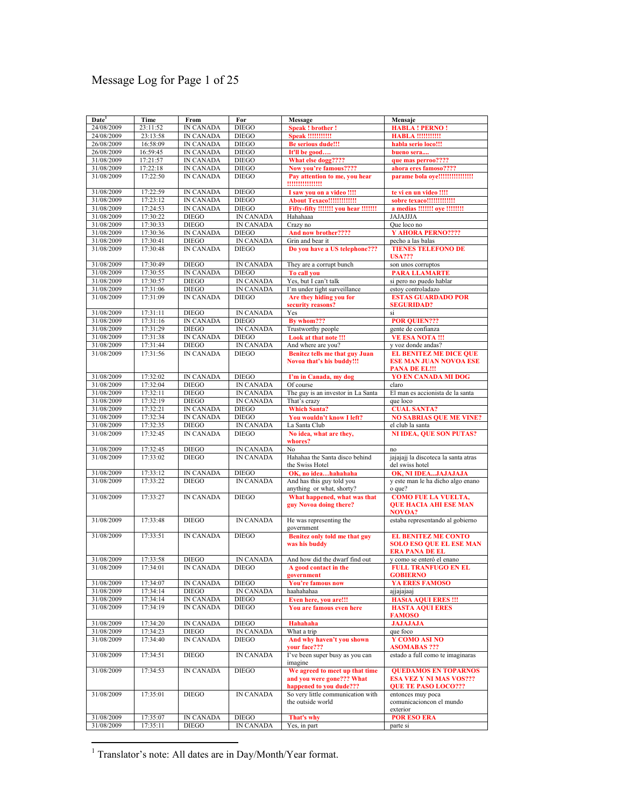# Message Log for Page 1 of 25

| Date <sup>1</sup> | Time     | From             | For              | Message                                                      | Mensaje                              |
|-------------------|----------|------------------|------------------|--------------------------------------------------------------|--------------------------------------|
| 24/08/2009        | 23:11:52 | <b>IN CANADA</b> | <b>DIEGO</b>     | <b>Speak! brother!</b>                                       | <b>HABLA ! PERNO !</b>               |
| 24/08/2009        | 23:13:58 | <b>IN CANADA</b> | <b>DIEGO</b>     | <b>Speak !!!!!!!!!!!</b>                                     | <b>HABLA !!!!!!!!!!!</b>             |
| 26/08/2009        | 16:58:09 | IN CANADA        | <b>DIEGO</b>     | <b>Be serious dude!!!</b>                                    | habla serio loco!!!                  |
| 26/08/2009        | 16:59:45 | IN CANADA        | <b>DIEGO</b>     | It'll be good                                                | bueno sera                           |
| 31/08/2009        | 17:21:57 | <b>IN CANADA</b> | <b>DIEGO</b>     | What else dogg????                                           | que mas perroo????                   |
| 31/08/2009        | 17:22:18 | IN CANADA        | <b>DIEGO</b>     | Now you're famous????                                        | ahora eres famoso????                |
| 31/08/2009        | 17:22:50 | <b>IN CANADA</b> | <b>DIEGO</b>     |                                                              | parame bola oye!!!!!!!!!!!!!!!!!     |
|                   |          |                  |                  | Pay attention to me, you hear                                |                                      |
|                   |          |                  |                  | !!!!!!!!!!!!!!!!                                             |                                      |
| 31/08/2009        | 17:22:59 | IN CANADA        | <b>DIEGO</b>     | I saw you on a video !!!!                                    | te vi en un video !!!!               |
| 31/08/2009        | 17:23:12 | IN CANADA        | <b>DIEGO</b>     | <b>About Texaco!!!!!!!!!!!!!!</b>                            | sobre texaco!!!!!!!!!!!!!            |
| 31/08/2009        | 17:24:53 | <b>IN CANADA</b> | <b>DIEGO</b>     | Fifty-fifty !!!!!!! you hear !!!!!!!                         | a medias !!!!!!! oye !!!!!!!!        |
| 31/08/2009        | 17:30:22 | <b>DIEGO</b>     | <b>IN CANADA</b> | Hahahaaa                                                     | JAJAJJJA                             |
| 31/08/2009        | 17:30:33 | <b>DIEGO</b>     | <b>IN CANADA</b> | Crazy no                                                     | Que loco no                          |
| 31/08/2009        | 17:30:36 | <b>IN CANADA</b> | <b>DIEGO</b>     | And now brother????                                          | Y AHORA PERNO????                    |
| 31/08/2009        | 17:30:41 | <b>DIEGO</b>     | IN CANADA        | Grin and bear it                                             | pecho a las balas                    |
| 31/08/2009        | 17:30:48 | <b>IN CANADA</b> | <b>DIEGO</b>     | Do you have a US telephone???                                | <b>TIENES TELEFONO DE</b>            |
|                   |          |                  |                  |                                                              | <b>USA???</b>                        |
| 31/08/2009        | 17:30:49 | <b>DIEGO</b>     | <b>IN CANADA</b> | They are a corrupt bunch                                     | son unos corruptos                   |
| 31/08/2009        | 17:30:55 | IN CANADA        | <b>DIEGO</b>     | To call you                                                  | <b>PARA LLAMARTE</b>                 |
| 31/08/2009        | 17:30:57 | <b>DIEGO</b>     | IN CANADA        | Yes, but I can't talk                                        | si pero no puedo hablar              |
| 31/08/2009        | 17:31:06 | <b>DIEGO</b>     | <b>IN CANADA</b> | I'm under tight surveillance                                 | estoy controladazo                   |
| 31/08/2009        | 17:31:09 | <b>IN CANADA</b> | <b>DIEGO</b>     | Are they hiding you for                                      | <b>ESTAS GUARDADO POR</b>            |
|                   |          |                  |                  | security reasons?                                            | <b>SEGURIDAD?</b>                    |
| 31/08/2009        | 17:31:11 | <b>DIEGO</b>     | <b>IN CANADA</b> | Yes                                                          | si                                   |
| 31/08/2009        | 17:31:16 | IN CANADA        | <b>DIEGO</b>     | By whom???                                                   | <b>POR QUIEN???</b>                  |
| 31/08/2009        | 17:31:29 | <b>DIEGO</b>     | <b>IN CANADA</b> | Trustworthy people                                           | gente de confianza                   |
| 31/08/2009        | 17:31:38 | <b>IN CANADA</b> | <b>DIEGO</b>     | Look at that note !!!                                        | <b>VE ESA NOTA!!!</b>                |
| 31/08/2009        | 17:31:44 | <b>DIEGO</b>     | IN CANADA        | And where are you?                                           | y voz donde andas?                   |
| 31/08/2009        | 17:31:56 | <b>IN CANADA</b> | <b>DIEGO</b>     | <b>Benitez tells me that guy Juan</b>                        | <b>EL BENITEZ ME DICE QUE</b>        |
|                   |          |                  |                  | Novoa that's his buddy!!!                                    | <b>ESE MAN JUAN NOVOA ESE</b>        |
|                   |          |                  |                  |                                                              | <b>PANA DE EL!!!</b>                 |
| 31/08/2009        | 17:32:02 | IN CANADA        | <b>DIEGO</b>     | I'm in Canada, my dog                                        | <b>YO EN CANADA MI DOG</b>           |
| 31/08/2009        | 17:32:04 | <b>DIEGO</b>     | IN CANADA        | Of course                                                    | claro                                |
| 31/08/2009        | 17:32:11 | <b>DIEGO</b>     | <b>IN CANADA</b> | The guy is an investor in La Santa                           | El man es accionista de la santa     |
| 31/08/2009        | 17:32:19 | <b>DIEGO</b>     | <b>IN CANADA</b> | That's crazy                                                 | que loco                             |
| 31/08/2009        | 17:32:21 | IN CANADA        | <b>DIEGO</b>     | <b>Which Santa?</b>                                          | <b>CUAL SANTA?</b>                   |
| 31/08/2009        | 17:32:34 | <b>IN CANADA</b> | <b>DIEGO</b>     | You wouldn't know I left?                                    | <b>NO SABRIAS QUE ME VINE?</b>       |
| 31/08/2009        | 17:32:35 | <b>DIEGO</b>     | IN CANADA        | La Santa Club                                                | el club la santa                     |
| 31/08/2009        | 17:32:45 | <b>IN CANADA</b> | <b>DIEGO</b>     | No idea, what are they,                                      | <b>NI IDEA, QUE SON PUTAS?</b>       |
|                   |          |                  |                  | whores?                                                      |                                      |
| 31/08/2009        | 17:32:45 | <b>DIEGO</b>     | IN CANADA        | No                                                           | no                                   |
| 31/08/2009        | 17:33:02 | <b>DIEGO</b>     | <b>IN CANADA</b> | Hahahaa the Santa disco behind                               | jajajaji la discoteca la santa atras |
|                   |          |                  |                  | the Swiss Hotel                                              | del swiss hotel                      |
| 31/08/2009        | 17:33:12 | <b>IN CANADA</b> | <b>DIEGO</b>     | OK, no ideahahahaha                                          | OK, NI IDEAJAJAJAJA                  |
| 31/08/2009        | 17:33:22 | <b>DIEGO</b>     | <b>IN CANADA</b> | And has this guy told you                                    | y este man le ha dicho algo enano    |
|                   |          |                  |                  | anything or what, shorty?                                    | o que?                               |
| 31/08/2009        | 17:33:27 | <b>IN CANADA</b> | <b>DIEGO</b>     | What happened, what was that                                 | <b>COMO FUE LA VUELTA,</b>           |
|                   |          |                  |                  | guy Novoa doing there?                                       | <b>OUE HACIA AHI ESE MAN</b>         |
|                   |          |                  |                  |                                                              | <b>NOVOA?</b>                        |
| 31/08/2009        | 17:33:48 | <b>DIEGO</b>     | <b>IN CANADA</b> | He was representing the                                      | estaba representando al gobierno     |
|                   |          |                  |                  | government                                                   |                                      |
| 31/08/2009        | 17:33:51 | <b>IN CANADA</b> | <b>DIEGO</b>     | Benitez only told me that guy                                | <b>EL BENITEZ ME CONTO</b>           |
|                   |          |                  |                  | was his buddy                                                | <b>SOLO ESO QUE EL ESE MAN</b>       |
|                   |          |                  |                  |                                                              | <b>ERA PANA DE EL</b>                |
| 31/08/2009        | 17:33:58 | <b>DIEGO</b>     | <b>IN CANADA</b> | And how did the dwarf find out                               | y como se enteró el enano            |
| 31/08/2009        | 17:34:01 | <b>IN CANADA</b> | <b>DIEGO</b>     | A good contact in the                                        | <b>FULL TRANFUGO EN EL</b>           |
|                   |          |                  |                  | government                                                   | <b>GOBIERNO</b>                      |
| 31/08/2009        | 17:34:07 | IN CANADA        | <b>DIEGO</b>     | <b>You're famous now</b>                                     | YA ERES FAMOSO                       |
| 31/08/2009        | 17:34:14 | <b>DIEGO</b>     | IN CANADA        | haahahahaa                                                   | ajjajajaaj                           |
| 31/08/2009        | 17:34:14 | <b>IN CANADA</b> | <b>DIEGO</b>     | Even here, you are!!!                                        | <b>HAStA AQUI ERES !!!</b>           |
| 31/08/2009        | 17:34:19 | IN CANADA        | <b>DIEGO</b>     | You are famous even here                                     | <b>HASTA AQUI ERES</b>               |
|                   |          |                  |                  |                                                              | <b>FAMOSO</b>                        |
| 31/08/2009        | 17:34:20 | <b>IN CANADA</b> | <b>DIEGO</b>     | Hahahaha                                                     | <b>JAJAJAJA</b>                      |
| 31/08/2009        | 17:34:23 | <b>DIEGO</b>     | <b>IN CANADA</b> | What a trip                                                  | que foco                             |
| 31/08/2009        | 17:34:40 | IN CANADA        | <b>DIEGO</b>     | And why haven't you shown                                    | Y COMO ASI NO                        |
|                   |          |                  |                  | your face???                                                 | <b>ASOMABAS ???</b>                  |
| 31/08/2009        | 17:34:51 | <b>DIEGO</b>     | IN CANADA        | I've been super busy as you can                              | estado a full como te imaginaras     |
|                   |          |                  |                  | imagine                                                      |                                      |
| 31/08/2009        | 17:34:53 | <b>IN CANADA</b> | <b>DIEGO</b>     | We agreed to meet up that time                               | <b>QUEDAMOS EN TOPARNOS</b>          |
|                   |          |                  |                  | and you were gone??? What                                    | <b>ESA VEZ Y NI MAS VOS???</b>       |
|                   |          |                  |                  | happened to you dude???<br>So very little communication with | <b>QUE TE PASO LOCO???</b>           |
| 31/08/2009        | 17:35:01 | <b>DIEGO</b>     | <b>IN CANADA</b> |                                                              | entonces muy poca                    |
|                   |          |                  |                  | the outside world                                            | comunicacioncon el mundo<br>exterior |
| 31/08/2009        |          | IN CANADA        | <b>DIEGO</b>     | That's why                                                   | <b>POR ESO ERA</b>                   |
|                   | 17:35:07 |                  |                  |                                                              |                                      |
| 31/08/2009        | 17:35:11 | <b>DIEGO</b>     | IN CANADA        | Yes, in part                                                 | parte si                             |

1 Translator's note: All dates are in Day/Month/Year format.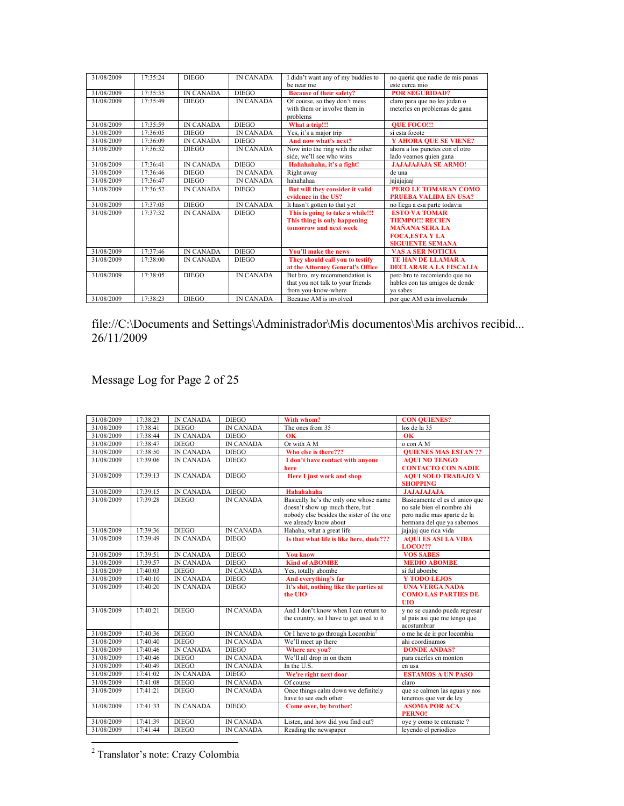| 31/08/2009 | 17.35.24 | <b>DIEGO</b>     | <b>IN CANADA</b> | I didn't want any of my buddies to                                                         | no queria que nadie de mis panas                                                                                             |
|------------|----------|------------------|------------------|--------------------------------------------------------------------------------------------|------------------------------------------------------------------------------------------------------------------------------|
|            |          |                  |                  | be near me                                                                                 | este cerca mio                                                                                                               |
| 31/08/2009 | 17:35:35 | <b>IN CANADA</b> | <b>DIEGO</b>     | <b>Because of their safety?</b>                                                            | <b>POR SEGURIDAD?</b>                                                                                                        |
| 31/08/2009 | 17:35:49 | <b>DIEGO</b>     | <b>IN CANADA</b> | Of course, so they don't mess<br>with them or involve them in<br>problems                  | claro para que no les jodan o<br>meterles en problemas de gana                                                               |
| 31/08/2009 | 17.35.59 | <b>IN CANADA</b> | <b>DIEGO</b>     | What a trip!!!                                                                             | <b>OUE FOCO!!!</b>                                                                                                           |
| 31/08/2009 | 17:36:05 | <b>DIEGO</b>     | <b>IN CANADA</b> | Yes, it's a major trip                                                                     | si esta focote                                                                                                               |
| 31/08/2009 | 17:36:09 | <b>IN CANADA</b> | <b>DIEGO</b>     | And now what's next?                                                                       | <b>Y AHORA QUE SE VIENE?</b>                                                                                                 |
| 31/08/2009 | 17:36:32 | <b>DIEGO</b>     | <b>IN CANADA</b> | Now into the ring with the other<br>side, we'll see who wins                               | ahora a los punetes con el otro<br>lado veamos quien gana                                                                    |
| 31/08/2009 | 17.36.41 | <b>IN CANADA</b> | <b>DIEGO</b>     | Hahahahaha, it's a fight!                                                                  | <b>JAJAJAJAJA SE ARMO!</b>                                                                                                   |
| 31/08/2009 | 17:36:46 | <b>DIEGO</b>     | <b>IN CANADA</b> | Right away                                                                                 | de una                                                                                                                       |
| 31/08/2009 | 17:36:47 | <b>DIEGO</b>     | <b>IN CANADA</b> | hahahahaa                                                                                  | jajajajaaj                                                                                                                   |
| 31/08/2009 | 17:36:52 | <b>IN CANADA</b> | <b>DIEGO</b>     | But will they consider it valid<br>evidence in the US?                                     | PERO LE TOMARAN COMO<br><b>PRUEBA VALIDA EN USA?</b>                                                                         |
| 31/08/2009 | 17:37:05 | <b>DIEGO</b>     | <b>IN CANADA</b> | It hasn't gotten to that yet                                                               | no llega a esa parte todavia                                                                                                 |
| 31/08/2009 | 17:37:32 | <b>IN CANADA</b> | <b>DIEGO</b>     | This is going to take a while!!!<br>This thing is only happening<br>tomorrow and next week | <b>ESTO VA TOMAR</b><br><b>TIEMPO!!! RECIEN</b><br><b>MAÑANA SERA LA</b><br><b>FOCA.ESTA Y LA</b><br><b>SIGUIENTE SEMANA</b> |
| 31/08/2009 | 17:37:46 | <b>IN CANADA</b> | <b>DIEGO</b>     | <b>You'll make the news</b>                                                                | <b>VAS A SER NOTICIA</b>                                                                                                     |
| 31/08/2009 | 17.38.00 | <b>IN CANADA</b> | <b>DIEGO</b>     | They should call you to testify<br>at the Attorney General's Office                        | <b>TE HAN DE LLAMAR A</b><br><b>DECLARAR A LA FISCALIA</b>                                                                   |
| 31/08/2009 | 17.38.05 | <b>DIEGO</b>     | <b>IN CANADA</b> | But bro, my recommendation is<br>that you not talk to your friends<br>from you-know-where  | pero bro te recomiendo que no<br>hables con tus amigos de donde<br>va sabes                                                  |
| 31/08/2009 | 17:38:23 | <b>DIEGO</b>     | <b>IN CANADA</b> | Because AM is involved                                                                     | por que AM esta involucrado                                                                                                  |

## Message Log for Page 2 of 25

| 31/08/2009 | 17:38:23 | <b>IN CANADA</b> | <b>DIEGO</b>     | With whom?                                    | <b>CON QUIENES?</b>            |
|------------|----------|------------------|------------------|-----------------------------------------------|--------------------------------|
| 31/08/2009 | 17:38:41 | <b>DIEGO</b>     | <b>IN CANADA</b> | The ones from 35                              | los de la 35                   |
| 31/08/2009 | 17:38:44 | <b>IN CANADA</b> | <b>DIEGO</b>     | 0 <sup>K</sup>                                | $\overline{\text{OK}}$         |
| 31/08/2009 | 17:38:47 | <b>DIEGO</b>     | <b>IN CANADA</b> | Or with A M                                   | o con A M                      |
| 31/08/2009 | 17:38:50 | <b>IN CANADA</b> | <b>DIEGO</b>     | Who else is there???                          | <b>OUIENES MAS ESTAN ??</b>    |
| 31/08/2009 | 17:39:06 | <b>IN CANADA</b> | <b>DIEGO</b>     | I don't have contact with anyone              | <b>AQUI NO TENGO</b>           |
|            |          |                  |                  | here                                          | <b>CONTACTO CON NADIE</b>      |
| 31/08/2009 | 17:39:13 | <b>IN CANADA</b> | <b>DIEGO</b>     | <b>Here I</b> just work and shop              | <b>AOUI SOLO TRABAJO Y</b>     |
|            |          |                  |                  |                                               | <b>SHOPPING</b>                |
| 31/08/2009 | 17:39:15 | <b>IN CANADA</b> | <b>DIEGO</b>     | Hahahahaha                                    | <b>JAJAJAJAJA</b>              |
| 31/08/2009 | 17:39:28 | <b>DIEGO</b>     | <b>IN CANADA</b> | Basically he's the only one whose name        | Basicamente el es el unico que |
|            |          |                  |                  | doesn't show up much there, but               | no sale bien el nombre ahi     |
|            |          |                  |                  | nobody else besides the sister of the one     | pero nadie mas aparte de la    |
|            |          |                  |                  | we already know about                         | hermana del que va sabemos     |
| 31/08/2009 | 17:39:36 | <b>DIEGO</b>     | <b>IN CANADA</b> | Hahaha, what a great life                     | jajajaj que rica vida          |
| 31/08/2009 | 17:39:49 | <b>IN CANADA</b> | <b>DIEGO</b>     | Is that what life is like here, dude???       | <b>AOUI ES ASI LA VIDA</b>     |
|            |          |                  |                  |                                               | <b>LOCO???</b>                 |
| 31/08/2009 | 17:39:51 | <b>IN CANADA</b> | <b>DIEGO</b>     | <b>You know</b>                               | <b>VOS SABES</b>               |
| 31/08/2009 | 17:39:57 | <b>IN CANADA</b> | <b>DIEGO</b>     | <b>Kind of ABOMBE</b>                         | <b>MEDIO ABOMBE</b>            |
| 31/08/2009 | 17:40:03 | <b>DIEGO</b>     | <b>IN CANADA</b> | Yes, totally abombe                           | si ful abombe                  |
| 31/08/2009 | 17:40:10 | <b>IN CANADA</b> | <b>DIEGO</b>     | And everything's far                          | <b>Y TODO LEJOS</b>            |
| 31/08/2009 | 17:40:20 | <b>IN CANADA</b> | <b>DIEGO</b>     | It's shit, nothing like the parties at        | <b>UNA VERGA NADA</b>          |
|            |          |                  |                  | the UIO                                       | <b>COMO LAS PARTIES DE</b>     |
|            |          |                  |                  |                                               | <b>UIO</b>                     |
| 31/08/2009 | 17:40:21 | <b>DIEGO</b>     | <b>IN CANADA</b> | And I don't know when I can return to         | y no se cuando pueda regresar  |
|            |          |                  |                  | the country, so I have to get used to it      | al pais asi que me tengo que   |
|            |          |                  |                  |                                               | acostumbrar                    |
| 31/08/2009 | 17:40:36 | <b>DIEGO</b>     | <b>IN CANADA</b> | Or I have to go through Locombia <sup>2</sup> | o me he de ir por locombia     |
| 31/08/2009 | 17:40:40 | <b>DIEGO</b>     | <b>IN CANADA</b> | We'll meet up there                           | ahi coordinamos                |
| 31/08/2009 | 17:40:46 | <b>IN CANADA</b> | <b>DIEGO</b>     | Where are you?                                | <b>DONDE ANDAS?</b>            |
| 31/08/2009 | 17:40:46 | <b>DIEGO</b>     | <b>IN CANADA</b> | We'll all drop in on them                     | para caerles en monton         |
| 31/08/2009 | 17:40:49 | <b>DIEGO</b>     | <b>IN CANADA</b> | In the U.S.                                   | en usa                         |
| 31/08/2009 | 17:41:02 | <b>IN CANADA</b> | <b>DIEGO</b>     | We're right next door                         | <b>ESTAMOS A UN PASO</b>       |
| 31/08/2009 | 17:41:08 | <b>DIEGO</b>     | <b>IN CANADA</b> | Of course                                     | claro                          |
| 31/08/2009 | 17:41:21 | <b>DIEGO</b>     | <b>IN CANADA</b> | Once things calm down we definitely           | que se calmen las aguas y nos  |
|            |          |                  |                  | have to see each other                        | tenemos que ver de ley         |
| 31/08/2009 | 17:41:33 | <b>IN CANADA</b> | <b>DIEGO</b>     | Come over, by brother!                        | <b>ASOMA POR ACA</b>           |
|            |          |                  |                  |                                               | <b>PERNO!</b>                  |
| 31/08/2009 | 17:41:39 | <b>DIEGO</b>     | <b>IN CANADA</b> | Listen, and how did you find out?             | oye y como te enteraste ?      |
| 31/08/2009 | 17:41:44 | <b>DIEGO</b>     | <b>IN CANADA</b> | Reading the newspaper                         | levendo el periodico           |
|            |          |                  |                  |                                               |                                |

2 Translator's note: Crazy Colombia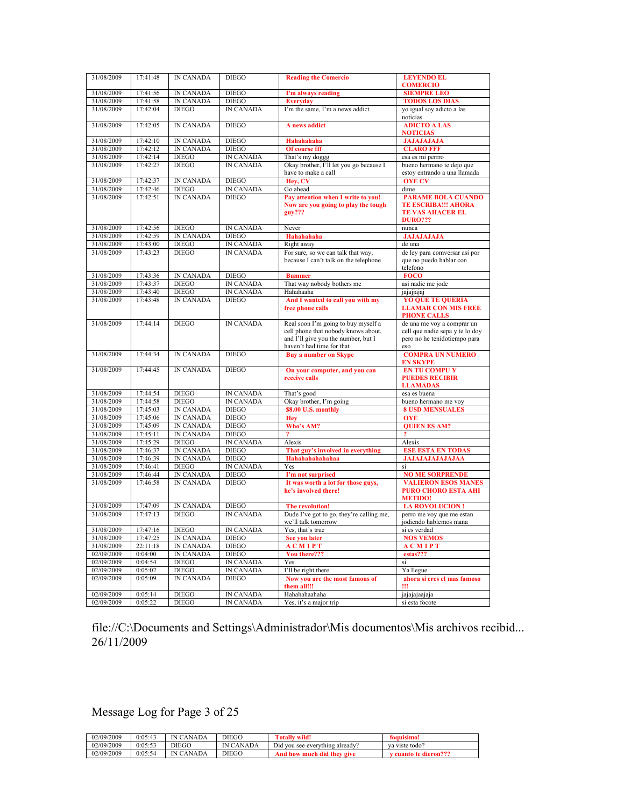| 31/08/2009 | 17:41:48 | <b>IN CANADA</b> | <b>DIEGO</b>     | <b>Reading the Comercio</b>                                                                                                                    | <b>LEYENDO EL</b><br><b>COMERCIO</b>                                                                 |
|------------|----------|------------------|------------------|------------------------------------------------------------------------------------------------------------------------------------------------|------------------------------------------------------------------------------------------------------|
| 31/08/2009 | 17:41:56 | <b>IN CANADA</b> | <b>DIEGO</b>     | I'm always reading                                                                                                                             | <b>SIEMPRE LEO</b>                                                                                   |
| 31/08/2009 | 17:41:58 | IN CANADA        | <b>DIEGO</b>     | <b>Everyday</b>                                                                                                                                | <b>TODOS LOS DIAS</b>                                                                                |
| 31/08/2009 | 17:42:04 | <b>DIEGO</b>     | <b>IN CANADA</b> | I'm the same, I'm a news addict                                                                                                                | yo igual soy adicto a las<br>noticias                                                                |
| 31/08/2009 | 17:42:05 | <b>IN CANADA</b> | <b>DIEGO</b>     | A news addict                                                                                                                                  | <b>ADICTO A LAS</b><br><b>NOTICIAS</b>                                                               |
| 31/08/2009 | 17:42:10 | <b>IN CANADA</b> | <b>DIEGO</b>     | Hahahahaha                                                                                                                                     | <b>JAJAJAJAJA</b>                                                                                    |
| 31/08/2009 | 17:42:12 | <b>IN CANADA</b> | <b>DIEGO</b>     | Of course fff                                                                                                                                  | <b>CLARO FFF</b>                                                                                     |
| 31/08/2009 | 17:42:14 | <b>DIEGO</b>     | <b>IN CANADA</b> | That's my doggg                                                                                                                                | esa es mi perrro                                                                                     |
| 31/08/2009 | 17:42:27 | <b>DIEGO</b>     | IN CANADA        | Okay brother, I'll let you go because I                                                                                                        | bueno hermano te dejo que                                                                            |
|            |          |                  |                  | have to make a call                                                                                                                            | estoy entrando a una llamada                                                                         |
| 31/08/2009 | 17:42:37 | <b>IN CANADA</b> | <b>DIEGO</b>     | Hev, CV                                                                                                                                        | <b>OYE CV</b>                                                                                        |
| 31/08/2009 | 17:42:46 | <b>DIEGO</b>     | <b>IN CANADA</b> | Go ahead                                                                                                                                       | dime                                                                                                 |
| 31/08/2009 | 17.42.51 | <b>IN CANADA</b> | <b>DIEGO</b>     | Pay attention when I write to you!<br>Now are you going to play the tough<br>$guy?$ ??                                                         | <b>PARAME BOLA CUANDO</b><br><b>TE ESCRIBA!!! AHORA</b><br><b>TE VAS AHACER EL</b><br><b>DURO???</b> |
| 31/08/2009 | 17:42:56 | <b>DIEGO</b>     | <b>IN CANADA</b> | Never                                                                                                                                          | nunca                                                                                                |
| 31/08/2009 | 17:42:59 | <b>IN CANADA</b> | <b>DIEGO</b>     | Hahahahaha                                                                                                                                     | <b>JAJAJAJAJA</b>                                                                                    |
| 31/08/2009 | 17:43:00 | <b>DIEGO</b>     | <b>IN CANADA</b> | Right away                                                                                                                                     | de una                                                                                               |
| 31/08/2009 | 17:43:23 | <b>DIEGO</b>     | <b>IN CANADA</b> | For sure, so we can talk that way,<br>because I can't talk on the telephone                                                                    | de ley para comversar asi por<br>que no puedo hablar con<br>telefono                                 |
| 31/08/2009 | 17:43:36 | <b>IN CANADA</b> | <b>DIEGO</b>     | <b>Bummer</b>                                                                                                                                  | <b>FOCO</b>                                                                                          |
| 31/08/2009 | 17:43:37 | <b>DIEGO</b>     | IN CANADA        | That way nobody bothers me                                                                                                                     | asi nadie me jode                                                                                    |
| 31/08/2009 | 17:43:40 | <b>DIEGO</b>     | IN CANADA        | Hahahaaha                                                                                                                                      | jajajjajaj                                                                                           |
| 31/08/2009 | 17:43:48 | <b>IN CANADA</b> | <b>DIEGO</b>     | And I wanted to call you with my<br>free phone calls                                                                                           | <b>YO QUE TE QUERIA</b><br><b>LLAMAR CON MIS FREE</b><br><b>PHONE CALLS</b>                          |
| 31/08/2009 | 17:44:14 | <b>DIEGO</b>     | <b>IN CANADA</b> | Real soon I'm going to buy myself a<br>cell phone that nobody knows about,<br>and I'll give you the number, but I<br>haven't had time for that | de una me voy a comprar un<br>cell que nadie sepa y te lo doy<br>pero no he tenidotiempo para<br>eso |
| 31/08/2009 | 17:44:34 | <b>IN CANADA</b> | <b>DIEGO</b>     | <b>Buy a number on Skype</b>                                                                                                                   | <b>COMPRA UN NUMERO</b><br><b>EN SKYPE</b>                                                           |
| 31/08/2009 | 17:44:45 | <b>IN CANADA</b> | <b>DIEGO</b>     | On your computer, and you can<br>receive calls                                                                                                 | <b>EN TU COMPU Y</b><br><b>PUEDES RECIBIR</b><br><b>LLAMADAS</b>                                     |
| 31/08/2009 | 17:44:54 | <b>DIEGO</b>     | <b>IN CANADA</b> | That's good                                                                                                                                    | esa es buena                                                                                         |
| 31/08/2009 | 17:44:58 | <b>DIEGO</b>     | IN CANADA        | Okay brother, I'm going                                                                                                                        | bueno hermano me voy                                                                                 |
| 31/08/2009 | 17:45:03 | <b>IN CANADA</b> | <b>DIEGO</b>     | \$8.00 U.S. monthly                                                                                                                            | <b>8 USD MENSUALES</b>                                                                               |
| 31/08/2009 | 17:45:06 | <b>IN CANADA</b> | <b>DIEGO</b>     | Hev                                                                                                                                            | <b>OYE</b>                                                                                           |
| 31/08/2009 | 17:45:09 | <b>IN CANADA</b> | <b>DIEGO</b>     | Who's AM?                                                                                                                                      | <b>QUIEN ES AM?</b>                                                                                  |
| 31/08/2009 | 17:45:11 | <b>IN CANADA</b> | <b>DIEGO</b>     | $\overline{2}$                                                                                                                                 | $\overline{?}$                                                                                       |
| 31/08/2009 | 17:45:29 | <b>DIEGO</b>     | <b>IN CANADA</b> | Alexis                                                                                                                                         | Alexis                                                                                               |
| 31/08/2009 | 17:46:37 | <b>IN CANADA</b> | <b>DIEGO</b>     | That guy's involved in everything                                                                                                              | <b>ESE ESTA EN TODAS</b>                                                                             |
| 31/08/2009 | 17:46:39 | <b>IN CANADA</b> | <b>DIEGO</b>     | Hahahahahahaa                                                                                                                                  | <b>JAJAJAJAJAJAJAA</b>                                                                               |
| 31/08/2009 | 17:46:41 | <b>DIEGO</b>     | <b>IN CANADA</b> | Yes                                                                                                                                            | si                                                                                                   |
| 31/08/2009 | 17:46:44 | IN CANADA        | <b>DIEGO</b>     | I'm not surprised                                                                                                                              | <b>NO ME SORPRENDE</b>                                                                               |
| 31/08/2009 | 17:46:58 | <b>IN CANADA</b> | <b>DIEGO</b>     | It was worth a lot for those guys,<br>he's involved there!                                                                                     | <b>VALIERON ESOS MANES</b><br><b>PURO CHORO ESTA AHI</b><br><b>METIDO!</b>                           |
| 31/08/2009 | 17:47:09 | IN CANADA        | <b>DIEGO</b>     | The revolution!                                                                                                                                | <b>LA ROVOLUCION!</b>                                                                                |
| 31/08/2009 | 17:47:13 | <b>DIEGO</b>     | <b>IN CANADA</b> | Dude I've got to go, they're calling me,<br>we'll talk tomorrow                                                                                | perro me voy que me estan<br>jodiendo hablemos mana                                                  |
| 31/08/2009 | 17:47:16 | <b>DIEGO</b>     | <b>IN CANADA</b> | Yes, that's true                                                                                                                               | si es verdad                                                                                         |
| 31/08/2009 | 17:47:25 | <b>IN CANADA</b> | <b>DIEGO</b>     | See you later                                                                                                                                  | <b>NOS VEMOS</b>                                                                                     |
| 31/08/2009 | 22:11:18 | <b>IN CANADA</b> | <b>DIEGO</b>     | <b>ACMIPT</b>                                                                                                                                  | <b>ACMIPT</b>                                                                                        |
| 02/09/2009 | 0:04:00  | <b>IN CANADA</b> | <b>DIEGO</b>     | You there???                                                                                                                                   | estas???                                                                                             |
| 02/09/2009 | 0:04:54  | <b>DIEGO</b>     | IN CANADA        | Yes                                                                                                                                            | si                                                                                                   |
| 02/09/2009 | 0:05:02  | <b>DIEGO</b>     | <b>IN CANADA</b> | I'll be right there                                                                                                                            | Ya llegue                                                                                            |
| 02/09/2009 | 0:05:09  | <b>IN CANADA</b> | <b>DIEGO</b>     | Now you are the most famous of<br>them all!!!                                                                                                  | ahora si eres el mas famoso<br>Ш                                                                     |
| 02/09/2009 | 0:05:14  | <b>DIEGO</b>     | IN CANADA        | Hahahahaahaha                                                                                                                                  | jajajajaajaja                                                                                        |
| 02/09/2009 | 0:05:22  | <b>DIEGO</b>     | IN CANADA        | Yes, it's a major trip                                                                                                                         | si esta focote                                                                                       |

Message Log for Page 3 of 25

| 02/09/2009 | 0:05:43 | <sup>'</sup> CANADA<br>IN | <b>DIEGO</b>        | wild!<br>m<br>otally                     | foquisimo!               |
|------------|---------|---------------------------|---------------------|------------------------------------------|--------------------------|
| 02/09/2009 | 0:05:53 | <b>DIEGO</b>              | <b>CANADA</b><br>IN | Did<br>rvthing already?<br>vou see every | va viste todo?           |
| 02/09/2009 | 0:05:54 | ' CANADA<br>IN            | <b>DIEGO</b>        | did they<br>And<br>give<br>- how<br>m    | 999<br>dieron???<br>спяк |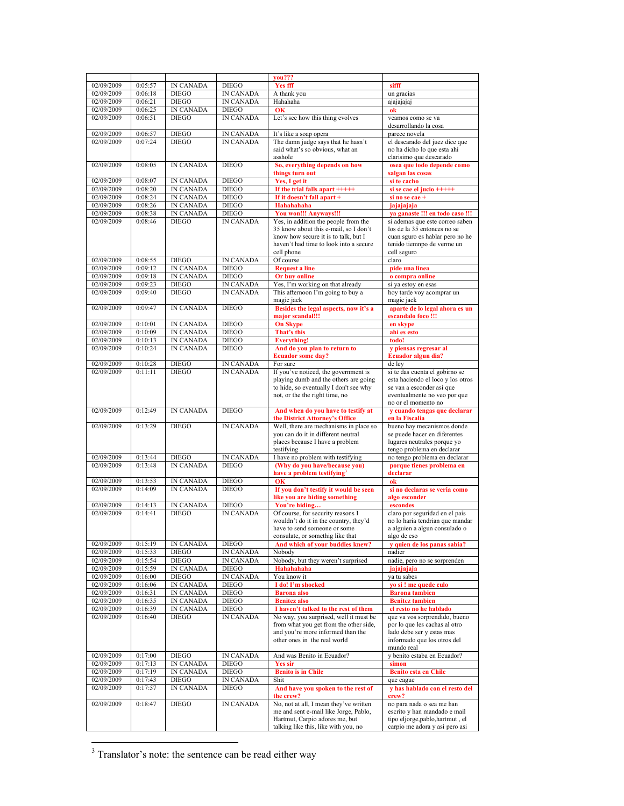| 02/09/2009<br>0:05:57<br>IN CANADA<br><b>DIEGO</b><br><b>Yes fff</b><br>sifff<br>02/09/2009<br>0:06:18<br><b>DIEGO</b><br><b>IN CANADA</b><br>A thank you<br>un gracias<br>$DIEGO$<br>02/09/2009<br>0:06:21<br><b>IN CANADA</b><br>Hahahaha<br>ajajajajaj<br>02/09/2009<br>0:06:25<br><b>IN CANADA</b><br><b>DIEGO</b><br>OK<br>ok<br>02/09/2009<br><b>DIEGO</b><br><b>IN CANADA</b><br>0:06:51<br>Let's see how this thing evolves<br>veamos como se va<br>desarrollando la cosa<br><b>DIEGO</b><br>02/09/2009<br>0:06:57<br><b>IN CANADA</b><br>It's like a soap opera<br>parece novela<br>The damn judge says that he hasn't<br>el descarado del juez dice que<br>02/09/2009<br>0:07:24<br><b>DIEGO</b><br>IN CANADA<br>said what's so obvious, what an<br>no ha dicho lo que esta ahi<br>asshole<br>clarisimo que descarado<br>02/09/2009<br>0:08:05<br><b>IN CANADA</b><br><b>DIEGO</b><br>So, everything depends on how<br>osea que todo depende como<br>things turn out<br>salgan las cosas<br>02/09/2009<br>0:08:07<br><b>IN CANADA</b><br><b>DIEGO</b><br>Yes, I get it<br>si te cacho<br>02/09/2009<br>0:08:20<br><b>IN CANADA</b><br><b>DIEGO</b><br>If the trial falls apart $+++++$<br>si se cae el jucio $+++++$<br>02/09/2009<br>0:08:24<br>IN CANADA<br><b>DIEGO</b><br>If it doesn't fall apart +<br>si no se cae +<br>02/09/2009<br>0:08:26<br><b>IN CANADA</b><br><b>DIEGO</b><br>Hahahahaha<br>jajajajaja<br>02/09/2009<br>0:08:38<br><b>IN CANADA</b><br><b>DIEGO</b><br>You won!!! Anyways!!!<br>ya ganaste !!! en todo caso !!!<br>02/09/2009<br>Yes, in addition the people from the<br>si ademas que este correo saben<br>0:08:46<br><b>DIEGO</b><br><b>IN CANADA</b><br>35 know about this e-mail, so I don't<br>los de la 35 entonces no se<br>know how secure it is to talk, but I<br>cuan sguro es hablar pero no he<br>haven't had time to look into a secure<br>tenido tiemnpo de verme un<br>cell phone<br>cell seguro<br><b>DIEGO</b><br>Of course<br>02/09/2009<br>0:08:55<br><b>IN CANADA</b><br>claro<br>02/09/2009<br>0:09:12<br><b>IN CANADA</b><br><b>DIEGO</b><br><b>Request a line</b><br>pide una linea<br>02/09/2009<br><b>IN CANADA</b><br><b>DIEGO</b><br>Or buy online<br>0:09:18<br>o compra online<br><b>DIEGO</b><br>Yes, I'm working on that already<br>02/09/2009<br>0:09:23<br>IN CANADA<br>si ya estoy en esas<br>hoy tarde voy acomprar un<br>02/09/2009<br>0:09:40<br><b>DIEGO</b><br><b>IN CANADA</b><br>This afternoon I'm going to buy a<br>magic jack<br>magic jack<br><b>IN CANADA</b><br>Besides the legal aspects, now it's a<br>aparte de lo legal ahora es un<br>02/09/2009<br>0:09:47<br><b>DIEGO</b><br>major scandal!!!<br>escandalo foco !!!<br>02/09/2009<br>0:10:01<br><b>IN CANADA</b><br><b>DIEGO</b><br><b>On Skype</b><br>en skype<br>02/09/2009<br>0:10:09<br><b>IN CANADA</b><br><b>DIEGO</b><br>That's this<br>ahi es esto<br>02/09/2009<br>0:10:13<br><b>IN CANADA</b><br><b>DIEGO</b><br><b>Everything!</b><br>todo!<br>IN CANADA<br>02/09/2009<br>0:10:24<br><b>DIEGO</b><br>And do you plan to return to<br>y piensas regresar al<br><b>Ecuador some day?</b><br>Ecuador algun dia?<br>02/09/2009<br><b>DIEGO</b><br>IN CANADA<br>de ley<br>0:10:28<br>For sure<br>0:11:11<br><b>DIEGO</b><br><b>IN CANADA</b><br>If you've noticed, the government is<br>02/09/2009<br>si te das cuenta el gobirno se<br>playing dumb and the others are going<br>esta haciendo el loco y los otros<br>to hide, so eventually I don't see why<br>se van a esconder asi que<br>not, or the the right time, no<br>eventualmente no veo por que<br>no or el momento no<br><b>IN CANADA</b><br>02/09/2009<br>0:12:49<br><b>DIEGO</b><br>And when do you have to testify at<br>y cuando tengas que declarar<br>the District Attorney's Office<br>en la Fiscalia<br>Well, there are mechanisms in place so<br><b>IN CANADA</b><br>bueno hay mecanismos donde<br>02/09/2009<br>0:13:29<br><b>DIEGO</b><br>you can do it in different neutral<br>se puede hacer en diferentes<br>places because I have a problem<br>lugares neutrales porque yo<br>tengo problema en declarar<br>testifying<br><b>IN CANADA</b><br>I have no problem with testifying<br>no tengo problema en declarar<br>02/09/2009<br>0:13:44<br><b>DIEGO</b><br>(Why do you have/because you)<br>02/09/2009<br><b>IN CANADA</b><br><b>DIEGO</b><br>0:13:48<br>porque tienes problema en<br>have a problem testifying <sup>3</sup><br>declarar<br>02/09/2009<br>IN CANADA<br><b>DIEGO</b><br>OК<br>ok<br>0:13:53<br>If you don't testify it would be seen<br>02/09/2009<br>0:14:09<br><b>IN CANADA</b><br><b>DIEGO</b><br>si no declaras se veria como<br>like you are hiding something<br>algo esconder<br>You're hiding<br>02/09/2009<br>0:14:13<br><b>IN CANADA</b><br><b>DIEGO</b><br>escondes<br>02/09/2009<br>0:14:41<br><b>DIEGO</b><br><b>IN CANADA</b><br>Of course, for security reasons I<br>claro por seguridad en el pais<br>wouldn't do it in the country, they'd<br>no lo haria tendrian que mandar<br>a alguien a algun consulado o<br>have to send someone or some<br>consulate, or somethig like that<br>algo de eso<br>y quien de los panas sabia?<br>And which of your buddies knew?<br>02/09/2009<br>0:15:19<br>IN CANADA<br><b>DIEGO</b><br>02/09/2009<br>0:15:33<br><b>DIEGO</b><br>IN CANADA<br>Nobody<br>nadier<br>02/09/2009<br><b>DIEGO</b><br>Nobody, but they weren't surprised<br>0:15:54<br>IN CANADA<br>nadie, pero no se sorprenden<br><b>IN CANADA</b><br>02/09/2009<br>0:15:59<br><b>DIEGO</b><br>Hahahahaha<br>jajajajaja<br>02/09/2009<br>You know it<br>0:16:00<br><b>DIEGO</b><br>IN CANADA<br>ya tu sabes<br>02/09/2009<br>0:16:06<br>IN CANADA<br>I do! I'm shocked<br><b>DIEGO</b><br>yo si ! me quede culo<br>02/09/2009<br>IN CANADA<br>0:16:31<br><b>DIEGO</b><br><b>Barona</b> also<br><b>Barona</b> tambien<br>02/09/2009<br>IN CANADA<br>0:16:35<br><b>DIEGO</b><br><b>Benitez also</b><br><b>Benitez tambien</b><br>IN CANADA<br><b>DIEGO</b><br>02/09/2009<br>0:16:39<br>I haven't talked to the rest of them<br>el resto no he hablado<br>0:16:40<br><b>DIEGO</b><br>IN CANADA<br>No way, you surprised, well it must be<br>02/09/2009<br>que va vos sorprendido, bueno<br>from what you get from the other side,<br>por lo que les cachas al otro<br>and you're more informed than the<br>lado debe ser y estas mas<br>other ones in the real world<br>informado que los otros del<br>mundo real<br>02/09/2009<br>y benito estaba en Ecuador?<br>0:17:00<br><b>DIEGO</b><br>And was Benito in Ecuador?<br><b>IN CANADA</b><br>02/09/2009<br><b>IN CANADA</b><br>0:17:13<br><b>DIEGO</b><br>simon<br><b>Yes sir</b><br>02/09/2009<br><b>IN CANADA</b><br><b>DIEGO</b><br>0:17:19<br><b>Benito is in Chile</b><br><b>Benito esta en Chile</b><br>02/09/2009<br><b>DIEGO</b><br><b>IN CANADA</b><br>Shit<br>0:17:43<br>que cague<br>02/09/2009<br><b>IN CANADA</b><br>And have you spoken to the rest of<br>y has hablado con el resto del<br>0:17:57<br><b>DIEGO</b><br>the crew?<br>crew?<br>No, not at all, I mean they've written<br>no para nada o sea me han<br>02/09/2009<br>0:18:47<br><b>DIEGO</b><br>IN CANADA<br>me and sent e-mail like Jorge, Pablo,<br>escrito y han mandado e mail<br>Hartmut, Carpio adores me, but<br>tipo eljorge, pablo, hartmut, el<br>talking like this, like with you, no<br>carpio me adora y asi pero asi |  |  | you??? |  |
|-------------------------------------------------------------------------------------------------------------------------------------------------------------------------------------------------------------------------------------------------------------------------------------------------------------------------------------------------------------------------------------------------------------------------------------------------------------------------------------------------------------------------------------------------------------------------------------------------------------------------------------------------------------------------------------------------------------------------------------------------------------------------------------------------------------------------------------------------------------------------------------------------------------------------------------------------------------------------------------------------------------------------------------------------------------------------------------------------------------------------------------------------------------------------------------------------------------------------------------------------------------------------------------------------------------------------------------------------------------------------------------------------------------------------------------------------------------------------------------------------------------------------------------------------------------------------------------------------------------------------------------------------------------------------------------------------------------------------------------------------------------------------------------------------------------------------------------------------------------------------------------------------------------------------------------------------------------------------------------------------------------------------------------------------------------------------------------------------------------------------------------------------------------------------------------------------------------------------------------------------------------------------------------------------------------------------------------------------------------------------------------------------------------------------------------------------------------------------------------------------------------------------------------------------------------------------------------------------------------------------------------------------------------------------------------------------------------------------------------------------------------------------------------------------------------------------------------------------------------------------------------------------------------------------------------------------------------------------------------------------------------------------------------------------------------------------------------------------------------------------------------------------------------------------------------------------------------------------------------------------------------------------------------------------------------------------------------------------------------------------------------------------------------------------------------------------------------------------------------------------------------------------------------------------------------------------------------------------------------------------------------------------------------------------------------------------------------------------------------------------------------------------------------------------------------------------------------------------------------------------------------------------------------------------------------------------------------------------------------------------------------------------------------------------------------------------------------------------------------------------------------------------------------------------------------------------------------------------------------------------------------------------------------------------------------------------------------------------------------------------------------------------------------------------------------------------------------------------------------------------------------------------------------------------------------------------------------------------------------------------------------------------------------------------------------------------------------------------------------------------------------------------------------------------------------------------------------------------------------------------------------------------------------------------------------------------------------------------------------------------------------------------------------------------------------------------------------------------------------------------------------------------------------------------------------------------------------------------------------------------------------------------------------------------------------------------------------------------------------------------------------------------------------------------------------------------------------------------------------------------------------------------------------------------------------------------------------------------------------------------------------------------------------------------------------------------------------------------------------------------------------------------------------------------------------------------------------------------------------------------------------------------------------------------------------------------------------------------------------------------------------------------------------------------------------------------------------------------------------------------------------------------------------------------------------------------------------------------------------------------------------------------------------------------------------------------------------------------------------------------------------------------------------------------------------------------------------------------------------------------------------------------------------------------------------------------------------------------------------------------------------------------------------------------------------------------------------------------------------------------------------------------------------------------------------------------------------------------------------------------------------------------------------------------------------------------------------------------------------------------------------------------------------------------------------------------------------------------------------------------------------------------------------------------------------------------------------------------------------------------------------------------------------------------------------------------------------------------------------------------------------------------------------------------------|--|--|--------|--|
|                                                                                                                                                                                                                                                                                                                                                                                                                                                                                                                                                                                                                                                                                                                                                                                                                                                                                                                                                                                                                                                                                                                                                                                                                                                                                                                                                                                                                                                                                                                                                                                                                                                                                                                                                                                                                                                                                                                                                                                                                                                                                                                                                                                                                                                                                                                                                                                                                                                                                                                                                                                                                                                                                                                                                                                                                                                                                                                                                                                                                                                                                                                                                                                                                                                                                                                                                                                                                                                                                                                                                                                                                                                                                                                                                                                                                                                                                                                                                                                                                                                                                                                                                                                                                                                                                                                                                                                                                                                                                                                                                                                                                                                                                                                                                                                                                                                                                                                                                                                                                                                                                                                                                                                                                                                                                                                                                                                                                                                                                                                                                                                                                                                                                                                                                                                                                                                                                                                                                                                                                                                                                                                                                                                                                                                                                                                                                                                                                                                                                                                                                                                                                                                                                                                                                                                                                                                                                                                                                                                                                                                                                                                                                                                                                                                                                                                                                                                                                               |  |  |        |  |
|                                                                                                                                                                                                                                                                                                                                                                                                                                                                                                                                                                                                                                                                                                                                                                                                                                                                                                                                                                                                                                                                                                                                                                                                                                                                                                                                                                                                                                                                                                                                                                                                                                                                                                                                                                                                                                                                                                                                                                                                                                                                                                                                                                                                                                                                                                                                                                                                                                                                                                                                                                                                                                                                                                                                                                                                                                                                                                                                                                                                                                                                                                                                                                                                                                                                                                                                                                                                                                                                                                                                                                                                                                                                                                                                                                                                                                                                                                                                                                                                                                                                                                                                                                                                                                                                                                                                                                                                                                                                                                                                                                                                                                                                                                                                                                                                                                                                                                                                                                                                                                                                                                                                                                                                                                                                                                                                                                                                                                                                                                                                                                                                                                                                                                                                                                                                                                                                                                                                                                                                                                                                                                                                                                                                                                                                                                                                                                                                                                                                                                                                                                                                                                                                                                                                                                                                                                                                                                                                                                                                                                                                                                                                                                                                                                                                                                                                                                                                                               |  |  |        |  |
|                                                                                                                                                                                                                                                                                                                                                                                                                                                                                                                                                                                                                                                                                                                                                                                                                                                                                                                                                                                                                                                                                                                                                                                                                                                                                                                                                                                                                                                                                                                                                                                                                                                                                                                                                                                                                                                                                                                                                                                                                                                                                                                                                                                                                                                                                                                                                                                                                                                                                                                                                                                                                                                                                                                                                                                                                                                                                                                                                                                                                                                                                                                                                                                                                                                                                                                                                                                                                                                                                                                                                                                                                                                                                                                                                                                                                                                                                                                                                                                                                                                                                                                                                                                                                                                                                                                                                                                                                                                                                                                                                                                                                                                                                                                                                                                                                                                                                                                                                                                                                                                                                                                                                                                                                                                                                                                                                                                                                                                                                                                                                                                                                                                                                                                                                                                                                                                                                                                                                                                                                                                                                                                                                                                                                                                                                                                                                                                                                                                                                                                                                                                                                                                                                                                                                                                                                                                                                                                                                                                                                                                                                                                                                                                                                                                                                                                                                                                                                               |  |  |        |  |
|                                                                                                                                                                                                                                                                                                                                                                                                                                                                                                                                                                                                                                                                                                                                                                                                                                                                                                                                                                                                                                                                                                                                                                                                                                                                                                                                                                                                                                                                                                                                                                                                                                                                                                                                                                                                                                                                                                                                                                                                                                                                                                                                                                                                                                                                                                                                                                                                                                                                                                                                                                                                                                                                                                                                                                                                                                                                                                                                                                                                                                                                                                                                                                                                                                                                                                                                                                                                                                                                                                                                                                                                                                                                                                                                                                                                                                                                                                                                                                                                                                                                                                                                                                                                                                                                                                                                                                                                                                                                                                                                                                                                                                                                                                                                                                                                                                                                                                                                                                                                                                                                                                                                                                                                                                                                                                                                                                                                                                                                                                                                                                                                                                                                                                                                                                                                                                                                                                                                                                                                                                                                                                                                                                                                                                                                                                                                                                                                                                                                                                                                                                                                                                                                                                                                                                                                                                                                                                                                                                                                                                                                                                                                                                                                                                                                                                                                                                                                                               |  |  |        |  |
|                                                                                                                                                                                                                                                                                                                                                                                                                                                                                                                                                                                                                                                                                                                                                                                                                                                                                                                                                                                                                                                                                                                                                                                                                                                                                                                                                                                                                                                                                                                                                                                                                                                                                                                                                                                                                                                                                                                                                                                                                                                                                                                                                                                                                                                                                                                                                                                                                                                                                                                                                                                                                                                                                                                                                                                                                                                                                                                                                                                                                                                                                                                                                                                                                                                                                                                                                                                                                                                                                                                                                                                                                                                                                                                                                                                                                                                                                                                                                                                                                                                                                                                                                                                                                                                                                                                                                                                                                                                                                                                                                                                                                                                                                                                                                                                                                                                                                                                                                                                                                                                                                                                                                                                                                                                                                                                                                                                                                                                                                                                                                                                                                                                                                                                                                                                                                                                                                                                                                                                                                                                                                                                                                                                                                                                                                                                                                                                                                                                                                                                                                                                                                                                                                                                                                                                                                                                                                                                                                                                                                                                                                                                                                                                                                                                                                                                                                                                                                               |  |  |        |  |
|                                                                                                                                                                                                                                                                                                                                                                                                                                                                                                                                                                                                                                                                                                                                                                                                                                                                                                                                                                                                                                                                                                                                                                                                                                                                                                                                                                                                                                                                                                                                                                                                                                                                                                                                                                                                                                                                                                                                                                                                                                                                                                                                                                                                                                                                                                                                                                                                                                                                                                                                                                                                                                                                                                                                                                                                                                                                                                                                                                                                                                                                                                                                                                                                                                                                                                                                                                                                                                                                                                                                                                                                                                                                                                                                                                                                                                                                                                                                                                                                                                                                                                                                                                                                                                                                                                                                                                                                                                                                                                                                                                                                                                                                                                                                                                                                                                                                                                                                                                                                                                                                                                                                                                                                                                                                                                                                                                                                                                                                                                                                                                                                                                                                                                                                                                                                                                                                                                                                                                                                                                                                                                                                                                                                                                                                                                                                                                                                                                                                                                                                                                                                                                                                                                                                                                                                                                                                                                                                                                                                                                                                                                                                                                                                                                                                                                                                                                                                                               |  |  |        |  |
|                                                                                                                                                                                                                                                                                                                                                                                                                                                                                                                                                                                                                                                                                                                                                                                                                                                                                                                                                                                                                                                                                                                                                                                                                                                                                                                                                                                                                                                                                                                                                                                                                                                                                                                                                                                                                                                                                                                                                                                                                                                                                                                                                                                                                                                                                                                                                                                                                                                                                                                                                                                                                                                                                                                                                                                                                                                                                                                                                                                                                                                                                                                                                                                                                                                                                                                                                                                                                                                                                                                                                                                                                                                                                                                                                                                                                                                                                                                                                                                                                                                                                                                                                                                                                                                                                                                                                                                                                                                                                                                                                                                                                                                                                                                                                                                                                                                                                                                                                                                                                                                                                                                                                                                                                                                                                                                                                                                                                                                                                                                                                                                                                                                                                                                                                                                                                                                                                                                                                                                                                                                                                                                                                                                                                                                                                                                                                                                                                                                                                                                                                                                                                                                                                                                                                                                                                                                                                                                                                                                                                                                                                                                                                                                                                                                                                                                                                                                                                               |  |  |        |  |
|                                                                                                                                                                                                                                                                                                                                                                                                                                                                                                                                                                                                                                                                                                                                                                                                                                                                                                                                                                                                                                                                                                                                                                                                                                                                                                                                                                                                                                                                                                                                                                                                                                                                                                                                                                                                                                                                                                                                                                                                                                                                                                                                                                                                                                                                                                                                                                                                                                                                                                                                                                                                                                                                                                                                                                                                                                                                                                                                                                                                                                                                                                                                                                                                                                                                                                                                                                                                                                                                                                                                                                                                                                                                                                                                                                                                                                                                                                                                                                                                                                                                                                                                                                                                                                                                                                                                                                                                                                                                                                                                                                                                                                                                                                                                                                                                                                                                                                                                                                                                                                                                                                                                                                                                                                                                                                                                                                                                                                                                                                                                                                                                                                                                                                                                                                                                                                                                                                                                                                                                                                                                                                                                                                                                                                                                                                                                                                                                                                                                                                                                                                                                                                                                                                                                                                                                                                                                                                                                                                                                                                                                                                                                                                                                                                                                                                                                                                                                                               |  |  |        |  |
|                                                                                                                                                                                                                                                                                                                                                                                                                                                                                                                                                                                                                                                                                                                                                                                                                                                                                                                                                                                                                                                                                                                                                                                                                                                                                                                                                                                                                                                                                                                                                                                                                                                                                                                                                                                                                                                                                                                                                                                                                                                                                                                                                                                                                                                                                                                                                                                                                                                                                                                                                                                                                                                                                                                                                                                                                                                                                                                                                                                                                                                                                                                                                                                                                                                                                                                                                                                                                                                                                                                                                                                                                                                                                                                                                                                                                                                                                                                                                                                                                                                                                                                                                                                                                                                                                                                                                                                                                                                                                                                                                                                                                                                                                                                                                                                                                                                                                                                                                                                                                                                                                                                                                                                                                                                                                                                                                                                                                                                                                                                                                                                                                                                                                                                                                                                                                                                                                                                                                                                                                                                                                                                                                                                                                                                                                                                                                                                                                                                                                                                                                                                                                                                                                                                                                                                                                                                                                                                                                                                                                                                                                                                                                                                                                                                                                                                                                                                                                               |  |  |        |  |
|                                                                                                                                                                                                                                                                                                                                                                                                                                                                                                                                                                                                                                                                                                                                                                                                                                                                                                                                                                                                                                                                                                                                                                                                                                                                                                                                                                                                                                                                                                                                                                                                                                                                                                                                                                                                                                                                                                                                                                                                                                                                                                                                                                                                                                                                                                                                                                                                                                                                                                                                                                                                                                                                                                                                                                                                                                                                                                                                                                                                                                                                                                                                                                                                                                                                                                                                                                                                                                                                                                                                                                                                                                                                                                                                                                                                                                                                                                                                                                                                                                                                                                                                                                                                                                                                                                                                                                                                                                                                                                                                                                                                                                                                                                                                                                                                                                                                                                                                                                                                                                                                                                                                                                                                                                                                                                                                                                                                                                                                                                                                                                                                                                                                                                                                                                                                                                                                                                                                                                                                                                                                                                                                                                                                                                                                                                                                                                                                                                                                                                                                                                                                                                                                                                                                                                                                                                                                                                                                                                                                                                                                                                                                                                                                                                                                                                                                                                                                                               |  |  |        |  |
|                                                                                                                                                                                                                                                                                                                                                                                                                                                                                                                                                                                                                                                                                                                                                                                                                                                                                                                                                                                                                                                                                                                                                                                                                                                                                                                                                                                                                                                                                                                                                                                                                                                                                                                                                                                                                                                                                                                                                                                                                                                                                                                                                                                                                                                                                                                                                                                                                                                                                                                                                                                                                                                                                                                                                                                                                                                                                                                                                                                                                                                                                                                                                                                                                                                                                                                                                                                                                                                                                                                                                                                                                                                                                                                                                                                                                                                                                                                                                                                                                                                                                                                                                                                                                                                                                                                                                                                                                                                                                                                                                                                                                                                                                                                                                                                                                                                                                                                                                                                                                                                                                                                                                                                                                                                                                                                                                                                                                                                                                                                                                                                                                                                                                                                                                                                                                                                                                                                                                                                                                                                                                                                                                                                                                                                                                                                                                                                                                                                                                                                                                                                                                                                                                                                                                                                                                                                                                                                                                                                                                                                                                                                                                                                                                                                                                                                                                                                                                               |  |  |        |  |
|                                                                                                                                                                                                                                                                                                                                                                                                                                                                                                                                                                                                                                                                                                                                                                                                                                                                                                                                                                                                                                                                                                                                                                                                                                                                                                                                                                                                                                                                                                                                                                                                                                                                                                                                                                                                                                                                                                                                                                                                                                                                                                                                                                                                                                                                                                                                                                                                                                                                                                                                                                                                                                                                                                                                                                                                                                                                                                                                                                                                                                                                                                                                                                                                                                                                                                                                                                                                                                                                                                                                                                                                                                                                                                                                                                                                                                                                                                                                                                                                                                                                                                                                                                                                                                                                                                                                                                                                                                                                                                                                                                                                                                                                                                                                                                                                                                                                                                                                                                                                                                                                                                                                                                                                                                                                                                                                                                                                                                                                                                                                                                                                                                                                                                                                                                                                                                                                                                                                                                                                                                                                                                                                                                                                                                                                                                                                                                                                                                                                                                                                                                                                                                                                                                                                                                                                                                                                                                                                                                                                                                                                                                                                                                                                                                                                                                                                                                                                                               |  |  |        |  |
|                                                                                                                                                                                                                                                                                                                                                                                                                                                                                                                                                                                                                                                                                                                                                                                                                                                                                                                                                                                                                                                                                                                                                                                                                                                                                                                                                                                                                                                                                                                                                                                                                                                                                                                                                                                                                                                                                                                                                                                                                                                                                                                                                                                                                                                                                                                                                                                                                                                                                                                                                                                                                                                                                                                                                                                                                                                                                                                                                                                                                                                                                                                                                                                                                                                                                                                                                                                                                                                                                                                                                                                                                                                                                                                                                                                                                                                                                                                                                                                                                                                                                                                                                                                                                                                                                                                                                                                                                                                                                                                                                                                                                                                                                                                                                                                                                                                                                                                                                                                                                                                                                                                                                                                                                                                                                                                                                                                                                                                                                                                                                                                                                                                                                                                                                                                                                                                                                                                                                                                                                                                                                                                                                                                                                                                                                                                                                                                                                                                                                                                                                                                                                                                                                                                                                                                                                                                                                                                                                                                                                                                                                                                                                                                                                                                                                                                                                                                                                               |  |  |        |  |
|                                                                                                                                                                                                                                                                                                                                                                                                                                                                                                                                                                                                                                                                                                                                                                                                                                                                                                                                                                                                                                                                                                                                                                                                                                                                                                                                                                                                                                                                                                                                                                                                                                                                                                                                                                                                                                                                                                                                                                                                                                                                                                                                                                                                                                                                                                                                                                                                                                                                                                                                                                                                                                                                                                                                                                                                                                                                                                                                                                                                                                                                                                                                                                                                                                                                                                                                                                                                                                                                                                                                                                                                                                                                                                                                                                                                                                                                                                                                                                                                                                                                                                                                                                                                                                                                                                                                                                                                                                                                                                                                                                                                                                                                                                                                                                                                                                                                                                                                                                                                                                                                                                                                                                                                                                                                                                                                                                                                                                                                                                                                                                                                                                                                                                                                                                                                                                                                                                                                                                                                                                                                                                                                                                                                                                                                                                                                                                                                                                                                                                                                                                                                                                                                                                                                                                                                                                                                                                                                                                                                                                                                                                                                                                                                                                                                                                                                                                                                                               |  |  |        |  |
|                                                                                                                                                                                                                                                                                                                                                                                                                                                                                                                                                                                                                                                                                                                                                                                                                                                                                                                                                                                                                                                                                                                                                                                                                                                                                                                                                                                                                                                                                                                                                                                                                                                                                                                                                                                                                                                                                                                                                                                                                                                                                                                                                                                                                                                                                                                                                                                                                                                                                                                                                                                                                                                                                                                                                                                                                                                                                                                                                                                                                                                                                                                                                                                                                                                                                                                                                                                                                                                                                                                                                                                                                                                                                                                                                                                                                                                                                                                                                                                                                                                                                                                                                                                                                                                                                                                                                                                                                                                                                                                                                                                                                                                                                                                                                                                                                                                                                                                                                                                                                                                                                                                                                                                                                                                                                                                                                                                                                                                                                                                                                                                                                                                                                                                                                                                                                                                                                                                                                                                                                                                                                                                                                                                                                                                                                                                                                                                                                                                                                                                                                                                                                                                                                                                                                                                                                                                                                                                                                                                                                                                                                                                                                                                                                                                                                                                                                                                                                               |  |  |        |  |
|                                                                                                                                                                                                                                                                                                                                                                                                                                                                                                                                                                                                                                                                                                                                                                                                                                                                                                                                                                                                                                                                                                                                                                                                                                                                                                                                                                                                                                                                                                                                                                                                                                                                                                                                                                                                                                                                                                                                                                                                                                                                                                                                                                                                                                                                                                                                                                                                                                                                                                                                                                                                                                                                                                                                                                                                                                                                                                                                                                                                                                                                                                                                                                                                                                                                                                                                                                                                                                                                                                                                                                                                                                                                                                                                                                                                                                                                                                                                                                                                                                                                                                                                                                                                                                                                                                                                                                                                                                                                                                                                                                                                                                                                                                                                                                                                                                                                                                                                                                                                                                                                                                                                                                                                                                                                                                                                                                                                                                                                                                                                                                                                                                                                                                                                                                                                                                                                                                                                                                                                                                                                                                                                                                                                                                                                                                                                                                                                                                                                                                                                                                                                                                                                                                                                                                                                                                                                                                                                                                                                                                                                                                                                                                                                                                                                                                                                                                                                                               |  |  |        |  |
|                                                                                                                                                                                                                                                                                                                                                                                                                                                                                                                                                                                                                                                                                                                                                                                                                                                                                                                                                                                                                                                                                                                                                                                                                                                                                                                                                                                                                                                                                                                                                                                                                                                                                                                                                                                                                                                                                                                                                                                                                                                                                                                                                                                                                                                                                                                                                                                                                                                                                                                                                                                                                                                                                                                                                                                                                                                                                                                                                                                                                                                                                                                                                                                                                                                                                                                                                                                                                                                                                                                                                                                                                                                                                                                                                                                                                                                                                                                                                                                                                                                                                                                                                                                                                                                                                                                                                                                                                                                                                                                                                                                                                                                                                                                                                                                                                                                                                                                                                                                                                                                                                                                                                                                                                                                                                                                                                                                                                                                                                                                                                                                                                                                                                                                                                                                                                                                                                                                                                                                                                                                                                                                                                                                                                                                                                                                                                                                                                                                                                                                                                                                                                                                                                                                                                                                                                                                                                                                                                                                                                                                                                                                                                                                                                                                                                                                                                                                                                               |  |  |        |  |
|                                                                                                                                                                                                                                                                                                                                                                                                                                                                                                                                                                                                                                                                                                                                                                                                                                                                                                                                                                                                                                                                                                                                                                                                                                                                                                                                                                                                                                                                                                                                                                                                                                                                                                                                                                                                                                                                                                                                                                                                                                                                                                                                                                                                                                                                                                                                                                                                                                                                                                                                                                                                                                                                                                                                                                                                                                                                                                                                                                                                                                                                                                                                                                                                                                                                                                                                                                                                                                                                                                                                                                                                                                                                                                                                                                                                                                                                                                                                                                                                                                                                                                                                                                                                                                                                                                                                                                                                                                                                                                                                                                                                                                                                                                                                                                                                                                                                                                                                                                                                                                                                                                                                                                                                                                                                                                                                                                                                                                                                                                                                                                                                                                                                                                                                                                                                                                                                                                                                                                                                                                                                                                                                                                                                                                                                                                                                                                                                                                                                                                                                                                                                                                                                                                                                                                                                                                                                                                                                                                                                                                                                                                                                                                                                                                                                                                                                                                                                                               |  |  |        |  |
|                                                                                                                                                                                                                                                                                                                                                                                                                                                                                                                                                                                                                                                                                                                                                                                                                                                                                                                                                                                                                                                                                                                                                                                                                                                                                                                                                                                                                                                                                                                                                                                                                                                                                                                                                                                                                                                                                                                                                                                                                                                                                                                                                                                                                                                                                                                                                                                                                                                                                                                                                                                                                                                                                                                                                                                                                                                                                                                                                                                                                                                                                                                                                                                                                                                                                                                                                                                                                                                                                                                                                                                                                                                                                                                                                                                                                                                                                                                                                                                                                                                                                                                                                                                                                                                                                                                                                                                                                                                                                                                                                                                                                                                                                                                                                                                                                                                                                                                                                                                                                                                                                                                                                                                                                                                                                                                                                                                                                                                                                                                                                                                                                                                                                                                                                                                                                                                                                                                                                                                                                                                                                                                                                                                                                                                                                                                                                                                                                                                                                                                                                                                                                                                                                                                                                                                                                                                                                                                                                                                                                                                                                                                                                                                                                                                                                                                                                                                                                               |  |  |        |  |
|                                                                                                                                                                                                                                                                                                                                                                                                                                                                                                                                                                                                                                                                                                                                                                                                                                                                                                                                                                                                                                                                                                                                                                                                                                                                                                                                                                                                                                                                                                                                                                                                                                                                                                                                                                                                                                                                                                                                                                                                                                                                                                                                                                                                                                                                                                                                                                                                                                                                                                                                                                                                                                                                                                                                                                                                                                                                                                                                                                                                                                                                                                                                                                                                                                                                                                                                                                                                                                                                                                                                                                                                                                                                                                                                                                                                                                                                                                                                                                                                                                                                                                                                                                                                                                                                                                                                                                                                                                                                                                                                                                                                                                                                                                                                                                                                                                                                                                                                                                                                                                                                                                                                                                                                                                                                                                                                                                                                                                                                                                                                                                                                                                                                                                                                                                                                                                                                                                                                                                                                                                                                                                                                                                                                                                                                                                                                                                                                                                                                                                                                                                                                                                                                                                                                                                                                                                                                                                                                                                                                                                                                                                                                                                                                                                                                                                                                                                                                                               |  |  |        |  |
|                                                                                                                                                                                                                                                                                                                                                                                                                                                                                                                                                                                                                                                                                                                                                                                                                                                                                                                                                                                                                                                                                                                                                                                                                                                                                                                                                                                                                                                                                                                                                                                                                                                                                                                                                                                                                                                                                                                                                                                                                                                                                                                                                                                                                                                                                                                                                                                                                                                                                                                                                                                                                                                                                                                                                                                                                                                                                                                                                                                                                                                                                                                                                                                                                                                                                                                                                                                                                                                                                                                                                                                                                                                                                                                                                                                                                                                                                                                                                                                                                                                                                                                                                                                                                                                                                                                                                                                                                                                                                                                                                                                                                                                                                                                                                                                                                                                                                                                                                                                                                                                                                                                                                                                                                                                                                                                                                                                                                                                                                                                                                                                                                                                                                                                                                                                                                                                                                                                                                                                                                                                                                                                                                                                                                                                                                                                                                                                                                                                                                                                                                                                                                                                                                                                                                                                                                                                                                                                                                                                                                                                                                                                                                                                                                                                                                                                                                                                                                               |  |  |        |  |
|                                                                                                                                                                                                                                                                                                                                                                                                                                                                                                                                                                                                                                                                                                                                                                                                                                                                                                                                                                                                                                                                                                                                                                                                                                                                                                                                                                                                                                                                                                                                                                                                                                                                                                                                                                                                                                                                                                                                                                                                                                                                                                                                                                                                                                                                                                                                                                                                                                                                                                                                                                                                                                                                                                                                                                                                                                                                                                                                                                                                                                                                                                                                                                                                                                                                                                                                                                                                                                                                                                                                                                                                                                                                                                                                                                                                                                                                                                                                                                                                                                                                                                                                                                                                                                                                                                                                                                                                                                                                                                                                                                                                                                                                                                                                                                                                                                                                                                                                                                                                                                                                                                                                                                                                                                                                                                                                                                                                                                                                                                                                                                                                                                                                                                                                                                                                                                                                                                                                                                                                                                                                                                                                                                                                                                                                                                                                                                                                                                                                                                                                                                                                                                                                                                                                                                                                                                                                                                                                                                                                                                                                                                                                                                                                                                                                                                                                                                                                                               |  |  |        |  |
|                                                                                                                                                                                                                                                                                                                                                                                                                                                                                                                                                                                                                                                                                                                                                                                                                                                                                                                                                                                                                                                                                                                                                                                                                                                                                                                                                                                                                                                                                                                                                                                                                                                                                                                                                                                                                                                                                                                                                                                                                                                                                                                                                                                                                                                                                                                                                                                                                                                                                                                                                                                                                                                                                                                                                                                                                                                                                                                                                                                                                                                                                                                                                                                                                                                                                                                                                                                                                                                                                                                                                                                                                                                                                                                                                                                                                                                                                                                                                                                                                                                                                                                                                                                                                                                                                                                                                                                                                                                                                                                                                                                                                                                                                                                                                                                                                                                                                                                                                                                                                                                                                                                                                                                                                                                                                                                                                                                                                                                                                                                                                                                                                                                                                                                                                                                                                                                                                                                                                                                                                                                                                                                                                                                                                                                                                                                                                                                                                                                                                                                                                                                                                                                                                                                                                                                                                                                                                                                                                                                                                                                                                                                                                                                                                                                                                                                                                                                                                               |  |  |        |  |
|                                                                                                                                                                                                                                                                                                                                                                                                                                                                                                                                                                                                                                                                                                                                                                                                                                                                                                                                                                                                                                                                                                                                                                                                                                                                                                                                                                                                                                                                                                                                                                                                                                                                                                                                                                                                                                                                                                                                                                                                                                                                                                                                                                                                                                                                                                                                                                                                                                                                                                                                                                                                                                                                                                                                                                                                                                                                                                                                                                                                                                                                                                                                                                                                                                                                                                                                                                                                                                                                                                                                                                                                                                                                                                                                                                                                                                                                                                                                                                                                                                                                                                                                                                                                                                                                                                                                                                                                                                                                                                                                                                                                                                                                                                                                                                                                                                                                                                                                                                                                                                                                                                                                                                                                                                                                                                                                                                                                                                                                                                                                                                                                                                                                                                                                                                                                                                                                                                                                                                                                                                                                                                                                                                                                                                                                                                                                                                                                                                                                                                                                                                                                                                                                                                                                                                                                                                                                                                                                                                                                                                                                                                                                                                                                                                                                                                                                                                                                                               |  |  |        |  |
|                                                                                                                                                                                                                                                                                                                                                                                                                                                                                                                                                                                                                                                                                                                                                                                                                                                                                                                                                                                                                                                                                                                                                                                                                                                                                                                                                                                                                                                                                                                                                                                                                                                                                                                                                                                                                                                                                                                                                                                                                                                                                                                                                                                                                                                                                                                                                                                                                                                                                                                                                                                                                                                                                                                                                                                                                                                                                                                                                                                                                                                                                                                                                                                                                                                                                                                                                                                                                                                                                                                                                                                                                                                                                                                                                                                                                                                                                                                                                                                                                                                                                                                                                                                                                                                                                                                                                                                                                                                                                                                                                                                                                                                                                                                                                                                                                                                                                                                                                                                                                                                                                                                                                                                                                                                                                                                                                                                                                                                                                                                                                                                                                                                                                                                                                                                                                                                                                                                                                                                                                                                                                                                                                                                                                                                                                                                                                                                                                                                                                                                                                                                                                                                                                                                                                                                                                                                                                                                                                                                                                                                                                                                                                                                                                                                                                                                                                                                                                               |  |  |        |  |
|                                                                                                                                                                                                                                                                                                                                                                                                                                                                                                                                                                                                                                                                                                                                                                                                                                                                                                                                                                                                                                                                                                                                                                                                                                                                                                                                                                                                                                                                                                                                                                                                                                                                                                                                                                                                                                                                                                                                                                                                                                                                                                                                                                                                                                                                                                                                                                                                                                                                                                                                                                                                                                                                                                                                                                                                                                                                                                                                                                                                                                                                                                                                                                                                                                                                                                                                                                                                                                                                                                                                                                                                                                                                                                                                                                                                                                                                                                                                                                                                                                                                                                                                                                                                                                                                                                                                                                                                                                                                                                                                                                                                                                                                                                                                                                                                                                                                                                                                                                                                                                                                                                                                                                                                                                                                                                                                                                                                                                                                                                                                                                                                                                                                                                                                                                                                                                                                                                                                                                                                                                                                                                                                                                                                                                                                                                                                                                                                                                                                                                                                                                                                                                                                                                                                                                                                                                                                                                                                                                                                                                                                                                                                                                                                                                                                                                                                                                                                                               |  |  |        |  |
|                                                                                                                                                                                                                                                                                                                                                                                                                                                                                                                                                                                                                                                                                                                                                                                                                                                                                                                                                                                                                                                                                                                                                                                                                                                                                                                                                                                                                                                                                                                                                                                                                                                                                                                                                                                                                                                                                                                                                                                                                                                                                                                                                                                                                                                                                                                                                                                                                                                                                                                                                                                                                                                                                                                                                                                                                                                                                                                                                                                                                                                                                                                                                                                                                                                                                                                                                                                                                                                                                                                                                                                                                                                                                                                                                                                                                                                                                                                                                                                                                                                                                                                                                                                                                                                                                                                                                                                                                                                                                                                                                                                                                                                                                                                                                                                                                                                                                                                                                                                                                                                                                                                                                                                                                                                                                                                                                                                                                                                                                                                                                                                                                                                                                                                                                                                                                                                                                                                                                                                                                                                                                                                                                                                                                                                                                                                                                                                                                                                                                                                                                                                                                                                                                                                                                                                                                                                                                                                                                                                                                                                                                                                                                                                                                                                                                                                                                                                                                               |  |  |        |  |
|                                                                                                                                                                                                                                                                                                                                                                                                                                                                                                                                                                                                                                                                                                                                                                                                                                                                                                                                                                                                                                                                                                                                                                                                                                                                                                                                                                                                                                                                                                                                                                                                                                                                                                                                                                                                                                                                                                                                                                                                                                                                                                                                                                                                                                                                                                                                                                                                                                                                                                                                                                                                                                                                                                                                                                                                                                                                                                                                                                                                                                                                                                                                                                                                                                                                                                                                                                                                                                                                                                                                                                                                                                                                                                                                                                                                                                                                                                                                                                                                                                                                                                                                                                                                                                                                                                                                                                                                                                                                                                                                                                                                                                                                                                                                                                                                                                                                                                                                                                                                                                                                                                                                                                                                                                                                                                                                                                                                                                                                                                                                                                                                                                                                                                                                                                                                                                                                                                                                                                                                                                                                                                                                                                                                                                                                                                                                                                                                                                                                                                                                                                                                                                                                                                                                                                                                                                                                                                                                                                                                                                                                                                                                                                                                                                                                                                                                                                                                                               |  |  |        |  |
|                                                                                                                                                                                                                                                                                                                                                                                                                                                                                                                                                                                                                                                                                                                                                                                                                                                                                                                                                                                                                                                                                                                                                                                                                                                                                                                                                                                                                                                                                                                                                                                                                                                                                                                                                                                                                                                                                                                                                                                                                                                                                                                                                                                                                                                                                                                                                                                                                                                                                                                                                                                                                                                                                                                                                                                                                                                                                                                                                                                                                                                                                                                                                                                                                                                                                                                                                                                                                                                                                                                                                                                                                                                                                                                                                                                                                                                                                                                                                                                                                                                                                                                                                                                                                                                                                                                                                                                                                                                                                                                                                                                                                                                                                                                                                                                                                                                                                                                                                                                                                                                                                                                                                                                                                                                                                                                                                                                                                                                                                                                                                                                                                                                                                                                                                                                                                                                                                                                                                                                                                                                                                                                                                                                                                                                                                                                                                                                                                                                                                                                                                                                                                                                                                                                                                                                                                                                                                                                                                                                                                                                                                                                                                                                                                                                                                                                                                                                                                               |  |  |        |  |
|                                                                                                                                                                                                                                                                                                                                                                                                                                                                                                                                                                                                                                                                                                                                                                                                                                                                                                                                                                                                                                                                                                                                                                                                                                                                                                                                                                                                                                                                                                                                                                                                                                                                                                                                                                                                                                                                                                                                                                                                                                                                                                                                                                                                                                                                                                                                                                                                                                                                                                                                                                                                                                                                                                                                                                                                                                                                                                                                                                                                                                                                                                                                                                                                                                                                                                                                                                                                                                                                                                                                                                                                                                                                                                                                                                                                                                                                                                                                                                                                                                                                                                                                                                                                                                                                                                                                                                                                                                                                                                                                                                                                                                                                                                                                                                                                                                                                                                                                                                                                                                                                                                                                                                                                                                                                                                                                                                                                                                                                                                                                                                                                                                                                                                                                                                                                                                                                                                                                                                                                                                                                                                                                                                                                                                                                                                                                                                                                                                                                                                                                                                                                                                                                                                                                                                                                                                                                                                                                                                                                                                                                                                                                                                                                                                                                                                                                                                                                                               |  |  |        |  |
|                                                                                                                                                                                                                                                                                                                                                                                                                                                                                                                                                                                                                                                                                                                                                                                                                                                                                                                                                                                                                                                                                                                                                                                                                                                                                                                                                                                                                                                                                                                                                                                                                                                                                                                                                                                                                                                                                                                                                                                                                                                                                                                                                                                                                                                                                                                                                                                                                                                                                                                                                                                                                                                                                                                                                                                                                                                                                                                                                                                                                                                                                                                                                                                                                                                                                                                                                                                                                                                                                                                                                                                                                                                                                                                                                                                                                                                                                                                                                                                                                                                                                                                                                                                                                                                                                                                                                                                                                                                                                                                                                                                                                                                                                                                                                                                                                                                                                                                                                                                                                                                                                                                                                                                                                                                                                                                                                                                                                                                                                                                                                                                                                                                                                                                                                                                                                                                                                                                                                                                                                                                                                                                                                                                                                                                                                                                                                                                                                                                                                                                                                                                                                                                                                                                                                                                                                                                                                                                                                                                                                                                                                                                                                                                                                                                                                                                                                                                                                               |  |  |        |  |
|                                                                                                                                                                                                                                                                                                                                                                                                                                                                                                                                                                                                                                                                                                                                                                                                                                                                                                                                                                                                                                                                                                                                                                                                                                                                                                                                                                                                                                                                                                                                                                                                                                                                                                                                                                                                                                                                                                                                                                                                                                                                                                                                                                                                                                                                                                                                                                                                                                                                                                                                                                                                                                                                                                                                                                                                                                                                                                                                                                                                                                                                                                                                                                                                                                                                                                                                                                                                                                                                                                                                                                                                                                                                                                                                                                                                                                                                                                                                                                                                                                                                                                                                                                                                                                                                                                                                                                                                                                                                                                                                                                                                                                                                                                                                                                                                                                                                                                                                                                                                                                                                                                                                                                                                                                                                                                                                                                                                                                                                                                                                                                                                                                                                                                                                                                                                                                                                                                                                                                                                                                                                                                                                                                                                                                                                                                                                                                                                                                                                                                                                                                                                                                                                                                                                                                                                                                                                                                                                                                                                                                                                                                                                                                                                                                                                                                                                                                                                                               |  |  |        |  |
|                                                                                                                                                                                                                                                                                                                                                                                                                                                                                                                                                                                                                                                                                                                                                                                                                                                                                                                                                                                                                                                                                                                                                                                                                                                                                                                                                                                                                                                                                                                                                                                                                                                                                                                                                                                                                                                                                                                                                                                                                                                                                                                                                                                                                                                                                                                                                                                                                                                                                                                                                                                                                                                                                                                                                                                                                                                                                                                                                                                                                                                                                                                                                                                                                                                                                                                                                                                                                                                                                                                                                                                                                                                                                                                                                                                                                                                                                                                                                                                                                                                                                                                                                                                                                                                                                                                                                                                                                                                                                                                                                                                                                                                                                                                                                                                                                                                                                                                                                                                                                                                                                                                                                                                                                                                                                                                                                                                                                                                                                                                                                                                                                                                                                                                                                                                                                                                                                                                                                                                                                                                                                                                                                                                                                                                                                                                                                                                                                                                                                                                                                                                                                                                                                                                                                                                                                                                                                                                                                                                                                                                                                                                                                                                                                                                                                                                                                                                                                               |  |  |        |  |
|                                                                                                                                                                                                                                                                                                                                                                                                                                                                                                                                                                                                                                                                                                                                                                                                                                                                                                                                                                                                                                                                                                                                                                                                                                                                                                                                                                                                                                                                                                                                                                                                                                                                                                                                                                                                                                                                                                                                                                                                                                                                                                                                                                                                                                                                                                                                                                                                                                                                                                                                                                                                                                                                                                                                                                                                                                                                                                                                                                                                                                                                                                                                                                                                                                                                                                                                                                                                                                                                                                                                                                                                                                                                                                                                                                                                                                                                                                                                                                                                                                                                                                                                                                                                                                                                                                                                                                                                                                                                                                                                                                                                                                                                                                                                                                                                                                                                                                                                                                                                                                                                                                                                                                                                                                                                                                                                                                                                                                                                                                                                                                                                                                                                                                                                                                                                                                                                                                                                                                                                                                                                                                                                                                                                                                                                                                                                                                                                                                                                                                                                                                                                                                                                                                                                                                                                                                                                                                                                                                                                                                                                                                                                                                                                                                                                                                                                                                                                                               |  |  |        |  |
|                                                                                                                                                                                                                                                                                                                                                                                                                                                                                                                                                                                                                                                                                                                                                                                                                                                                                                                                                                                                                                                                                                                                                                                                                                                                                                                                                                                                                                                                                                                                                                                                                                                                                                                                                                                                                                                                                                                                                                                                                                                                                                                                                                                                                                                                                                                                                                                                                                                                                                                                                                                                                                                                                                                                                                                                                                                                                                                                                                                                                                                                                                                                                                                                                                                                                                                                                                                                                                                                                                                                                                                                                                                                                                                                                                                                                                                                                                                                                                                                                                                                                                                                                                                                                                                                                                                                                                                                                                                                                                                                                                                                                                                                                                                                                                                                                                                                                                                                                                                                                                                                                                                                                                                                                                                                                                                                                                                                                                                                                                                                                                                                                                                                                                                                                                                                                                                                                                                                                                                                                                                                                                                                                                                                                                                                                                                                                                                                                                                                                                                                                                                                                                                                                                                                                                                                                                                                                                                                                                                                                                                                                                                                                                                                                                                                                                                                                                                                                               |  |  |        |  |
|                                                                                                                                                                                                                                                                                                                                                                                                                                                                                                                                                                                                                                                                                                                                                                                                                                                                                                                                                                                                                                                                                                                                                                                                                                                                                                                                                                                                                                                                                                                                                                                                                                                                                                                                                                                                                                                                                                                                                                                                                                                                                                                                                                                                                                                                                                                                                                                                                                                                                                                                                                                                                                                                                                                                                                                                                                                                                                                                                                                                                                                                                                                                                                                                                                                                                                                                                                                                                                                                                                                                                                                                                                                                                                                                                                                                                                                                                                                                                                                                                                                                                                                                                                                                                                                                                                                                                                                                                                                                                                                                                                                                                                                                                                                                                                                                                                                                                                                                                                                                                                                                                                                                                                                                                                                                                                                                                                                                                                                                                                                                                                                                                                                                                                                                                                                                                                                                                                                                                                                                                                                                                                                                                                                                                                                                                                                                                                                                                                                                                                                                                                                                                                                                                                                                                                                                                                                                                                                                                                                                                                                                                                                                                                                                                                                                                                                                                                                                                               |  |  |        |  |
|                                                                                                                                                                                                                                                                                                                                                                                                                                                                                                                                                                                                                                                                                                                                                                                                                                                                                                                                                                                                                                                                                                                                                                                                                                                                                                                                                                                                                                                                                                                                                                                                                                                                                                                                                                                                                                                                                                                                                                                                                                                                                                                                                                                                                                                                                                                                                                                                                                                                                                                                                                                                                                                                                                                                                                                                                                                                                                                                                                                                                                                                                                                                                                                                                                                                                                                                                                                                                                                                                                                                                                                                                                                                                                                                                                                                                                                                                                                                                                                                                                                                                                                                                                                                                                                                                                                                                                                                                                                                                                                                                                                                                                                                                                                                                                                                                                                                                                                                                                                                                                                                                                                                                                                                                                                                                                                                                                                                                                                                                                                                                                                                                                                                                                                                                                                                                                                                                                                                                                                                                                                                                                                                                                                                                                                                                                                                                                                                                                                                                                                                                                                                                                                                                                                                                                                                                                                                                                                                                                                                                                                                                                                                                                                                                                                                                                                                                                                                                               |  |  |        |  |
|                                                                                                                                                                                                                                                                                                                                                                                                                                                                                                                                                                                                                                                                                                                                                                                                                                                                                                                                                                                                                                                                                                                                                                                                                                                                                                                                                                                                                                                                                                                                                                                                                                                                                                                                                                                                                                                                                                                                                                                                                                                                                                                                                                                                                                                                                                                                                                                                                                                                                                                                                                                                                                                                                                                                                                                                                                                                                                                                                                                                                                                                                                                                                                                                                                                                                                                                                                                                                                                                                                                                                                                                                                                                                                                                                                                                                                                                                                                                                                                                                                                                                                                                                                                                                                                                                                                                                                                                                                                                                                                                                                                                                                                                                                                                                                                                                                                                                                                                                                                                                                                                                                                                                                                                                                                                                                                                                                                                                                                                                                                                                                                                                                                                                                                                                                                                                                                                                                                                                                                                                                                                                                                                                                                                                                                                                                                                                                                                                                                                                                                                                                                                                                                                                                                                                                                                                                                                                                                                                                                                                                                                                                                                                                                                                                                                                                                                                                                                                               |  |  |        |  |
|                                                                                                                                                                                                                                                                                                                                                                                                                                                                                                                                                                                                                                                                                                                                                                                                                                                                                                                                                                                                                                                                                                                                                                                                                                                                                                                                                                                                                                                                                                                                                                                                                                                                                                                                                                                                                                                                                                                                                                                                                                                                                                                                                                                                                                                                                                                                                                                                                                                                                                                                                                                                                                                                                                                                                                                                                                                                                                                                                                                                                                                                                                                                                                                                                                                                                                                                                                                                                                                                                                                                                                                                                                                                                                                                                                                                                                                                                                                                                                                                                                                                                                                                                                                                                                                                                                                                                                                                                                                                                                                                                                                                                                                                                                                                                                                                                                                                                                                                                                                                                                                                                                                                                                                                                                                                                                                                                                                                                                                                                                                                                                                                                                                                                                                                                                                                                                                                                                                                                                                                                                                                                                                                                                                                                                                                                                                                                                                                                                                                                                                                                                                                                                                                                                                                                                                                                                                                                                                                                                                                                                                                                                                                                                                                                                                                                                                                                                                                                               |  |  |        |  |
|                                                                                                                                                                                                                                                                                                                                                                                                                                                                                                                                                                                                                                                                                                                                                                                                                                                                                                                                                                                                                                                                                                                                                                                                                                                                                                                                                                                                                                                                                                                                                                                                                                                                                                                                                                                                                                                                                                                                                                                                                                                                                                                                                                                                                                                                                                                                                                                                                                                                                                                                                                                                                                                                                                                                                                                                                                                                                                                                                                                                                                                                                                                                                                                                                                                                                                                                                                                                                                                                                                                                                                                                                                                                                                                                                                                                                                                                                                                                                                                                                                                                                                                                                                                                                                                                                                                                                                                                                                                                                                                                                                                                                                                                                                                                                                                                                                                                                                                                                                                                                                                                                                                                                                                                                                                                                                                                                                                                                                                                                                                                                                                                                                                                                                                                                                                                                                                                                                                                                                                                                                                                                                                                                                                                                                                                                                                                                                                                                                                                                                                                                                                                                                                                                                                                                                                                                                                                                                                                                                                                                                                                                                                                                                                                                                                                                                                                                                                                                               |  |  |        |  |
|                                                                                                                                                                                                                                                                                                                                                                                                                                                                                                                                                                                                                                                                                                                                                                                                                                                                                                                                                                                                                                                                                                                                                                                                                                                                                                                                                                                                                                                                                                                                                                                                                                                                                                                                                                                                                                                                                                                                                                                                                                                                                                                                                                                                                                                                                                                                                                                                                                                                                                                                                                                                                                                                                                                                                                                                                                                                                                                                                                                                                                                                                                                                                                                                                                                                                                                                                                                                                                                                                                                                                                                                                                                                                                                                                                                                                                                                                                                                                                                                                                                                                                                                                                                                                                                                                                                                                                                                                                                                                                                                                                                                                                                                                                                                                                                                                                                                                                                                                                                                                                                                                                                                                                                                                                                                                                                                                                                                                                                                                                                                                                                                                                                                                                                                                                                                                                                                                                                                                                                                                                                                                                                                                                                                                                                                                                                                                                                                                                                                                                                                                                                                                                                                                                                                                                                                                                                                                                                                                                                                                                                                                                                                                                                                                                                                                                                                                                                                                               |  |  |        |  |
|                                                                                                                                                                                                                                                                                                                                                                                                                                                                                                                                                                                                                                                                                                                                                                                                                                                                                                                                                                                                                                                                                                                                                                                                                                                                                                                                                                                                                                                                                                                                                                                                                                                                                                                                                                                                                                                                                                                                                                                                                                                                                                                                                                                                                                                                                                                                                                                                                                                                                                                                                                                                                                                                                                                                                                                                                                                                                                                                                                                                                                                                                                                                                                                                                                                                                                                                                                                                                                                                                                                                                                                                                                                                                                                                                                                                                                                                                                                                                                                                                                                                                                                                                                                                                                                                                                                                                                                                                                                                                                                                                                                                                                                                                                                                                                                                                                                                                                                                                                                                                                                                                                                                                                                                                                                                                                                                                                                                                                                                                                                                                                                                                                                                                                                                                                                                                                                                                                                                                                                                                                                                                                                                                                                                                                                                                                                                                                                                                                                                                                                                                                                                                                                                                                                                                                                                                                                                                                                                                                                                                                                                                                                                                                                                                                                                                                                                                                                                                               |  |  |        |  |
|                                                                                                                                                                                                                                                                                                                                                                                                                                                                                                                                                                                                                                                                                                                                                                                                                                                                                                                                                                                                                                                                                                                                                                                                                                                                                                                                                                                                                                                                                                                                                                                                                                                                                                                                                                                                                                                                                                                                                                                                                                                                                                                                                                                                                                                                                                                                                                                                                                                                                                                                                                                                                                                                                                                                                                                                                                                                                                                                                                                                                                                                                                                                                                                                                                                                                                                                                                                                                                                                                                                                                                                                                                                                                                                                                                                                                                                                                                                                                                                                                                                                                                                                                                                                                                                                                                                                                                                                                                                                                                                                                                                                                                                                                                                                                                                                                                                                                                                                                                                                                                                                                                                                                                                                                                                                                                                                                                                                                                                                                                                                                                                                                                                                                                                                                                                                                                                                                                                                                                                                                                                                                                                                                                                                                                                                                                                                                                                                                                                                                                                                                                                                                                                                                                                                                                                                                                                                                                                                                                                                                                                                                                                                                                                                                                                                                                                                                                                                                               |  |  |        |  |
|                                                                                                                                                                                                                                                                                                                                                                                                                                                                                                                                                                                                                                                                                                                                                                                                                                                                                                                                                                                                                                                                                                                                                                                                                                                                                                                                                                                                                                                                                                                                                                                                                                                                                                                                                                                                                                                                                                                                                                                                                                                                                                                                                                                                                                                                                                                                                                                                                                                                                                                                                                                                                                                                                                                                                                                                                                                                                                                                                                                                                                                                                                                                                                                                                                                                                                                                                                                                                                                                                                                                                                                                                                                                                                                                                                                                                                                                                                                                                                                                                                                                                                                                                                                                                                                                                                                                                                                                                                                                                                                                                                                                                                                                                                                                                                                                                                                                                                                                                                                                                                                                                                                                                                                                                                                                                                                                                                                                                                                                                                                                                                                                                                                                                                                                                                                                                                                                                                                                                                                                                                                                                                                                                                                                                                                                                                                                                                                                                                                                                                                                                                                                                                                                                                                                                                                                                                                                                                                                                                                                                                                                                                                                                                                                                                                                                                                                                                                                                               |  |  |        |  |
|                                                                                                                                                                                                                                                                                                                                                                                                                                                                                                                                                                                                                                                                                                                                                                                                                                                                                                                                                                                                                                                                                                                                                                                                                                                                                                                                                                                                                                                                                                                                                                                                                                                                                                                                                                                                                                                                                                                                                                                                                                                                                                                                                                                                                                                                                                                                                                                                                                                                                                                                                                                                                                                                                                                                                                                                                                                                                                                                                                                                                                                                                                                                                                                                                                                                                                                                                                                                                                                                                                                                                                                                                                                                                                                                                                                                                                                                                                                                                                                                                                                                                                                                                                                                                                                                                                                                                                                                                                                                                                                                                                                                                                                                                                                                                                                                                                                                                                                                                                                                                                                                                                                                                                                                                                                                                                                                                                                                                                                                                                                                                                                                                                                                                                                                                                                                                                                                                                                                                                                                                                                                                                                                                                                                                                                                                                                                                                                                                                                                                                                                                                                                                                                                                                                                                                                                                                                                                                                                                                                                                                                                                                                                                                                                                                                                                                                                                                                                                               |  |  |        |  |
|                                                                                                                                                                                                                                                                                                                                                                                                                                                                                                                                                                                                                                                                                                                                                                                                                                                                                                                                                                                                                                                                                                                                                                                                                                                                                                                                                                                                                                                                                                                                                                                                                                                                                                                                                                                                                                                                                                                                                                                                                                                                                                                                                                                                                                                                                                                                                                                                                                                                                                                                                                                                                                                                                                                                                                                                                                                                                                                                                                                                                                                                                                                                                                                                                                                                                                                                                                                                                                                                                                                                                                                                                                                                                                                                                                                                                                                                                                                                                                                                                                                                                                                                                                                                                                                                                                                                                                                                                                                                                                                                                                                                                                                                                                                                                                                                                                                                                                                                                                                                                                                                                                                                                                                                                                                                                                                                                                                                                                                                                                                                                                                                                                                                                                                                                                                                                                                                                                                                                                                                                                                                                                                                                                                                                                                                                                                                                                                                                                                                                                                                                                                                                                                                                                                                                                                                                                                                                                                                                                                                                                                                                                                                                                                                                                                                                                                                                                                                                               |  |  |        |  |
|                                                                                                                                                                                                                                                                                                                                                                                                                                                                                                                                                                                                                                                                                                                                                                                                                                                                                                                                                                                                                                                                                                                                                                                                                                                                                                                                                                                                                                                                                                                                                                                                                                                                                                                                                                                                                                                                                                                                                                                                                                                                                                                                                                                                                                                                                                                                                                                                                                                                                                                                                                                                                                                                                                                                                                                                                                                                                                                                                                                                                                                                                                                                                                                                                                                                                                                                                                                                                                                                                                                                                                                                                                                                                                                                                                                                                                                                                                                                                                                                                                                                                                                                                                                                                                                                                                                                                                                                                                                                                                                                                                                                                                                                                                                                                                                                                                                                                                                                                                                                                                                                                                                                                                                                                                                                                                                                                                                                                                                                                                                                                                                                                                                                                                                                                                                                                                                                                                                                                                                                                                                                                                                                                                                                                                                                                                                                                                                                                                                                                                                                                                                                                                                                                                                                                                                                                                                                                                                                                                                                                                                                                                                                                                                                                                                                                                                                                                                                                               |  |  |        |  |
|                                                                                                                                                                                                                                                                                                                                                                                                                                                                                                                                                                                                                                                                                                                                                                                                                                                                                                                                                                                                                                                                                                                                                                                                                                                                                                                                                                                                                                                                                                                                                                                                                                                                                                                                                                                                                                                                                                                                                                                                                                                                                                                                                                                                                                                                                                                                                                                                                                                                                                                                                                                                                                                                                                                                                                                                                                                                                                                                                                                                                                                                                                                                                                                                                                                                                                                                                                                                                                                                                                                                                                                                                                                                                                                                                                                                                                                                                                                                                                                                                                                                                                                                                                                                                                                                                                                                                                                                                                                                                                                                                                                                                                                                                                                                                                                                                                                                                                                                                                                                                                                                                                                                                                                                                                                                                                                                                                                                                                                                                                                                                                                                                                                                                                                                                                                                                                                                                                                                                                                                                                                                                                                                                                                                                                                                                                                                                                                                                                                                                                                                                                                                                                                                                                                                                                                                                                                                                                                                                                                                                                                                                                                                                                                                                                                                                                                                                                                                                               |  |  |        |  |
|                                                                                                                                                                                                                                                                                                                                                                                                                                                                                                                                                                                                                                                                                                                                                                                                                                                                                                                                                                                                                                                                                                                                                                                                                                                                                                                                                                                                                                                                                                                                                                                                                                                                                                                                                                                                                                                                                                                                                                                                                                                                                                                                                                                                                                                                                                                                                                                                                                                                                                                                                                                                                                                                                                                                                                                                                                                                                                                                                                                                                                                                                                                                                                                                                                                                                                                                                                                                                                                                                                                                                                                                                                                                                                                                                                                                                                                                                                                                                                                                                                                                                                                                                                                                                                                                                                                                                                                                                                                                                                                                                                                                                                                                                                                                                                                                                                                                                                                                                                                                                                                                                                                                                                                                                                                                                                                                                                                                                                                                                                                                                                                                                                                                                                                                                                                                                                                                                                                                                                                                                                                                                                                                                                                                                                                                                                                                                                                                                                                                                                                                                                                                                                                                                                                                                                                                                                                                                                                                                                                                                                                                                                                                                                                                                                                                                                                                                                                                                               |  |  |        |  |
|                                                                                                                                                                                                                                                                                                                                                                                                                                                                                                                                                                                                                                                                                                                                                                                                                                                                                                                                                                                                                                                                                                                                                                                                                                                                                                                                                                                                                                                                                                                                                                                                                                                                                                                                                                                                                                                                                                                                                                                                                                                                                                                                                                                                                                                                                                                                                                                                                                                                                                                                                                                                                                                                                                                                                                                                                                                                                                                                                                                                                                                                                                                                                                                                                                                                                                                                                                                                                                                                                                                                                                                                                                                                                                                                                                                                                                                                                                                                                                                                                                                                                                                                                                                                                                                                                                                                                                                                                                                                                                                                                                                                                                                                                                                                                                                                                                                                                                                                                                                                                                                                                                                                                                                                                                                                                                                                                                                                                                                                                                                                                                                                                                                                                                                                                                                                                                                                                                                                                                                                                                                                                                                                                                                                                                                                                                                                                                                                                                                                                                                                                                                                                                                                                                                                                                                                                                                                                                                                                                                                                                                                                                                                                                                                                                                                                                                                                                                                                               |  |  |        |  |
|                                                                                                                                                                                                                                                                                                                                                                                                                                                                                                                                                                                                                                                                                                                                                                                                                                                                                                                                                                                                                                                                                                                                                                                                                                                                                                                                                                                                                                                                                                                                                                                                                                                                                                                                                                                                                                                                                                                                                                                                                                                                                                                                                                                                                                                                                                                                                                                                                                                                                                                                                                                                                                                                                                                                                                                                                                                                                                                                                                                                                                                                                                                                                                                                                                                                                                                                                                                                                                                                                                                                                                                                                                                                                                                                                                                                                                                                                                                                                                                                                                                                                                                                                                                                                                                                                                                                                                                                                                                                                                                                                                                                                                                                                                                                                                                                                                                                                                                                                                                                                                                                                                                                                                                                                                                                                                                                                                                                                                                                                                                                                                                                                                                                                                                                                                                                                                                                                                                                                                                                                                                                                                                                                                                                                                                                                                                                                                                                                                                                                                                                                                                                                                                                                                                                                                                                                                                                                                                                                                                                                                                                                                                                                                                                                                                                                                                                                                                                                               |  |  |        |  |
|                                                                                                                                                                                                                                                                                                                                                                                                                                                                                                                                                                                                                                                                                                                                                                                                                                                                                                                                                                                                                                                                                                                                                                                                                                                                                                                                                                                                                                                                                                                                                                                                                                                                                                                                                                                                                                                                                                                                                                                                                                                                                                                                                                                                                                                                                                                                                                                                                                                                                                                                                                                                                                                                                                                                                                                                                                                                                                                                                                                                                                                                                                                                                                                                                                                                                                                                                                                                                                                                                                                                                                                                                                                                                                                                                                                                                                                                                                                                                                                                                                                                                                                                                                                                                                                                                                                                                                                                                                                                                                                                                                                                                                                                                                                                                                                                                                                                                                                                                                                                                                                                                                                                                                                                                                                                                                                                                                                                                                                                                                                                                                                                                                                                                                                                                                                                                                                                                                                                                                                                                                                                                                                                                                                                                                                                                                                                                                                                                                                                                                                                                                                                                                                                                                                                                                                                                                                                                                                                                                                                                                                                                                                                                                                                                                                                                                                                                                                                                               |  |  |        |  |
|                                                                                                                                                                                                                                                                                                                                                                                                                                                                                                                                                                                                                                                                                                                                                                                                                                                                                                                                                                                                                                                                                                                                                                                                                                                                                                                                                                                                                                                                                                                                                                                                                                                                                                                                                                                                                                                                                                                                                                                                                                                                                                                                                                                                                                                                                                                                                                                                                                                                                                                                                                                                                                                                                                                                                                                                                                                                                                                                                                                                                                                                                                                                                                                                                                                                                                                                                                                                                                                                                                                                                                                                                                                                                                                                                                                                                                                                                                                                                                                                                                                                                                                                                                                                                                                                                                                                                                                                                                                                                                                                                                                                                                                                                                                                                                                                                                                                                                                                                                                                                                                                                                                                                                                                                                                                                                                                                                                                                                                                                                                                                                                                                                                                                                                                                                                                                                                                                                                                                                                                                                                                                                                                                                                                                                                                                                                                                                                                                                                                                                                                                                                                                                                                                                                                                                                                                                                                                                                                                                                                                                                                                                                                                                                                                                                                                                                                                                                                                               |  |  |        |  |
|                                                                                                                                                                                                                                                                                                                                                                                                                                                                                                                                                                                                                                                                                                                                                                                                                                                                                                                                                                                                                                                                                                                                                                                                                                                                                                                                                                                                                                                                                                                                                                                                                                                                                                                                                                                                                                                                                                                                                                                                                                                                                                                                                                                                                                                                                                                                                                                                                                                                                                                                                                                                                                                                                                                                                                                                                                                                                                                                                                                                                                                                                                                                                                                                                                                                                                                                                                                                                                                                                                                                                                                                                                                                                                                                                                                                                                                                                                                                                                                                                                                                                                                                                                                                                                                                                                                                                                                                                                                                                                                                                                                                                                                                                                                                                                                                                                                                                                                                                                                                                                                                                                                                                                                                                                                                                                                                                                                                                                                                                                                                                                                                                                                                                                                                                                                                                                                                                                                                                                                                                                                                                                                                                                                                                                                                                                                                                                                                                                                                                                                                                                                                                                                                                                                                                                                                                                                                                                                                                                                                                                                                                                                                                                                                                                                                                                                                                                                                                               |  |  |        |  |
|                                                                                                                                                                                                                                                                                                                                                                                                                                                                                                                                                                                                                                                                                                                                                                                                                                                                                                                                                                                                                                                                                                                                                                                                                                                                                                                                                                                                                                                                                                                                                                                                                                                                                                                                                                                                                                                                                                                                                                                                                                                                                                                                                                                                                                                                                                                                                                                                                                                                                                                                                                                                                                                                                                                                                                                                                                                                                                                                                                                                                                                                                                                                                                                                                                                                                                                                                                                                                                                                                                                                                                                                                                                                                                                                                                                                                                                                                                                                                                                                                                                                                                                                                                                                                                                                                                                                                                                                                                                                                                                                                                                                                                                                                                                                                                                                                                                                                                                                                                                                                                                                                                                                                                                                                                                                                                                                                                                                                                                                                                                                                                                                                                                                                                                                                                                                                                                                                                                                                                                                                                                                                                                                                                                                                                                                                                                                                                                                                                                                                                                                                                                                                                                                                                                                                                                                                                                                                                                                                                                                                                                                                                                                                                                                                                                                                                                                                                                                                               |  |  |        |  |
|                                                                                                                                                                                                                                                                                                                                                                                                                                                                                                                                                                                                                                                                                                                                                                                                                                                                                                                                                                                                                                                                                                                                                                                                                                                                                                                                                                                                                                                                                                                                                                                                                                                                                                                                                                                                                                                                                                                                                                                                                                                                                                                                                                                                                                                                                                                                                                                                                                                                                                                                                                                                                                                                                                                                                                                                                                                                                                                                                                                                                                                                                                                                                                                                                                                                                                                                                                                                                                                                                                                                                                                                                                                                                                                                                                                                                                                                                                                                                                                                                                                                                                                                                                                                                                                                                                                                                                                                                                                                                                                                                                                                                                                                                                                                                                                                                                                                                                                                                                                                                                                                                                                                                                                                                                                                                                                                                                                                                                                                                                                                                                                                                                                                                                                                                                                                                                                                                                                                                                                                                                                                                                                                                                                                                                                                                                                                                                                                                                                                                                                                                                                                                                                                                                                                                                                                                                                                                                                                                                                                                                                                                                                                                                                                                                                                                                                                                                                                                               |  |  |        |  |
|                                                                                                                                                                                                                                                                                                                                                                                                                                                                                                                                                                                                                                                                                                                                                                                                                                                                                                                                                                                                                                                                                                                                                                                                                                                                                                                                                                                                                                                                                                                                                                                                                                                                                                                                                                                                                                                                                                                                                                                                                                                                                                                                                                                                                                                                                                                                                                                                                                                                                                                                                                                                                                                                                                                                                                                                                                                                                                                                                                                                                                                                                                                                                                                                                                                                                                                                                                                                                                                                                                                                                                                                                                                                                                                                                                                                                                                                                                                                                                                                                                                                                                                                                                                                                                                                                                                                                                                                                                                                                                                                                                                                                                                                                                                                                                                                                                                                                                                                                                                                                                                                                                                                                                                                                                                                                                                                                                                                                                                                                                                                                                                                                                                                                                                                                                                                                                                                                                                                                                                                                                                                                                                                                                                                                                                                                                                                                                                                                                                                                                                                                                                                                                                                                                                                                                                                                                                                                                                                                                                                                                                                                                                                                                                                                                                                                                                                                                                                                               |  |  |        |  |
|                                                                                                                                                                                                                                                                                                                                                                                                                                                                                                                                                                                                                                                                                                                                                                                                                                                                                                                                                                                                                                                                                                                                                                                                                                                                                                                                                                                                                                                                                                                                                                                                                                                                                                                                                                                                                                                                                                                                                                                                                                                                                                                                                                                                                                                                                                                                                                                                                                                                                                                                                                                                                                                                                                                                                                                                                                                                                                                                                                                                                                                                                                                                                                                                                                                                                                                                                                                                                                                                                                                                                                                                                                                                                                                                                                                                                                                                                                                                                                                                                                                                                                                                                                                                                                                                                                                                                                                                                                                                                                                                                                                                                                                                                                                                                                                                                                                                                                                                                                                                                                                                                                                                                                                                                                                                                                                                                                                                                                                                                                                                                                                                                                                                                                                                                                                                                                                                                                                                                                                                                                                                                                                                                                                                                                                                                                                                                                                                                                                                                                                                                                                                                                                                                                                                                                                                                                                                                                                                                                                                                                                                                                                                                                                                                                                                                                                                                                                                                               |  |  |        |  |
|                                                                                                                                                                                                                                                                                                                                                                                                                                                                                                                                                                                                                                                                                                                                                                                                                                                                                                                                                                                                                                                                                                                                                                                                                                                                                                                                                                                                                                                                                                                                                                                                                                                                                                                                                                                                                                                                                                                                                                                                                                                                                                                                                                                                                                                                                                                                                                                                                                                                                                                                                                                                                                                                                                                                                                                                                                                                                                                                                                                                                                                                                                                                                                                                                                                                                                                                                                                                                                                                                                                                                                                                                                                                                                                                                                                                                                                                                                                                                                                                                                                                                                                                                                                                                                                                                                                                                                                                                                                                                                                                                                                                                                                                                                                                                                                                                                                                                                                                                                                                                                                                                                                                                                                                                                                                                                                                                                                                                                                                                                                                                                                                                                                                                                                                                                                                                                                                                                                                                                                                                                                                                                                                                                                                                                                                                                                                                                                                                                                                                                                                                                                                                                                                                                                                                                                                                                                                                                                                                                                                                                                                                                                                                                                                                                                                                                                                                                                                                               |  |  |        |  |
|                                                                                                                                                                                                                                                                                                                                                                                                                                                                                                                                                                                                                                                                                                                                                                                                                                                                                                                                                                                                                                                                                                                                                                                                                                                                                                                                                                                                                                                                                                                                                                                                                                                                                                                                                                                                                                                                                                                                                                                                                                                                                                                                                                                                                                                                                                                                                                                                                                                                                                                                                                                                                                                                                                                                                                                                                                                                                                                                                                                                                                                                                                                                                                                                                                                                                                                                                                                                                                                                                                                                                                                                                                                                                                                                                                                                                                                                                                                                                                                                                                                                                                                                                                                                                                                                                                                                                                                                                                                                                                                                                                                                                                                                                                                                                                                                                                                                                                                                                                                                                                                                                                                                                                                                                                                                                                                                                                                                                                                                                                                                                                                                                                                                                                                                                                                                                                                                                                                                                                                                                                                                                                                                                                                                                                                                                                                                                                                                                                                                                                                                                                                                                                                                                                                                                                                                                                                                                                                                                                                                                                                                                                                                                                                                                                                                                                                                                                                                                               |  |  |        |  |
|                                                                                                                                                                                                                                                                                                                                                                                                                                                                                                                                                                                                                                                                                                                                                                                                                                                                                                                                                                                                                                                                                                                                                                                                                                                                                                                                                                                                                                                                                                                                                                                                                                                                                                                                                                                                                                                                                                                                                                                                                                                                                                                                                                                                                                                                                                                                                                                                                                                                                                                                                                                                                                                                                                                                                                                                                                                                                                                                                                                                                                                                                                                                                                                                                                                                                                                                                                                                                                                                                                                                                                                                                                                                                                                                                                                                                                                                                                                                                                                                                                                                                                                                                                                                                                                                                                                                                                                                                                                                                                                                                                                                                                                                                                                                                                                                                                                                                                                                                                                                                                                                                                                                                                                                                                                                                                                                                                                                                                                                                                                                                                                                                                                                                                                                                                                                                                                                                                                                                                                                                                                                                                                                                                                                                                                                                                                                                                                                                                                                                                                                                                                                                                                                                                                                                                                                                                                                                                                                                                                                                                                                                                                                                                                                                                                                                                                                                                                                                               |  |  |        |  |
|                                                                                                                                                                                                                                                                                                                                                                                                                                                                                                                                                                                                                                                                                                                                                                                                                                                                                                                                                                                                                                                                                                                                                                                                                                                                                                                                                                                                                                                                                                                                                                                                                                                                                                                                                                                                                                                                                                                                                                                                                                                                                                                                                                                                                                                                                                                                                                                                                                                                                                                                                                                                                                                                                                                                                                                                                                                                                                                                                                                                                                                                                                                                                                                                                                                                                                                                                                                                                                                                                                                                                                                                                                                                                                                                                                                                                                                                                                                                                                                                                                                                                                                                                                                                                                                                                                                                                                                                                                                                                                                                                                                                                                                                                                                                                                                                                                                                                                                                                                                                                                                                                                                                                                                                                                                                                                                                                                                                                                                                                                                                                                                                                                                                                                                                                                                                                                                                                                                                                                                                                                                                                                                                                                                                                                                                                                                                                                                                                                                                                                                                                                                                                                                                                                                                                                                                                                                                                                                                                                                                                                                                                                                                                                                                                                                                                                                                                                                                                               |  |  |        |  |
|                                                                                                                                                                                                                                                                                                                                                                                                                                                                                                                                                                                                                                                                                                                                                                                                                                                                                                                                                                                                                                                                                                                                                                                                                                                                                                                                                                                                                                                                                                                                                                                                                                                                                                                                                                                                                                                                                                                                                                                                                                                                                                                                                                                                                                                                                                                                                                                                                                                                                                                                                                                                                                                                                                                                                                                                                                                                                                                                                                                                                                                                                                                                                                                                                                                                                                                                                                                                                                                                                                                                                                                                                                                                                                                                                                                                                                                                                                                                                                                                                                                                                                                                                                                                                                                                                                                                                                                                                                                                                                                                                                                                                                                                                                                                                                                                                                                                                                                                                                                                                                                                                                                                                                                                                                                                                                                                                                                                                                                                                                                                                                                                                                                                                                                                                                                                                                                                                                                                                                                                                                                                                                                                                                                                                                                                                                                                                                                                                                                                                                                                                                                                                                                                                                                                                                                                                                                                                                                                                                                                                                                                                                                                                                                                                                                                                                                                                                                                                               |  |  |        |  |
|                                                                                                                                                                                                                                                                                                                                                                                                                                                                                                                                                                                                                                                                                                                                                                                                                                                                                                                                                                                                                                                                                                                                                                                                                                                                                                                                                                                                                                                                                                                                                                                                                                                                                                                                                                                                                                                                                                                                                                                                                                                                                                                                                                                                                                                                                                                                                                                                                                                                                                                                                                                                                                                                                                                                                                                                                                                                                                                                                                                                                                                                                                                                                                                                                                                                                                                                                                                                                                                                                                                                                                                                                                                                                                                                                                                                                                                                                                                                                                                                                                                                                                                                                                                                                                                                                                                                                                                                                                                                                                                                                                                                                                                                                                                                                                                                                                                                                                                                                                                                                                                                                                                                                                                                                                                                                                                                                                                                                                                                                                                                                                                                                                                                                                                                                                                                                                                                                                                                                                                                                                                                                                                                                                                                                                                                                                                                                                                                                                                                                                                                                                                                                                                                                                                                                                                                                                                                                                                                                                                                                                                                                                                                                                                                                                                                                                                                                                                                                               |  |  |        |  |
|                                                                                                                                                                                                                                                                                                                                                                                                                                                                                                                                                                                                                                                                                                                                                                                                                                                                                                                                                                                                                                                                                                                                                                                                                                                                                                                                                                                                                                                                                                                                                                                                                                                                                                                                                                                                                                                                                                                                                                                                                                                                                                                                                                                                                                                                                                                                                                                                                                                                                                                                                                                                                                                                                                                                                                                                                                                                                                                                                                                                                                                                                                                                                                                                                                                                                                                                                                                                                                                                                                                                                                                                                                                                                                                                                                                                                                                                                                                                                                                                                                                                                                                                                                                                                                                                                                                                                                                                                                                                                                                                                                                                                                                                                                                                                                                                                                                                                                                                                                                                                                                                                                                                                                                                                                                                                                                                                                                                                                                                                                                                                                                                                                                                                                                                                                                                                                                                                                                                                                                                                                                                                                                                                                                                                                                                                                                                                                                                                                                                                                                                                                                                                                                                                                                                                                                                                                                                                                                                                                                                                                                                                                                                                                                                                                                                                                                                                                                                                               |  |  |        |  |
|                                                                                                                                                                                                                                                                                                                                                                                                                                                                                                                                                                                                                                                                                                                                                                                                                                                                                                                                                                                                                                                                                                                                                                                                                                                                                                                                                                                                                                                                                                                                                                                                                                                                                                                                                                                                                                                                                                                                                                                                                                                                                                                                                                                                                                                                                                                                                                                                                                                                                                                                                                                                                                                                                                                                                                                                                                                                                                                                                                                                                                                                                                                                                                                                                                                                                                                                                                                                                                                                                                                                                                                                                                                                                                                                                                                                                                                                                                                                                                                                                                                                                                                                                                                                                                                                                                                                                                                                                                                                                                                                                                                                                                                                                                                                                                                                                                                                                                                                                                                                                                                                                                                                                                                                                                                                                                                                                                                                                                                                                                                                                                                                                                                                                                                                                                                                                                                                                                                                                                                                                                                                                                                                                                                                                                                                                                                                                                                                                                                                                                                                                                                                                                                                                                                                                                                                                                                                                                                                                                                                                                                                                                                                                                                                                                                                                                                                                                                                                               |  |  |        |  |
|                                                                                                                                                                                                                                                                                                                                                                                                                                                                                                                                                                                                                                                                                                                                                                                                                                                                                                                                                                                                                                                                                                                                                                                                                                                                                                                                                                                                                                                                                                                                                                                                                                                                                                                                                                                                                                                                                                                                                                                                                                                                                                                                                                                                                                                                                                                                                                                                                                                                                                                                                                                                                                                                                                                                                                                                                                                                                                                                                                                                                                                                                                                                                                                                                                                                                                                                                                                                                                                                                                                                                                                                                                                                                                                                                                                                                                                                                                                                                                                                                                                                                                                                                                                                                                                                                                                                                                                                                                                                                                                                                                                                                                                                                                                                                                                                                                                                                                                                                                                                                                                                                                                                                                                                                                                                                                                                                                                                                                                                                                                                                                                                                                                                                                                                                                                                                                                                                                                                                                                                                                                                                                                                                                                                                                                                                                                                                                                                                                                                                                                                                                                                                                                                                                                                                                                                                                                                                                                                                                                                                                                                                                                                                                                                                                                                                                                                                                                                                               |  |  |        |  |
|                                                                                                                                                                                                                                                                                                                                                                                                                                                                                                                                                                                                                                                                                                                                                                                                                                                                                                                                                                                                                                                                                                                                                                                                                                                                                                                                                                                                                                                                                                                                                                                                                                                                                                                                                                                                                                                                                                                                                                                                                                                                                                                                                                                                                                                                                                                                                                                                                                                                                                                                                                                                                                                                                                                                                                                                                                                                                                                                                                                                                                                                                                                                                                                                                                                                                                                                                                                                                                                                                                                                                                                                                                                                                                                                                                                                                                                                                                                                                                                                                                                                                                                                                                                                                                                                                                                                                                                                                                                                                                                                                                                                                                                                                                                                                                                                                                                                                                                                                                                                                                                                                                                                                                                                                                                                                                                                                                                                                                                                                                                                                                                                                                                                                                                                                                                                                                                                                                                                                                                                                                                                                                                                                                                                                                                                                                                                                                                                                                                                                                                                                                                                                                                                                                                                                                                                                                                                                                                                                                                                                                                                                                                                                                                                                                                                                                                                                                                                                               |  |  |        |  |
|                                                                                                                                                                                                                                                                                                                                                                                                                                                                                                                                                                                                                                                                                                                                                                                                                                                                                                                                                                                                                                                                                                                                                                                                                                                                                                                                                                                                                                                                                                                                                                                                                                                                                                                                                                                                                                                                                                                                                                                                                                                                                                                                                                                                                                                                                                                                                                                                                                                                                                                                                                                                                                                                                                                                                                                                                                                                                                                                                                                                                                                                                                                                                                                                                                                                                                                                                                                                                                                                                                                                                                                                                                                                                                                                                                                                                                                                                                                                                                                                                                                                                                                                                                                                                                                                                                                                                                                                                                                                                                                                                                                                                                                                                                                                                                                                                                                                                                                                                                                                                                                                                                                                                                                                                                                                                                                                                                                                                                                                                                                                                                                                                                                                                                                                                                                                                                                                                                                                                                                                                                                                                                                                                                                                                                                                                                                                                                                                                                                                                                                                                                                                                                                                                                                                                                                                                                                                                                                                                                                                                                                                                                                                                                                                                                                                                                                                                                                                                               |  |  |        |  |
|                                                                                                                                                                                                                                                                                                                                                                                                                                                                                                                                                                                                                                                                                                                                                                                                                                                                                                                                                                                                                                                                                                                                                                                                                                                                                                                                                                                                                                                                                                                                                                                                                                                                                                                                                                                                                                                                                                                                                                                                                                                                                                                                                                                                                                                                                                                                                                                                                                                                                                                                                                                                                                                                                                                                                                                                                                                                                                                                                                                                                                                                                                                                                                                                                                                                                                                                                                                                                                                                                                                                                                                                                                                                                                                                                                                                                                                                                                                                                                                                                                                                                                                                                                                                                                                                                                                                                                                                                                                                                                                                                                                                                                                                                                                                                                                                                                                                                                                                                                                                                                                                                                                                                                                                                                                                                                                                                                                                                                                                                                                                                                                                                                                                                                                                                                                                                                                                                                                                                                                                                                                                                                                                                                                                                                                                                                                                                                                                                                                                                                                                                                                                                                                                                                                                                                                                                                                                                                                                                                                                                                                                                                                                                                                                                                                                                                                                                                                                                               |  |  |        |  |
|                                                                                                                                                                                                                                                                                                                                                                                                                                                                                                                                                                                                                                                                                                                                                                                                                                                                                                                                                                                                                                                                                                                                                                                                                                                                                                                                                                                                                                                                                                                                                                                                                                                                                                                                                                                                                                                                                                                                                                                                                                                                                                                                                                                                                                                                                                                                                                                                                                                                                                                                                                                                                                                                                                                                                                                                                                                                                                                                                                                                                                                                                                                                                                                                                                                                                                                                                                                                                                                                                                                                                                                                                                                                                                                                                                                                                                                                                                                                                                                                                                                                                                                                                                                                                                                                                                                                                                                                                                                                                                                                                                                                                                                                                                                                                                                                                                                                                                                                                                                                                                                                                                                                                                                                                                                                                                                                                                                                                                                                                                                                                                                                                                                                                                                                                                                                                                                                                                                                                                                                                                                                                                                                                                                                                                                                                                                                                                                                                                                                                                                                                                                                                                                                                                                                                                                                                                                                                                                                                                                                                                                                                                                                                                                                                                                                                                                                                                                                                               |  |  |        |  |
|                                                                                                                                                                                                                                                                                                                                                                                                                                                                                                                                                                                                                                                                                                                                                                                                                                                                                                                                                                                                                                                                                                                                                                                                                                                                                                                                                                                                                                                                                                                                                                                                                                                                                                                                                                                                                                                                                                                                                                                                                                                                                                                                                                                                                                                                                                                                                                                                                                                                                                                                                                                                                                                                                                                                                                                                                                                                                                                                                                                                                                                                                                                                                                                                                                                                                                                                                                                                                                                                                                                                                                                                                                                                                                                                                                                                                                                                                                                                                                                                                                                                                                                                                                                                                                                                                                                                                                                                                                                                                                                                                                                                                                                                                                                                                                                                                                                                                                                                                                                                                                                                                                                                                                                                                                                                                                                                                                                                                                                                                                                                                                                                                                                                                                                                                                                                                                                                                                                                                                                                                                                                                                                                                                                                                                                                                                                                                                                                                                                                                                                                                                                                                                                                                                                                                                                                                                                                                                                                                                                                                                                                                                                                                                                                                                                                                                                                                                                                                               |  |  |        |  |
|                                                                                                                                                                                                                                                                                                                                                                                                                                                                                                                                                                                                                                                                                                                                                                                                                                                                                                                                                                                                                                                                                                                                                                                                                                                                                                                                                                                                                                                                                                                                                                                                                                                                                                                                                                                                                                                                                                                                                                                                                                                                                                                                                                                                                                                                                                                                                                                                                                                                                                                                                                                                                                                                                                                                                                                                                                                                                                                                                                                                                                                                                                                                                                                                                                                                                                                                                                                                                                                                                                                                                                                                                                                                                                                                                                                                                                                                                                                                                                                                                                                                                                                                                                                                                                                                                                                                                                                                                                                                                                                                                                                                                                                                                                                                                                                                                                                                                                                                                                                                                                                                                                                                                                                                                                                                                                                                                                                                                                                                                                                                                                                                                                                                                                                                                                                                                                                                                                                                                                                                                                                                                                                                                                                                                                                                                                                                                                                                                                                                                                                                                                                                                                                                                                                                                                                                                                                                                                                                                                                                                                                                                                                                                                                                                                                                                                                                                                                                                               |  |  |        |  |
|                                                                                                                                                                                                                                                                                                                                                                                                                                                                                                                                                                                                                                                                                                                                                                                                                                                                                                                                                                                                                                                                                                                                                                                                                                                                                                                                                                                                                                                                                                                                                                                                                                                                                                                                                                                                                                                                                                                                                                                                                                                                                                                                                                                                                                                                                                                                                                                                                                                                                                                                                                                                                                                                                                                                                                                                                                                                                                                                                                                                                                                                                                                                                                                                                                                                                                                                                                                                                                                                                                                                                                                                                                                                                                                                                                                                                                                                                                                                                                                                                                                                                                                                                                                                                                                                                                                                                                                                                                                                                                                                                                                                                                                                                                                                                                                                                                                                                                                                                                                                                                                                                                                                                                                                                                                                                                                                                                                                                                                                                                                                                                                                                                                                                                                                                                                                                                                                                                                                                                                                                                                                                                                                                                                                                                                                                                                                                                                                                                                                                                                                                                                                                                                                                                                                                                                                                                                                                                                                                                                                                                                                                                                                                                                                                                                                                                                                                                                                                               |  |  |        |  |
|                                                                                                                                                                                                                                                                                                                                                                                                                                                                                                                                                                                                                                                                                                                                                                                                                                                                                                                                                                                                                                                                                                                                                                                                                                                                                                                                                                                                                                                                                                                                                                                                                                                                                                                                                                                                                                                                                                                                                                                                                                                                                                                                                                                                                                                                                                                                                                                                                                                                                                                                                                                                                                                                                                                                                                                                                                                                                                                                                                                                                                                                                                                                                                                                                                                                                                                                                                                                                                                                                                                                                                                                                                                                                                                                                                                                                                                                                                                                                                                                                                                                                                                                                                                                                                                                                                                                                                                                                                                                                                                                                                                                                                                                                                                                                                                                                                                                                                                                                                                                                                                                                                                                                                                                                                                                                                                                                                                                                                                                                                                                                                                                                                                                                                                                                                                                                                                                                                                                                                                                                                                                                                                                                                                                                                                                                                                                                                                                                                                                                                                                                                                                                                                                                                                                                                                                                                                                                                                                                                                                                                                                                                                                                                                                                                                                                                                                                                                                                               |  |  |        |  |
|                                                                                                                                                                                                                                                                                                                                                                                                                                                                                                                                                                                                                                                                                                                                                                                                                                                                                                                                                                                                                                                                                                                                                                                                                                                                                                                                                                                                                                                                                                                                                                                                                                                                                                                                                                                                                                                                                                                                                                                                                                                                                                                                                                                                                                                                                                                                                                                                                                                                                                                                                                                                                                                                                                                                                                                                                                                                                                                                                                                                                                                                                                                                                                                                                                                                                                                                                                                                                                                                                                                                                                                                                                                                                                                                                                                                                                                                                                                                                                                                                                                                                                                                                                                                                                                                                                                                                                                                                                                                                                                                                                                                                                                                                                                                                                                                                                                                                                                                                                                                                                                                                                                                                                                                                                                                                                                                                                                                                                                                                                                                                                                                                                                                                                                                                                                                                                                                                                                                                                                                                                                                                                                                                                                                                                                                                                                                                                                                                                                                                                                                                                                                                                                                                                                                                                                                                                                                                                                                                                                                                                                                                                                                                                                                                                                                                                                                                                                                                               |  |  |        |  |
|                                                                                                                                                                                                                                                                                                                                                                                                                                                                                                                                                                                                                                                                                                                                                                                                                                                                                                                                                                                                                                                                                                                                                                                                                                                                                                                                                                                                                                                                                                                                                                                                                                                                                                                                                                                                                                                                                                                                                                                                                                                                                                                                                                                                                                                                                                                                                                                                                                                                                                                                                                                                                                                                                                                                                                                                                                                                                                                                                                                                                                                                                                                                                                                                                                                                                                                                                                                                                                                                                                                                                                                                                                                                                                                                                                                                                                                                                                                                                                                                                                                                                                                                                                                                                                                                                                                                                                                                                                                                                                                                                                                                                                                                                                                                                                                                                                                                                                                                                                                                                                                                                                                                                                                                                                                                                                                                                                                                                                                                                                                                                                                                                                                                                                                                                                                                                                                                                                                                                                                                                                                                                                                                                                                                                                                                                                                                                                                                                                                                                                                                                                                                                                                                                                                                                                                                                                                                                                                                                                                                                                                                                                                                                                                                                                                                                                                                                                                                                               |  |  |        |  |
|                                                                                                                                                                                                                                                                                                                                                                                                                                                                                                                                                                                                                                                                                                                                                                                                                                                                                                                                                                                                                                                                                                                                                                                                                                                                                                                                                                                                                                                                                                                                                                                                                                                                                                                                                                                                                                                                                                                                                                                                                                                                                                                                                                                                                                                                                                                                                                                                                                                                                                                                                                                                                                                                                                                                                                                                                                                                                                                                                                                                                                                                                                                                                                                                                                                                                                                                                                                                                                                                                                                                                                                                                                                                                                                                                                                                                                                                                                                                                                                                                                                                                                                                                                                                                                                                                                                                                                                                                                                                                                                                                                                                                                                                                                                                                                                                                                                                                                                                                                                                                                                                                                                                                                                                                                                                                                                                                                                                                                                                                                                                                                                                                                                                                                                                                                                                                                                                                                                                                                                                                                                                                                                                                                                                                                                                                                                                                                                                                                                                                                                                                                                                                                                                                                                                                                                                                                                                                                                                                                                                                                                                                                                                                                                                                                                                                                                                                                                                                               |  |  |        |  |
|                                                                                                                                                                                                                                                                                                                                                                                                                                                                                                                                                                                                                                                                                                                                                                                                                                                                                                                                                                                                                                                                                                                                                                                                                                                                                                                                                                                                                                                                                                                                                                                                                                                                                                                                                                                                                                                                                                                                                                                                                                                                                                                                                                                                                                                                                                                                                                                                                                                                                                                                                                                                                                                                                                                                                                                                                                                                                                                                                                                                                                                                                                                                                                                                                                                                                                                                                                                                                                                                                                                                                                                                                                                                                                                                                                                                                                                                                                                                                                                                                                                                                                                                                                                                                                                                                                                                                                                                                                                                                                                                                                                                                                                                                                                                                                                                                                                                                                                                                                                                                                                                                                                                                                                                                                                                                                                                                                                                                                                                                                                                                                                                                                                                                                                                                                                                                                                                                                                                                                                                                                                                                                                                                                                                                                                                                                                                                                                                                                                                                                                                                                                                                                                                                                                                                                                                                                                                                                                                                                                                                                                                                                                                                                                                                                                                                                                                                                                                                               |  |  |        |  |
|                                                                                                                                                                                                                                                                                                                                                                                                                                                                                                                                                                                                                                                                                                                                                                                                                                                                                                                                                                                                                                                                                                                                                                                                                                                                                                                                                                                                                                                                                                                                                                                                                                                                                                                                                                                                                                                                                                                                                                                                                                                                                                                                                                                                                                                                                                                                                                                                                                                                                                                                                                                                                                                                                                                                                                                                                                                                                                                                                                                                                                                                                                                                                                                                                                                                                                                                                                                                                                                                                                                                                                                                                                                                                                                                                                                                                                                                                                                                                                                                                                                                                                                                                                                                                                                                                                                                                                                                                                                                                                                                                                                                                                                                                                                                                                                                                                                                                                                                                                                                                                                                                                                                                                                                                                                                                                                                                                                                                                                                                                                                                                                                                                                                                                                                                                                                                                                                                                                                                                                                                                                                                                                                                                                                                                                                                                                                                                                                                                                                                                                                                                                                                                                                                                                                                                                                                                                                                                                                                                                                                                                                                                                                                                                                                                                                                                                                                                                                                               |  |  |        |  |
|                                                                                                                                                                                                                                                                                                                                                                                                                                                                                                                                                                                                                                                                                                                                                                                                                                                                                                                                                                                                                                                                                                                                                                                                                                                                                                                                                                                                                                                                                                                                                                                                                                                                                                                                                                                                                                                                                                                                                                                                                                                                                                                                                                                                                                                                                                                                                                                                                                                                                                                                                                                                                                                                                                                                                                                                                                                                                                                                                                                                                                                                                                                                                                                                                                                                                                                                                                                                                                                                                                                                                                                                                                                                                                                                                                                                                                                                                                                                                                                                                                                                                                                                                                                                                                                                                                                                                                                                                                                                                                                                                                                                                                                                                                                                                                                                                                                                                                                                                                                                                                                                                                                                                                                                                                                                                                                                                                                                                                                                                                                                                                                                                                                                                                                                                                                                                                                                                                                                                                                                                                                                                                                                                                                                                                                                                                                                                                                                                                                                                                                                                                                                                                                                                                                                                                                                                                                                                                                                                                                                                                                                                                                                                                                                                                                                                                                                                                                                                               |  |  |        |  |
|                                                                                                                                                                                                                                                                                                                                                                                                                                                                                                                                                                                                                                                                                                                                                                                                                                                                                                                                                                                                                                                                                                                                                                                                                                                                                                                                                                                                                                                                                                                                                                                                                                                                                                                                                                                                                                                                                                                                                                                                                                                                                                                                                                                                                                                                                                                                                                                                                                                                                                                                                                                                                                                                                                                                                                                                                                                                                                                                                                                                                                                                                                                                                                                                                                                                                                                                                                                                                                                                                                                                                                                                                                                                                                                                                                                                                                                                                                                                                                                                                                                                                                                                                                                                                                                                                                                                                                                                                                                                                                                                                                                                                                                                                                                                                                                                                                                                                                                                                                                                                                                                                                                                                                                                                                                                                                                                                                                                                                                                                                                                                                                                                                                                                                                                                                                                                                                                                                                                                                                                                                                                                                                                                                                                                                                                                                                                                                                                                                                                                                                                                                                                                                                                                                                                                                                                                                                                                                                                                                                                                                                                                                                                                                                                                                                                                                                                                                                                                               |  |  |        |  |
|                                                                                                                                                                                                                                                                                                                                                                                                                                                                                                                                                                                                                                                                                                                                                                                                                                                                                                                                                                                                                                                                                                                                                                                                                                                                                                                                                                                                                                                                                                                                                                                                                                                                                                                                                                                                                                                                                                                                                                                                                                                                                                                                                                                                                                                                                                                                                                                                                                                                                                                                                                                                                                                                                                                                                                                                                                                                                                                                                                                                                                                                                                                                                                                                                                                                                                                                                                                                                                                                                                                                                                                                                                                                                                                                                                                                                                                                                                                                                                                                                                                                                                                                                                                                                                                                                                                                                                                                                                                                                                                                                                                                                                                                                                                                                                                                                                                                                                                                                                                                                                                                                                                                                                                                                                                                                                                                                                                                                                                                                                                                                                                                                                                                                                                                                                                                                                                                                                                                                                                                                                                                                                                                                                                                                                                                                                                                                                                                                                                                                                                                                                                                                                                                                                                                                                                                                                                                                                                                                                                                                                                                                                                                                                                                                                                                                                                                                                                                                               |  |  |        |  |

<sup>3</sup> Translator's note: the sentence can be read either way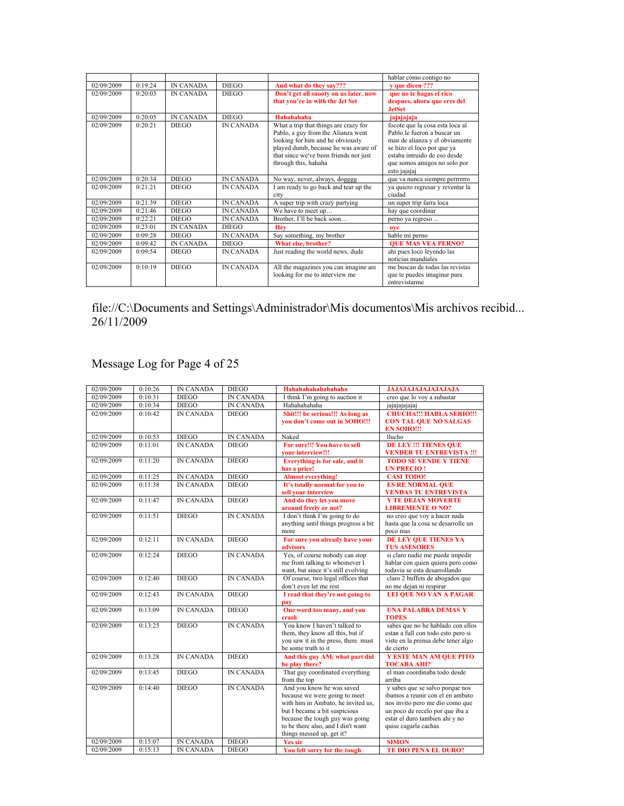|            |             |                  |                  |                                                                                                                                                                                                                           | hablar como contigo no                                                                                                                                                                                         |
|------------|-------------|------------------|------------------|---------------------------------------------------------------------------------------------------------------------------------------------------------------------------------------------------------------------------|----------------------------------------------------------------------------------------------------------------------------------------------------------------------------------------------------------------|
| 02/09/2009 | 0:19:24     | <b>IN CANADA</b> | <b>DIEGO</b>     | And what do they say???                                                                                                                                                                                                   | v que dicen ???                                                                                                                                                                                                |
| 02/09/2009 | 0.20.03     | <b>IN CANADA</b> | <b>DIEGO</b>     | Don't get all snooty on us later, now<br>that you're in with the Jet Set                                                                                                                                                  | que no te hagas el rico<br>despues, ahora que eres del<br><b>JetSet</b>                                                                                                                                        |
| 02/09/2009 | 0:20:05     | <b>IN CANADA</b> | <b>DIEGO</b>     | Hahahahaha                                                                                                                                                                                                                | jajajajaja                                                                                                                                                                                                     |
| 02/09/2009 | 0.20.21     | <b>DIEGO</b>     | <b>IN CANADA</b> | What a trip that things are crazy for<br>Pablo, a guy from the Alianza went<br>looking for him and he obviously<br>played dumb, because he was aware of<br>that since we've been friends not just<br>through this, hahaha | focote que la cosa esta loca al<br>Pablo le fueron a buscar un<br>man de alianza y el obviamente<br>se hizo el loco por que ya<br>estaba intruido de eso desde<br>que somos amigos no solo por<br>esto jajajaj |
| 02/09/2009 | 0:20:34     | <b>DIEGO</b>     | <b>IN CANADA</b> | No way, never, always, dogggg                                                                                                                                                                                             | que va nunca siempre perrrrrro                                                                                                                                                                                 |
| 02/09/2009 | 0:21:21     | <b>DIEGO</b>     | <b>IN CANADA</b> | I am ready to go back and tear up the<br>city                                                                                                                                                                             | ya quiero regresar y reventar la<br>ciudad                                                                                                                                                                     |
| 02/09/2009 | 0.21.39     | <b>DIEGO</b>     | <b>IN CANADA</b> | A super trip with crazy partying                                                                                                                                                                                          | un super trip farra loca                                                                                                                                                                                       |
| 02/09/2009 | 0:21:46     | <b>DIEGO</b>     | <b>IN CANADA</b> | We have to meet up                                                                                                                                                                                                        | hay que coordinar                                                                                                                                                                                              |
| 02/09/2009 | 0:22:21     | <b>DIEGO</b>     | <b>IN CANADA</b> | Brother, I'll be back soon                                                                                                                                                                                                | perno ya regreso                                                                                                                                                                                               |
| 02/09/2009 | 0:23:01     | <b>IN CANADA</b> | <b>DIEGO</b>     | <b>Hev</b>                                                                                                                                                                                                                | ove                                                                                                                                                                                                            |
| 02/09/2009 | 0:09:28     | <b>DIEGO</b>     | <b>IN CANADA</b> | Say something, my brother                                                                                                                                                                                                 | hable mi perno                                                                                                                                                                                                 |
| 02/09/2009 | $0.09 - 42$ | <b>IN CANADA</b> | <b>DIEGO</b>     | What else, brother?                                                                                                                                                                                                       | <b>OUE MAS VEA PERNO?</b>                                                                                                                                                                                      |
| 02/09/2009 | 0.09.54     | <b>DIEGO</b>     | <b>IN CANADA</b> | Just reading the world news, dude                                                                                                                                                                                         | ahi pues loco leyendo las<br>noticias mundiales                                                                                                                                                                |
| 02/09/2009 | 0.10.19     | <b>DIEGO</b>     | <b>IN CANADA</b> | All the magazines you can imagine are<br>looking for me to interview me                                                                                                                                                   | me buscan de todas las revistas<br>que te puedes imaginar para<br>entrevistarme                                                                                                                                |

## Message Log for Page 4 of 25

| 02/09/2009 | 0:10:26     | <b>IN CANADA</b> | <b>DIEGO</b>     | Hahahahahahahahaha                                                                                                                                                                                                                      | <b>JAJAJAJAJAJAJAJAJA</b>                                                                                                                                                                           |
|------------|-------------|------------------|------------------|-----------------------------------------------------------------------------------------------------------------------------------------------------------------------------------------------------------------------------------------|-----------------------------------------------------------------------------------------------------------------------------------------------------------------------------------------------------|
| 02/09/2009 | 0:10:31     | <b>DIEGO</b>     | <b>IN CANADA</b> | I think I'm going to auction it                                                                                                                                                                                                         | creo que lo voy a subastar                                                                                                                                                                          |
| 02/09/2009 | 0:10:34     | <b>DIEGO</b>     | <b>IN CANADA</b> | Hahahahaha                                                                                                                                                                                                                              | jajajajajajaj                                                                                                                                                                                       |
| 02/09/2009 | 0:10:42     | <b>IN CANADA</b> | <b>DIEGO</b>     | Shit!!! be serious!!! As long as<br>vou don't come out in SOHO!!!                                                                                                                                                                       | <b>CHUCHA!!! HABLA SERIO!!!</b><br><b>CON TAL QUE NO SALGAS</b><br><b>EN SOHO!!!</b>                                                                                                                |
| 02/09/2009 | 0:10:53     | <b>DIEGO</b>     | <b>IN CANADA</b> | Naked                                                                                                                                                                                                                                   | llucho                                                                                                                                                                                              |
| 02/09/2009 | 0:11:01     | <b>IN CANADA</b> | <b>DIEGO</b>     | For sure!!! You have to sell<br>vour interview!!!                                                                                                                                                                                       | <b>DE LEY !!! TIENES QUE</b><br><b>VENDER TU ENTREVISTA !!!</b>                                                                                                                                     |
| 02/09/2009 | 0:11:20     | <b>IN CANADA</b> | <b>DIEGO</b>     | Everything is for sale, and it<br>has a price!                                                                                                                                                                                          | <b>TODO SE VENDE Y TIENE</b><br><b>UN PRECIO!</b>                                                                                                                                                   |
| 02/09/2009 | 0:11:25     | IN CANADA        | <b>DIEGO</b>     | <b>Almost everything!</b>                                                                                                                                                                                                               | <b>CASI TODO!</b>                                                                                                                                                                                   |
| 02/09/2009 | 0:11:38     | <b>IN CANADA</b> | <b>DIEGO</b>     | It's totally normal for you to<br>sell your interview                                                                                                                                                                                   | <b>ES RE NORMAL QUE</b><br><b>VENDAS TU ENTREVISTA</b>                                                                                                                                              |
| 02/09/2009 | 0:11:47     | <b>IN CANADA</b> | <b>DIEGO</b>     | And do they let you move<br>around freely or not?                                                                                                                                                                                       | <b>Y TE DEJAN MOVERTE</b><br><b>LIBREMENTE O NO?</b>                                                                                                                                                |
| 02/09/2009 | 0.11:51     | <b>DIEGO</b>     | <b>IN CANADA</b> | I don't think I'm going to do<br>anything until things progress a bit<br>more                                                                                                                                                           | no creo que voy a hacer nada<br>hasta que la cosa se desarrolle un<br>poco mas                                                                                                                      |
| 02/09/2009 | 0:12:11     | <b>IN CANADA</b> | <b>DIEGO</b>     | For sure you already have your<br>advisors                                                                                                                                                                                              | DE LEY QUE TIENES YA<br><b>TUS ASESORES</b>                                                                                                                                                         |
| 02/09/2009 | 0:12:24     | <b>DIEGO</b>     | <b>IN CANADA</b> | Yes, of course nobody can stop<br>me from talking to whomever I<br>want, but since it's still evolving                                                                                                                                  | si claro nadie me puede impedir<br>hablar con quien quiera pero como<br>todavia se esta desarrollando                                                                                               |
| 02/09/2009 | 0:12:40     | <b>DIEGO</b>     | <b>IN CANADA</b> | Of course, two legal offices that<br>don't even let me rest                                                                                                                                                                             | claro 2 buffets de abogados que<br>no me dejan ni respirar                                                                                                                                          |
| 02/09/2009 | $0.12 - 43$ | <b>IN CANADA</b> | <b>DIEGO</b>     | I read that they're not going to<br>pay                                                                                                                                                                                                 | <b>LEI QUE NO VAN A PAGAR</b>                                                                                                                                                                       |
| 02/09/2009 | 0:13:09     | <b>IN CANADA</b> | <b>DIEGO</b>     | One word too many, and you<br>crash                                                                                                                                                                                                     | <b>UNA PALABRA DEMAS Y</b><br><b>TOPES</b>                                                                                                                                                          |
| 02/09/2009 | 0:13:25     | <b>DIEGO</b>     | <b>IN CANADA</b> | You know I haven't talked to<br>them, they know all this, but if<br>you saw it in the press, there must<br>be some truth to it                                                                                                          | sabes que no he hablado con ellos<br>estan a full con todo esto pero si<br>viste en la prensa debe tener algo<br>de cierto                                                                          |
| 02/09/2009 | 0:13:28     | <b>IN CANADA</b> | <b>DIEGO</b>     | And this guy AM, what part did<br>he play there?                                                                                                                                                                                        | Y ESTE MAN AM QUE PITO<br><b>TOCABA AHI?</b>                                                                                                                                                        |
| 02/09/2009 | 0:13:45     | <b>DIEGO</b>     | <b>IN CANADA</b> | That guy coordinated everything<br>from the top                                                                                                                                                                                         | el man coordinaba todo desde<br>arriba                                                                                                                                                              |
| 02/09/2009 | 0:14:40     | <b>DIEGO</b>     | <b>IN CANADA</b> | And you know he was saved<br>because we were going to meet<br>with him in Ambato, he invited us,<br>but I became a bit suspicious<br>because the tough guy was going<br>to be there also, and I din't want<br>things messed up, get it? | y sabes que se salvo porque nos<br>ibamos a reunir con el en ambato<br>nos invito pero me dio como que<br>un poco de recelo por que iba a<br>estar el duro tambien ahi y no<br>quise cagarla cachas |
| 02/09/2009 | 0:15:07     | <b>IN CANADA</b> | <b>DIEGO</b>     | <b>Yes sir</b>                                                                                                                                                                                                                          | <b>SIMON</b>                                                                                                                                                                                        |
| 02/09/2009 | 0:15:13     | <b>IN CANADA</b> | <b>DIEGO</b>     | You felt sorry for the tough                                                                                                                                                                                                            | <b>TE DIO PENA EL DURO?</b>                                                                                                                                                                         |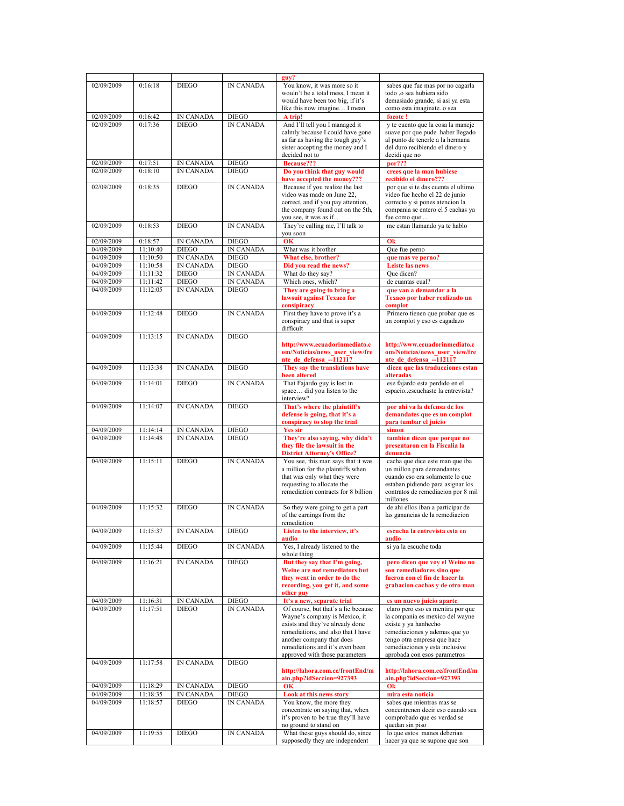|            |          |                  |                  | guy?                                |                                    |
|------------|----------|------------------|------------------|-------------------------------------|------------------------------------|
|            |          |                  |                  |                                     |                                    |
| 02/09/2009 | 0:16:18  | <b>DIEGO</b>     | <b>IN CANADA</b> | You know, it was more so it         | sabes que fue mas por no cagarla   |
|            |          |                  |                  | wouln't be a total mess, I mean it  | todo ,o sea hubiera sido           |
|            |          |                  |                  | would have been too big, if it's    | demasiado grande, si asi ya esta   |
|            |          |                  |                  | like this now imagine I mean        | como esta imaginateo sea           |
| 02/09/2009 | 0:16:42  | IN CANADA        | <b>DIEGO</b>     | A trip!                             | focote!                            |
| 02/09/2009 | 0:17:36  | <b>DIEGO</b>     | <b>IN CANADA</b> | And I'll tell you I managed it      | y te cuento que la cosa la maneje  |
|            |          |                  |                  |                                     | suave por que pude haber llegado   |
|            |          |                  |                  | calmly because I could have gone    |                                    |
|            |          |                  |                  | as far as having the tough guy's    | al punto de tenerle a la hermana   |
|            |          |                  |                  | sister accepting the money and I    | del duro recibiendo el dinero y    |
|            |          |                  |                  | decided not to                      | decidi que no                      |
| 02/09/2009 | 0:17:51  | IN CANADA        | <b>DIEGO</b>     | <b>Because???</b>                   | por???                             |
| 02/09/2009 | 0:18:10  | <b>IN CANADA</b> | <b>DIEGO</b>     | Do you think that guy would         | crees que la man hubiese           |
|            |          |                  |                  | have accepted the money???          | recibido el dinero???              |
| 02/09/2009 | 0:18:35  | <b>DIEGO</b>     | <b>IN CANADA</b> | Because if you realize the last     | por que si te das cuenta el ultimo |
|            |          |                  |                  | video was made on June 22,          | video fue hecho el 22 de junio     |
|            |          |                  |                  | correct, and if you pay attention,  | correcto y si pones atencion la    |
|            |          |                  |                  | the company found out on the 5th,   | compania se entero el 5 cachas ya  |
|            |          |                  |                  |                                     | fue como que                       |
|            |          |                  |                  | you see, it was as if               |                                    |
| 02/09/2009 | 0:18:53  | <b>DIEGO</b>     | <b>IN CANADA</b> | They're calling me, I'll talk to    | me estan llamando ya te hablo      |
|            |          |                  |                  | vou soon                            |                                    |
| 02/09/2009 | 0:18:57  | <b>IN CANADA</b> | <b>DIEGO</b>     | $\overline{\text{OK}}$              | Ok                                 |
| 04/09/2009 | 11:10:40 | <b>DIEGO</b>     | <b>IN CANADA</b> | What was it brother                 | Que fue perno                      |
| 04/09/2009 | 11:10:50 | IN CANADA        | <b>DIEGO</b>     | What else, brother?                 | que mas ve perno?                  |
| 04/09/2009 | 11:10:58 | <b>IN CANADA</b> | <b>DIEGO</b>     | Did you read the news?              | <b>Leiste las news</b>             |
| 04/09/2009 | 11:11:32 | <b>DIEGO</b>     | <b>IN CANADA</b> | What do they say?                   | Oue dicen?                         |
|            |          |                  |                  |                                     |                                    |
| 04/09/2009 | 11:11:42 | <b>DIEGO</b>     | <b>IN CANADA</b> | Which ones, which?                  | de cuantas cual?                   |
| 04/09/2009 | 11:12:05 | <b>IN CANADA</b> | <b>DIEGO</b>     | They are going to bring a           | que van a demandar a la            |
|            |          |                  |                  | lawsuit against Texaco for          | Texaco por haber realizado un      |
|            |          |                  |                  | consipiracy                         | complot                            |
| 04/09/2009 | 11:12:48 | <b>DIEGO</b>     | <b>IN CANADA</b> | First they have to prove it's a     | Primero tienen que probar que es   |
|            |          |                  |                  | conspiracy and that is super        | un complot y eso es cagadazo       |
|            |          |                  |                  | difficult                           |                                    |
| 04/09/2009 | 11:13:15 | <b>IN CANADA</b> | <b>DIEGO</b>     |                                     |                                    |
|            |          |                  |                  |                                     |                                    |
|            |          |                  |                  | http://www.ecuadorinmediato.c       | http://www.ecuadorinmediato.c      |
|            |          |                  |                  | om/Noticias/news user view/fre      | om/Noticias/news user view/fre     |
|            |          |                  |                  | nte_de_defensa_-112117              | nte_de_defensa_-112117             |
| 04/09/2009 | 11:13:38 | <b>IN CANADA</b> | <b>DIEGO</b>     | They say the translations have      | dicen que las traducciones estan   |
|            |          |                  |                  | been altered                        | alteradas                          |
| 04/09/2009 | 11:14:01 | <b>DIEGO</b>     | <b>IN CANADA</b> | That Fajardo guy is lost in         | ese fajardo esta perdido en el     |
|            |          |                  |                  | space did you listen to the         | espacioescuchaste la entrevista?   |
|            |          |                  |                  | interview?                          |                                    |
| 04/09/2009 | 11:14:07 | <b>IN CANADA</b> | <b>DIEGO</b>     | That's where the plaintiff's        | por ahi va la defensa de los       |
|            |          |                  |                  | defense is going, that it's a       | demandates que es un complot       |
|            |          |                  |                  |                                     |                                    |
|            |          |                  |                  | conspiracy to stop the trial        | para tumbar el juicio              |
| 04/09/2009 | 11:14:14 | IN CANADA        | <b>DIEGO</b>     | <b>Yes sir</b>                      | simon                              |
| 04/09/2009 | 11:14:48 | <b>IN CANADA</b> | <b>DIEGO</b>     | They're also saying, why didn't     | tambien dicen que porque no        |
|            |          |                  |                  | they file the lawsuit in the        | presentaron en la Fiscalia la      |
|            |          |                  |                  | <b>District Attorney's Office?</b>  | denuncia                           |
| 04/09/2009 | 11:15:11 | <b>DIEGO</b>     | <b>IN CANADA</b> | You see, this man says that it was  | cacha que dice este man que iba    |
|            |          |                  |                  | a million for the plaintiffs when   | un millon para demandantes         |
|            |          |                  |                  | that was only what they were        | cuando eso era solamente lo que    |
|            |          |                  |                  | requesting to allocate the          | estaban pidiendo para asignar los  |
|            |          |                  |                  | remediation contracts for 8 billion | contratos de remediacion por 8 mil |
|            |          |                  |                  |                                     | millones                           |
| 04/09/2009 | 11:15:32 | <b>DIEGO</b>     | <b>IN CANADA</b> |                                     | de ahi ellos iban a participar de  |
|            |          |                  |                  | So they were going to get a part    |                                    |
|            |          |                  |                  | of the earnings from the            | las ganancias de la remediacion    |
|            |          |                  |                  | remediation                         |                                    |
| 04/09/2009 | 11:15:37 | IN CANADA        | DIEGO            | Listen to the interview, it's       | escucha la entrevista esta en      |
|            |          |                  |                  | audio                               | audio                              |
| 04/09/2009 | 11:15:44 | <b>DIEGO</b>     | <b>IN CANADA</b> | Yes, I already listened to the      | si ya la escuche toda              |
|            |          |                  |                  | whole thing                         |                                    |
| 04/09/2009 | 11:16:21 | <b>IN CANADA</b> | <b>DIEGO</b>     | But they say that I'm going,        | pero dicen que voy el Weine no     |
|            |          |                  |                  | Weine are not remediators but       | son remediadores sino que          |
|            |          |                  |                  | they went in order to do the        | fueron con el fin de hacer la      |
|            |          |                  |                  | recording, you get it, and some     | grabacion cachas y de otro man     |
|            |          |                  |                  | other guy                           |                                    |
|            |          |                  | <b>DIEGO</b>     |                                     |                                    |
| 04/09/2009 | 11:16:31 | IN CANADA        |                  | It's a new, separate trial          | es un nuevo juicio aparte          |
| 04/09/2009 | 11:17:51 | <b>DIEGO</b>     | <b>IN CANADA</b> | Of course, but that's a lie because | claro pero eso es mentira por que  |
|            |          |                  |                  | Wayne's company is Mexico, it       | la compania es mexico del wayne    |
|            |          |                  |                  | exists and they've already done     | existe y ya hanhecho               |
|            |          |                  |                  |                                     |                                    |
|            |          |                  |                  | remediations, and also that I have  | remediaciones y ademas que yo      |
|            |          |                  |                  | another company that does           | tengo otra empresa que hace        |
|            |          |                  |                  | remediations and it's even been     | remediaciones y esta inclusive     |
|            |          |                  |                  | approved with those parameters      | aprobada con esos parametros       |
| 04/09/2009 | 11:17:58 | <b>IN CANADA</b> | <b>DIEGO</b>     |                                     |                                    |
|            |          |                  |                  |                                     |                                    |
|            |          |                  |                  | http://lahora.com.ec/frontEnd/m     | http://lahora.com.ec/frontEnd/m    |
|            |          |                  |                  | ain.php?idSeccion=927393            | ain.php?idSeccion=927393           |
| 04/09/2009 | 11:18:29 | IN CANADA        | <b>DIEGO</b>     | <b>OK</b>                           | Ok                                 |
| 04/09/2009 | 11:18:35 | IN CANADA        | <b>DIEGO</b>     | Look at this news story             | mira esta noticia                  |
| 04/09/2009 | 11:18:57 | <b>DIEGO</b>     | <b>IN CANADA</b> | You know, the more they             | sabes que mientras mas se          |
|            |          |                  |                  | concentrate on saying that, when    | concentrenen decir eso cuando sea  |
|            |          |                  |                  | it's proven to be true they'll have | comprobado que es verdad se        |
|            |          |                  |                  | no ground to stand on               | quedan sin piso                    |
| 04/09/2009 | 11:19:55 | <b>DIEGO</b>     | IN CANADA        | What these guys should do, since    | lo que estos manes deberian        |
|            |          |                  |                  | supposedly they are independent     | hacer ya que se supone que son     |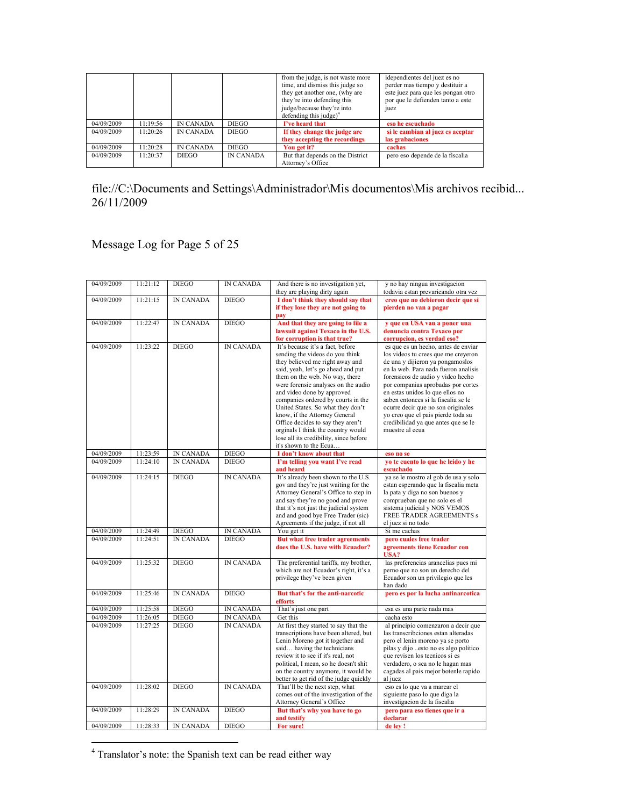|            |          |                  |                  | from the judge, is not waste more  | idependientes del juez es no       |
|------------|----------|------------------|------------------|------------------------------------|------------------------------------|
|            |          |                  |                  | time, and dismiss this judge so    | perder mas tiempo y destituir a    |
|            |          |                  |                  | they get another one, (why are     | este juez para que les pongan otro |
|            |          |                  |                  | they're into defending this        | por que le defienden tanto a este  |
|            |          |                  |                  | judge/because they're into         | juez                               |
|            |          |                  |                  | defending this judge) <sup>4</sup> |                                    |
| 04/09/2009 | 1:19:56  | <b>IN CANADA</b> | <b>DIEGO</b>     | I've heard that                    | eso he escuchado                   |
| 04/09/2009 | 11.20.26 | <b>IN CANADA</b> | <b>DIEGO</b>     | If they change the judge are       | si le cambian al juez es aceptar   |
|            |          |                  |                  | they accepting the recordings      | las grabaciones                    |
| 04/09/2009 | 1:20:28  | <b>IN CANADA</b> | <b>DIEGO</b>     | You get it?                        | cachas                             |
| 04/09/2009 | 11.20.37 | <b>DIEGO</b>     | <b>IN CANADA</b> | But that depends on the District   | pero eso depende de la fiscalia    |
|            |          |                  |                  | Attorney's Office                  |                                    |

Message Log for Page 5 of 25

| 04/09/2009 | 11:21:12 | <b>DIEGO</b>     | <b>IN CANADA</b> | And there is no investigation yet,                                           | y no hay ningua investigacion                                            |
|------------|----------|------------------|------------------|------------------------------------------------------------------------------|--------------------------------------------------------------------------|
| 04/09/2009 | 11:21:15 | <b>IN CANADA</b> | <b>DIEGO</b>     | they are playing dirty again<br>I don't think they should say that           | todavia estan prevaricando otra vez<br>creo que no debieron decir que si |
|            |          |                  |                  | if they lose they are not going to                                           | pierden no van a pagar                                                   |
|            |          |                  |                  | pay                                                                          |                                                                          |
| 04/09/2009 | 11:22:47 | <b>IN CANADA</b> | <b>DIEGO</b>     | And that they are going to file a                                            | y que en USA van a poner una                                             |
|            |          |                  |                  | lawsuit against Texaco in the U.S.                                           | denuncia contra Texaco por                                               |
|            |          |                  |                  | for corruption is that true?                                                 | corrupcion, es verdad eso?                                               |
| 04/09/2009 | 11:23:22 | <b>DIEGO</b>     | <b>IN CANADA</b> | It's because it's a fact, before                                             | es que es un hecho, antes de enviar                                      |
|            |          |                  |                  | sending the videos do you think                                              | los videos tu crees que me creyeron                                      |
|            |          |                  |                  | they believed me right away and                                              | de una y dijieron ya pongamoslos                                         |
|            |          |                  |                  | said, yeah, let's go ahead and put                                           | en la web. Para nada fueron analisis                                     |
|            |          |                  |                  | them on the web. No way, there<br>were forensic analyses on the audio        | forensicos de audio y video hecho                                        |
|            |          |                  |                  | and video done by approved                                                   | por companias aprobadas por cortes<br>en estas unidos lo que ellos no    |
|            |          |                  |                  | companies ordered by courts in the                                           | saben entonces si la fiscalia se le                                      |
|            |          |                  |                  | United States. So what they don't                                            | ocurre decir que no son originales                                       |
|            |          |                  |                  | know, if the Attorney General                                                | yo creo que el pais pierde toda su                                       |
|            |          |                  |                  | Office decides to say they aren't                                            | credibilidad ya que antes que se le                                      |
|            |          |                  |                  | orginals I think the country would                                           | muestre al ecua                                                          |
|            |          |                  |                  | lose all its credibility, since before                                       |                                                                          |
|            |          |                  |                  | it's shown to the Ecua                                                       |                                                                          |
| 04/09/2009 | 11:23:59 | <b>IN CANADA</b> | <b>DIEGO</b>     | I don't know about that                                                      | eso no se                                                                |
| 04/09/2009 | 11:24:10 | <b>IN CANADA</b> | <b>DIEGO</b>     | I'm telling you want I've read                                               | yo te cuento lo que he leido y he                                        |
|            |          |                  |                  | and heard                                                                    | escuchado                                                                |
| 04/09/2009 | 11:24:15 | <b>DIEGO</b>     | <b>IN CANADA</b> | It's already been shown to the U.S.                                          | ya se le mostro al gob de usa y solo                                     |
|            |          |                  |                  | gov and they're just waiting for the                                         | estan esperando que la fiscalia meta                                     |
|            |          |                  |                  | Attorney General's Office to step in                                         | la pata y diga no son buenos y                                           |
|            |          |                  |                  | and say they're no good and prove                                            | comprueban que no solo es el                                             |
|            |          |                  |                  | that it's not just the judicial system<br>and and good bye Free Trader (sic) | sistema judicial y NOS VEMOS<br>FREE TRADER AGREEMENTS s                 |
|            |          |                  |                  | Agreements if the judge, if not all                                          | el juez si no todo                                                       |
| 04/09/2009 | 11:24:49 | <b>DIEGO</b>     | <b>IN CANADA</b> | You get it                                                                   | Si me cachas                                                             |
| 04/09/2009 | 11:24:51 | <b>IN CANADA</b> | <b>DIEGO</b>     | But what free trader agreements                                              | pero cuales free trader                                                  |
|            |          |                  |                  | does the U.S. have with Ecuador?                                             | agreements tiene Ecuador con                                             |
|            |          |                  |                  |                                                                              | USA?                                                                     |
| 04/09/2009 | 11:25:32 | <b>DIEGO</b>     | <b>IN CANADA</b> | The preferential tariffs, my brother,                                        | las preferencias arancelias pues mi                                      |
|            |          |                  |                  | which are not Ecuador's right, it's a                                        | perno que no son un derecho del                                          |
|            |          |                  |                  | privilege they've been given                                                 | Ecuador son un privilegio que les<br>han dado                            |
| 04/09/2009 | 11:25:46 | <b>IN CANADA</b> | <b>DIEGO</b>     | But that's for the anti-narcotic                                             | pero es por la lucha antinarcotica                                       |
|            |          |                  |                  | efforts                                                                      |                                                                          |
| 04/09/2009 | 11:25:58 | <b>DIEGO</b>     | <b>IN CANADA</b> | That's just one part                                                         | esa es una parte nada mas                                                |
| 04/09/2009 | 11:26:05 | <b>DIEGO</b>     | <b>IN CANADA</b> | Get this                                                                     | cacha esto                                                               |
| 04/09/2009 | 11:27:25 | <b>DIEGO</b>     | <b>IN CANADA</b> | At first they started to say that the                                        | al principio comenzaron a decir que                                      |
|            |          |                  |                  | transcriptions have been altered, but                                        | las transcribciones estan alteradas                                      |
|            |          |                  |                  | Lenin Moreno got it together and                                             | pero el lenin moreno ya se porto                                         |
|            |          |                  |                  | said having the technicians                                                  | pilas y dijo esto no es algo politico                                    |
|            |          |                  |                  | review it to see if it's real, not                                           | que revisen los tecnicos si es                                           |
|            |          |                  |                  | political, I mean, so he doesn't shit<br>on the country anymore, it would be | verdadero, o sea no le hagan mas<br>cagadas al pais mejor botenle rapido |
|            |          |                  |                  | better to get rid of the judge quickly                                       | al juez                                                                  |
| 04/09/2009 | 11:28:02 | <b>DIEGO</b>     | <b>IN CANADA</b> | That'll be the next step, what                                               | eso es lo que va a marcar el                                             |
|            |          |                  |                  | comes out of the investigation of the                                        | siguiente paso lo que diga la                                            |
|            |          |                  |                  | Attorney General's Office                                                    | investigacion de la fiscalia                                             |
| 04/09/2009 | 11:28:29 | <b>IN CANADA</b> | <b>DIEGO</b>     | But that's why you have to go                                                | pero para eso tienes que ir a                                            |
|            |          |                  |                  | and testify                                                                  | declarar                                                                 |
| 04/09/2009 | 11:28:33 | <b>IN CANADA</b> | <b>DIEGO</b>     | For sure!                                                                    | de ley !                                                                 |
|            |          |                  |                  |                                                                              |                                                                          |

 $4$  Translator's note: the Spanish text can be read either way

 $\overline{a}$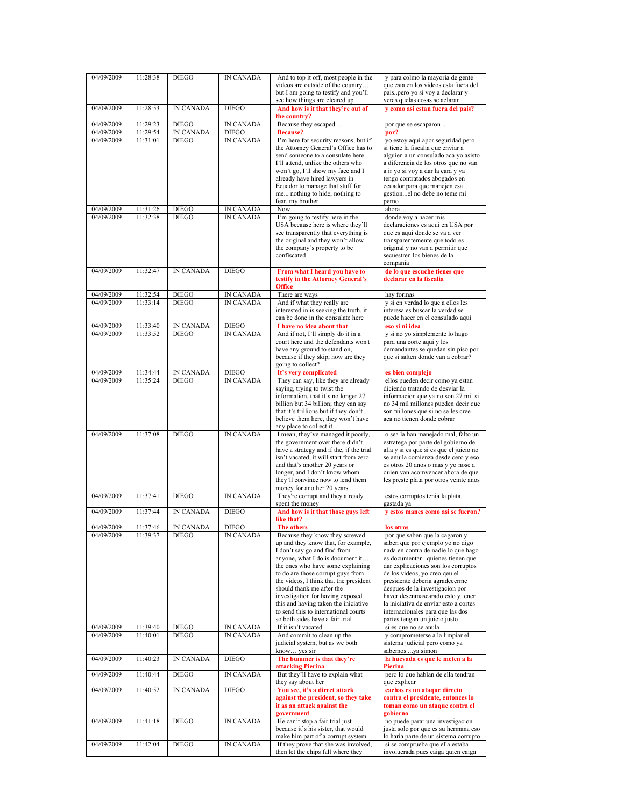| 04/09/2009               | 11:28:38             | <b>DIEGO</b>                 | <b>IN CANADA</b>                     | And to top it off, most people in the                                         | y para colmo la mayoria de gente                                           |
|--------------------------|----------------------|------------------------------|--------------------------------------|-------------------------------------------------------------------------------|----------------------------------------------------------------------------|
|                          |                      |                              |                                      | videos are outside of the country<br>but I am going to testify and you'll     | que esta en los videos esta fuera del<br>paispero yo si voy a declarar y   |
|                          |                      |                              |                                      | see how things are cleared up                                                 | veras quelas cosas se aclaran                                              |
| 04/09/2009               | 11:28:53             | <b>IN CANADA</b>             | <b>DIEGO</b>                         | And how is it that they're out of                                             | y como asi estan fuera del pais?                                           |
| 04/09/2009               | 11:29:23             | <b>DIEGO</b>                 | <b>IN CANADA</b>                     | the country?<br>Because they escaped                                          | por que se escaparon                                                       |
| 04/09/2009               | 11:29:54             | IN CANADA                    | <b>DIEGO</b>                         | <b>Because?</b>                                                               | por?                                                                       |
| 04/09/2009               | 11:31:01             | <b>DIEGO</b>                 | <b>IN CANADA</b>                     | I'm here for security reasons, but if                                         | yo estoy aqui apor seguridad pero                                          |
|                          |                      |                              |                                      | the Attorney General's Office has to                                          | si tiene la fiscalia que enviar a                                          |
|                          |                      |                              |                                      | send someone to a consulate here                                              | alguien a un consulado aca yo asisto                                       |
|                          |                      |                              |                                      | I'll attend, unlike the others who<br>won't go, I'll show my face and I       | a diferencia de los otros que no van<br>a ir yo si voy a dar la cara y ya  |
|                          |                      |                              |                                      | already have hired lawyers in                                                 | tengo contratados abogados en                                              |
|                          |                      |                              |                                      | Ecuador to manage that stuff for                                              | ecuador para que manejen esa                                               |
|                          |                      |                              |                                      | me nothing to hide, nothing to<br>fear, my brother                            | gestionel no debe no teme mi<br>perno                                      |
| 04/09/2009               | 11:31:26             | <b>DIEGO</b>                 | IN CANADA                            | $Now \dots$                                                                   | ahora                                                                      |
| 04/09/2009               | 11:32:38             | <b>DIEGO</b>                 | <b>IN CANADA</b>                     | I'm going to testify here in the                                              | donde voy a hacer mis                                                      |
|                          |                      |                              |                                      | USA because here is where they'll                                             | declaraciones es aqui en USA por                                           |
|                          |                      |                              |                                      | see transparently that everything is<br>the original and they won't allow     | que es aqui donde se va a ver<br>transparentemente que todo es             |
|                          |                      |                              |                                      | the company's property to be                                                  | original y no van a permitir que                                           |
|                          |                      |                              |                                      | confiscated                                                                   | secuestren los bienes de la                                                |
| 04/09/2009               | 11:32:47             | <b>IN CANADA</b>             | <b>DIEGO</b>                         | From what I heard you have to                                                 | compania<br>de lo que escuche tienes que                                   |
|                          |                      |                              |                                      | testify in the Attorney General's                                             | declarar en la fiscalia                                                    |
|                          |                      |                              |                                      | <b>Office</b>                                                                 |                                                                            |
| 04/09/2009<br>04/09/2009 | 11:32:54<br>11:33:14 | <b>DIEGO</b><br><b>DIEGO</b> | <b>IN CANADA</b><br><b>IN CANADA</b> | There are ways<br>And if what they really are                                 | hay formas<br>y si en verdad lo que a ellos les                            |
|                          |                      |                              |                                      | interested in is seeking the truth, it                                        | interesa es buscar la verdad se                                            |
|                          |                      |                              |                                      | can be done in the consulate here                                             | puede hacer en el consulado aqui                                           |
| 04/09/2009               | 11:33:40             | <b>IN CANADA</b>             | <b>DIEGO</b>                         | I have no idea about that                                                     | eso si ni idea                                                             |
| 04/09/2009               | 11:33:52             | <b>DIEGO</b>                 | <b>IN CANADA</b>                     | And if not, I'll simply do it in a<br>court here and the defendants won't     | y si no yo simplemente lo hago<br>para una corte aqui y los                |
|                          |                      |                              |                                      | have any ground to stand on,                                                  | demandantes se quedan sin piso por                                         |
|                          |                      |                              |                                      | because if they skip, how are they                                            | que si salten donde van a cobrar?                                          |
| 04/09/2009               | 11:34:44             | <b>IN CANADA</b>             | <b>DIEGO</b>                         | going to collect?<br>It's very complicated                                    |                                                                            |
| $\frac{04}{09/2009}$     | 11:35:24             | <b>DIEGO</b>                 | <b>IN CANADA</b>                     | They can say, like they are already                                           | es bien complejo<br>ellos pueden decir como ya estan                       |
|                          |                      |                              |                                      | saying, trying to twist the                                                   | diciendo tratando de desviar la                                            |
|                          |                      |                              |                                      | information, that it's no longer 27                                           | informacion que ya no son 27 mil si                                        |
|                          |                      |                              |                                      | billion but 34 billion; they can say<br>that it's trillions but if they don't | no 34 mil millones pueden decir que<br>son trillones que si no se les cree |
|                          |                      |                              |                                      | believe them here, they won't have                                            | aca no tienen donde cobrar                                                 |
|                          |                      |                              |                                      | any place to collect it                                                       |                                                                            |
| 04/09/2009               | 11:37:08             | <b>DIEGO</b>                 | <b>IN CANADA</b>                     | I mean, they've managed it poorly,<br>the government over there didn't        | o sea la han manejado mal, falto un<br>estratega por parte del gobierno de |
|                          |                      |                              |                                      | have a strategy and if the, if the trial                                      | alla y si es que si es que el juicio no                                    |
|                          |                      |                              |                                      | isn't vacated, it will start from zero                                        | se anuila comienza desde cero y eso                                        |
|                          |                      |                              |                                      | and that's another 20 years or<br>longer, and I don't know whom               | es otros 20 anos o mas y yo nose a<br>quien van acomvencer ahora de que    |
|                          |                      |                              |                                      | they'll convince now to lend them                                             | les preste plata por otros veinte anos                                     |
|                          |                      |                              |                                      | money for another 20 years                                                    |                                                                            |
| 04/09/2009               | 11:37:41             | <b>DIEGO</b>                 | <b>IN CANADA</b>                     | They're corrupt and they already                                              | estos corruptos tenia la plata                                             |
| 04/09/2009               | 11:37:44             | <b>IN CANADA</b>             | <b>DIEGO</b>                         | spent the money<br>And how is it that those guys left                         | gastada ya<br>y estos manes como asi se fueron?                            |
|                          |                      |                              |                                      | like that?                                                                    |                                                                            |
| 04/09/2009<br>04/09/2009 | 11:37:46<br>11:39:37 | <b>IN CANADA</b>             | <b>DIEGO</b><br><b>IN CANADA</b>     | The others<br>Because they know they screwed                                  | los otros<br>por que saben que la cagaron y                                |
|                          |                      | DIEGO                        |                                      | up and they know that, for example,                                           | saben que por ejemplo yo no digo                                           |
|                          |                      |                              |                                      | I don't say go and find from                                                  | nada en contra de nadie lo que hago                                        |
|                          |                      |                              |                                      | anyone, what I do is document it                                              | es documentar quienes tienen que                                           |
|                          |                      |                              |                                      | the ones who have some explaining<br>to do are those corrupt guys from        | dar explicaciones son los corruptos<br>de los videos, yo creo qeu el       |
|                          |                      |                              |                                      | the videos, I think that the president                                        | presidente deberia agradecerme                                             |
|                          |                      |                              |                                      | should thank me after the                                                     | despues de la investigacion por                                            |
|                          |                      |                              |                                      | investigation for having exposed<br>this and having taken the iniciative      | haver desenmascarado esto y tener<br>la iniciativa de enviar esto a cortes |
|                          |                      |                              |                                      | to send this to international courts                                          | internacionales para que las dos                                           |
|                          |                      |                              |                                      | so both sides have a fair trial                                               | partes tengan un juicio justo                                              |
| 04/09/2009<br>04/09/2009 | 11:39:40<br>11:40:01 | DIEGO<br><b>DIEGO</b>        | IN CANADA<br><b>IN CANADA</b>        | If it isn't vacated<br>And commit to clean up the                             | si es que no se anula<br>y comprometerse a la limpiar el                   |
|                          |                      |                              |                                      | judicial system, but as we both                                               | sistema judicial pero como ya                                              |
|                          |                      |                              |                                      | know yes sir                                                                  | sabemos ya simon                                                           |
| 04/09/2009               | 11:40:23             | <b>IN CANADA</b>             | <b>DIEGO</b>                         | The bummer is that they're<br>attacking Pierina                               | la huevada es que le meten a la<br>Pierina                                 |
| 04/09/2009               | 11:40:44             | <b>DIEGO</b>                 | <b>IN CANADA</b>                     | But they'll have to explain what                                              | pero lo que hablan de ella tendran                                         |
| 04/09/2009               | 11:40:52             | <b>IN CANADA</b>             | <b>DIEGO</b>                         | they say about her<br>You see, it's a direct attack                           | que explicar<br>cachas es un ataque directo                                |
|                          |                      |                              |                                      | against the president, so they take                                           | contra el presidente, entonces lo                                          |
|                          |                      |                              |                                      | it as an attack against the<br>government                                     | toman como un ataque contra el<br>gobierno                                 |
| 04/09/2009               | 11:41:18             | <b>DIEGO</b>                 | IN CANADA                            | He can't stop a fair trial just                                               | no puede parar una investigacion                                           |
|                          |                      |                              |                                      | because it's his sister, that would                                           | justa solo por que es su hermana eso                                       |
| 04/09/2009               | 11:42:04             | <b>DIEGO</b>                 | <b>IN CANADA</b>                     | make him part of a corrupt system<br>If they prove that she was involved,     | lo haria parte de un sistema corrupto<br>si se comprueba que ella estaba   |
|                          |                      |                              |                                      | then let the chips fall where they                                            | involucrada pues caiga quien caiga                                         |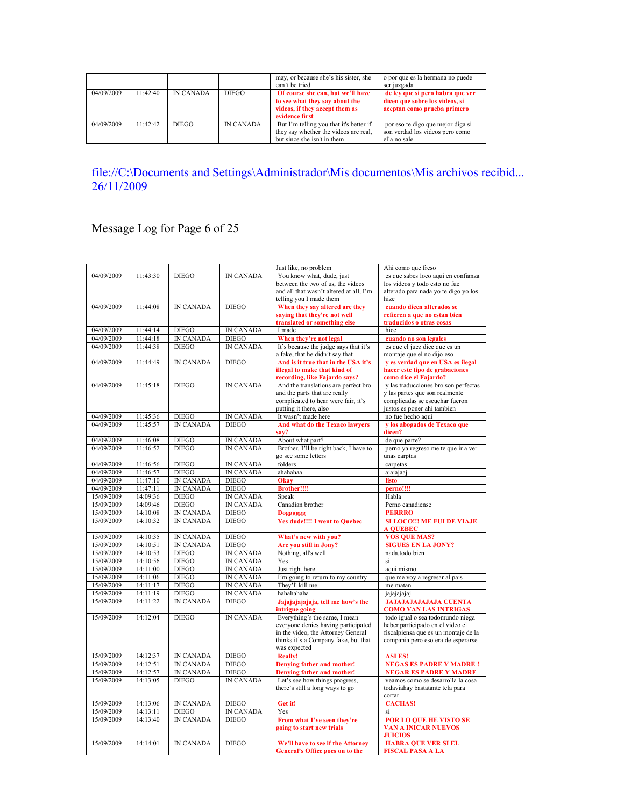|            |          |                  |                  | may, or because she's his sister, she<br>can't be tried                                                                 | o por que es la hermana no puede<br>ser juzgada                                                   |
|------------|----------|------------------|------------------|-------------------------------------------------------------------------------------------------------------------------|---------------------------------------------------------------------------------------------------|
| 04/09/2009 | 11.42.40 | <b>IN CANADA</b> | <b>DIEGO</b>     | Of course she can, but we'll have<br>to see what they say about the<br>videos, if they accept them as<br>evidence first | de lev que si pero habra que ver<br>dicen que sobre los videos, si<br>aceptan como prueba primero |
| 04/09/2009 | 11.42.42 | DIEGO            | <b>IN CANADA</b> | But I'm telling you that it's better if<br>they say whether the videos are real.<br>but since she isn't in them         | por eso te digo que mejor diga si<br>son verdad los videos pero como<br>ella no sale              |

## Message Log for Page 6 of 25

|                          |                      |                                      |                                      | Just like, no problem                                          | Ahi como que freso                                                     |
|--------------------------|----------------------|--------------------------------------|--------------------------------------|----------------------------------------------------------------|------------------------------------------------------------------------|
| 04/09/2009               | 11:43:30             | <b>DIEGO</b>                         | <b>IN CANADA</b>                     | You know what, dude, just                                      | es que sabes loco aqui en confianza                                    |
|                          |                      |                                      |                                      | between the two of us, the videos                              | los videos y todo esto no fue                                          |
|                          |                      |                                      |                                      | and all that wasn't altered at all, I'm                        | alterado para nada yo te digo yo los                                   |
| 04/09/2009               | 11:44:08             | <b>IN CANADA</b>                     | <b>DIEGO</b>                         | telling you I made them                                        | hize<br>cuando dicen alterados se                                      |
|                          |                      |                                      |                                      | When they say altered are they<br>saving that they're not well | refieren a que no estan bien                                           |
|                          |                      |                                      |                                      | translated or something else                                   | traducidos o otras cosas                                               |
| 04/09/2009               | 11:44:14             | <b>DIEGO</b>                         | <b>IN CANADA</b>                     | I made                                                         | hice                                                                   |
| 04/09/2009               | 11:44:18             | <b>IN CANADA</b>                     | <b>DIEGO</b>                         | When they're not legal                                         | cuando no son legales                                                  |
| 04/09/2009               | 11:44:38             | <b>DIEGO</b>                         | <b>IN CANADA</b>                     | It's because the judge says that it's                          | es que el juez dice que es un                                          |
|                          |                      |                                      |                                      | a fake, that he didn't say that                                | montaje que el no dijo eso                                             |
| 04/09/2009               | 11:44:49             | <b>IN CANADA</b>                     | <b>DIEGO</b>                         | And is it true that in the USA it's                            | v es verdad que en USA es ilegal                                       |
|                          |                      |                                      |                                      | illegal to make that kind of<br>recording, like Fajardo says?  | hacer este tipo de grabaciones<br>como dice el Fajardo?                |
| 04/09/2009               | 11:45:18             | <b>DIEGO</b>                         | <b>IN CANADA</b>                     | And the translations are perfect bro                           | y las traducciones bro son perfectas                                   |
|                          |                      |                                      |                                      | and the parts that are really                                  | y las partes que son realmente                                         |
|                          |                      |                                      |                                      | complicated to hear were fair, it's                            | complicadas se escuchar fueron                                         |
|                          |                      |                                      |                                      | putting it there, also                                         | justos es poner ahi tambien                                            |
| 04/09/2009               | 11:45:36             | <b>DIEGO</b>                         | <b>IN CANADA</b>                     | It wasn't made here                                            | no fue hecho aqui                                                      |
| 04/09/2009               | 11:45:57             | <b>IN CANADA</b>                     | <b>DIEGO</b>                         | And what do the Texaco lawyers                                 | y los abogados de Texaco que                                           |
|                          |                      |                                      |                                      | sav?                                                           | dicen?                                                                 |
| 04/09/2009<br>04/09/2009 | 11:46:08<br>11:46:52 | <b>DIEGO</b><br><b>DIEGO</b>         | <b>IN CANADA</b><br><b>IN CANADA</b> | About what part?<br>Brother, I'll be right back, I have to     | de que parte?<br>perno ya regreso me te que ir a ver                   |
|                          |                      |                                      |                                      | go see some letters                                            | unas carptas                                                           |
| 04/09/2009               | 11:46:56             | <b>DIEGO</b>                         | <b>IN CANADA</b>                     | folders                                                        | carpetas                                                               |
| 04/09/2009               | 11:46:57             | <b>DIEGO</b>                         | <b>IN CANADA</b>                     | ahahahaa                                                       | ajajajaaj                                                              |
| 04/09/2009               | 11:47:10             | <b>IN CANADA</b>                     | <b>DIEGO</b>                         | Okay                                                           | listo                                                                  |
| 04/09/2009               | 11:47:11             | <b>IN CANADA</b>                     | <b>DIEGO</b>                         | <b>Brother!!!!</b>                                             | perno!!!!                                                              |
| 15/09/2009               | 14:09:36             | <b>DIEGO</b>                         | IN CANADA                            | Speak                                                          | Habla                                                                  |
| 15/09/2009               | 14:09:46             | <b>DIEGO</b>                         | <b>IN CANADA</b>                     | Canadian brother                                               | Perno canadiense                                                       |
|                          |                      |                                      |                                      |                                                                |                                                                        |
| 15/09/2009               | 14:10:08             | <b>IN CANADA</b>                     | <b>DIEGO</b>                         | <b>Dogggggg</b>                                                | <b>PERRRO</b>                                                          |
| 15/09/2009               | 14:10:32             | <b>IN CANADA</b>                     | <b>DIEGO</b>                         | <b>Yes dude!!!! I went to Quebec</b>                           | <b>SI LOCO!!! ME FUI DE VIAJE</b><br><b>A QUEBEC</b>                   |
| 15/09/2009               | 14:10:35             | <b>IN CANADA</b>                     | <b>DIEGO</b>                         | What's new with you?                                           | <b>VOS QUE MAS?</b>                                                    |
| 15/09/2009               | 14:10:51             | <b>IN CANADA</b>                     | <b>DIEGO</b>                         | Are you still in Jony?                                         | <b>SIGUES EN LA JONY?</b>                                              |
| 15/09/2009               | 14:10:53             | <b>DIEGO</b>                         | <b>IN CANADA</b>                     | Nothing, all's well                                            | nada,todo bien                                                         |
| 15/09/2009               | 14:10:56             | <b>DIEGO</b>                         | <b>IN CANADA</b>                     | Yes                                                            | si                                                                     |
| 15/09/2009               | 14:11:00             | <b>DIEGO</b>                         | <b>IN CANADA</b>                     | Just right here                                                | aqui mismo                                                             |
| 15/09/2009               | 14:11:06             | <b>DIEGO</b>                         | <b>IN CANADA</b>                     | I'm going to return to my country                              | que me voy a regresar al pais                                          |
| 15/09/2009               | 14:11:17             | <b>DIEGO</b>                         | IN CANADA                            | They'll kill me                                                | me matan                                                               |
| 15/09/2009               | 14:11:19<br>14:11:22 | <b>DIEGO</b><br><b>IN CANADA</b>     | <b>IN CANADA</b><br><b>DIEGO</b>     | hahahaha                                                       | jajajajajaj                                                            |
| 15/09/2009               |                      |                                      |                                      | Jajajajajaja, tell me how's the<br>intrigue going              | <b>JAJAJAJAJAJAJA CUENTA</b><br><b>COMO VAN LAS INTRIGAS</b>           |
| 15/09/2009               | 14.12.04             | <b>DIEGO</b>                         | <b>IN CANADA</b>                     | Everything's the same, I mean                                  | todo igual o sea todomundo niega                                       |
|                          |                      |                                      |                                      | everyone denies having participated                            | haber participado en el video el                                       |
|                          |                      |                                      |                                      | in the video, the Attorney General                             | fiscalpiensa que es un montaje de la                                   |
|                          |                      |                                      |                                      | thinks it's a Company fake, but that                           | compania pero eso era de esperarse                                     |
|                          |                      |                                      |                                      | was expected                                                   |                                                                        |
| 15/09/2009<br>15/09/2009 | 14:12:37<br>14:12:51 | <b>IN CANADA</b><br><b>IN CANADA</b> | <b>DIEGO</b><br><b>DIEGO</b>         | Really!                                                        | <b>ASI ES!</b>                                                         |
| 15/09/2009               | 14:12:57             | <b>IN CANADA</b>                     | <b>DIEGO</b>                         | Denying father and mother!<br>Denving father and mother!       | <b>NEGAS ES PADRE Y MADRE!</b><br><b>NEGAR ES PADRE Y MADRE</b>        |
| 15/09/2009               | 14:13:05             | <b>DIEGO</b>                         | <b>IN CANADA</b>                     | Let's see how things progress,                                 | veamos como se desarrolla la cosa                                      |
|                          |                      |                                      |                                      | there's still a long ways to go                                | todaviahay bastatante tela para                                        |
|                          |                      |                                      |                                      |                                                                | cortar                                                                 |
| 15/09/2009               | 14:13:06             | <b>IN CANADA</b>                     | <b>DIEGO</b>                         | Get it!                                                        | <b>CACHAS!</b>                                                         |
| 15/09/2009               | 14:13:11             | <b>DIEGO</b>                         | <b>IN CANADA</b>                     | Yes                                                            | si                                                                     |
| 15/09/2009               | 14:13:40             | <b>IN CANADA</b>                     | <b>DIEGO</b>                         | From what I've seen they're<br>going to start new trials       | POR LO QUE HE VISTO SE<br><b>VAN A INICAR NUEVOS</b><br><b>JUICIOS</b> |
| 15/09/2009               | 14:14:01             | <b>IN CANADA</b>                     | <b>DIEGO</b>                         | We'll have to see if the Attorney                              | <b>HABRA QUE VER SI EL</b>                                             |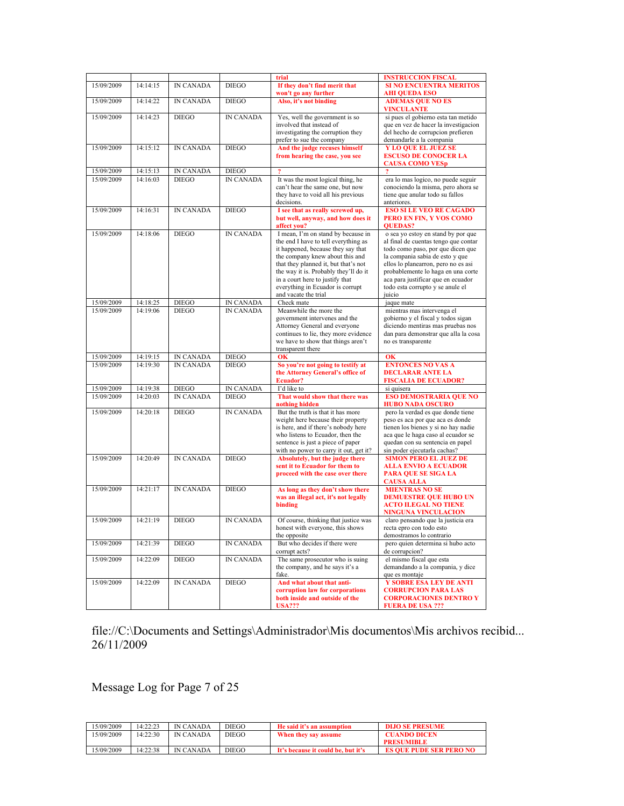|                          |                      |                                  |                           | trial                                                                      | <b>INSTRUCCION FISCAL</b>                                                  |
|--------------------------|----------------------|----------------------------------|---------------------------|----------------------------------------------------------------------------|----------------------------------------------------------------------------|
| 15/09/2009               | 14:14:15             | <b>IN CANADA</b>                 | <b>DIEGO</b>              | If they don't find merit that                                              | <b>SI NO ENCUENTRA MERITOS</b>                                             |
|                          |                      |                                  |                           | won't go any further                                                       | <b>AHI QUEDA ESO</b>                                                       |
| 15/09/2009               | 14:14:22             | <b>IN CANADA</b>                 | <b>DIEGO</b>              | Also, it's not binding                                                     | <b>ADEMAS QUE NO ES</b><br><b>VINCULANTE</b>                               |
| 15/09/2009               | 14:14:23             | <b>DIEGO</b>                     | <b>IN CANADA</b>          | Yes, well the government is so                                             | si pues el gobierno esta tan metido                                        |
|                          |                      |                                  |                           | involved that instead of<br>investigating the corruption they              | que en vez de hacer la investigacion<br>del hecho de corrupcion prefieren  |
|                          |                      |                                  |                           | prefer to sue the company                                                  | demandarle a la compania                                                   |
| 15/09/2009               | 14:15:12             | <b>IN CANADA</b>                 | <b>DIEGO</b>              | And the judge recuses himself                                              | <b>Y LO QUE EL JUEZ SE</b>                                                 |
|                          |                      |                                  |                           | from hearing the case, you see                                             | <b>ESCUSO DE CONOCER LA</b><br><b>CAUSA COMO VESp</b>                      |
| 15/09/2009               | 14:15:13             | IN CANADA                        | <b>DIEGO</b>              | $\overline{\mathbf{?}}$                                                    | $\overline{\mathbf{?}}$                                                    |
| 15/09/2009               | 14:16:03             | <b>DIEGO</b>                     | <b>IN CANADA</b>          | It was the most logical thing, he                                          | era lo mas logico, no puede seguir                                         |
|                          |                      |                                  |                           | can't hear the same one, but now                                           | conociendo la misma, pero ahora se                                         |
|                          |                      |                                  |                           | they have to void all his previous<br>decisions.                           | tiene que anular todo su fallos<br>anteriores.                             |
| 15/09/2009               | 14:16:31             | <b>IN CANADA</b>                 | <b>DIEGO</b>              | I see that as really screwed up,                                           | <b>ESO SI LE VEO RE CAGADO</b>                                             |
|                          |                      |                                  |                           | but well, anyway, and how does it                                          | PERO EN FIN, Y VOS COMO                                                    |
|                          |                      |                                  |                           | affect you?                                                                | <b>QUEDAS?</b>                                                             |
| 15/09/2009               | 14:18:06             | <b>DIEGO</b>                     | <b>IN CANADA</b>          | I mean, I'm on stand by because in<br>the end I have to tell everything as | o sea yo estoy en stand by por que<br>al final de cuentas tengo que contar |
|                          |                      |                                  |                           | it happened, because they say that                                         | todo como paso, por que dicen que                                          |
|                          |                      |                                  |                           | the company knew about this and                                            | la compania sabia de esto y que                                            |
|                          |                      |                                  |                           | that they planned it, but that's not                                       | ellos lo planearron, pero no es asi                                        |
|                          |                      |                                  |                           | the way it is. Probably they'll do it<br>in a court here to justify that   | probablemente lo haga en una corte<br>aca para justificar que en ecuador   |
|                          |                      |                                  |                           | everything in Ecuador is corrupt                                           | todo esta corrupto y se anule el                                           |
|                          |                      |                                  |                           | and vacate the trial                                                       | juicio                                                                     |
| 15/09/2009               | 14:18:25             | <b>DIEGO</b>                     | IN CANADA                 | Check mate                                                                 | jaque mate                                                                 |
| 15/09/2009               | 14:19:06             | <b>DIEGO</b>                     | <b>IN CANADA</b>          | Meanwhile the more the<br>government intervenes and the                    | mientras mas intervenga el<br>gobierno y el físcal y todos sigan           |
|                          |                      |                                  |                           | Attorney General and everyone                                              | diciendo mentiras mas pruebas nos                                          |
|                          |                      |                                  |                           | continues to lie, they more evidence                                       | dan para demonstrar que alla la cosa                                       |
|                          |                      |                                  |                           | we have to show that things aren't                                         | no es transparente                                                         |
| 15/09/2009               | 14:19:15             | <b>IN CANADA</b>                 | <b>DIEGO</b>              | transparent there<br><b>OK</b>                                             | <b>OK</b>                                                                  |
| 15/09/2009               | 14:19:30             | <b>IN CANADA</b>                 | <b>DIEGO</b>              | So you're not going to testify at                                          | <b>ENTONCES NO VAS A</b>                                                   |
|                          |                      |                                  |                           | the Attorney General's office of                                           | <b>DECLARAR ANTE LA</b>                                                    |
|                          |                      |                                  |                           | Ecuador?                                                                   | <b>FISCALIA DE ECUADOR?</b>                                                |
| 15/09/2009<br>15/09/2009 | 14:19:38<br>14:20:03 | <b>DIEGO</b><br><b>IN CANADA</b> | IN CANADA<br><b>DIEGO</b> | I'd like to<br>That would show that there was                              | si quisera<br><b>ESO DEMOSTRARIA QUE NO</b>                                |
|                          |                      |                                  |                           | nothing hidden                                                             | <b>HUBO NADA OSCURO</b>                                                    |
| 15/09/2009               | 14:20:18             | <b>DIEGO</b>                     | <b>IN CANADA</b>          | But the truth is that it has more                                          | pero la verdad es que donde tiene                                          |
|                          |                      |                                  |                           | weight here because their property<br>is here, and if there's nobody here  | peso es aca por que aca es donde<br>tienen los bienes y si no hay nadie    |
|                          |                      |                                  |                           | who listens to Ecuador, then the                                           | aca que le haga caso al ecuador se                                         |
|                          |                      |                                  |                           | sentence is just a piece of paper                                          | quedan con su sentencia en papel                                           |
| 15/09/2009               | 14:20:49             | <b>IN CANADA</b>                 | <b>DIEGO</b>              | with no power to carry it out, get it?                                     | sin poder ejecutarla cachas?                                               |
|                          |                      |                                  |                           | Absolutely, but the judge there<br>sent it to Ecuador for them to          | <b>SIMON PERO EL JUEZ DE</b><br><b>ALLA ENVIO A ECUADOR</b>                |
|                          |                      |                                  |                           | proceed with the case over there                                           | <b>PARA QUE SE SIGA LA</b>                                                 |
|                          |                      |                                  |                           |                                                                            | <b>CAUSA ALLA</b>                                                          |
| 15/09/2009               | 14.21.17             | <b>IN CANADA</b>                 | <b>DIEGO</b>              | As long as they don't show there<br>was an illegal act, it's not legally   | <b>MIENTRAS NO SE</b>                                                      |
|                          |                      |                                  |                           | binding                                                                    | <b>DEMUESTRE QUE HUBO UN</b><br><b>ACTO ILEGAL NO TIENE</b>                |
|                          |                      |                                  |                           |                                                                            | <b>NINGUNA VINCULACION</b>                                                 |
| 15/09/2009               | 14:21:19             | <b>DIEGO</b>                     | <b>IN CANADA</b>          | Of course, thinking that justice was                                       | claro pensando que la justicia era                                         |
|                          |                      |                                  |                           | honest with everyone, this shows                                           | recta epro con todo esto                                                   |
| 15/09/2009               | 14:21:39             | <b>DIEGO</b>                     | <b>IN CANADA</b>          | the opposite<br>But who decides if there were                              | demostramos lo contrario<br>pero quien determina si hubo acto              |
|                          |                      |                                  |                           | corrupt acts?                                                              | de corrupcion?                                                             |
| 15/09/2009               | 14:22:09             | <b>DIEGO</b>                     | IN CANADA                 | The same prosecutor who is suing                                           | el mismo fiscal que esta                                                   |
|                          |                      |                                  |                           | the company, and he says it's a<br>fake.                                   | demandando a la compania, y dice<br>que es montaje                         |
| 15/09/2009               | 14:22:09             | <b>IN CANADA</b>                 | <b>DIEGO</b>              | And what about that anti-                                                  | Y SOBRE ESA LEY DE ANTI                                                    |
|                          |                      |                                  |                           | corruption law for corporations                                            | <b>CORRUPCION PARA LAS</b>                                                 |
|                          |                      |                                  |                           | both inside and outside of the                                             | <b>CORPORACIONES DENTRO Y</b>                                              |
|                          |                      |                                  |                           | <b>USA???</b>                                                              | <b>FUERA DE USA ???</b>                                                    |

Message Log for Page 7 of 25

| 15/09/2009 | 14:22:23 | <b>IN CANADA</b> | <b>DIEGO</b> | He said it's an assumption         | <b>DIJO SE PRESUME</b>         |
|------------|----------|------------------|--------------|------------------------------------|--------------------------------|
| 15/09/2009 | 14.22.30 | IN CANADA        | DIEGO        | When they say assume               | <b>CUANDO DICEN</b>            |
|            |          |                  |              |                                    | <b>PRESUMIBLE</b>              |
| 5/09/2009  | 14:22:38 | IN CANADA        | DIEGO        | It's because it could be, but it's | <b>ES OUE PUDE SER PERO NO</b> |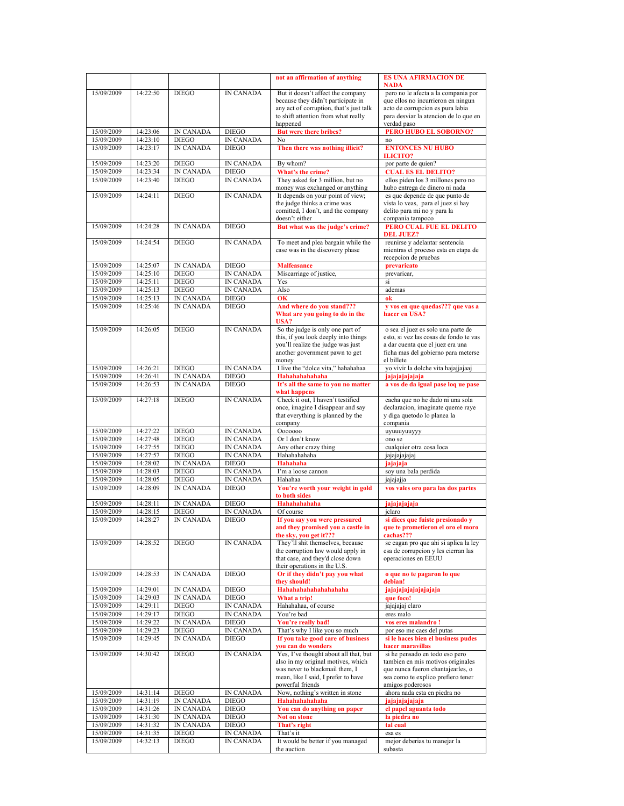|                          |                      |                               |                                      | not an affirmation of anything                                                                                                                                                                 | <b>ES UNA AFIRMACION DE</b><br><b>NADA</b>                                                                                                                                             |
|--------------------------|----------------------|-------------------------------|--------------------------------------|------------------------------------------------------------------------------------------------------------------------------------------------------------------------------------------------|----------------------------------------------------------------------------------------------------------------------------------------------------------------------------------------|
| 15/09/2009               | 14:22:50             | <b>DIEGO</b>                  | <b>IN CANADA</b>                     | But it doesn't affect the company                                                                                                                                                              | pero no le afecta a la compania por                                                                                                                                                    |
|                          |                      |                               |                                      | because they didn't participate in                                                                                                                                                             | que ellos no incurrieron en ningun                                                                                                                                                     |
|                          |                      |                               |                                      | any act of corruption, that's just talk                                                                                                                                                        | acto de corrupcion es pura labia                                                                                                                                                       |
|                          |                      |                               |                                      | to shift attention from what really<br>happened                                                                                                                                                | para desviar la atencion de lo que en<br>verdad paso                                                                                                                                   |
| 15/09/2009               | 14:23:06             | <b>IN CANADA</b>              | <b>DIEGO</b>                         | <b>But were there bribes?</b>                                                                                                                                                                  | PERO HUBO EL SOBORNO?                                                                                                                                                                  |
| 15/09/2009               | 14:23:10             | <b>DIEGO</b>                  | <b>IN CANADA</b>                     | No                                                                                                                                                                                             | no                                                                                                                                                                                     |
| 15/09/2009               | 14:23:17             | <b>IN CANADA</b>              | <b>DIEGO</b>                         | Then there was nothing illicit?                                                                                                                                                                | <b>ENTONCES NU HUBO</b><br><b>ILICITO?</b>                                                                                                                                             |
| 15/09/2009               | 14:23:20             | <b>DIEGO</b>                  | <b>IN CANADA</b>                     | By whom?                                                                                                                                                                                       | por parte de quien?                                                                                                                                                                    |
| 15/09/2009               | 14:23:34             | <b>IN CANADA</b>              | <b>DIEGO</b>                         | What's the crime?                                                                                                                                                                              | <b>CUAL ES EL DELITO?</b>                                                                                                                                                              |
| 15/09/2009               | 14:23:40             | <b>DIEGO</b>                  | <b>IN CANADA</b>                     | They asked for 3 million, but no<br>money was exchanged or anything                                                                                                                            | ellos piden los 3 millones pero no<br>hubo entrega de dinero ni nada                                                                                                                   |
| 15/09/2009               | 14:24:11             | <b>DIEGO</b>                  | <b>IN CANADA</b>                     | It depends on your point of view;<br>the judge thinks a crime was<br>comitted, I don't, and the company<br>doesn't either                                                                      | es que depende de que punto de<br>vista lo veas, para el juez si hay<br>delito para mi no y para la<br>compania tampoco                                                                |
| 15/09/2009               | 14:24:28             | <b>IN CANADA</b>              | <b>DIEGO</b>                         | But what was the judge's crime?                                                                                                                                                                | PERO CUAL FUE EL DELITO<br><b>DEL JUEZ?</b>                                                                                                                                            |
| 15/09/2009               | 14:24:54             | <b>DIEGO</b>                  | <b>IN CANADA</b>                     | To meet and plea bargain while the<br>case was in the discovery phase                                                                                                                          | reunirse y adelantar sentencia<br>mientras el proceso esta en etapa de<br>recepcion de pruebas                                                                                         |
| 15/09/2009               | 14:25:07             | <b>IN CANADA</b>              | <b>DIEGO</b>                         | <b>Malfeasance</b>                                                                                                                                                                             | prevaricato                                                                                                                                                                            |
| 15/09/2009               | 14:25:10             | <b>DIEGO</b>                  | <b>IN CANADA</b>                     | Miscarriage of justice,                                                                                                                                                                        | prevaricar,                                                                                                                                                                            |
| 15/09/2009<br>15/09/2009 | 14:25:11<br>14:25:13 | <b>DIEGO</b><br><b>DIEGO</b>  | <b>IN CANADA</b><br><b>IN CANADA</b> | Yes<br>Also                                                                                                                                                                                    | si<br>ademas                                                                                                                                                                           |
| 15/09/2009               | 14:25:13             | <b>IN CANADA</b>              | <b>DIEGO</b>                         | OK                                                                                                                                                                                             | ok                                                                                                                                                                                     |
| 15/09/2009               | 14:25:46             | <b>IN CANADA</b>              | <b>DIEGO</b>                         | And where do you stand???<br>What are you going to do in the<br><b>USA?</b>                                                                                                                    | v vos en que quedas??? que vas a<br>hacer en USA?                                                                                                                                      |
| 15/09/2009               | 14:26:05             | <b>DIEGO</b>                  | <b>IN CANADA</b>                     | So the judge is only one part of<br>this, if you look deeply into things<br>you'll realize the judge was just<br>another government pawn to get<br>money                                       | o sea el juez es solo una parte de<br>esto, si vez las cosas de fondo te vas<br>a dar cuenta que el juez era una<br>ficha mas del gobierno para meterse<br>el billete                  |
| 15/09/2009               | 14:26:21             | <b>DIEGO</b>                  | <b>IN CANADA</b>                     | I live the "dolce vita," hahahahaa                                                                                                                                                             | yo vivir la dolche vita hajajjajaaj                                                                                                                                                    |
| 15/09/2009               | 14:26:41             | <b>IN CANADA</b>              | <b>DIEGO</b>                         | Hahahahahaha                                                                                                                                                                                   | jajajajajajaja                                                                                                                                                                         |
| 15/09/2009               | 14:26:53             | <b>IN CANADA</b>              | <b>DIEGO</b>                         | It's all the same to you no matter<br>what happens                                                                                                                                             | a vos de da igual pase loq ue pase                                                                                                                                                     |
| 15/09/2009               | 14:27:18             | <b>DIEGO</b>                  | <b>IN CANADA</b>                     | Check it out, I haven't testified<br>once, imagine I disappear and say<br>that everything is planned by the<br>company                                                                         | cacha que no he dado ni una sola<br>declaracion, imaginate queme raye<br>y diga quetodo lo planea la<br>compania                                                                       |
| 15/09/2009               | 14:27:22             | <b>DIEGO</b>                  | <b>IN CANADA</b>                     | <b>Ooooooo</b>                                                                                                                                                                                 | uyuuuyuuyyy                                                                                                                                                                            |
| 15/09/2009<br>15/09/2009 | 14:27:48<br>14:27:55 | <b>DIEGO</b><br><b>DIEGO</b>  | <b>IN CANADA</b><br><b>IN CANADA</b> | Or I don't know<br>Any other crazy thing                                                                                                                                                       | ono se<br>cualquier otra cosa loca                                                                                                                                                     |
| 15/09/2009               | 14:27:57             | <b>DIEGO</b>                  | <b>IN CANADA</b>                     | Hahahahaha                                                                                                                                                                                     | jajajajajajaj                                                                                                                                                                          |
| 15/09/2009               | 14:28:02             | <b>IN CANADA</b>              | <b>DIEGO</b>                         | Hahahaha                                                                                                                                                                                       | jajajaja                                                                                                                                                                               |
| 15/09/2009               | 14:28:03             | <b>DIEGO</b>                  | <b>IN CANADA</b>                     | I'm a loose cannon                                                                                                                                                                             | soy una bala perdida                                                                                                                                                                   |
| 15/09/2009<br>15/09/2009 | 14:28:05             | <b>DIEGO</b>                  | <b>IN CANADA</b>                     | Hahahaa                                                                                                                                                                                        | jajajajja                                                                                                                                                                              |
|                          | 14:28:09             | <b>IN CANADA</b>              | <b>DIEGO</b>                         | You're worth your weight in gold<br>to both sides                                                                                                                                              | vos vales oro para las dos partes                                                                                                                                                      |
| 15/09/2009               | 14:28:11             | <b>IN CANADA</b>              | <b>DIEGO</b>                         | Hahahahahaha                                                                                                                                                                                   | jajajajajaja                                                                                                                                                                           |
| 15/09/2009               | 14:28:15             | <b>DIEGO</b>                  | <b>IN CANADA</b>                     | Of course                                                                                                                                                                                      | jclaro                                                                                                                                                                                 |
| 15/09/2009               | 14:28:27             | <b>IN CANADA</b>              | <b>DIEGO</b>                         | If you say you were pressured<br>and they promised you a castle in<br>the sky, you get it???                                                                                                   | si dices que fuiste presionado y<br>que te prometieron el oro el moro<br>cachas???                                                                                                     |
| 15/09/2009               | 14:28:52             | <b>DIEGO</b>                  | IN CANADA                            | They'll shit themselves, because<br>the corruption law would apply in<br>that case, and they'd close down<br>their operations in the U.S.                                                      | se cagan pro que ahi si aplica la ley<br>esa de corrupcion y les cierran las<br>operaciones en EEUU                                                                                    |
| 15/09/2009               | 14:28:53             | <b>IN CANADA</b>              | <b>DIEGO</b>                         | Or if they didn't pay you what<br>they should!                                                                                                                                                 | o que no te pagaron lo que<br>debian!                                                                                                                                                  |
| 15/09/2009               | 14:29:01             | <b>IN CANADA</b>              | <b>DIEGO</b>                         | Hahahahahahahahaha                                                                                                                                                                             | jajajajajajajajaja                                                                                                                                                                     |
| 15/09/2009               | 14:29:03             | IN CANADA                     | <b>DIEGO</b>                         | What a trip!                                                                                                                                                                                   | que foco!                                                                                                                                                                              |
| 15/09/2009<br>15/09/2009 | 14:29:11<br>14:29:17 | <b>DIEGO</b><br><b>DIEGO</b>  | <b>IN CANADA</b><br><b>IN CANADA</b> | Hahahahaa, of course<br>You're bad                                                                                                                                                             | jajajajaj claro<br>eres malo                                                                                                                                                           |
| 15/09/2009               | 14:29:22             | <b>IN CANADA</b>              | <b>DIEGO</b>                         | You're really bad!                                                                                                                                                                             | vos eres malandro!                                                                                                                                                                     |
| 15/09/2009               | 14:29:23             | <b>DIEGO</b>                  | <b>IN CANADA</b>                     | That's why I like you so much                                                                                                                                                                  | por eso me caes del putas                                                                                                                                                              |
| 15/09/2009               | 14:29:45             | IN CANADA                     | <b>DIEGO</b>                         | If you take good care of business                                                                                                                                                              | si le haces bien el business pudes                                                                                                                                                     |
| 15/09/2009               | 14:30:42             | <b>DIEGO</b>                  | <b>IN CANADA</b>                     | vou can do wonders<br>Yes, I've thought about all that, but<br>also in my original motives, which<br>was never to blackmail them, I<br>mean, like I said, I prefer to have<br>powerful friends | hacer maravillas<br>si he pensado en todo eso pero<br>tambien en mis motivos originales<br>que nunca fueron chantajearles, o<br>sea como te explico prefiero tener<br>amigos poderosos |
| 15/09/2009               | 14:31:14             | <b>DIEGO</b>                  | IN CANADA                            | Now, nothing's written in stone                                                                                                                                                                | ahora nada esta en piedra no                                                                                                                                                           |
| 15/09/2009               | 14:31:19             | <b>IN CANADA</b>              | <b>DIEGO</b>                         | Hahahahahaha                                                                                                                                                                                   | jajajajajajaja                                                                                                                                                                         |
| 15/09/2009               | 14:31:26             | IN CANADA                     | <b>DIEGO</b>                         | You can do anything on paper                                                                                                                                                                   | el papel aguanta todo                                                                                                                                                                  |
| 15/09/2009<br>15/09/2009 | 14:31:30<br>14:31:32 | <b>IN CANADA</b><br>IN CANADA | <b>DIEGO</b><br><b>DIEGO</b>         | Not on stone<br>That's right                                                                                                                                                                   | la piedra no<br>tal cual                                                                                                                                                               |
| 15/09/2009               | 14:31:35             | <b>DIEGO</b>                  | <b>IN CANADA</b>                     | That's it                                                                                                                                                                                      | esa es                                                                                                                                                                                 |
| 15/09/2009               | 14:32:13             | <b>DIEGO</b>                  | IN CANADA                            | It would be better if you managed<br>the auction                                                                                                                                               | mejor deberias tu manejar la<br>subasta                                                                                                                                                |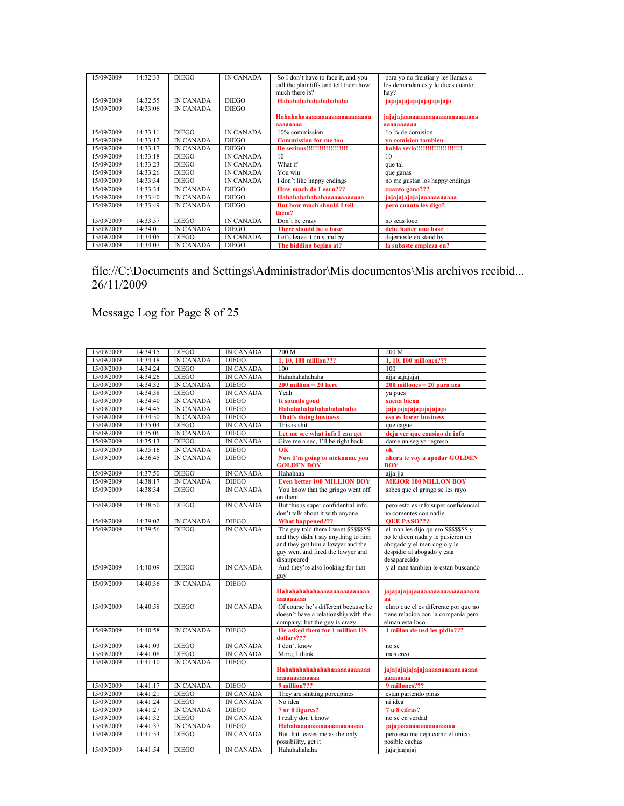| 15/09/2009 | 14:32:33 | <b>DIEGO</b>     | <b>IN CANADA</b> | So I don't have to face it, and you   | para yo no frentiar y les llamas a |
|------------|----------|------------------|------------------|---------------------------------------|------------------------------------|
|            |          |                  |                  | call the plaintiffs and tell them how | los demandantes y le dices cuanto  |
|            |          |                  |                  | much there is?                        | hay?                               |
| 15/09/2009 | 14:32:55 | <b>IN CANADA</b> | <b>DIEGO</b>     | Hahahahahahahahahaha                  | jajajajajajajajajajaja             |
| 15/09/2009 | 14:33:06 | <b>IN CANADA</b> | <b>DIEGO</b>     |                                       |                                    |
|            |          |                  |                  |                                       | iajajajaaaaaaaaaaaaaaaaaaaaaa      |
|            |          |                  |                  |                                       |                                    |
|            |          |                  |                  | зазазаза                              | зазазазаза                         |
| 15/09/2009 | 14:33:11 | <b>DIEGO</b>     | <b>IN CANADA</b> | 10% commission                        | 10 % de comision                   |
| 15/09/2009 | 14:33:12 | <b>IN CANADA</b> | <b>DIEGO</b>     | <b>Commission for me too</b>          | vo comision tambien                |
| 15/09/2009 | 14:33:17 | <b>IN CANADA</b> | <b>DIEGO</b>     |                                       | habla serio!!!!!!!!!!!!!!!!!!!!!!  |
| 15/09/2009 | 14:33:18 | <b>DIEGO</b>     | <b>IN CANADA</b> | 10                                    | 10                                 |
| 15/09/2009 | 14:33:23 | <b>DIEGO</b>     | <b>IN CANADA</b> | What if                               | que tal                            |
| 15/09/2009 | 14:33:26 | <b>DIEGO</b>     | <b>IN CANADA</b> | You win                               | que ganas                          |
| 15/09/2009 | 14:33:34 | <b>DIEGO</b>     | <b>IN CANADA</b> | I don't like happy endings            | no me gustan los happy endings     |
| 15/09/2009 | 14:33:34 | <b>IN CANADA</b> | <b>DIEGO</b>     | How much do I earn???                 | cuanto gano???                     |
| 15/09/2009 | 14:33:40 | <b>IN CANADA</b> | <b>DIEGO</b>     | <b>Hahahahahahahaaaaaaaaaaaa</b>      | jajajajajajajaaaaaaaaaa            |
| 15/09/2009 | 14:33:49 | <b>IN CANADA</b> | <b>DIEGO</b>     | <b>But how much should I tell</b>     | pero cuanto les digo?              |
|            |          |                  |                  | them?                                 |                                    |
| 15/09/2009 | 14:33:57 | <b>DIEGO</b>     | <b>IN CANADA</b> | Don't be crazy                        | no seas loco                       |
| 15/09/2009 | 14:34:01 | <b>IN CANADA</b> | <b>DIEGO</b>     | There should be a base                | debe haber una base                |
| 15/09/2009 | 14:34:05 | <b>DIEGO</b>     | <b>IN CANADA</b> | Let's leave it on stand by            | dejemosle en stand by              |
| 15/09/2009 | 14:34:07 | <b>IN CANADA</b> | <b>DIEGO</b>     | The bidding begins at?                | la subaste empieza en?             |

Message Log for Page 8 of 25

| 15/09/2009 | 14:34:15 | <b>DIEGO</b>     | <b>IN CANADA</b> | 200 M                                                                                                                                                                     | 200 M                                                                                                                                                       |
|------------|----------|------------------|------------------|---------------------------------------------------------------------------------------------------------------------------------------------------------------------------|-------------------------------------------------------------------------------------------------------------------------------------------------------------|
| 15/09/2009 | 14:34:18 | <b>IN CANADA</b> | <b>DIEGO</b>     | 1, 10, 100 million???                                                                                                                                                     | 1, 10, 100 millones???                                                                                                                                      |
| 15/09/2009 | 14:34:24 | <b>DIEGO</b>     | <b>IN CANADA</b> | 100                                                                                                                                                                       | 100                                                                                                                                                         |
| 15/09/2009 | 14:34:26 | <b>DIEGO</b>     | <b>IN CANADA</b> | Hahahahahaha                                                                                                                                                              | ajjajaajajajaj                                                                                                                                              |
| 15/09/2009 | 14:34:32 | <b>IN CANADA</b> | <b>DIEGO</b>     | $200$ million = 20 here                                                                                                                                                   | $200$ millones = $20$ para aca                                                                                                                              |
| 15/09/2009 | 14:34:38 | <b>DIEGO</b>     | <b>IN CANADA</b> | Yeah                                                                                                                                                                      | va pues                                                                                                                                                     |
| 15/09/2009 | 14:34:40 | <b>IN CANADA</b> | <b>DIEGO</b>     | It sounds good                                                                                                                                                            | suena biena                                                                                                                                                 |
| 15/09/2009 | 14:34:45 | <b>IN CANADA</b> | <b>DIEGO</b>     | Hahahahahahahahahaha                                                                                                                                                      | jajajajajajajajajaja                                                                                                                                        |
| 15/09/2009 | 14:34:50 | <b>IN CANADA</b> | <b>DIEGO</b>     | <b>That's doing business</b>                                                                                                                                              | eso es hacer business                                                                                                                                       |
| 15/09/2009 | 14:35:03 | <b>DIEGO</b>     | <b>IN CANADA</b> | This is shit                                                                                                                                                              | que cague                                                                                                                                                   |
| 15/09/2009 | 14:35:06 | <b>IN CANADA</b> | <b>DIEGO</b>     | Let me see what info I can get                                                                                                                                            | deja ver que consigo de info                                                                                                                                |
| 15/09/2009 | 14:35:13 | <b>DIEGO</b>     | <b>IN CANADA</b> | Give me a sec, I'll be right back                                                                                                                                         | dame un seg va regreso                                                                                                                                      |
| 15/09/2009 | 14:35:16 | <b>IN CANADA</b> | <b>DIEGO</b>     | OK                                                                                                                                                                        | ok                                                                                                                                                          |
| 15/09/2009 | 14:36:45 | <b>IN CANADA</b> | <b>DIEGO</b>     | Now I'm going to nickname you<br><b>GOLDEN BOY</b>                                                                                                                        | ahora te voy a apodar GOLDEN<br>BOY                                                                                                                         |
| 15/09/2009 | 14:37:50 | <b>DIEGO</b>     | <b>IN CANADA</b> | Hahahaaa                                                                                                                                                                  | ajjajjja                                                                                                                                                    |
| 15/09/2009 | 14:38:17 | <b>IN CANADA</b> | <b>DIEGO</b>     | <b>Even better 100 MILLION BOY</b>                                                                                                                                        | <b>MEJOR 100 MILLON BOY</b>                                                                                                                                 |
| 15/09/2009 | 14:38:34 | <b>DIEGO</b>     | <b>IN CANADA</b> | You know that the gringo went off<br>on them                                                                                                                              | sabes que el gringo se les rayo                                                                                                                             |
| 15/09/2009 | 14:38:50 | <b>DIEGO</b>     | <b>IN CANADA</b> | But this is super confidential info.<br>don't talk about it with anyone                                                                                                   | pero esto es info super confidencial<br>no comentes con nadie                                                                                               |
| 15/09/2009 | 14:39:02 | <b>IN CANADA</b> | <b>DIEGO</b>     | <b>What happened???</b>                                                                                                                                                   | <b>OUE PASO???</b>                                                                                                                                          |
| 15/09/2009 | 14:39:56 | <b>DIEGO</b>     | <b>IN CANADA</b> | The guy told them I want \$\$\$\$\$\$\$\$<br>and they didn't say anything to him<br>and they got him a lawyer and the<br>guy went and fired the lawyer and<br>disappeared | el man les dijo quiero \$\$\$\$\$\$\$\$ y<br>no le dicen nada y le pusieron un<br>abogado y el man cogio y le<br>despidio al abogado y esta<br>desaparecido |
| 15/09/2009 | 14:40:09 | <b>DIEGO</b>     | <b>IN CANADA</b> | And they're also looking for that<br>guy                                                                                                                                  | y al man tambien le estan buscando                                                                                                                          |
| 15/09/2009 | 14:40:36 | <b>IN CANADA</b> | <b>DIEGO</b>     | 33333333                                                                                                                                                                  | iajajajajajaaaaaaaaaaaaaaaaaaa<br>aa                                                                                                                        |
| 15/09/2009 | 14:40:58 | <b>DIEGO</b>     | <b>IN CANADA</b> | Of course he's different because he<br>doesn't have a relationship with the<br>company, but the guy is crazy                                                              | claro que el es diferente por que no<br>tiene relacion con la compania pero<br>elman esta loco                                                              |
| 15/09/2009 | 14:40:58 | <b>IN CANADA</b> | <b>DIEGO</b>     | He asked them for 1 million US<br>dollars???                                                                                                                              | 1 millon de usd les pidio???                                                                                                                                |
| 15/09/2009 | 14:41:03 | <b>DIEGO</b>     | <b>IN CANADA</b> | I don't know                                                                                                                                                              | no se                                                                                                                                                       |
| 15/09/2009 | 14:41:08 | <b>DIEGO</b>     | <b>IN CANADA</b> | More, I think                                                                                                                                                             | mas creo                                                                                                                                                    |
| 15/09/2009 | 14:41:10 | <b>IN CANADA</b> | <b>DIEGO</b>     | Hahahahahahahaaaaaaaaaaaa<br>aaaaaaaaaaaa                                                                                                                                 | jajajajajajajajaaaaaaaaaaaaaaa<br>aaaaaaaa                                                                                                                  |
| 15/09/2009 | 14:41:17 | <b>IN CANADA</b> | <b>DIEGO</b>     | 9 million???                                                                                                                                                              | 9 millones???                                                                                                                                               |
| 15/09/2009 | 14:41:21 | <b>DIEGO</b>     | <b>IN CANADA</b> | They are shitting porcupines                                                                                                                                              | estan pariendo pinas                                                                                                                                        |
| 15/09/2009 | 14:41:24 | <b>DIEGO</b>     | <b>IN CANADA</b> | No idea                                                                                                                                                                   | ni idea                                                                                                                                                     |
| 15/09/2009 | 14:41:27 | <b>IN CANADA</b> | <b>DIEGO</b>     | 7 or 8 figures?                                                                                                                                                           | 7 u 8 cifras?                                                                                                                                               |
| 15/09/2009 | 14:41:32 | <b>DIEGO</b>     | <b>IN CANADA</b> | I really don't know                                                                                                                                                       | no se en verdad                                                                                                                                             |
| 15/09/2009 | 14:41:37 | <b>IN CANADA</b> | <b>DIEGO</b>     | Hahahaaaaaaaaaaaaaaaaaaaa                                                                                                                                                 | jajajaaaaaaaaaaaaaaaa                                                                                                                                       |
| 15/09/2009 | 14:41:53 | <b>DIEGO</b>     | <b>IN CANADA</b> | But that leaves me as the only<br>possibility, get it                                                                                                                     | pero eso me deja como el unico<br>posible cachas                                                                                                            |
| 15/09/2009 | 14:41:54 | <b>DIEGO</b>     | <b>IN CANADA</b> | Hahahahaha                                                                                                                                                                | jajajjaajajaj                                                                                                                                               |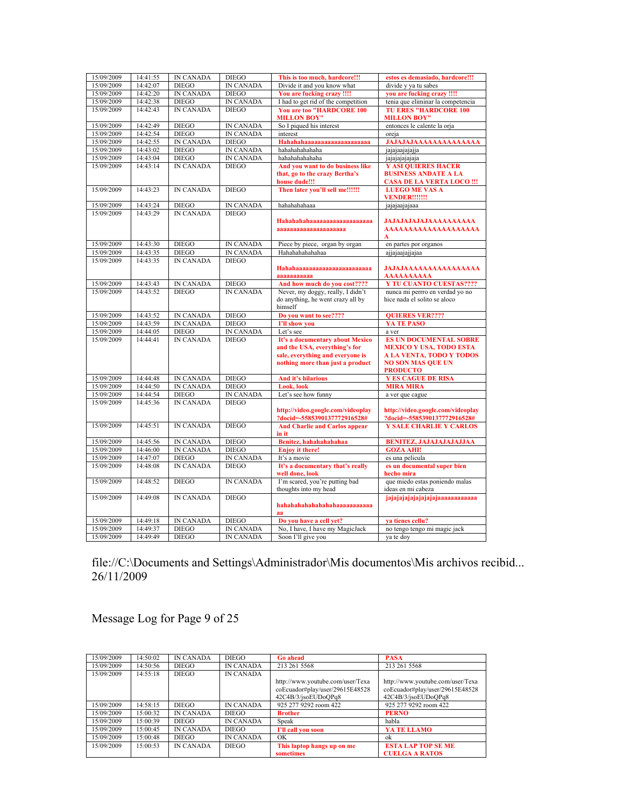| 15/09/2009 | 14:41:55 | <b>IN CANADA</b> | <b>DIEGO</b>     | This is too much, hardcore!!!                                                                                                            | estos es demasiado, hardcore!!!                                                                                                                   |
|------------|----------|------------------|------------------|------------------------------------------------------------------------------------------------------------------------------------------|---------------------------------------------------------------------------------------------------------------------------------------------------|
| 15/09/2009 | 14:42:07 | <b>DIEGO</b>     | <b>IN CANADA</b> | Divide it and you know what                                                                                                              | divide y ya tu sabes                                                                                                                              |
| 15/09/2009 | 14:42:20 | <b>IN CANADA</b> | <b>DIEGO</b>     | You are fucking crazy !!!!                                                                                                               | vou are fucking crazy !!!!                                                                                                                        |
| 15/09/2009 | 14:42:38 | <b>DIEGO</b>     | <b>IN CANADA</b> | I had to get rid of the competition                                                                                                      | tenia que eliminar la competencia                                                                                                                 |
| 15/09/2009 | 14:42:43 | <b>IN CANADA</b> | <b>DIEGO</b>     | <b>You are too "HARDCORE 100</b><br><b>MILLON BOY"</b>                                                                                   | <b>TU ERES "HARDCORE 100</b><br><b>MILLON BOY"</b>                                                                                                |
| 15/09/2009 | 14:42:49 | <b>DIEGO</b>     | <b>IN CANADA</b> | So I piqued his interest                                                                                                                 | entonces le calente la orja                                                                                                                       |
| 15/09/2009 | 14:42:54 | <b>DIEGO</b>     | <b>IN CANADA</b> | interest                                                                                                                                 | oreja                                                                                                                                             |
| 15/09/2009 | 14:42:55 | <b>IN CANADA</b> | <b>DIEGO</b>     | Hahahahaaaaaaaaaaaaaaaaaaa                                                                                                               | <b>JAJAJAJAAAAAAAAAAAAAA</b>                                                                                                                      |
| 15/09/2009 | 14:43:02 | <b>DIEGO</b>     | <b>IN CANADA</b> | hahahahahaha                                                                                                                             | jajajaajajajja                                                                                                                                    |
| 15/09/2009 | 14:43:04 | <b>DIEGO</b>     | <b>IN CANADA</b> | hahahahahaha                                                                                                                             | jajajajajaja                                                                                                                                      |
| 15/09/2009 | 14:43:14 | <b>IN CANADA</b> | <b>DIEGO</b>     | And you want to do business like<br>that, go to the crazy Bertha's<br>house dude!!!                                                      | <b>Y ASI QUIERES HACER</b><br><b>BUSINESS ANDATE A LA</b><br><b>CASA DE LA VERTA LOCO !!!</b>                                                     |
| 15/09/2009 | 14:43:23 | <b>IN CANADA</b> | <b>DIEGO</b>     | Then later you'll sell me!!!!!!                                                                                                          | <b>LUEGO ME VAS A</b><br><b>VENDER!!!!!!!</b>                                                                                                     |
| 15/09/2009 | 14:43:24 | <b>DIEGO</b>     | <b>IN CANADA</b> | hahahahaaa                                                                                                                               | jajajaajajaaa                                                                                                                                     |
| 15/09/2009 | 14:43:29 | <b>IN CANADA</b> | <b>DIEGO</b>     | Hahahahahaaaaaaaaaaaaaaaaaaa<br>$a$ aaaaaaaaaaaaaaaaaaaaa                                                                                | <b>JAJAJAJAJAJAAAAAAAAAA</b><br>AAAAAAAAAAAAAAAAAAAA<br>A                                                                                         |
| 15/09/2009 | 14:43:30 | <b>DIEGO</b>     | <b>IN CANADA</b> | Piece by piece, organ by organ                                                                                                           | en partes por organos                                                                                                                             |
| 15/09/2009 | 14:43:35 | <b>DIEGO</b>     | <b>IN CANADA</b> | Hahahahahahaa                                                                                                                            | ajjajaajajjajaa                                                                                                                                   |
| 15/09/2009 | 14:43:35 | <b>IN CANADA</b> | <b>DIEGO</b>     | Hahahaaaaaaaaaaaaaaaaaaaaaaa<br>aaaaaaaaaaa                                                                                              | <b>JAJAJAAAAAAAAAAAAAAAA</b><br>ΑΑΑΑΑΑΑΑΑΑ                                                                                                        |
| 15/09/2009 | 14:43:43 | <b>IN CANADA</b> | <b>DIEGO</b>     | And how much do you cost????                                                                                                             | <b>Y TU CUANTO CUESTAS????</b>                                                                                                                    |
| 15/09/2009 | 14:43:52 | <b>DIEGO</b>     | <b>IN CANADA</b> | Never, my doggy, really, I didn't<br>do anything, he went crazy all by<br>himself                                                        | nunca mi perrro en verdad yo no<br>hice nada el solito se aloco                                                                                   |
| 15/09/2009 | 14:43:52 | <b>IN CANADA</b> | <b>DIEGO</b>     | Do you want to see????                                                                                                                   | <b>OUIERES VER????</b>                                                                                                                            |
| 15/09/2009 | 14:43:59 | <b>IN CANADA</b> | <b>DIEGO</b>     | I'll show you                                                                                                                            | YA TE PASO                                                                                                                                        |
| 15/09/2009 | 14:44:05 | <b>DIEGO</b>     | <b>IN CANADA</b> | Let's see                                                                                                                                | a ver                                                                                                                                             |
| 15/09/2009 | 14:44:41 | <b>IN CANADA</b> | <b>DIEGO</b>     | It's a documentary about Mexico<br>and the USA, everything's for<br>sale, everything and everyone is<br>nothing more than just a product | <b>ES UN DOCUMENTAL SOBRE</b><br><b>MEXICO Y USA, TODO ESTA</b><br><b>A LA VENTA, TODO Y TODOS</b><br><b>NO SON MAS QUE UN</b><br><b>PRODUCTO</b> |
| 15/09/2009 | 14:44:48 | <b>IN CANADA</b> | <b>DIEGO</b>     | And it's hilarious                                                                                                                       | <b>Y ES CAGUE DE RISA</b>                                                                                                                         |
| 15/09/2009 | 14:44:50 | <b>IN CANADA</b> | <b>DIEGO</b>     | Look, look                                                                                                                               | <b>MIRA MIRA</b>                                                                                                                                  |
| 15/09/2009 | 14:44:54 | <b>DIEGO</b>     | IN CANADA        | Let's see how funny                                                                                                                      | a ver que cague                                                                                                                                   |
| 15/09/2009 | 14:45:36 | <b>IN CANADA</b> | <b>DIEGO</b>     | http://video.google.com/videoplav<br>?docid=-5585390137772916528#                                                                        | http://video.google.com/videoplay<br>?docid=-5585390137772916528#                                                                                 |
| 15/09/2009 | 14.45.51 | <b>IN CANADA</b> | <b>DIEGO</b>     | <b>And Charlie and Carlos appear</b><br>in it                                                                                            | <b>Y SALE CHARLIE Y CARLOS</b>                                                                                                                    |
| 15/09/2009 | 14:45:56 | <b>IN CANADA</b> | <b>DIEGO</b>     | Benitez, hahahahahahaa                                                                                                                   | <b>BENITEZ, JAJAJAJAJAJJAA</b>                                                                                                                    |
| 15/09/2009 | 14:46:00 | <b>IN CANADA</b> | <b>DIEGO</b>     | <b>Enjoy it there!</b>                                                                                                                   | <b>GOZA AHI!</b>                                                                                                                                  |
| 15/09/2009 | 14:47:07 | <b>DIEGO</b>     | IN CANADA        | It's a movie                                                                                                                             | es una pelicula                                                                                                                                   |
| 15/09/2009 | 14:48:08 | <b>IN CANADA</b> | <b>DIEGO</b>     | It's a documentary that's really<br>well done, look                                                                                      | es un documental super bien<br>hecho mira                                                                                                         |
| 15/09/2009 | 14:48:52 | <b>DIEGO</b>     | <b>IN CANADA</b> | I'm scared, you're putting bad<br>thoughts into my head                                                                                  | que miedo estas poniendo malas<br>ideas en mi cabeza                                                                                              |
| 15/09/2009 | 14:49:08 | <b>IN CANADA</b> | <b>DIEGO</b>     | hahahahahahahahahaaaaaaaaaaa<br>aa                                                                                                       | jajajajajajajajajaaaaaaaaaaaa                                                                                                                     |
| 15/09/2009 | 14:49:18 | <b>IN CANADA</b> | <b>DIEGO</b>     | Do you have a cell yet?                                                                                                                  | va tienes cellu?                                                                                                                                  |
| 15/09/2009 | 14:49:37 | <b>DIEGO</b>     | IN CANADA        | No, I have, I have my MagicJack                                                                                                          | no tengo tengo mi magic jack                                                                                                                      |
| 15/09/2009 | 14:49:49 | <b>DIEGO</b>     | <b>IN CANADA</b> | Soon I'll give you                                                                                                                       | va te dov                                                                                                                                         |

Message Log for Page 9 of 25

| 15/09/2009 | 14:50:02 | <b>IN CANADA</b> | <b>DIEGO</b>     | <b>Go ahead</b>                                                                            | <b>PASA</b>                                                                                |
|------------|----------|------------------|------------------|--------------------------------------------------------------------------------------------|--------------------------------------------------------------------------------------------|
| 15/09/2009 | 14:50:56 | <b>DIEGO</b>     | <b>IN CANADA</b> | 213 261 5568                                                                               | 213 261 5568                                                                               |
| 15/09/2009 | 14:55:18 | <b>DIEGO</b>     | <b>IN CANADA</b> |                                                                                            |                                                                                            |
|            |          |                  |                  | http://www.youtube.com/user/Texa<br>coEcuador#play/user/29615E48528<br>42C4B/3/jsoEUDoOPq8 | http://www.youtube.com/user/Texa<br>coEcuador#play/user/29615E48528<br>42C4B/3/jsoEUDoOPq8 |
| 15/09/2009 | 14:58:15 | <b>DIEGO</b>     | <b>IN CANADA</b> | 925 277 9292 room 422                                                                      | 925 277 9292 room 422                                                                      |
| 15/09/2009 | 15:00:32 | <b>IN CANADA</b> | <b>DIEGO</b>     | <b>Brother</b>                                                                             | <b>PERNO</b>                                                                               |
| 15/09/2009 | 15.00.39 | <b>DIEGO</b>     | <b>IN CANADA</b> | Speak                                                                                      | habla                                                                                      |
| 15/09/2009 | 15:00:45 | <b>IN CANADA</b> | <b>DIEGO</b>     | I'll call vou soon                                                                         | YA TE LLAMO                                                                                |
| 15/09/2009 | 15:00:48 | <b>DIEGO</b>     | <b>IN CANADA</b> | OK                                                                                         | ok                                                                                         |
| 15/09/2009 | 15.00.53 | <b>IN CANADA</b> | <b>DIEGO</b>     | This laptop hangs up on me<br>sometimes                                                    | <b>ESTA LAP TOP SE ME</b><br><b>CUELGA A RATOS</b>                                         |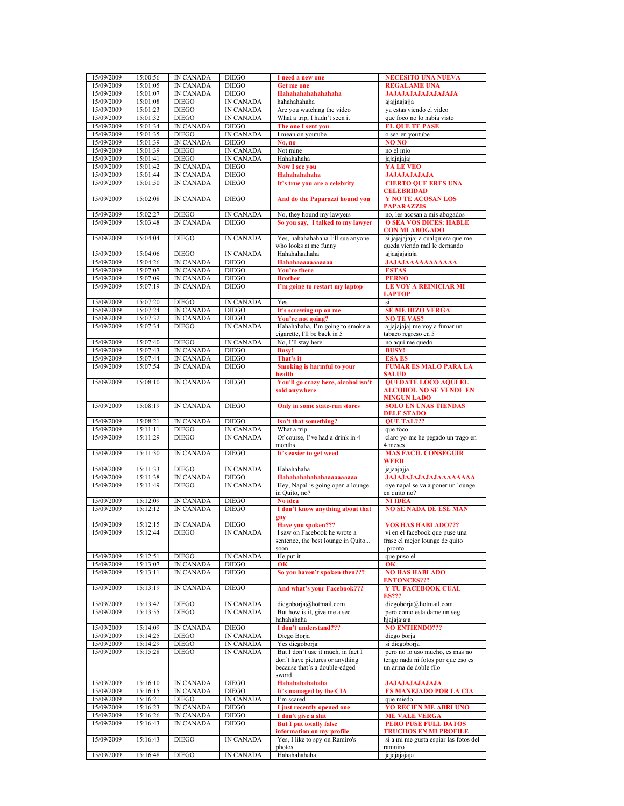| 15/09/2009 | 15:00:56 | <b>IN CANADA</b> | <b>DIEGO</b>     | I need a new one                    | <b>NECESITO UNA NUEVA</b>             |
|------------|----------|------------------|------------------|-------------------------------------|---------------------------------------|
| 15/09/2009 | 15:01:05 | IN CANADA        | <b>DIEGO</b>     | Get me one                          | <b>REGALAME UNA</b>                   |
|            |          |                  |                  |                                     |                                       |
| 15/09/2009 | 15:01:07 | <b>IN CANADA</b> | <b>DIEGO</b>     | Hahahahahahahaha                    | <b>JAJAJAJAJAJAJAJAJA</b>             |
| 15/09/2009 | 15:01:08 | <b>DIEGO</b>     | <b>IN CANADA</b> | hahahahaha                          | ajajjaajajja                          |
|            | 15:01:23 |                  |                  |                                     |                                       |
| 15/09/2009 |          | <b>DIEGO</b>     | <b>IN CANADA</b> | Are you watching the video          | ya estas viendo el video              |
| 15/09/2009 | 15:01:32 | <b>DIEGO</b>     | <b>IN CANADA</b> | What a trip, I hadn't seen it       | que foco no lo habia visto            |
| 15/09/2009 | 15:01:34 | <b>IN CANADA</b> | <b>DIEGO</b>     | The one I sent you                  | <b>EL QUE TE PASE</b>                 |
|            |          |                  |                  |                                     |                                       |
| 15/09/2009 | 15:01:35 | <b>DIEGO</b>     | <b>IN CANADA</b> | I mean on youtube                   | o sea en youtube                      |
| 15/09/2009 | 15:01:39 | <b>IN CANADA</b> | <b>DIEGO</b>     | No, no                              | NO <sub>NO</sub>                      |
|            |          |                  |                  |                                     |                                       |
| 15/09/2009 | 15:01:39 | <b>DIEGO</b>     | <b>IN CANADA</b> | Not mine                            | no el mio                             |
| 15/09/2009 | 15:01:41 | <b>DIEGO</b>     | <b>IN CANADA</b> | Hahahahaha                          | jajajajajaj                           |
|            |          |                  |                  |                                     |                                       |
| 15/09/2009 | 15:01:42 | <b>IN CANADA</b> | <b>DIEGO</b>     | <b>Now I see you</b>                | YA LE VEO                             |
| 15/09/2009 | 15:01:44 | <b>IN CANADA</b> | <b>DIEGO</b>     | Hahahahahaha                        | <b>JAJAJAJAJAJA</b>                   |
| 15/09/2009 | 15:01:50 | <b>IN CANADA</b> | <b>DIEGO</b>     |                                     |                                       |
|            |          |                  |                  | It's true you are a celebrity       | <b>CIERTO QUE ERES UNA</b>            |
|            |          |                  |                  |                                     | <b>CELEBRIDAD</b>                     |
| 15/09/2009 | 15:02:08 | <b>IN CANADA</b> | <b>DIEGO</b>     | And do the Paparazzi hound you      | <b>Y NO TE ACOSAN LOS</b>             |
|            |          |                  |                  |                                     |                                       |
|            |          |                  |                  |                                     | <b>PAPARAZZIS</b>                     |
| 15/09/2009 | 15:02:27 | <b>DIEGO</b>     | IN CANADA        | No, they hound my lawyers           | no, les acosan a mis abogados         |
| 15/09/2009 | 15:03:48 | <b>IN CANADA</b> | <b>DIEGO</b>     | So you say, I talked to my lawyer   | <b>O SEA VOS DICES: HABLE</b>         |
|            |          |                  |                  |                                     |                                       |
|            |          |                  |                  |                                     | <b>CON MI ABOGADO</b>                 |
| 15/09/2009 | 15:04:04 | <b>DIEGO</b>     | <b>IN CANADA</b> | Yes, hahahahahaha I'll sue anyone   | si jajajajajaj a cualquiera que me    |
|            |          |                  |                  |                                     |                                       |
|            |          |                  |                  | who looks at me funny               | queda viendo mal le demando           |
| 15/09/2009 | 15:04:06 | <b>DIEGO</b>     | <b>IN CANADA</b> | Hahahahahaha                        | ajjaajajajaja                         |
|            |          | <b>IN CANADA</b> |                  | Hahahaaaaaaaaaaa                    |                                       |
| 15/09/2009 | 15:04:26 |                  | <b>DIEGO</b>     |                                     | <b>JAJAJAAAAAAAAAAA</b>               |
| 15/09/2009 | 15:07:07 | <b>IN CANADA</b> | <b>DIEGO</b>     | You're there                        | <b>ESTAS</b>                          |
| 15/09/2009 | 15:07:09 | IN CANADA        | <b>DIEGO</b>     | <b>Brother</b>                      | <b>PERNO</b>                          |
|            |          |                  |                  |                                     |                                       |
| 15/09/2009 | 15:07:19 | <b>IN CANADA</b> | <b>DIEGO</b>     | I'm going to restart my laptop      | <b>LE VOY A REINICIAR MI</b>          |
|            |          |                  |                  |                                     | <b>LAPTOP</b>                         |
|            |          |                  |                  |                                     |                                       |
| 15/09/2009 | 15:07:20 | <b>DIEGO</b>     | <b>IN CANADA</b> | Yes                                 | si                                    |
| 15/09/2009 | 15:07:24 | <b>IN CANADA</b> | <b>DIEGO</b>     | It's screwing up on me              | <b>SE ME HIZO VERGA</b>               |
|            |          |                  |                  |                                     |                                       |
| 15/09/2009 | 15:07:32 | <b>IN CANADA</b> | <b>DIEGO</b>     | You're not going?                   | <b>NO TE VAS?</b>                     |
| 15/09/2009 | 15:07:34 | <b>DIEGO</b>     | <b>IN CANADA</b> | Hahahahaha, I'm going to smoke a    | ajjajajajaj me voy a fumar un         |
|            |          |                  |                  | cigarette, I'll be back in 5        | tabaco regreso en 5                   |
|            |          |                  |                  |                                     |                                       |
| 15/09/2009 | 15:07:40 | <b>DIEGO</b>     | <b>IN CANADA</b> | No, I'll stay here                  | no aqui me quedo                      |
| 15/09/2009 | 15:07:43 | <b>IN CANADA</b> | <b>DIEGO</b>     | <b>Busy!</b>                        | <b>BUSY!</b>                          |
|            |          |                  |                  |                                     |                                       |
| 15/09/2009 | 15:07:44 | <b>IN CANADA</b> | <b>DIEGO</b>     | That's it                           | <b>ESA ES</b>                         |
| 15/09/2009 | 15:07:54 | <b>IN CANADA</b> | <b>DIEGO</b>     | <b>Smoking is harmful to your</b>   | <b>FUMAR ES MALO PARA LA</b>          |
|            |          |                  |                  |                                     |                                       |
|            |          |                  |                  | health                              | <b>SALUD</b>                          |
| 15/09/2009 | 15:08:10 | <b>IN CANADA</b> | <b>DIEGO</b>     | You'll go crazy here, alcohol isn't | <b>OUEDATE LOCO AQUI EL</b>           |
|            |          |                  |                  |                                     | <b>ALCOHOL NO SE VENDE EN</b>         |
|            |          |                  |                  | sold anywhere                       |                                       |
|            |          |                  |                  |                                     | <b>NINGUN LADO</b>                    |
| 15/09/2009 | 15:08:19 | <b>IN CANADA</b> | <b>DIEGO</b>     | Only in some state-run stores       | <b>SOLO EN UNAS TIENDAS</b>           |
|            |          |                  |                  |                                     |                                       |
|            |          |                  |                  |                                     |                                       |
|            |          |                  |                  |                                     | <b>DELE STADO</b>                     |
|            |          |                  |                  |                                     |                                       |
| 15/09/2009 | 15:08:21 | <b>IN CANADA</b> | <b>DIEGO</b>     | Isn't that something?               | <b>OUE TAL???</b>                     |
| 15/09/2009 | 15:11:11 | <b>DIEGO</b>     | <b>IN CANADA</b> | What a trip                         | que foco                              |
|            |          | <b>DIEGO</b>     | <b>IN CANADA</b> |                                     |                                       |
| 15/09/2009 | 15:11:29 |                  |                  | Of course, I've had a drink in 4    | claro yo me he pegado un trago en     |
|            |          |                  |                  | months                              | 4 meses                               |
| 15/09/2009 | 15:11:30 | <b>IN CANADA</b> | <b>DIEGO</b>     | It's easier to get weed             | <b>MAS FACIL CONSEGUIR</b>            |
|            |          |                  |                  |                                     |                                       |
|            |          |                  |                  |                                     | <b>WEED</b>                           |
| 15/09/2009 | 15:11:33 | <b>DIEGO</b>     | <b>IN CANADA</b> | Hahahahaha                          | jajaajajja                            |
|            |          | <b>IN CANADA</b> | <b>DIEGO</b>     |                                     |                                       |
| 15/09/2009 | 15:11:38 |                  |                  | Hahahahahahaaaaaaaaaaa              | <b>JAJAJAJAJAJAJAAAAAAAA</b>          |
| 15/09/2009 | 15:11:49 | <b>DIEGO</b>     | <b>IN CANADA</b> | Hey, Napal is going open a lounge   | oye napal se va a poner un lounge     |
|            |          |                  |                  | in Ouito, no?                       | en quito no?                          |
|            |          |                  |                  |                                     |                                       |
| 15/09/2009 | 15:12:09 | IN CANADA        | <b>DIEGO</b>     | No idea                             | <b>NI IDEA</b>                        |
| 15/09/2009 | 15:12:12 | <b>IN CANADA</b> | <b>DIEGO</b>     | I don't know anything about that    | <b>NO SE NADA DE ESE MAN</b>          |
|            |          |                  |                  |                                     |                                       |
|            |          |                  |                  |                                     |                                       |
| 15/09/2009 | 15:12:15 | <b>IN CANADA</b> | <b>DIEGO</b>     | Have you spoken???                  | <b>VOS HAS HABLADO???</b>             |
| 15/09/2009 | 15:12:44 | <b>DIEGO</b>     | <b>IN CANADA</b> | I saw on Facebook he wrote a        | vi en el facebook que puse una        |
|            |          |                  |                  |                                     |                                       |
|            |          |                  |                  | sentence, the best lounge in Quito  | frase el mejor lounge de quito        |
|            |          |                  |                  | soon                                | pronto                                |
| 15/09/2009 | 15:12:51 | <b>DIEGO</b>     | <b>IN CANADA</b> | He put it                           | que puso el                           |
|            |          |                  |                  |                                     |                                       |
| 15/09/2009 | 15:13:07 | IN CANADA        | <b>DIEGO</b>     | OK                                  | OK                                    |
| 15/09/2009 | 15:13:11 | IN CANADA        | <b>DIEGO</b>     | So you haven't spoken then???       | <b>NO HAS HABLADO</b>                 |
|            |          |                  |                  |                                     | <b>ENTONCES???</b>                    |
|            |          |                  |                  |                                     |                                       |
| 15/09/2009 | 15:13:19 | IN CANADA        | <b>DIEGO</b>     | And what's your Facebook???         | Y TU FACEBOOK CUAL                    |
|            |          |                  |                  |                                     | <b>ES???</b>                          |
|            |          |                  |                  |                                     |                                       |
| 15/09/2009 | 15:13:42 | DIEGO            | <b>IN CANADA</b> | diegoborja@hotmail.com              | diegoborja@hotmail.com                |
| 15/09/2009 | 15:13:55 | <b>DIEGO</b>     | IN CANADA        | But how is it, give me a sec        | pero como esta dame un seg            |
|            |          |                  |                  | hahahahaha                          | hjajajajaja                           |
|            |          |                  |                  |                                     |                                       |
| 15/09/2009 | 15:14:09 | <b>IN CANADA</b> | <b>DIEGO</b>     | I don't understand???               | <b>NO ENTIENDO???</b>                 |
| 15/09/2009 | 15:14:25 | <b>DIEGO</b>     | <b>IN CANADA</b> | Diego Borja                         | diego borja                           |
|            |          |                  |                  |                                     |                                       |
| 15/09/2009 | 15:14:29 | DIEGO            | <b>IN CANADA</b> | Yes diegoborja                      | si diegoborja                         |
| 15/09/2009 | 15:15:28 | <b>DIEGO</b>     | IN CANADA        | But I don't use it much, in fact I  | pero no lo uso mucho, es mas no       |
|            |          |                  |                  |                                     |                                       |
|            |          |                  |                  | don't have pictures or anything     | tengo nada ni fotos por que eso es    |
|            |          |                  |                  | because that's a double-edged       | un arma de doble filo                 |
|            |          |                  |                  | sword                               |                                       |
|            |          |                  |                  |                                     |                                       |
| 15/09/2009 | 15:16:10 | <b>IN CANADA</b> | <b>DIEGO</b>     | Hahahahahahaha                      | <b>JAJAJAJAJAJAJA</b>                 |
| 15/09/2009 | 15:16:15 | IN CANADA        | <b>DIEGO</b>     | It's managed by the CIA             | <b>ES MANEJADO POR LA CIA</b>         |
| 15/09/2009 | 15:16:21 | <b>DIEGO</b>     |                  | I'm scared                          | que miedo                             |
|            |          |                  | IN CANADA        |                                     |                                       |
| 15/09/2009 | 15:16:23 | <b>IN CANADA</b> | <b>DIEGO</b>     | I just recently opened one          | <b>YO RECIEN ME ABRI UNO</b>          |
| 15/09/2009 | 15:16:26 | IN CANADA        | <b>DIEGO</b>     | I don't give a shit                 |                                       |
|            |          |                  |                  |                                     | <b>ME VALE VERGA</b>                  |
| 15/09/2009 | 15:16:43 | IN CANADA        | <b>DIEGO</b>     | <b>But I put totally false</b>      | <b>PERO PUSE FULL DATOS</b>           |
|            |          |                  |                  | information on my profile           | <b>TRUCHOS EN MI PROFILE</b>          |
|            |          |                  |                  |                                     |                                       |
| 15/09/2009 | 15:16:43 | <b>DIEGO</b>     | <b>IN CANADA</b> | Yes, I like to spy on Ramiro's      | si a mi me gusta espiar las fotos del |
| 15/09/2009 | 15:16:48 | <b>DIEGO</b>     | <b>IN CANADA</b> | photos<br>Hahahahaha                | ramniro<br>jajajajaja                 |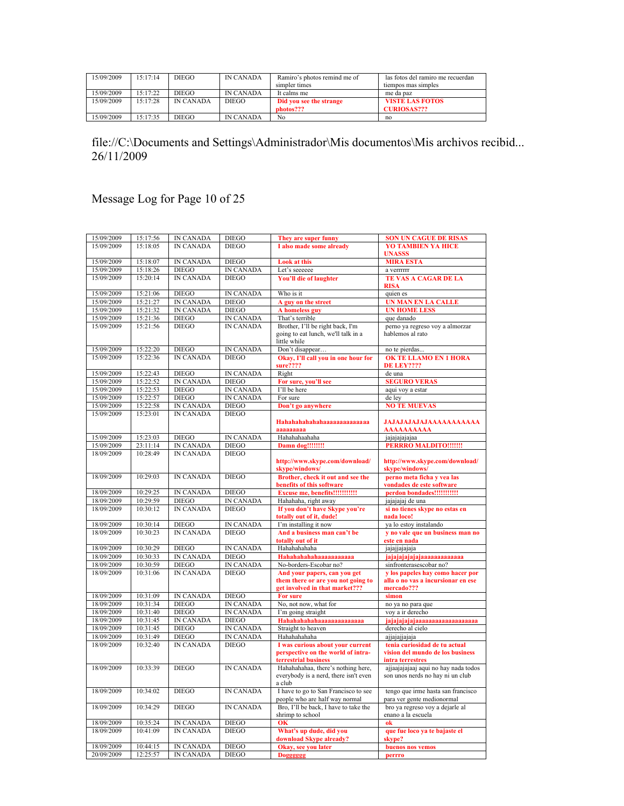| 15/09/2009 | 15.17.14 | <b>DIEGO</b>     | <b>IN CANADA</b> | Ramiro's photos remind me of | las fotos del ramiro me recuerdan |
|------------|----------|------------------|------------------|------------------------------|-----------------------------------|
|            |          |                  |                  | simpler times                | tiempos mas simples               |
| 15/09/2009 | 15.17.22 | DIEGO            | <b>IN CANADA</b> | It calms me                  | me da paz                         |
| 15/09/2009 | 15.17.28 | <b>IN CANADA</b> | <b>DIEGO</b>     | Did you see the strange      | <b>VISTE LAS FOTOS</b>            |
|            |          |                  |                  | photos???                    | <b>CURIOSAS???</b>                |
| 15/09/2009 | 15:17:35 | DIEGO            | <b>IN CANADA</b> | No                           | no                                |

Message Log for Page 10 of 25

| 15/09/2009               | 15:17:56 | <b>IN CANADA</b> | <b>DIEGO</b>     | They are super funny                               | <b>SON UN CAGUE DE RISAS</b>         |
|--------------------------|----------|------------------|------------------|----------------------------------------------------|--------------------------------------|
| 15/09/2009               | 15:18:05 | <b>IN CANADA</b> | <b>DIEGO</b>     | I also made some already                           | <b>YO TAMBIEN YA HICE</b>            |
|                          |          |                  |                  |                                                    | <b>UNASSS</b>                        |
| 15/09/2009               | 15:18:07 | <b>IN CANADA</b> | <b>DIEGO</b>     | <b>Look at this</b>                                | <b>MIRA ESTA</b>                     |
| 15/09/2009               | 15:18:26 | <b>DIEGO</b>     | <b>IN CANADA</b> | Let's seeeeee                                      | a verrrrrr                           |
| 15/09/2009               | 15:20:14 | <b>IN CANADA</b> | <b>DIEGO</b>     | You'll die of laughter                             | <b>TE VAS A CAGAR DE LA</b>          |
|                          |          |                  |                  |                                                    | <b>RISA</b>                          |
| 15/09/2009               | 15:21:06 | <b>DIEGO</b>     | IN CANADA        | Who is it                                          | quien es                             |
| 15/09/2009               | 15:21:27 | <b>IN CANADA</b> | <b>DIEGO</b>     | A guy on the street                                | <b>UN MAN EN LA CALLE</b>            |
| 15/09/2009               | 15:21:32 | <b>IN CANADA</b> | <b>DIEGO</b>     | A homeless guy                                     | <b>UN HOME LESS</b>                  |
| 15/09/2009               | 15:21:36 | <b>DIEGO</b>     | <b>IN CANADA</b> | That's terrible                                    | que danado                           |
| 15/09/2009               | 15:21:56 | <b>DIEGO</b>     | <b>IN CANADA</b> | Brother, I'll be right back, I'm                   | perno ya regreso voy a almorzar      |
|                          |          |                  |                  | going to eat lunch, we'll talk in a                | hablemos al rato                     |
|                          |          |                  |                  | little while                                       |                                      |
| 15/09/2009               | 15:22:20 | <b>DIEGO</b>     | <b>IN CANADA</b> | Don't disappear                                    | no te pierdas                        |
| 15/09/2009               | 15:22:36 | <b>IN CANADA</b> | <b>DIEGO</b>     | Okay, I'll call you in one hour for                | <b>OK TE LLAMO EN 1 HORA</b>         |
|                          |          |                  |                  | sure????                                           |                                      |
| 15/09/2009               | 15:22:43 | <b>DIEGO</b>     | IN CANADA        | Right                                              | <b>DE LEY????</b><br>de una          |
| 15/09/2009               | 15:22:52 | IN CANADA        | <b>DIEGO</b>     |                                                    | <b>SEGURO VERAS</b>                  |
| 15/09/2009               | 15:22:53 | <b>DIEGO</b>     | <b>IN CANADA</b> | For sure, you'll see<br>I'll be here               |                                      |
|                          |          |                  |                  |                                                    | aqui voy a estar                     |
| 15/09/2009               | 15:22:57 | <b>DIEGO</b>     | <b>IN CANADA</b> | For sure                                           | de lev                               |
| 15/09/2009               | 15:22:58 | <b>IN CANADA</b> | <b>DIEGO</b>     | Don't go anywhere                                  | <b>NO TE MUEVAS</b>                  |
| 15/09/2009               | 15:23:01 | <b>IN CANADA</b> | <b>DIEGO</b>     |                                                    |                                      |
|                          |          |                  |                  | Hahahahahahahaaaaaaaaaaaaaa                        | <b>JAJAJAJAJAJAAAAAAAAAAA</b>        |
|                          |          |                  |                  | aaaaaaaaa                                          | AAAAAAAAAA                           |
| 15/09/2009               | 15:23:03 | <b>DIEGO</b>     | <b>IN CANADA</b> | Hahahahaahaha                                      | jajajajajajaa                        |
| 15/09/2009               | 23:11:14 | <b>IN CANADA</b> | <b>DIEGO</b>     | Damn dog!!!!!!!!                                   | <b>PERRRO MALDITO!!!!!!!</b>         |
| 18/09/2009               | 10:28:49 | <b>IN CANADA</b> | <b>DIEGO</b>     |                                                    |                                      |
|                          |          |                  |                  | http://www.skype.com/download/                     | http://www.skype.com/download/       |
|                          |          |                  |                  | skype/windows/                                     | skype/windows/                       |
| 18/09/2009               | 10:29:03 | <b>IN CANADA</b> | <b>DIEGO</b>     | Brother, check it out and see the                  | perno meta ficha y vea las           |
|                          |          |                  |                  | benefits of this software                          | vondades de este software            |
| 18/09/2009               | 10:29:25 | <b>IN CANADA</b> | <b>DIEGO</b>     | Excuse me, benefits!!!!!!!!!!!!                    | perdon bondades!!!!!!!!!!!           |
| 18/09/2009               | 10:29:59 | <b>DIEGO</b>     | <b>IN CANADA</b> | Hahahaha, right away                               | jajajajaj de una                     |
| 18/09/2009               | 10:30:12 | <b>IN CANADA</b> | <b>DIEGO</b>     | If you don't have Skype you're                     | si no tienes skype no estas en       |
|                          |          |                  |                  | totally out of it, dude!                           | nada loco!                           |
| 18/09/2009               | 10:30:14 | <b>DIEGO</b>     | <b>IN CANADA</b> | I'm installing it now                              | ya lo estoy instalando               |
| 18/09/2009               | 10:30:23 | <b>IN CANADA</b> | <b>DIEGO</b>     | And a business man can't be                        | v no vale que un business man no     |
|                          |          |                  |                  | totally out of it                                  | este en nada                         |
| 18/09/2009               | 10:30:29 | <b>DIEGO</b>     | <b>IN CANADA</b> | Hahahahaha                                         | jajajjajajaja                        |
| 18/09/2009               | 10:30:33 | <b>IN CANADA</b> | <b>DIEGO</b>     | Hahahahahahaaaaaaaaaaa                             | jajajajajajaaaaaaaaaaaaa             |
| 18/09/2009               | 10:30:59 | <b>DIEGO</b>     | <b>IN CANADA</b> | No-borders-Escobar no?                             | sinfronterasescobar no?              |
| 18/09/2009               | 10:31:06 | <b>IN CANADA</b> | <b>DIEGO</b>     | And your papers, can you get                       | y los papeles hay como hacer por     |
|                          |          |                  |                  | them there or are you not going to                 | alla o no vas a incursionar en ese   |
|                          |          |                  |                  | get involved in that market???                     | mercado???                           |
| 18/09/2009<br>18/09/2009 | 10:31:09 | IN CANADA        | <b>DIEGO</b>     | For sure                                           | simon                                |
|                          | 10:31:34 | <b>DIEGO</b>     | <b>IN CANADA</b> | No, not now, what for                              | no ya no para que                    |
| 18/09/2009               | 10:31:40 | <b>DIEGO</b>     | <b>IN CANADA</b> | I'm going straight                                 | voy a ir derecho                     |
| 18/09/2009               | 10:31:45 | <b>IN CANADA</b> | <b>DIEGO</b>     | Hahahahahahaaaaaaaaaaaaaa                          | jajajajajajaaaaaaaaaaaaaaaaaa        |
| 18/09/2009               | 10:31:45 | <b>DIEGO</b>     | <b>IN CANADA</b> | Straight to heaven                                 | derecho al cielo                     |
| 18/09/2009               | 10:31:49 | <b>DIEGO</b>     | <b>IN CANADA</b> | Hahahahaha                                         | ajjajajjajaja                        |
| 18/09/2009               | 10:32:40 | <b>IN CANADA</b> | <b>DIEGO</b>     | I was curious about your current                   | tenia curiosidad de tu actual        |
|                          |          |                  |                  | perspective on the world of intra-                 | vision del mundo de los business     |
| 18/09/2009               | 10:33:39 | <b>DIEGO</b>     | <b>IN CANADA</b> | terrestrial business                               | intra terrestres                     |
|                          |          |                  |                  | Hahahahahaa, there's nothing here,                 | ajjaajajajaaj aqui no hay nada todos |
|                          |          |                  |                  | everybody is a nerd, there isn't even              | son unos nerds no hay ni un club     |
| 18/09/2009               | 10:34:02 | <b>DIEGO</b>     | <b>IN CANADA</b> | a club<br>I have to go to San Francisco to see     | tengo que irme hasta san francisco   |
|                          |          |                  |                  | people who are half way normal                     | para ver gente medionormal           |
| 18/09/2009               | 10:34:29 | <b>DIEGO</b>     | <b>IN CANADA</b> | Bro, I'll be back, I have to take the              | bro ya regreso voy a dejarle al      |
|                          |          |                  |                  | shrimp to school                                   | enano a la escuela                   |
| 18/09/2009               | 10:35:24 | IN CANADA        | <b>DIEGO</b>     | OK                                                 | ok                                   |
| 18/09/2009               | 10:41:09 | <b>IN CANADA</b> | <b>DIEGO</b>     |                                                    |                                      |
|                          |          |                  |                  | What's up dude, did you<br>download Skype already? | que fue loco ya te bajaste el        |
| 18/09/2009               | 10:44:15 | <b>IN CANADA</b> | <b>DIEGO</b>     | Okay, see you later                                | skype?<br>buenos nos vemos           |
| 20/09/2009               | 12:25:57 | IN CANADA        | <b>DIEGO</b>     | <b>Dogggggg</b>                                    |                                      |
|                          |          |                  |                  |                                                    | perrro                               |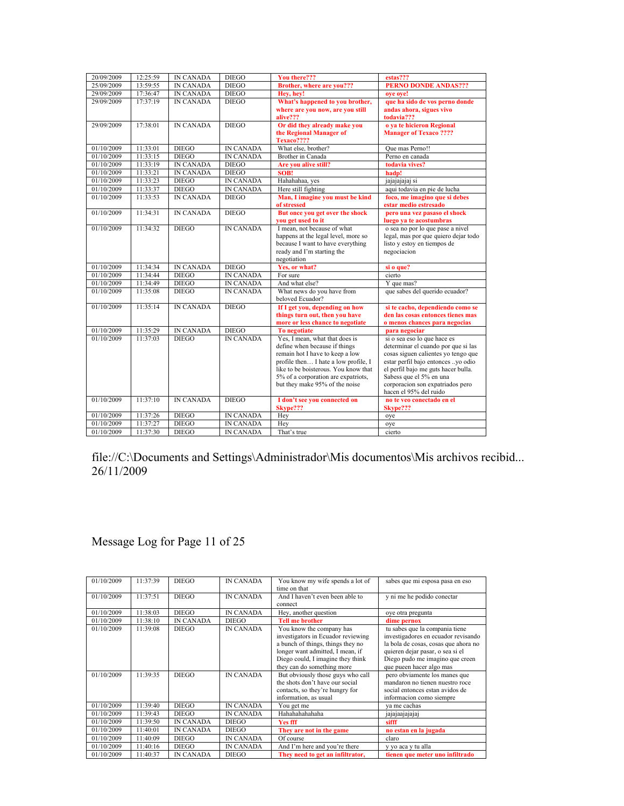| 20/09/2009 | 12:25:59 | <b>IN CANADA</b> | <b>DIEGO</b>     | You there???                                   | estas???                             |
|------------|----------|------------------|------------------|------------------------------------------------|--------------------------------------|
| 25/09/2009 | 13:59:55 | <b>IN CANADA</b> | <b>DIEGO</b>     | Brother, where are you???                      | <b>PERNO DONDE ANDAS???</b>          |
| 29/09/2009 | 17:36:47 | <b>IN CANADA</b> | <b>DIEGO</b>     | Hey, hey!                                      | ove ove!                             |
| 29/09/2009 | 17:37:19 | <b>IN CANADA</b> | <b>DIEGO</b>     | What's happened to you brother,                | que ha sido de vos perno donde       |
|            |          |                  |                  | where are you now, are you still               | andas ahora, sigues vivo             |
|            |          |                  |                  | alive???                                       | todavia???                           |
| 29/09/2009 | 17:38:01 | <b>IN CANADA</b> | <b>DIEGO</b>     | Or did they already make you                   | o va te hicieron Regional            |
|            |          |                  |                  | the Regional Manager of                        | <b>Manager of Texaco ????</b>        |
|            |          |                  |                  | Texaco????                                     |                                      |
| 01/10/2009 | 11:33:01 | <b>DIEGO</b>     | <b>IN CANADA</b> | What else, brother?                            | Oue mas Perno!!                      |
| 01/10/2009 | 11:33:15 | <b>DIEGO</b>     | <b>IN CANADA</b> | Brother in Canada                              | Perno en canada                      |
| 01/10/2009 | 11:33:19 | <b>IN CANADA</b> | <b>DIEGO</b>     | Are you alive still?                           | todavia vives?                       |
| 01/10/2009 | 11:33:21 | <b>IN CANADA</b> | <b>DIEGO</b>     | SOB!                                           | hadp!                                |
| 01/10/2009 | 11:33:23 | <b>DIEGO</b>     | <b>IN CANADA</b> | Hahahahaa, yes                                 | jajajajajaj si                       |
| 01/10/2009 | 11:33:37 | <b>DIEGO</b>     | <b>IN CANADA</b> | Here still fighting                            | aqui todavia en pie de lucha         |
| 01/10/2009 | 11:33:53 | <b>IN CANADA</b> | <b>DIEGO</b>     | Man, I imagine you must be kind                | foco, me imagino que si debes        |
|            |          |                  |                  | of stressed                                    | estar medio estresado                |
| 01/10/2009 | 11:34:31 | <b>IN CANADA</b> | <b>DIEGO</b>     | But once you get over the shock                | pero una vez pasaso el shock         |
|            |          |                  |                  | you get used to it                             | luego ya te acostumbras              |
| 01/10/2009 | 11:34:32 | <b>DIEGO</b>     | <b>IN CANADA</b> | I mean, not because of what                    | o sea no por lo que pase a nivel     |
|            |          |                  |                  | happens at the legal level, more so            | legal, mas por que quiero dejar todo |
|            |          |                  |                  | because I want to have everything              | listo y estoy en tiempos de          |
|            |          |                  |                  | ready and I'm starting the                     | negociacion                          |
|            |          |                  |                  | negotiation                                    |                                      |
| 01/10/2009 | 11:34:34 | <b>IN CANADA</b> | <b>DIEGO</b>     | Yes, or what?                                  | si o que?                            |
| 01/10/2009 | 11:34:44 | <b>DIEGO</b>     | <b>IN CANADA</b> | For sure                                       | cierto                               |
| 01/10/2009 | 11:34:49 | <b>DIEGO</b>     | <b>IN CANADA</b> | And what else?                                 | Y que mas?                           |
| 01/10/2009 | 11:35:08 | <b>DIEGO</b>     | <b>IN CANADA</b> | What news do you have from<br>beloved Ecuador? | que sabes del querido ecuador?       |
| 01/10/2009 | 11:35:14 | <b>IN CANADA</b> | <b>DIEGO</b>     | If I get you, depending on how                 | si te cacho, dependiendo como se     |
|            |          |                  |                  | things turn out, then you have                 | den las cosas entonces tienes mas    |
|            |          |                  |                  | more or less chance to negotiate               | o menos chances para negocias        |
| 01/10/2009 | 11:35:29 | <b>IN CANADA</b> | <b>DIEGO</b>     | <b>To negotiate</b>                            | para negociar                        |
| 01/10/2009 | 11:37:03 | <b>DIEGO</b>     | <b>IN CANADA</b> | Yes, I mean, what that does is                 | si o sea eso lo que hace es          |
|            |          |                  |                  | define when because if things                  | determinar el cuando por que si las  |
|            |          |                  |                  | remain hot I have to keep a low                | cosas siguen calientes yo tengo que  |
|            |          |                  |                  | profile then I hate a low profile, I           | estar perfil bajo entonces yo odio   |
|            |          |                  |                  | like to be boisterous. You know that           | el perfil bajo me guts hacer bulla.  |
|            |          |                  |                  | 5% of a corporation are expatriots,            | Sabess que el 5% en una              |
|            |          |                  |                  | but they make 95% of the noise                 | corporacion son expatriados pero     |
|            |          |                  |                  |                                                | hacen el 95% del ruido               |
| 01/10/2009 | 11:37:10 | <b>IN CANADA</b> | <b>DIEGO</b>     | I don't see you connected on                   | no te veo conectado en el            |
|            |          |                  |                  | Skype???                                       | Skype???                             |
| 01/10/2009 | 11:37:26 | <b>DIEGO</b>     | <b>IN CANADA</b> | Hey                                            | oye                                  |
| 01/10/2009 | 11:37:27 | <b>DIEGO</b>     | <b>IN CANADA</b> | Hev                                            | oye                                  |
| 01/10/2009 | 11:37:30 | <b>DIEGO</b>     | <b>IN CANADA</b> | That's true                                    | cierto                               |

## Message Log for Page 11 of 25

| 01/10/2009               | 11:37:39             | <b>DIEGO</b>                 | <b>IN CANADA</b>                     | You know my wife spends a lot of<br>time on that                                                                                                                                                                                                | sabes que mi esposa pasa en eso                                                                                                                                                                                                                   |
|--------------------------|----------------------|------------------------------|--------------------------------------|-------------------------------------------------------------------------------------------------------------------------------------------------------------------------------------------------------------------------------------------------|---------------------------------------------------------------------------------------------------------------------------------------------------------------------------------------------------------------------------------------------------|
| 01/10/2009               | 11:37:51             | <b>DIEGO</b>                 | <b>IN CANADA</b>                     | And I haven't even been able to<br>connect                                                                                                                                                                                                      | y ni me he podido conectar                                                                                                                                                                                                                        |
| 01/10/2009               | 11:38:03             | <b>DIEGO</b>                 | <b>IN CANADA</b>                     | Hey, another question                                                                                                                                                                                                                           | oye otra pregunta                                                                                                                                                                                                                                 |
| 01/10/2009               | 11:38:10             | <b>IN CANADA</b>             | <b>DIEGO</b>                         | <b>Tell me brother</b>                                                                                                                                                                                                                          | dime pernox                                                                                                                                                                                                                                       |
| 01/10/2009<br>01/10/2009 | 11:39:08<br>11:39:35 | <b>DIEGO</b><br><b>DIEGO</b> | <b>IN CANADA</b><br><b>IN CANADA</b> | You know the company has<br>investigators in Ecuador reviewing<br>a bunch of things, things they no<br>longer want admitted, I mean, if<br>Diego could, I imagine they think<br>they can do something more<br>But obviously those guys who call | tu sabes que la compania tiene<br>investigadores en ecuador revisando<br>la bola de cosas, cosas que ahora no<br>quieren dejar pasar, o sea si el<br>Diego pudo me imagino que creen<br>que pueen hacer algo mas<br>pero obviamente los manes que |
|                          |                      |                              |                                      | the shots don't have our social<br>contacts, so they're hungry for<br>information, as usual                                                                                                                                                     | mandaron no tienen nuestro roce<br>social entonces estan avidos de<br>informacion como siempre                                                                                                                                                    |
| 01/10/2009               | 11:39:40             | <b>DIEGO</b>                 | <b>IN CANADA</b>                     | You get me                                                                                                                                                                                                                                      | va me cachas                                                                                                                                                                                                                                      |
| 01/10/2009               | 11:39:43             | <b>DIEGO</b>                 | <b>IN CANADA</b>                     | Hahahahahahaha                                                                                                                                                                                                                                  | jajajaajajajaj                                                                                                                                                                                                                                    |
| 01/10/2009               | 11:39:50             | <b>IN CANADA</b>             | <b>DIEGO</b>                         | <b>Yes fff</b>                                                                                                                                                                                                                                  | sifff                                                                                                                                                                                                                                             |
| 01/10/2009               | 11:40:01             | <b>IN CANADA</b>             | <b>DIEGO</b>                         | They are not in the game                                                                                                                                                                                                                        | no estan en la jugada                                                                                                                                                                                                                             |
| 01/10/2009               | 11:40:09             | <b>DIEGO</b>                 | <b>IN CANADA</b>                     | Of course                                                                                                                                                                                                                                       | claro                                                                                                                                                                                                                                             |
| 01/10/2009               | 11:40:16             | <b>DIEGO</b>                 | <b>IN CANADA</b>                     | And I'm here and you're there                                                                                                                                                                                                                   | y yo aca y tu alla                                                                                                                                                                                                                                |
| 01/10/2009               | 11:40:37             | <b>IN CANADA</b>             | <b>DIEGO</b>                         | They need to get an infiltrator,                                                                                                                                                                                                                | tienen que meter uno infiltrado                                                                                                                                                                                                                   |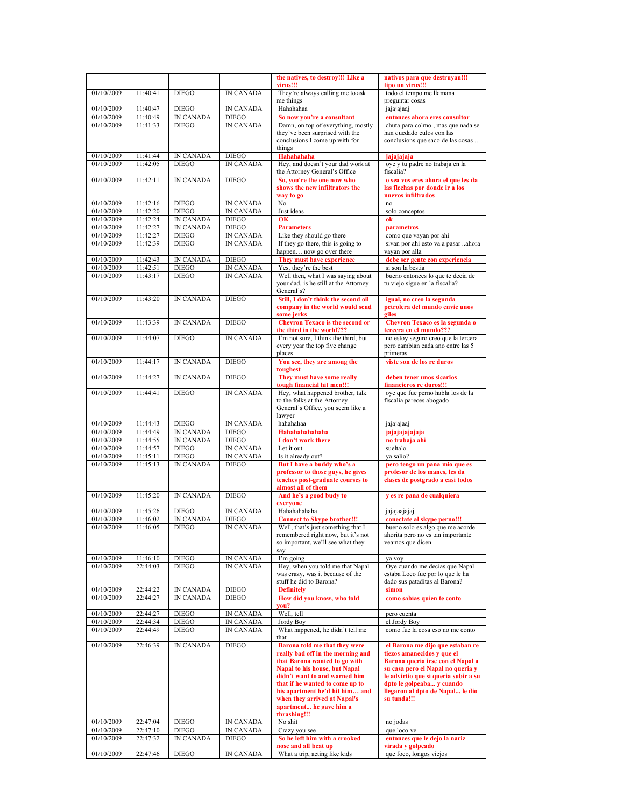|                          |                      |                  |                           | the natives, to destroy!!! Like a                                        | nativos para que destruyan!!!                                          |
|--------------------------|----------------------|------------------|---------------------------|--------------------------------------------------------------------------|------------------------------------------------------------------------|
|                          |                      |                  |                           | virus!!!                                                                 | tipo un virus!!!                                                       |
| 01/10/2009               | 11:40:41             | <b>DIEGO</b>     | IN CANADA                 | They're always calling me to ask                                         | todo el tempo me llamana                                               |
|                          |                      |                  |                           | me things                                                                | preguntar cosas                                                        |
| 01/10/2009               | 11:40:47             | <b>DIEGO</b>     | <b>IN CANADA</b>          | Hahahahaa                                                                | jajajajaaj                                                             |
| 01/10/2009               | 11:40:49             | <b>IN CANADA</b> | <b>DIEGO</b>              | So now you're a consultant                                               | entonces ahora eres consultor                                          |
| 01/10/2009               | 11:41:33             | <b>DIEGO</b>     | <b>IN CANADA</b>          | Damn, on top of everything, mostly<br>they've been surprised with the    | chuta para colmo, mas que nada se<br>han quedado culos con las         |
|                          |                      |                  |                           | conclusions I come up with for                                           | conclusions que saco de las cosas                                      |
|                          |                      |                  |                           | things                                                                   |                                                                        |
| 01/10/2009               | 11:41:44             | <b>IN CANADA</b> | <b>DIEGO</b>              | Hahahahaha                                                               | jajajajaja                                                             |
| 01/10/2009               | 11:42:05             | <b>DIEGO</b>     | <b>IN CANADA</b>          | Hey, and doesn't your dad work at                                        | oye y tu padre no trabaja en la                                        |
|                          |                      |                  |                           | the Attorney General's Office                                            | fiscalia?                                                              |
| 01/10/2009               | 11:42:11             | <b>IN CANADA</b> | <b>DIEGO</b>              | So, you're the one now who                                               | o sea vos eres ahora el que les da                                     |
|                          |                      |                  |                           | shows the new infiltrators the                                           | las flechas por donde ir a los                                         |
|                          |                      |                  |                           | way to go                                                                | nuevos infiltrados                                                     |
| 01/10/2009               | 11:42:16             | <b>DIEGO</b>     | <b>IN CANADA</b>          | No                                                                       | no                                                                     |
| 01/10/2009               | 11:42:20             | <b>DIEGO</b>     | <b>IN CANADA</b>          | Just ideas                                                               | solo conceptos                                                         |
| 01/10/2009               | 11:42:24             | <b>IN CANADA</b> | <b>DIEGO</b>              | OK                                                                       | ok                                                                     |
| 01/10/2009               | 11:42:27             | <b>IN CANADA</b> | <b>DIEGO</b>              | <b>Parameters</b>                                                        | parametros                                                             |
| 01/10/2009               | 11:42:27             | <b>DIEGO</b>     | IN CANADA                 | Like they should go there                                                | como que vayan por ahi                                                 |
| 01/10/2009               | 11:42:39             | <b>DIEGO</b>     | <b>IN CANADA</b>          | If they go there, this is going to                                       | sivan por ahi esto va a pasar ahora                                    |
|                          |                      |                  |                           | happen now go over there                                                 | vayan por alla                                                         |
| 01/10/2009               | 11:42:43             | <b>IN CANADA</b> | <b>DIEGO</b>              | They must have experience                                                | debe ser gente con experiencia                                         |
| 01/10/2009               | 11:42:51             | <b>DIEGO</b>     | <b>IN CANADA</b>          | Yes, they're the best                                                    | si son la bestia                                                       |
| 01/10/2009               | 11:43:17             | <b>DIEGO</b>     | <b>IN CANADA</b>          | Well then, what I was saying about                                       | bueno entonces lo que te decia de                                      |
|                          |                      |                  |                           | your dad, is he still at the Attorney                                    | tu viejo sigue en la fiscalia?                                         |
|                          |                      |                  |                           | General's?                                                               |                                                                        |
| 01/10/2009               | 11:43:20             | <b>IN CANADA</b> | <b>DIEGO</b>              | Still, I don't think the second oil                                      | igual, no creo la segunda                                              |
|                          |                      |                  |                           | company in the world would send                                          | petrolera del mundo envie unos                                         |
| 01/10/2009               | 11:43:39             | <b>IN CANADA</b> | <b>DIEGO</b>              | some jerks<br><b>Chevron Texaco is the second or</b>                     | giles                                                                  |
|                          |                      |                  |                           | the third in the world???                                                | Chevron Texaco es la segunda o<br>tercera en el mundo???               |
| 01/10/2009               | 11:44:07             | <b>DIEGO</b>     | <b>IN CANADA</b>          | I'm not sure, I think the third, but                                     | no estoy seguro creo que la tercera                                    |
|                          |                      |                  |                           | every year the top five change                                           | pero cambian cada ano entre las 5                                      |
|                          |                      |                  |                           | places                                                                   | primeras                                                               |
| 01/10/2009               | 11:44:17             | <b>IN CANADA</b> | <b>DIEGO</b>              | You see, they are among the                                              | viste son de los re duros                                              |
|                          |                      |                  |                           | toughest                                                                 |                                                                        |
| 01/10/2009               | 11:44:27             | <b>IN CANADA</b> | <b>DIEGO</b>              | They must have some really                                               | deben tener unos sicarios                                              |
|                          |                      |                  |                           | tough financial hit men!!!                                               | financieros re duros!!!                                                |
| 01/10/2009               | 11:44:41             | <b>DIEGO</b>     | <b>IN CANADA</b>          | Hey, what happened brother, talk                                         | oye que fue perno habla los de la                                      |
|                          |                      |                  |                           | to the folks at the Attorney                                             | fiscalia pareces abogado                                               |
|                          |                      |                  |                           | General's Office, you seem like a                                        |                                                                        |
|                          |                      |                  |                           | lawyer                                                                   |                                                                        |
| 01/10/2009               | 11:44:43             | <b>DIEGO</b>     | <b>IN CANADA</b>          | hahahaa                                                                  | jajajajaaj                                                             |
| 01/10/2009               | 11:44:49             | <b>IN CANADA</b> | <b>DIEGO</b>              | Hahahahahahaha                                                           | jajajajajaja                                                           |
| 01/10/2009<br>01/10/2009 | 11:44:55             | <b>IN CANADA</b> | <b>DIEGO</b>              | I don't work there                                                       | no trabaja ahi                                                         |
|                          |                      |                  |                           | Let it out                                                               |                                                                        |
|                          | 11:44:57             | <b>DIEGO</b>     | <b>IN CANADA</b>          |                                                                          | sueltalo                                                               |
| 01/10/2009               | 11:45:11             | <b>DIEGO</b>     | <b>IN CANADA</b>          | Is it already out?                                                       | va salio?                                                              |
| 01/10/2009               | 11:45:13             | <b>IN CANADA</b> | <b>DIEGO</b>              | But I have a buddy who's a                                               | pero tengo un pana mio que es                                          |
|                          |                      |                  |                           | professor to those guys, he gives                                        | profesor de los manes, les da                                          |
|                          |                      |                  |                           | teaches post-graduate courses to                                         | clases de postgrado a casi todos                                       |
|                          |                      |                  |                           | almost all of them                                                       |                                                                        |
| 01/10/2009               | 11:45:20             | <b>IN CANADA</b> | <b>DIEGO</b>              | And he's a good budy to                                                  | y es re pana de cualquiera                                             |
|                          |                      | <b>DIEGO</b>     |                           | everyone<br>Hahahahahaha                                                 |                                                                        |
| 01/10/2009<br>01/10/2009 | 11:45:26<br>11:46:02 | <b>IN CANADA</b> | <b>IN CANADA</b><br>DIEGO |                                                                          | jajajaajajaj                                                           |
|                          |                      |                  | <b>IN CANADA</b>          | <b>Connect to Skype brother!!!</b>                                       | conectate al skype perno!!!                                            |
| 01/10/2009               | 11:46:05             | <b>DIEGO</b>     |                           | Well, that's just something that I<br>remembered right now, but it's not | bueno solo es algo que me acorde<br>ahorita pero no es tan importante  |
|                          |                      |                  |                           | so important, we'll see what they                                        | veamos que dicen                                                       |
|                          |                      |                  |                           | say                                                                      |                                                                        |
| 01/10/2009               | 11:46:10             | <b>DIEGO</b>     | IN CANADA                 | I'm going                                                                | ya voy                                                                 |
| 01/10/2009               | 22:44:03             | <b>DIEGO</b>     | <b>IN CANADA</b>          | Hey, when you told me that Napal                                         | Oye cuando me decias que Napal                                         |
|                          |                      |                  |                           | was crazy, was it because of the                                         | estaba Loco fue por lo que le ha                                       |
|                          |                      |                  |                           | stuff he did to Barona?                                                  | dado sus pataditas al Barona?                                          |
| 01/10/2009               | 22:44:22             | IN CANADA        | <b>DIEGO</b>              | <b>Definitely</b>                                                        | simon                                                                  |
| 01/10/2009               | 22:44:27             | <b>IN CANADA</b> | <b>DIEGO</b>              | How did you know, who told                                               | como sabias quien te conto                                             |
|                          |                      |                  |                           | you?                                                                     |                                                                        |
| 01/10/2009               | 22:44:27             | <b>DIEGO</b>     | IN CANADA                 | Well, tell                                                               | pero cuenta                                                            |
| 01/10/2009               | 22:44:34             | <b>DIEGO</b>     | IN CANADA                 | Jordy Boy                                                                | el Jordy Boy                                                           |
| 01/10/2009               | 22:44:49             | <b>DIEGO</b>     | <b>IN CANADA</b>          | What happened, he didn't tell me                                         | como fue la cosa eso no me conto                                       |
|                          |                      |                  |                           | that                                                                     |                                                                        |
| 01/10/2009               | 22:46:39             | <b>IN CANADA</b> | <b>DIEGO</b>              | Barona told me that they were                                            | el Barona me dijo que estaban re                                       |
|                          |                      |                  |                           | really bad off in the morning and                                        | tiezos amanecidos y que el                                             |
|                          |                      |                  |                           | that Barona wanted to go with<br>Napal to his house, but Napal           | Barona queria irse con el Napal a<br>su casa pero el Napal no queria y |
|                          |                      |                  |                           | didn't want to and warned him                                            | le advirtio que si queria subir a su                                   |
|                          |                      |                  |                           | that if he wanted to come up to                                          | dpto le golpeaba y cuando                                              |
|                          |                      |                  |                           | his apartment he'd hit him and                                           | llegaron al dpto de Napal le dio                                       |
|                          |                      |                  |                           | when they arrived at Napal's                                             | su tunda!!!                                                            |
|                          |                      |                  |                           | apartment he gave him a                                                  |                                                                        |
|                          |                      |                  |                           | thrashing!!!                                                             |                                                                        |
| 01/10/2009               | 22:47:04             | <b>DIEGO</b>     | <b>IN CANADA</b>          | No shit                                                                  | no jodas                                                               |
| 01/10/2009               | 22:47:10             | <b>DIEGO</b>     | IN CANADA                 | Crazy you see                                                            | que loco ve                                                            |
| 01/10/2009               | 22:47:32             | IN CANADA        | DIEGO                     | So he left him with a crooked                                            | entonces que le dejo la nariz                                          |
| 01/10/2009               | 22:47:46             | <b>DIEGO</b>     | <b>IN CANADA</b>          | nose and all beat up<br>What a trip, acting like kids                    | virada y golpeado<br>que foco, longos viejos                           |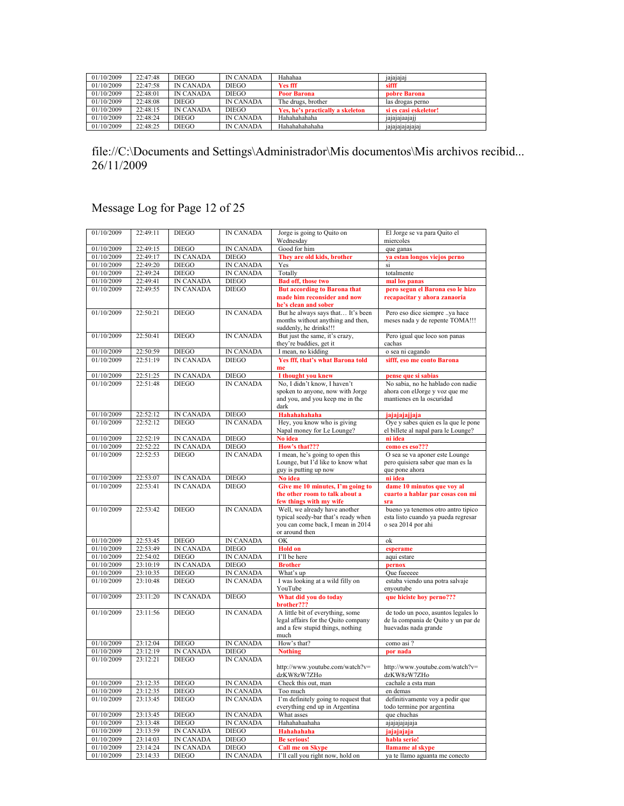| 01/10/2009 | 22:47:48 | <b>DIEGO</b>     | <b>IN CANADA</b> | Hahahaa                          | .<br>jajajajaj        |
|------------|----------|------------------|------------------|----------------------------------|-----------------------|
| 01/10/2009 | 22:47:58 | <b>IN CANADA</b> | <b>DIEGO</b>     | Yes fff                          | sifff                 |
| 01/10/2009 | 22:48:01 | <b>IN CANADA</b> | <b>DIEGO</b>     | <b>Poor Barona</b>               | pobre Barona          |
| 01/10/2009 | 22:48:08 | <b>DIEGO</b>     | <b>IN CANADA</b> | The drugs, brother               | las drogas perno      |
| 01/10/2009 | 22:48:15 | <b>IN CANADA</b> | DIEGO            | Yes, he's practically a skeleton | si es casi eskeletor! |
| 01/10/2009 | 22:48:24 | <b>DIEGO</b>     | <b>IN CANADA</b> | Hahahahahaha                     | .<br>jajajajaajaji    |
| 01/10/2009 | 22:48:25 | <b>DIEGO</b>     | <b>IN CANADA</b> | Hahahahahahaha                   | <i>safafafafafaf</i>  |

## Message Log for Page 12 of 25

| 01/10/2009               | 22:49:11             | <b>DIEGO</b>                     | <b>IN CANADA</b>                 | Jorge is going to Quito on                                                                                                  | El Jorge se va para Quito el                                                                       |
|--------------------------|----------------------|----------------------------------|----------------------------------|-----------------------------------------------------------------------------------------------------------------------------|----------------------------------------------------------------------------------------------------|
|                          |                      |                                  |                                  | Wednesday                                                                                                                   | miercoles                                                                                          |
| 01/10/2009               | 22:49:15<br>22:49:17 | <b>DIEGO</b>                     | <b>IN CANADA</b><br><b>DIEGO</b> | Good for him                                                                                                                | que ganas                                                                                          |
| 01/10/2009<br>01/10/2009 | 22:49:20             | <b>IN CANADA</b><br><b>DIEGO</b> | <b>IN CANADA</b>                 | They are old kids, brother<br>Yes                                                                                           | ya estan longos viejos perno<br>si                                                                 |
| 01/10/2009               | 22:49:24             | <b>DIEGO</b>                     | <b>IN CANADA</b>                 | Totally                                                                                                                     | totalmente                                                                                         |
| 01/10/2009               | 22:49:41             | <b>IN CANADA</b>                 | <b>DIEGO</b>                     | <b>Bad off, those two</b>                                                                                                   | mal los panas                                                                                      |
| 01/10/2009               | 22:49:55             | <b>IN CANADA</b>                 | <b>DIEGO</b>                     | <b>But according to Barona that</b>                                                                                         | pero segun el Barona eso le hizo                                                                   |
|                          |                      |                                  |                                  | made him reconsider and now<br>he's clean and sober                                                                         | recapacitar y ahora zanaoria                                                                       |
| 01/10/2009               | 22:50:21             | <b>DIEGO</b>                     | <b>IN CANADA</b>                 | But he always says that It's been<br>months without anything and then,<br>suddenly, he drinks!!!                            | Pero eso dice siempre ya hace<br>meses nada y de repente TOMA!!!                                   |
| 01/10/2009               | 22:50:41             | <b>DIEGO</b>                     | <b>IN CANADA</b>                 | But just the same, it's crazy,<br>they're buddies, get it                                                                   | Pero igual que loco son panas<br>cachas                                                            |
| 01/10/2009               | 22:50:59             | <b>DIEGO</b>                     | <b>IN CANADA</b>                 | I mean, no kidding                                                                                                          | o sea ni cagando                                                                                   |
| 01/10/2009               | 22:51:19             | <b>IN CANADA</b>                 | <b>DIEGO</b>                     | Yes fff, that's what Barona told<br>me                                                                                      | sifff, eso me conto Barona                                                                         |
| 01/10/2009               | 22:51:25             | <b>IN CANADA</b>                 | <b>DIEGO</b>                     | I thought you knew                                                                                                          | pense que si sabias                                                                                |
| 01/10/2009               | 22:51:48             | <b>DIEGO</b>                     | <b>IN CANADA</b>                 | No. I didn't know. I haven't<br>spoken to anyone, now with Jorge<br>and you, and you keep me in the<br>dark                 | No sabia, no he hablado con nadie<br>ahora con elJorge y voz que me<br>mantienes en la oscuridad   |
| 01/10/2009               | 22:52:12             | <b>IN CANADA</b>                 | <b>DIEGO</b>                     | Hahahahahaha                                                                                                                | jajajajajjaja                                                                                      |
| 01/10/2009               | 22:52:12             | <b>DIEGO</b>                     | <b>IN CANADA</b>                 | Hey, you know who is giving<br>Napal money for Le Lounge?                                                                   | Oye y sabes quien es la que le pone<br>el billete al napal para le Lounge?                         |
| 01/10/2009               | 22:52:19             | <b>IN CANADA</b>                 | <b>DIEGO</b>                     | No idea                                                                                                                     | ni idea                                                                                            |
| 01/10/2009               | 22:52:22             | <b>IN CANADA</b>                 | <b>DIEGO</b>                     | How's that???                                                                                                               | como es eso???                                                                                     |
| 01/10/2009               | 22:52:53             | <b>DIEGO</b>                     | <b>IN CANADA</b>                 | I mean, he's going to open this<br>Lounge, but I'd like to know what<br>guy is putting up now                               | O sea se va aponer este Lounge<br>pero quisiera saber que man es la<br>que pone ahora              |
| 01/10/2009               | 22:53:07             | <b>IN CANADA</b>                 | <b>DIEGO</b>                     | No idea                                                                                                                     | ni idea                                                                                            |
| 01/10/2009               | 22:53:41             | <b>IN CANADA</b>                 | <b>DIEGO</b>                     | Give me 10 minutes, I'm going to<br>the other room to talk about a<br>few things with my wife                               | dame 10 minutos que voy al<br>cuarto a hablar par cosas con mi<br>sra                              |
| 01/10/2009               | 22:53:42             | <b>DIEGO</b>                     | <b>IN CANADA</b>                 | Well, we already have another<br>typical seedy-bar that's ready when<br>you can come back, I mean in 2014<br>or around then | bueno ya tenemos otro antro tipico<br>esta listo cuando ya pueda regresar<br>o sea 2014 por ahi    |
| 01/10/2009               | 22:53:45             | <b>DIEGO</b>                     | <b>IN CANADA</b>                 | OK                                                                                                                          | ok                                                                                                 |
| 01/10/2009               | 22:53:49             | <b>IN CANADA</b>                 | <b>DIEGO</b>                     | <b>Hold on</b>                                                                                                              | esperame                                                                                           |
| 01/10/2009               | 22:54:02             | <b>DIEGO</b>                     | <b>IN CANADA</b>                 | I'll be here                                                                                                                | aqui estare                                                                                        |
| 01/10/2009<br>01/10/2009 | 23:10:19<br>23:10:35 | <b>IN CANADA</b><br><b>DIEGO</b> | <b>DIEGO</b><br><b>IN CANADA</b> | <b>Brother</b><br>What's up                                                                                                 | pernox<br>Que fueeeee                                                                              |
| 01/10/2009               | 23:10:48             | <b>DIEGO</b>                     | <b>IN CANADA</b>                 | I was looking at a wild filly on                                                                                            | estaba viendo una potra salvaje                                                                    |
|                          |                      |                                  |                                  | YouTube                                                                                                                     | enyoutube                                                                                          |
| 01/10/2009               | 23:11:20             | <b>IN CANADA</b>                 | <b>DIEGO</b>                     | What did you do today<br>brother???                                                                                         | que hiciste hoy perno???                                                                           |
| 01/10/2009               | 23:11:56             | <b>DIEGO</b>                     | <b>IN CANADA</b>                 | A little bit of everything, some<br>legal affairs for the Quito company<br>and a few stupid things, nothing<br>much         | de todo un poco, asuntos legales lo<br>de la compania de Quito y un par de<br>huevadas nada grande |
| 01/10/2009               | 23:12:04             | <b>DIEGO</b>                     | IN CANADA                        | How's that?                                                                                                                 | como asi ?                                                                                         |
| 01/10/2009<br>01/10/2009 | 23:12:19<br>23:12:21 | <b>IN CANADA</b><br><b>DIEGO</b> | <b>DIEGO</b><br><b>IN CANADA</b> | <b>Nothing</b>                                                                                                              | por nada                                                                                           |
|                          |                      |                                  |                                  | http://www.youtube.com/watch?v=<br>dzKW8zW7ZHo                                                                              | http://www.youtube.com/watch?v=<br>dzKW8zW7ZHo                                                     |
| 01/10/2009               | 23:12:35             | <b>DIEGO</b>                     | <b>IN CANADA</b>                 | Check this out, man                                                                                                         | cachale a esta man                                                                                 |
| 01/10/2009               | 23:12:35             | <b>DIEGO</b>                     | <b>IN CANADA</b>                 | Too much                                                                                                                    | en demas                                                                                           |
| 01/10/2009               | 23:13:45             | <b>DIEGO</b>                     | <b>IN CANADA</b>                 | I'm definitely going to request that<br>everything end up in Argentina                                                      | definitivamente voy a pedir que<br>todo termine por argentina                                      |
| 01/10/2009               | 23:13:45             | <b>DIEGO</b>                     | <b>IN CANADA</b>                 | What asses                                                                                                                  | que chuchas                                                                                        |
| 01/10/2009<br>01/10/2009 | 23:13:48<br>23:13:59 | <b>DIEGO</b><br><b>IN CANADA</b> | <b>IN CANADA</b><br><b>DIEGO</b> | Hahahahaahaha<br>Hahahahaha                                                                                                 | ajajajajaja                                                                                        |
| 01/10/2009               | 23:14:03             | <b>IN CANADA</b>                 | <b>DIEGO</b>                     | <b>Be serious!</b>                                                                                                          | jajajajaja<br>habla serio!                                                                         |
| 01/10/2009               | 23:14:24             | <b>IN CANADA</b>                 | <b>DIEGO</b>                     | <b>Call me on Skype</b>                                                                                                     | llamame al skype                                                                                   |
| 01/10/2009               | 23:14:33             | <b>DIEGO</b>                     | <b>IN CANADA</b>                 | I'll call you right now, hold on                                                                                            | va te llamo aguanta me conecto                                                                     |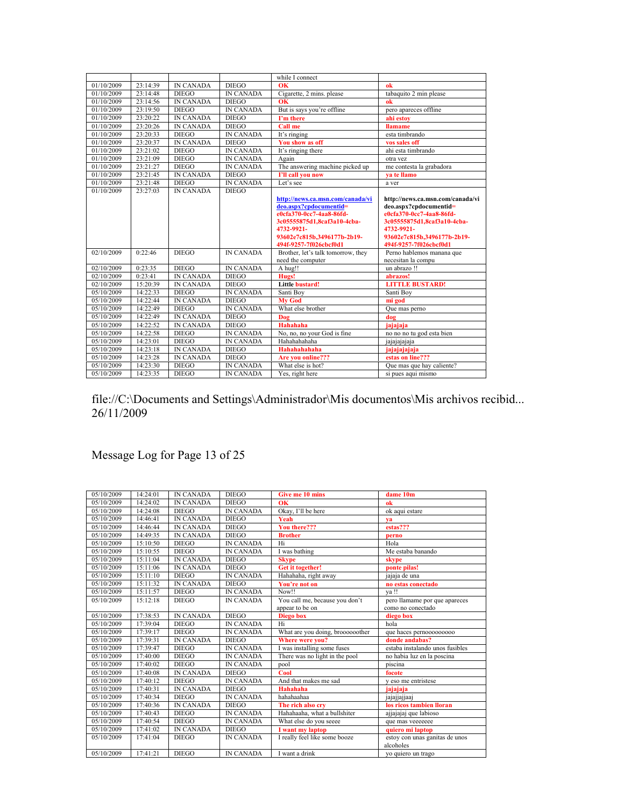|            |          |                  |                  | while I connect                    |                                  |
|------------|----------|------------------|------------------|------------------------------------|----------------------------------|
| 01/10/2009 | 23:14:39 | <b>IN CANADA</b> | <b>DIEGO</b>     | OK                                 | ok                               |
| 01/10/2009 | 23:14:48 | <b>DIEGO</b>     | <b>IN CANADA</b> | Cigarette, 2 mins. please          | tabaquito 2 min please           |
| 01/10/2009 | 23:14:56 | <b>IN CANADA</b> | <b>DIEGO</b>     | $\alpha$                           | ok                               |
| 01/10/2009 | 23:19:50 | <b>DIEGO</b>     | <b>IN CANADA</b> | But is says you're offline         | pero apareces offline            |
| 01/10/2009 | 23:20:22 | <b>IN CANADA</b> | <b>DIEGO</b>     | <b>Pm</b> there                    | ahi estov                        |
| 01/10/2009 | 23:20:26 | <b>IN CANADA</b> | <b>DIEGO</b>     | <b>Call me</b>                     | <b>llamame</b>                   |
| 01/10/2009 | 23:20:33 | <b>DIEGO</b>     | <b>IN CANADA</b> | It's ringing                       | esta timbrando                   |
| 01/10/2009 | 23:20:37 | <b>IN CANADA</b> | <b>DIEGO</b>     | You show as off                    | vos sales off                    |
| 01/10/2009 | 23:21:02 | <b>DIEGO</b>     | IN CANADA        | It's ringing there                 | ahi esta timbrando               |
| 01/10/2009 | 23:21:09 | <b>DIEGO</b>     | <b>IN CANADA</b> | Again                              | otra vez                         |
| 01/10/2009 | 23:21:27 | <b>DIEGO</b>     | <b>IN CANADA</b> | The answering machine picked up    | me contesta la grabadora         |
| 01/10/2009 | 23:21:45 | <b>IN CANADA</b> | <b>DIEGO</b>     | I'll call you now                  | va te llamo                      |
| 01/10/2009 | 23:21:48 | <b>DIEGO</b>     | <b>IN CANADA</b> | Let's see                          | a ver                            |
| 01/10/2009 | 23:27:03 | <b>IN CANADA</b> | <b>DIEGO</b>     |                                    |                                  |
|            |          |                  |                  | http://news.ca.msn.com/canada/vi   | http://news.ca.msn.com/canada/vi |
|            |          |                  |                  | deo.aspx?cpdocumentid=             | deo.aspx?cpdocumentid=           |
|            |          |                  |                  | e0cfa370-0cc7-4aa8-86fd-           | e0cfa370-0cc7-4aa8-86fd-         |
|            |          |                  |                  | 3c05555875d1,8caf3a10-4cba-        | 3c05555875d1.8caf3a10-4cba-      |
|            |          |                  |                  | 4732-9921-                         | 4732-9921-                       |
|            |          |                  |                  | 93602e7c815b.3496177b-2b19-        | 93602e7c815b,3496177b-2b19-      |
|            |          |                  |                  | 494f-9257-7f026cbcf0d1             | 494f-9257-7f026cbcf0d1           |
| 02/10/2009 | 0:22:46  | <b>DIEGO</b>     | <b>IN CANADA</b> | Brother, let's talk tomorrow, they | Perno hablemos manana que        |
|            |          |                  |                  | need the computer                  | necesitan la compu               |
| 02/10/2009 | 0:23:35  | <b>DIEGO</b>     | <b>IN CANADA</b> | A hug!!                            | un abrazo !!                     |
| 02/10/2009 | 0:23:41  | <b>IN CANADA</b> | <b>DIEGO</b>     | Hugs!                              | abrazos!                         |
| 02/10/2009 | 15:20:39 | <b>IN CANADA</b> | <b>DIEGO</b>     | <b>Little bustard!</b>             | <b>LITTLE BUSTARD!</b>           |
| 05/10/2009 | 14:22:33 | <b>DIEGO</b>     | <b>IN CANADA</b> | Santi Boy                          | Santi Boy                        |
| 05/10/2009 | 14:22:44 | <b>IN CANADA</b> | <b>DIEGO</b>     | <b>Mv God</b>                      | mi god                           |
| 05/10/2009 | 14:22:49 | <b>DIEGO</b>     | <b>IN CANADA</b> | What else brother                  | Que mas perno                    |
| 05/10/2009 | 14:22:49 | <b>IN CANADA</b> | <b>DIEGO</b>     | Dog                                | dog                              |
| 05/10/2009 | 14.22.52 | <b>IN CANADA</b> | <b>DIEGO</b>     | Hahahaha                           | jajajaja                         |
| 05/10/2009 | 14:22:58 | <b>DIEGO</b>     | <b>IN CANADA</b> | No, no, no your God is fine        | no no no tu god esta bien        |
| 05/10/2009 | 14:23:01 | <b>DIEGO</b>     | <b>IN CANADA</b> | Hahahahaha                         | jajajajajaja                     |
| 05/10/2009 | 14:23:18 | <b>IN CANADA</b> | <b>DIEGO</b>     | Hahahahahaha                       | jajajajajaja                     |
| 05/10/2009 | 14:23:28 | <b>IN CANADA</b> | <b>DIEGO</b>     | Are you online???                  | estas on line???                 |
| 05/10/2009 | 14:23:30 | <b>DIEGO</b>     | <b>IN CANADA</b> | What else is hot?                  | Que mas que hay caliente?        |
| 05/10/2009 | 14:23:35 | <b>DIEGO</b>     | <b>IN CANADA</b> | Yes, right here                    | si pues aqui mismo               |
|            |          |                  |                  |                                    |                                  |

## Message Log for Page 13 of 25

| 05/10/2009 | 14:24:01 | <b>IN CANADA</b> | <b>DIEGO</b>     | Give me 10 mins                  | dame 10m                        |
|------------|----------|------------------|------------------|----------------------------------|---------------------------------|
| 05/10/2009 | 14:24:02 | <b>IN CANADA</b> | <b>DIEGO</b>     | OK                               | ok                              |
| 05/10/2009 | 14:24:08 | <b>DIEGO</b>     | <b>IN CANADA</b> | Okay, I'll be here               | ok aqui estare                  |
| 05/10/2009 | 14:46:41 | <b>IN CANADA</b> | <b>DIEGO</b>     | Yeah                             | va                              |
| 05/10/2009 | 14:46:44 | <b>IN CANADA</b> | <b>DIEGO</b>     | You there???                     | estas???                        |
| 05/10/2009 | 14:49:35 | <b>IN CANADA</b> | <b>DIEGO</b>     | <b>Brother</b>                   | perno                           |
| 05/10/2009 | 15:10:50 | <b>DIEGO</b>     | <b>IN CANADA</b> | Hi                               | Hola                            |
| 05/10/2009 | 15:10:55 | <b>DIEGO</b>     | <b>IN CANADA</b> | I was bathing                    | Me estaba banando               |
| 05/10/2009 | 15:11:04 | <b>IN CANADA</b> | <b>DIEGO</b>     | <b>Skype</b>                     | skype                           |
| 05/10/2009 | 15:11:06 | <b>IN CANADA</b> | <b>DIEGO</b>     | Get it together!                 | ponte pilas!                    |
| 05/10/2009 | 15:11:10 | <b>DIEGO</b>     | <b>IN CANADA</b> | Hahahaha, right away             | jajaja de una                   |
| 05/10/2009 | 15:11:32 | <b>IN CANADA</b> | <b>DIEGO</b>     | You're not on                    | no estas conectado              |
| 05/10/2009 | 15:11:57 | <b>DIEGO</b>     | <b>IN CANADA</b> | Now!!                            | va!!                            |
| 05/10/2009 | 15:12:18 | <b>DIEGO</b>     | <b>IN CANADA</b> | You call me, because you don't   | pero llamame por que apareces   |
|            |          |                  |                  | appear to be on                  | como no conectado               |
| 05/10/2009 | 17:38:53 | <b>IN CANADA</b> | <b>DIEGO</b>     | <b>Diego</b> box                 | diego box                       |
| 05/10/2009 | 17:39:04 | <b>DIEGO</b>     | <b>IN CANADA</b> | Hi                               | hola                            |
| 05/10/2009 | 17:39:17 | <b>DIEGO</b>     | <b>IN CANADA</b> | What are you doing, broooooother | que haces pernooooooooo         |
| 05/10/2009 | 17:39:31 | <b>IN CANADA</b> | <b>DIEGO</b>     | Where were you?                  | donde andabas?                  |
| 05/10/2009 | 17:39:47 | <b>DIEGO</b>     | <b>IN CANADA</b> | I was installing some fuses      | estaba instalando unos fusibles |
| 05/10/2009 | 17:40:00 | <b>DIEGO</b>     | <b>IN CANADA</b> | There was no light in the pool   | no habia luz en la poscina      |
| 05/10/2009 | 17:40:02 | <b>DIEGO</b>     | <b>IN CANADA</b> | pool                             | piscina                         |
| 05/10/2009 | 17:40:08 | <b>IN CANADA</b> | <b>DIEGO</b>     | Cool                             | focote                          |
| 05/10/2009 | 17:40:12 | <b>DIEGO</b>     | <b>IN CANADA</b> | And that makes me sad            | v eso me entristese             |
| 05/10/2009 | 17:40:31 | <b>IN CANADA</b> | <b>DIEGO</b>     | Hahahaha                         | jajajaja                        |
| 05/10/2009 | 17:40:34 | <b>DIEGO</b>     | <b>IN CANADA</b> | hahahaahaa                       | jajajjajjaaj                    |
| 05/10/2009 | 17:40:36 | <b>IN CANADA</b> | <b>DIEGO</b>     | The rich also cry                | los ricos tambien lloran        |
| 05/10/2009 | 17:40:43 | <b>DIEGO</b>     | <b>IN CANADA</b> | Hahahaaha, what a bullshiter     | ajjajajaj que labioso           |
| 05/10/2009 | 17:40:54 | <b>DIEGO</b>     | <b>IN CANADA</b> | What else do you seeee           | que mas veeeeeee                |
| 05/10/2009 | 17:41:02 | <b>IN CANADA</b> | <b>DIEGO</b>     | I want my laptop                 | quiero mi laptop                |
| 05/10/2009 | 17:41:04 | <b>DIEGO</b>     | <b>IN CANADA</b> | I really feel like some booze    | estoy con unas ganitas de unos  |
|            |          |                  |                  |                                  | alcoholes                       |
| 05/10/2009 | 17:41:21 | <b>DIEGO</b>     | <b>IN CANADA</b> | I want a drink                   | vo quiero un trago              |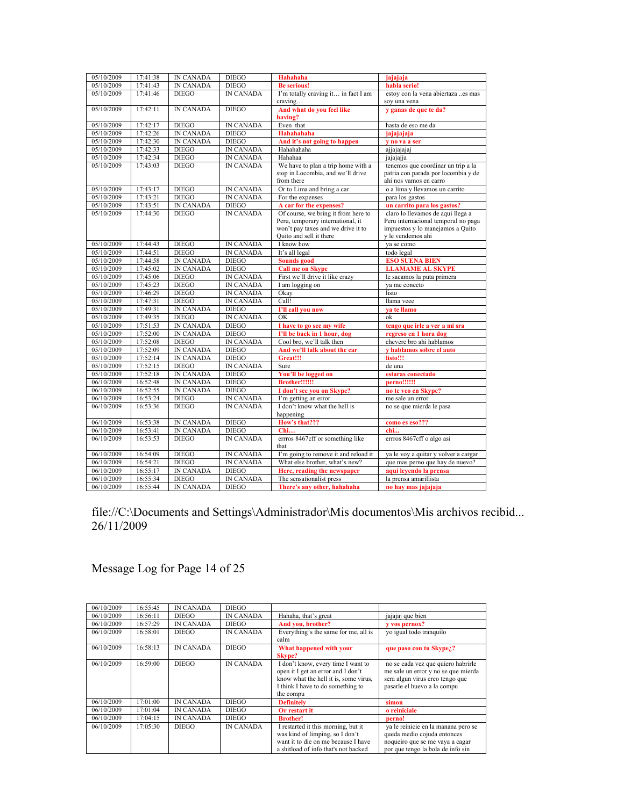| 05/10/2009 | 17:41:38 | <b>IN CANADA</b> | <b>DIEGO</b>     | <b>Hahahaha</b>                                | jajajaja                                           |
|------------|----------|------------------|------------------|------------------------------------------------|----------------------------------------------------|
| 05/10/2009 | 17:41:43 | <b>IN CANADA</b> | <b>DIEGO</b>     | <b>Be serious!</b>                             | habla serio!                                       |
| 05/10/2009 | 17:41:46 | <b>DIEGO</b>     | <b>IN CANADA</b> | I'm totally craving it in fact I am<br>craving | estoy con la vena abiertaza es mas<br>sov una vena |
| 05/10/2009 | 17:42:11 | <b>IN CANADA</b> | <b>DIEGO</b>     | And what do you feel like<br>having?           | y ganas de que te da?                              |
| 05/10/2009 | 17:42:17 | <b>DIEGO</b>     | IN CANADA        | Even that                                      | hasta de eso me da                                 |
| 05/10/2009 | 17:42:26 | <b>IN CANADA</b> | <b>DIEGO</b>     | <b>Hahahahaha</b>                              | iajajajaja                                         |
| 05/10/2009 | 17:42:30 | <b>IN CANADA</b> | <b>DIEGO</b>     | And it's not going to happen                   | y no va a ser                                      |
| 05/10/2009 | 17:42:33 | <b>DIEGO</b>     | <b>IN CANADA</b> | Hahahahaha                                     | ajjajajajaj                                        |
| 05/10/2009 | 17:42:34 | <b>DIEGO</b>     | <b>IN CANADA</b> | Hahahaa                                        | jajajajja                                          |
| 05/10/2009 | 17:43:03 | <b>DIEGO</b>     | <b>IN CANADA</b> | We have to plan a trip home with a             | tenemos que coordinar un trip a la                 |
|            |          |                  |                  | stop in Locombia, and we'll drive              | patria con parada por locombia y de                |
|            |          |                  |                  | from there                                     | ahi nos vamos en carro                             |
| 05/10/2009 | 17:43:17 | <b>DIEGO</b>     | <b>IN CANADA</b> | Or to Lima and bring a car                     | o a lima y llevamos un carrito                     |
| 05/10/2009 | 17:43:21 | <b>DIEGO</b>     | <b>IN CANADA</b> | For the expenses                               | para los gastos                                    |
| 05/10/2009 | 17:43:51 | <b>IN CANADA</b> | <b>DIEGO</b>     | A car for the expenses?                        | un carrito para los gastos?                        |
| 05/10/2009 | 17:44:30 | <b>DIEGO</b>     | <b>IN CANADA</b> | Of course, we bring it from here to            | claro lo llevamos de aqui llega a                  |
|            |          |                  |                  | Peru, temporary international, it              | Peru internacional temporal no paga                |
|            |          |                  |                  | won't pay taxes and we drive it to             | impuestos y lo manejamos a Ouito                   |
|            |          |                  |                  | Quito and sell it there                        | v le vendemos ahi                                  |
| 05/10/2009 | 17:44:43 | <b>DIEGO</b>     | <b>IN CANADA</b> | I know how                                     | va se como                                         |
| 05/10/2009 | 17:44:51 | <b>DIEGO</b>     | <b>IN CANADA</b> | It's all legal                                 | todo legal                                         |
| 05/10/2009 | 17:44:58 | <b>IN CANADA</b> | <b>DIEGO</b>     | Sounds good                                    | <b>ESO SUENA BIEN</b>                              |
| 05/10/2009 | 17:45:02 | <b>IN CANADA</b> | <b>DIEGO</b>     | <b>Call me on Skype</b>                        | <b>LLAMAME AL SKYPE</b>                            |
| 05/10/2009 | 17:45:06 | <b>DIEGO</b>     | <b>IN CANADA</b> | First we'll drive it like crazy                | le sacamos la puta primera                         |
| 05/10/2009 | 17:45:23 | <b>DIEGO</b>     | <b>IN CANADA</b> | I am logging on                                | va me conecto                                      |
| 05/10/2009 | 17:46:29 | <b>DIEGO</b>     | <b>IN CANADA</b> | Okav                                           | listo                                              |
| 05/10/2009 | 17:47:31 | <b>DIEGO</b>     | <b>IN CANADA</b> | Call!                                          | llama veee                                         |
| 05/10/2009 | 17:49:31 | <b>IN CANADA</b> | <b>DIEGO</b>     | I'll call you now                              | va te llamo                                        |
| 05/10/2009 | 17:49:35 | <b>DIEGO</b>     | <b>IN CANADA</b> | OK                                             | ok                                                 |
| 05/10/2009 | 17:51:53 | <b>IN CANADA</b> | <b>DIEGO</b>     | I have to go see my wife                       | tengo que irle a ver a mi sra                      |
| 05/10/2009 | 17:52:00 | <b>IN CANADA</b> | <b>DIEGO</b>     | I'll be back in 1 hour, dog                    | regreso en 1 hora dog                              |
| 05/10/2009 | 17:52:08 | <b>DIEGO</b>     | <b>IN CANADA</b> | Cool bro, we'll talk then                      | chevere bro ahi hablamos                           |
| 05/10/2009 | 17:52:09 | <b>IN CANADA</b> | <b>DIEGO</b>     | And we'll talk about the car                   | v hablamos sobre el auto                           |
| 05/10/2009 | 17:52:14 | <b>IN CANADA</b> | <b>DIEGO</b>     | Great!!!                                       | listo!!!                                           |
| 05/10/2009 | 17:52:15 | <b>DIEGO</b>     | <b>IN CANADA</b> | Sure                                           | de una                                             |
| 05/10/2009 | 17:52:18 | <b>IN CANADA</b> | <b>DIEGO</b>     | You'll be logged on                            | estaras conectado                                  |
| 06/10/2009 | 16:52:48 | <b>IN CANADA</b> | <b>DIEGO</b>     | Brother!!!!!!                                  | perno!!!!!!                                        |
| 06/10/2009 | 16:52:55 | <b>IN CANADA</b> | <b>DIEGO</b>     | I don't see you on Skype?                      | no te veo en Skype?                                |
| 06/10/2009 | 16:53:24 | <b>DIEGO</b>     | <b>IN CANADA</b> | I'm getting an error                           | me sale un error                                   |
| 06/10/2009 | 16:53:36 | <b>DIEGO</b>     | <b>IN CANADA</b> | I don't know what the hell is<br>happening     | no se que mierda le pasa                           |
| 06/10/2009 | 16:53:38 | <b>IN CANADA</b> | <b>DIEGO</b>     | How's that???                                  | como es eso???                                     |
| 06/10/2009 | 16:53:41 | <b>IN CANADA</b> | <b>DIEGO</b>     | Chi                                            | chi                                                |
| 06/10/2009 | 16:53:53 | <b>DIEGO</b>     | <b>IN CANADA</b> | errros 8467cff or something like<br>that       | errros 8467cff o algo asi                          |
| 06/10/2009 | 16:54:09 | <b>DIEGO</b>     | <b>IN CANADA</b> | I'm going to remove it and reload it           | ya le voy a quitar y volver a cargar               |
| 06/10/2009 | 16:54:21 | <b>DIEGO</b>     | <b>IN CANADA</b> | What else brother, what's new?                 | que mas perno que hay de nuevo?                    |
| 06/10/2009 | 16:55:17 | <b>IN CANADA</b> | <b>DIEGO</b>     | Here, reading the newspaper                    | aqui leyendo la prensa                             |
| 06/10/2009 | 16:55:34 | <b>DIEGO</b>     | <b>IN CANADA</b> | The sensationalist press                       | la prensa amarillista                              |
| 06/10/2009 | 16:55:44 | <b>IN CANADA</b> | <b>DIEGO</b>     | There's any other, hahahaha                    | no hay mas jajajaja                                |

# Message Log for Page 14 of 25

| 06/10/2009 | 16:55:45 | <b>IN CANADA</b> | <b>DIEGO</b>     |                                                                                                                                                                     |                                                                                                                                             |
|------------|----------|------------------|------------------|---------------------------------------------------------------------------------------------------------------------------------------------------------------------|---------------------------------------------------------------------------------------------------------------------------------------------|
| 06/10/2009 | 16:56:11 | <b>DIEGO</b>     | <b>IN CANADA</b> | Hahaha, that's great                                                                                                                                                | jajajaj que bien                                                                                                                            |
| 06/10/2009 | 16:57:29 | <b>IN CANADA</b> | <b>DIEGO</b>     | And you, brother?                                                                                                                                                   | v vos pernox?                                                                                                                               |
| 06/10/2009 | 16:58:01 | <b>DIEGO</b>     | <b>IN CANADA</b> | Everything's the same for me, all is                                                                                                                                | yo igual todo tranquilo                                                                                                                     |
|            |          |                  |                  | calm                                                                                                                                                                |                                                                                                                                             |
| 06/10/2009 | 16:58:13 | <b>IN CANADA</b> | <b>DIEGO</b>     | What happened with your                                                                                                                                             | que paso con tu Skypez?                                                                                                                     |
|            |          |                  |                  | <b>Skype?</b>                                                                                                                                                       |                                                                                                                                             |
| 06/10/2009 | 16:59:00 | <b>DIEGO</b>     | <b>IN CANADA</b> | I don't know, every time I want to<br>open it I get an error and I don't<br>know what the hell it is, some virus,<br>I think I have to do something to<br>the compu | no se cada vez que quiero habrirle<br>me sale un error y no se que mierda<br>sera algun virus creo tengo que<br>pasarle el huevo a la compu |
| 06/10/2009 | 17:01:00 | <b>IN CANADA</b> | <b>DIEGO</b>     | <b>Definitely</b>                                                                                                                                                   | simon                                                                                                                                       |
| 06/10/2009 | 17:01:04 | <b>IN CANADA</b> | <b>DIEGO</b>     | Or restart it                                                                                                                                                       | o reiniciale                                                                                                                                |
| 06/10/2009 | 17:04:15 | <b>IN CANADA</b> | <b>DIEGO</b>     | <b>Brother!</b>                                                                                                                                                     | perno!                                                                                                                                      |
| 06/10/2009 | 17:05:30 | <b>DIEGO</b>     | <b>IN CANADA</b> | I restarted it this morning, but it                                                                                                                                 | ya le reinicie en la manana pero se                                                                                                         |
|            |          |                  |                  | was kind of limping, so I don't                                                                                                                                     | queda medio cojuda entonces                                                                                                                 |
|            |          |                  |                  | want it to die on me because I have                                                                                                                                 | noqueiro que se me vaya a cagar                                                                                                             |
|            |          |                  |                  | a shitload of info that's not backed                                                                                                                                | por que tengo la bola de info sin                                                                                                           |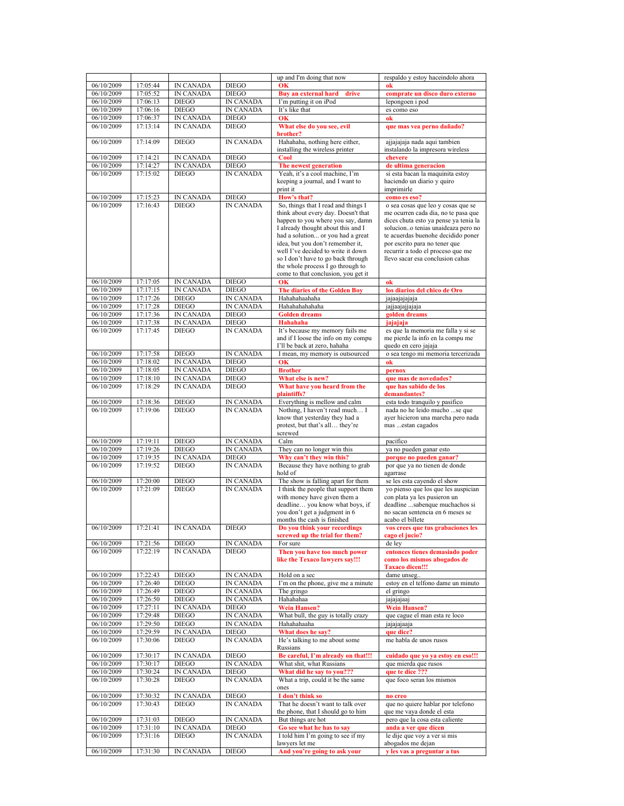|            |          |                  |                  | up and I'm doing that now                      | respaldo y estoy haceindolo ahora                |
|------------|----------|------------------|------------------|------------------------------------------------|--------------------------------------------------|
| 06/10/2009 | 17:05:44 | <b>IN CANADA</b> | <b>DIEGO</b>     | <b>OK</b>                                      | ok                                               |
| 06/10/2009 | 17:05:52 | <b>IN CANADA</b> | <b>DIEGO</b>     | Buy an external hard drive                     | comprate un disco duro externo                   |
| 06/10/2009 | 17:06:13 | <b>DIEGO</b>     | IN CANADA        | I'm putting it on iPod                         | lepongoen i pod                                  |
| 06/10/2009 | 17:06:16 | <b>DIEGO</b>     | <b>IN CANADA</b> | It's like that                                 | es como eso                                      |
| 06/10/2009 | 17:06:37 | <b>IN CANADA</b> | <b>DIEGO</b>     | OK                                             | ok                                               |
| 06/10/2009 | 17:13:14 | <b>IN CANADA</b> | <b>DIEGO</b>     | What else do you see, evil                     | que mas vea perno dañado?                        |
|            |          |                  |                  | brother?                                       |                                                  |
| 06/10/2009 | 17:14:09 | <b>DIEGO</b>     | <b>IN CANADA</b> | Hahahaha, nothing here either,                 | ajjajajaja nada aqui tambien                     |
|            |          |                  |                  | installing the wireless printer                | instalando la impresora wireless                 |
| 06/10/2009 | 17:14:21 | <b>IN CANADA</b> | <b>DIEGO</b>     | Cool                                           | chevere                                          |
| 06/10/2009 | 17:14:27 | <b>IN CANADA</b> | <b>DIEGO</b>     | The newest generation                          | de ultima generacion                             |
| 06/10/2009 | 17:15:02 | <b>DIEGO</b>     | <b>IN CANADA</b> | Yeah, it's a cool machine, I'm                 | si esta bacan la maquinita estoy                 |
|            |          |                  |                  | keeping a journal, and I want to               | haciendo un diario y quiro                       |
|            |          |                  |                  | print it                                       | imprimirle                                       |
| 06/10/2009 | 17:15:23 | <b>IN CANADA</b> | <b>DIEGO</b>     | How's that?                                    | como es eso?                                     |
| 06/10/2009 | 17:16:43 | <b>DIEGO</b>     | <b>IN CANADA</b> | So, things that I read and things I            | o sea cosas que leo y cosas que se               |
|            |          |                  |                  | think about every day. Doesn't that            | me ocurren cada dia, no te pasa que              |
|            |          |                  |                  | happen to you where you say, damn              | dices chuta esto ya pense ya tenia la            |
|            |          |                  |                  | I already thought about this and I             | soluciono tenias unaideaza pero no               |
|            |          |                  |                  | had a solution or you had a great              | te acuerdas buenohe decidido poner               |
|            |          |                  |                  | idea, but you don't remember it,               | por escrito para no tener que                    |
|            |          |                  |                  | well I've decided to write it down             | recurrir a todo el proceso que me                |
|            |          |                  |                  | so I don't have to go back through             | llevo sacar esa conclusion cahas                 |
|            |          |                  |                  | the whole process I go through to              |                                                  |
|            |          |                  |                  | come to that conclusion, you get it            |                                                  |
| 06/10/2009 | 17:17:05 | <b>IN CANADA</b> | <b>DIEGO</b>     | <b>OK</b>                                      | ok                                               |
| 06/10/2009 | 17:17:15 | <b>IN CANADA</b> | <b>DIEGO</b>     | The diaries of the Golden Boy                  | los diarios del chico de Oro                     |
| 06/10/2009 | 17:17:26 | <b>DIEGO</b>     | <b>IN CANADA</b> | Hahahahaahaha                                  | jajaajajajaja                                    |
| 06/10/2009 | 17:17:28 | <b>DIEGO</b>     | <b>IN CANADA</b> | Hahahahahaha                                   | jajjaajajjajaja                                  |
| 06/10/2009 | 17:17:36 | <b>IN CANADA</b> | <b>DIEGO</b>     | <b>Golden dreams</b>                           | golden dreams                                    |
| 06/10/2009 | 17:17:38 | IN CANADA        | <b>DIEGO</b>     | <b>Hahahaha</b>                                | jajajaja                                         |
| 06/10/2009 | 17:17:45 | <b>DIEGO</b>     | IN CANADA        | It's because my memory fails me                | es que la memoria me falla y si se               |
|            |          |                  |                  | and if I loose the info on my compu            | me pierde la info en la compu me                 |
|            |          |                  |                  | I'll be back at zero, hahaha                   | quedo en cero jajaja                             |
| 06/10/2009 | 17:17:58 | <b>DIEGO</b>     | <b>IN CANADA</b> | I mean, my memory is outsourced                | o sea tengo mi memoria tercerizada               |
| 06/10/2009 | 17:18:02 | <b>IN CANADA</b> | <b>DIEGO</b>     | $\overline{\mathbf{0}}$ K                      | o <sub>k</sub>                                   |
| 06/10/2009 | 17:18:05 | <b>IN CANADA</b> | <b>DIEGO</b>     | <b>Brother</b>                                 | pernox                                           |
| 06/10/2009 | 17:18:10 | <b>IN CANADA</b> | <b>DIEGO</b>     | What else is new?                              | que mas de novedades?                            |
| 06/10/2009 | 17:18:29 | <b>IN CANADA</b> | <b>DIEGO</b>     | What have you heard from the                   | que has sabido de los                            |
|            |          |                  |                  | plaintiffs?                                    | demandantes?                                     |
| 06/10/2009 | 17:18:36 | <b>DIEGO</b>     | IN CANADA        | Everything is mellow and calm                  | esta todo tranquilo y pasifico                   |
| 06/10/2009 | 17:19:06 | <b>DIEGO</b>     | IN CANADA        | Nothing, I haven't read much I                 | nada no he leido mucho se que                    |
|            |          |                  |                  | know that yesterday they had a                 | ayer hicieron una marcha pero nada               |
|            |          |                  |                  | protest, but that's all they're                | mas  estan cagados                               |
|            |          |                  |                  | screwed                                        |                                                  |
| 06/10/2009 | 17:19:11 | <b>DIEGO</b>     | IN CANADA        | Calm                                           | pacifico                                         |
| 06/10/2009 | 17:19:26 | <b>DIEGO</b>     | <b>IN CANADA</b> | They can no longer win this                    | ya no pueden ganar esto                          |
| 06/10/2009 | 17:19:35 | IN CANADA        | <b>DIEGO</b>     | Why can't they win this?                       | porque no pueden ganar?                          |
| 06/10/2009 | 17:19:52 | <b>DIEGO</b>     | <b>IN CANADA</b> | Because they have nothing to grab              | por que va no tienen de donde                    |
|            |          |                  |                  | hold of                                        |                                                  |
|            |          |                  |                  |                                                | agarrase                                         |
| 06/10/2009 | 17:20:00 | <b>DIEGO</b>     | <b>IN CANADA</b> | The show is falling apart for them             | se les esta cayendo el show                      |
| 06/10/2009 | 17:21:09 | <b>DIEGO</b>     | <b>IN CANADA</b> | I think the people that support them           | yo pienso que los que les auspician              |
|            |          |                  |                  | with money have given them a                   | con plata ya les pusieron un                     |
|            |          |                  |                  | deadline you know what boys, if                | deadline sabenque muchachos si                   |
|            |          |                  |                  | you don't get a judgment in 6                  | no sacan sentencia en 6 meses se                 |
|            |          |                  |                  | months the cash is finished                    | acabo el billete                                 |
| 06/10/2009 | 17:21:41 | IN CANADA        | DIEGO            | Do you think your recordings                   | vos crees que tus grabaciones les                |
|            |          |                  |                  | screwed up the trial for them?                 | cago el jucio?                                   |
| 06/10/2009 | 17:21:56 | <b>DIEGO</b>     | <b>IN CANADA</b> | For sure                                       | de ley                                           |
| 06/10/2009 | 17:22:19 | IN CANADA        | <b>DIEGO</b>     | Then you have too much power                   | entonces tienes demasiado poder                  |
|            |          |                  |                  | like the Texaco lawyers say!!!                 | como los mismos abogados de                      |
|            |          |                  |                  |                                                | <b>Taxaco dicen!!!</b>                           |
| 06/10/2009 | 17:22:43 | <b>DIEGO</b>     | IN CANADA        | Hold on a sec                                  | dame unseg                                       |
| 06/10/2009 | 17:26:40 | <b>DIEGO</b>     | IN CANADA        | I'm on the phone, give me a minute             | estoy en el telfono dame un minuto               |
| 06/10/2009 | 17:26:49 | <b>DIEGO</b>     | IN CANADA        | The gringo                                     | el gringo                                        |
| 06/10/2009 | 17:26:50 | <b>DIEGO</b>     | IN CANADA        | Hahahahaa                                      | jajajajaaj                                       |
| 06/10/2009 | 17:27:11 | IN CANADA        | <b>DIEGO</b>     | <b>Wein Hansen?</b>                            | <b>Wein Hansen?</b>                              |
| 06/10/2009 | 17:29:48 | <b>DIEGO</b>     | IN CANADA        | What bull, the guy is totally crazy            | que cague el man esta re loco                    |
| 06/10/2009 | 17:29:50 | <b>DIEGO</b>     | IN CANADA        | Hahahahaaha                                    | jajajajaaja                                      |
| 06/10/2009 | 17:29:59 | IN CANADA        | <b>DIEGO</b>     | What does he say?                              | que dice?                                        |
| 06/10/2009 | 17:30:06 | <b>DIEGO</b>     | IN CANADA        | He's talking to me about some                  | me habla de unos rusos                           |
|            |          |                  |                  | Russians                                       |                                                  |
| 06/10/2009 | 17:30:17 | <b>IN CANADA</b> | <b>DIEGO</b>     | Be careful, I'm already on that!!!             | cuidado que vo va estov en eso!!!                |
| 06/10/2009 | 17:30:17 | <b>DIEGO</b>     | IN CANADA        | What shit, what Russians                       | que mierda que rusos                             |
| 06/10/2009 | 17:30:24 | IN CANADA        | <b>DIEGO</b>     | What did he say to you???                      | que te dice ???                                  |
| 06/10/2009 | 17:30:28 | <b>DIEGO</b>     | IN CANADA        | What a trip, could it be the same              | que foco seran los mismos                        |
|            |          |                  |                  | ones                                           |                                                  |
| 06/10/2009 | 17:30:32 | IN CANADA        | <b>DIEGO</b>     | I don't think so                               | no creo                                          |
| 06/10/2009 | 17:30:43 | <b>DIEGO</b>     | IN CANADA        | That he doesn't want to talk over              | que no quiere hablar por telefono                |
|            |          |                  |                  | the phone, that I should go to him             | que me vaya donde el esta                        |
| 06/10/2009 | 17:31:03 | <b>DIEGO</b>     | IN CANADA        | But things are hot                             | pero que la cosa esta caliente                   |
| 06/10/2009 | 17:31:10 | <b>IN CANADA</b> | <b>DIEGO</b>     | Go see what he has to say                      | anda a ver que dicen                             |
| 06/10/2009 | 17:31:16 | DIEGO            | IN CANADA        | I told him I'm going to see if my              | le dije que voy a ver si mis                     |
| 06/10/2009 | 17:31:30 | IN CANADA        | <b>DIEGO</b>     | lawyers let me<br>And you're going to ask your | abogados me dejan<br>y les vas a preguntar a tus |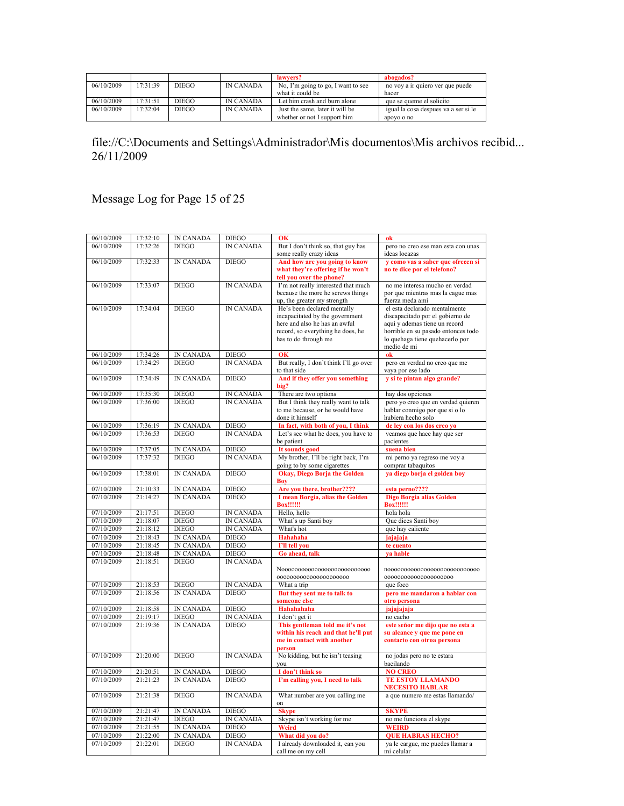|            |          |              |                  | lawyers?                           | abogados?                            |
|------------|----------|--------------|------------------|------------------------------------|--------------------------------------|
| 06/10/2009 | 17.31.39 | DIEGO        | <b>IN CANADA</b> | No, I'm going to go, I want to see | no voy a ir quiero ver que puede     |
|            |          |              |                  | what it could be                   | hacer                                |
| 06/10/2009 | 17:31:51 | DIEGO        | <b>IN CANADA</b> | Let him crash and burn alone       | que se queme el solicito             |
| 06/10/2009 | 17.32.04 | <b>DIEGO</b> | <b>IN CANADA</b> | Just the same, later it will be    | igual la cosa despues va a ser si le |
|            |          |              |                  | whether or not I support him       | apovo o no                           |

Message Log for Page 15 of 25

| 06/10/2009             | 17:32:10 | <b>IN CANADA</b> | <b>DIEGO</b>     | OK                                     | ok                                                        |
|------------------------|----------|------------------|------------------|----------------------------------------|-----------------------------------------------------------|
| 06/10/2009             | 17:32:26 | <b>DIEGO</b>     | <b>IN CANADA</b> | But I don't think so, that guy has     | pero no creo ese man esta con unas                        |
|                        |          |                  |                  | some really crazy ideas                | ideas locazas                                             |
| 06/10/2009             | 17:32:33 | <b>IN CANADA</b> | <b>DIEGO</b>     | And how are you going to know          | y como vas a saber que ofrecen si                         |
|                        |          |                  |                  | what they're offering if he won't      | no te dice por el telefono?                               |
|                        |          |                  |                  | tell you over the phone?               |                                                           |
| 06/10/2009             | 17:33:07 | <b>DIEGO</b>     | <b>IN CANADA</b> | I'm not really interested that much    | no me interesa mucho en verdad                            |
|                        |          |                  |                  | because the more he screws things      | por que mientras mas la cague mas                         |
|                        |          |                  |                  | up, the greater my strength            | fuerza meda ami                                           |
| 06/10/2009             | 17:34:04 | <b>DIEGO</b>     | <b>IN CANADA</b> | He's been declared mentally            | el esta declarado mentalmente                             |
|                        |          |                  |                  | incapacitated by the government        | discapacitado por el gobierno de                          |
|                        |          |                  |                  | here and also he has an awful          | aqui y ademas tiene un record                             |
|                        |          |                  |                  | record, so everything he does, he      | horrible en su pasado entonces todo                       |
|                        |          |                  |                  | has to do through me                   | lo quehaga tiene quehacerlo por                           |
|                        |          |                  |                  |                                        | medio de mi                                               |
| 06/10/2009             | 17:34:26 | <b>IN CANADA</b> | <b>DIEGO</b>     | OK                                     | ok                                                        |
| 06/10/2009             | 17:34:29 | <b>DIEGO</b>     | <b>IN CANADA</b> | But really, I don't think I'll go over | pero en verdad no creo que me                             |
|                        |          |                  |                  | to that side                           | vaya por ese lado                                         |
| 06/10/2009             | 17:34:49 | <b>IN CANADA</b> | <b>DIEGO</b>     | And if they offer you something        | v si te pintan algo grande?                               |
|                        |          |                  |                  | big?                                   |                                                           |
| 06/10/2009             | 17:35:30 | <b>DIEGO</b>     | IN CANADA        | There are two options                  | hay dos opciones                                          |
| 06/10/2009             | 17:36:00 | <b>DIEGO</b>     | <b>IN CANADA</b> | But I think they really want to talk   | pero yo creo que en verdad quieren                        |
|                        |          |                  |                  | to me because, or he would have        | hablar conmigo por que si o lo                            |
|                        |          |                  |                  | done it himself                        | hubiera hecho solo                                        |
| 06/10/2009             | 17:36:19 | <b>IN CANADA</b> | <b>DIEGO</b>     | In fact, with both of you, I think     | de ley con los dos creo vo                                |
| 06/10/2009             | 17:36:53 | <b>DIEGO</b>     | <b>IN CANADA</b> | Let's see what he does, you have to    | veamos que hace hay que ser                               |
|                        |          |                  |                  | be patient                             | pacientes                                                 |
| 06/10/2009             | 17:37:05 | <b>IN CANADA</b> | <b>DIEGO</b>     | It sounds good                         | suena bien                                                |
| 06/10/2009             | 17:37:32 | <b>DIEGO</b>     | <b>IN CANADA</b> | My brother, I'll be right back, I'm    | mi perno ya regreso me voy a                              |
|                        |          |                  |                  | going to by some cigarettes            | comprar tabaquitos                                        |
| 06/10/2009             | 17:38:01 | <b>IN CANADA</b> | <b>DIEGO</b>     | <b>Okay, Diego Borja the Golden</b>    | ya diego borja el golden boy                              |
|                        |          |                  |                  | Boy                                    |                                                           |
| 07/10/2009             | 21:10:33 | <b>IN CANADA</b> | <b>DIEGO</b>     | Are you there, brother????             | esta perno????                                            |
| 07/10/2009             | 21:14:27 | <b>IN CANADA</b> | <b>DIEGO</b>     | I mean Borgia, alias the Golden        | Digo Borgia alias Golden                                  |
|                        |          |                  |                  | <b>Box!!!!!!</b>                       | <b>Box!!!!!!!</b>                                         |
| 07/10/2009             | 21:17:51 | <b>DIEGO</b>     | IN CANADA        | Hello, hello                           | hola hola                                                 |
| 07/10/2009             | 21:18:07 | <b>DIEGO</b>     | IN CANADA        | What's up Santi boy                    | Que dices Santi boy                                       |
| 07/10/2009             | 21:18:12 | <b>DIEGO</b>     | IN CANADA        | What's hot                             | que hay caliente                                          |
| 07/10/2009             | 21:18:43 | <b>IN CANADA</b> | <b>DIEGO</b>     | Hahahaha                               | jajajaja                                                  |
| 07/10/2009             | 21:18:45 | <b>IN CANADA</b> | <b>DIEGO</b>     | I'll tell you                          | te cuento                                                 |
| 07/10/2009             | 21:18:48 | <b>IN CANADA</b> | <b>DIEGO</b>     | Go ahead, talk                         | va hable                                                  |
| 07/10/2009             | 21:18:51 | <b>DIEGO</b>     | <b>IN CANADA</b> |                                        |                                                           |
|                        |          |                  |                  |                                        |                                                           |
|                        |          |                  |                  | 0000000000000000000000                 | 000000000000000000000                                     |
| 07/10/2009             | 21:18:53 | <b>DIEGO</b>     | IN CANADA        | What a trip                            | que foco                                                  |
| 07/10/2009             | 21:18:56 | <b>IN CANADA</b> | <b>DIEGO</b>     | But they sent me to talk to            |                                                           |
|                        |          |                  |                  | someone else                           | pero me mandaron a hablar con<br>otro persona             |
| 07/10/2009             | 21:18:58 | <b>IN CANADA</b> | <b>DIEGO</b>     | Hahahahaha                             |                                                           |
| 07/10/2009             | 21:19:17 | <b>DIEGO</b>     | <b>IN CANADA</b> | I don't get it                         | jajajajaja                                                |
|                        |          |                  |                  |                                        | no cacho                                                  |
| 07/10/2009             | 21:19:36 | <b>IN CANADA</b> | <b>DIEGO</b>     | This gentleman told me it's not        | este señor me dijo que no esta a                          |
|                        |          |                  |                  | within his reach and that he'll put    | su alcance y que me pone en                               |
|                        |          |                  |                  | me in contact with another             | contacto con otroa persona                                |
| 07/10/2009             | 21:20:00 | <b>DIEGO</b>     | <b>IN CANADA</b> | person                                 |                                                           |
|                        |          |                  |                  | No kidding, but he isn't teasing       | no jodas pero no te estara                                |
|                        |          |                  |                  | you                                    | bacilando                                                 |
| 07/10/2009             | 21:20:51 | <b>IN CANADA</b> | <b>DIEGO</b>     | I don't think so                       | <b>NO CREO</b>                                            |
| 07/10/2009             | 21:21:23 | <b>IN CANADA</b> | <b>DIEGO</b>     | I'm calling you, I need to talk        | <b>TE ESTOY LLAMANDO</b>                                  |
| 07/10/2009             | 21:21:38 | <b>DIEGO</b>     | <b>IN CANADA</b> | What number are you calling me         | <b>NECESITO HABLAR</b><br>a que numero me estas llamando/ |
|                        |          |                  |                  | on                                     |                                                           |
| 07/10/2009             | 21:21:47 | IN CANADA        | <b>DIEGO</b>     | <b>Skype</b>                           | <b>SKYPE</b>                                              |
| 07/10/2009             | 21:21:47 | <b>DIEGO</b>     | <b>IN CANADA</b> | Skype isn't working for me             | no me funciona el skype                                   |
| 07/10/2009             | 21:21:55 | <b>IN CANADA</b> | <b>DIEGO</b>     | Weird                                  | <b>WEIRD</b>                                              |
| 07/10/2009             |          |                  | <b>DIEGO</b>     |                                        |                                                           |
|                        | 21:22:00 | IN CANADA        |                  | What did you do?                       | <b>OUE HABRAS HECHO?</b>                                  |
| $\frac{1}{07}/10/2009$ | 21:22:01 | <b>DIEGO</b>     | IN CANADA        | I already downloaded it, can you       | ya le cargue, me puedes llamar a                          |
|                        |          |                  |                  | call me on my cell                     | mi celular                                                |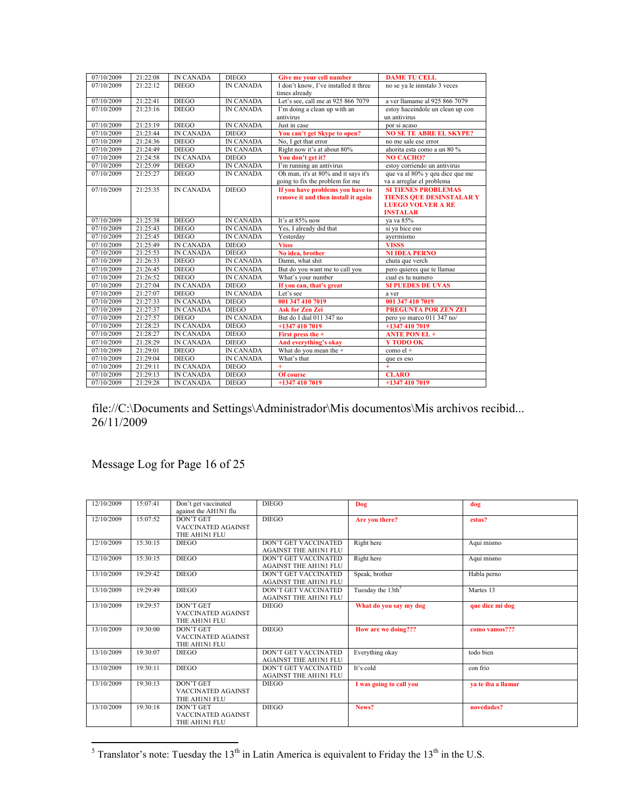| 07/10/2009 | 21:22:08 | <b>IN CANADA</b> | <b>DIEGO</b>     | Give me your cell number              | <b>DAME TU CELL</b>              |
|------------|----------|------------------|------------------|---------------------------------------|----------------------------------|
| 07/10/2009 | 21:22:12 | <b>DIEGO</b>     | <b>IN CANADA</b> | I don't know, I've installed it three | no se ya le innstalo 3 veces     |
|            |          |                  |                  | times already                         |                                  |
| 07/10/2009 | 21:22:41 | <b>DIEGO</b>     | <b>IN CANADA</b> | Let's see, call me at 925 866 7079    | a ver llamame al 925 866 7079    |
| 07/10/2009 | 21:23:16 | <b>DIEGO</b>     | <b>IN CANADA</b> | I'm doing a clean up with an          | estoy haceindole un clean up con |
|            |          |                  |                  | antivirus                             | un antivirus                     |
| 07/10/2009 | 21:23:19 | <b>DIEGO</b>     | <b>IN CANADA</b> | Just in case                          | por si acaso                     |
| 07/10/2009 | 21:23:44 | <b>IN CANADA</b> | <b>DIEGO</b>     | You can't get Skype to open?          | <b>NO SE TE ABRE EL SKYPE?</b>   |
| 07/10/2009 | 21:24:36 | <b>DIEGO</b>     | <b>IN CANADA</b> | No, I get that error                  | no me sale ese error             |
| 07/10/2009 | 21:24:49 | <b>DIEGO</b>     | <b>IN CANADA</b> | Right now it's at about 80%           | ahorita esta como a un 80 %      |
| 07/10/2009 | 21:24:58 | <b>IN CANADA</b> | <b>DIEGO</b>     | You don't get it?                     | <b>NO CACHO?</b>                 |
| 07/10/2009 | 21:25:09 | <b>DIEGO</b>     | <b>IN CANADA</b> | I'm running an antivirus              | estoy corriendo un antivirus     |
| 07/10/2009 | 21:25:27 | <b>DIEGO</b>     | <b>IN CANADA</b> | Oh man, it's at 80% and it says it's  | que va al 80% y qeu dice que me  |
|            |          |                  |                  | going to fix the problem for me       | va a arreglar el problema        |
| 07/10/2009 | 21.25.35 | <b>IN CANADA</b> | $DIEGO$          | If you have problems you have to      | <b>SI TIENES PROBLEMAS</b>       |
|            |          |                  |                  | remove it and then install it again   | <b>TIENES QUE DESINSTALAR Y</b>  |
|            |          |                  |                  |                                       | <b>LUEGO VOLVER A RE</b>         |
|            |          |                  |                  |                                       | <b>INSTALAR</b>                  |
| 07/10/2009 | 21:25:38 | <b>DIEGO</b>     | <b>IN CANADA</b> | It's at 85% now                       | va va 85%                        |
| 07/10/2009 | 21:25:43 | <b>DIEGO</b>     | <b>IN CANADA</b> | Yes, I already did that               | si va hice eso                   |
| 07/10/2009 | 21:25:45 | <b>DIEGO</b>     | <b>IN CANADA</b> | Yesterday                             | ayermismo                        |
| 07/10/2009 | 21:25:49 | IN CANADA        | <b>DIEGO</b>     | <b>Visss</b>                          | <b>VISSS</b>                     |
| 07/10/2009 | 21:25:53 | <b>IN CANADA</b> | <b>DIEGO</b>     | No idea, brother                      | <b>NI IDEA PERNO</b>             |
| 07/10/2009 | 21:26:33 | <b>DIEGO</b>     | <b>IN CANADA</b> | Damn, what shit                       | chuta que verch                  |
| 07/10/2009 | 21:26:45 | <b>DIEGO</b>     | <b>IN CANADA</b> | But do you want me to call you        | pero quieres que te llamae       |
| 07/10/2009 | 21:26:52 | <b>DIEGO</b>     | <b>IN CANADA</b> | What's your number                    | cual es tu numero                |
| 07/10/2009 | 21:27:04 | <b>IN CANADA</b> | <b>DIEGO</b>     | If you can, that's great              | <b>SI PUEDES DE UVAS</b>         |
| 07/10/2009 | 21:27:07 | <b>DIEGO</b>     | <b>IN CANADA</b> | Let's see                             | a ver                            |
| 07/10/2009 | 21:27:33 | <b>IN CANADA</b> | <b>DIEGO</b>     | 001 347 410 7019                      | 001 347 410 7019                 |
| 07/10/2009 | 21:27:37 | <b>IN CANADA</b> | <b>DIEGO</b>     | <b>Ask for Zen Zei</b>                | <b>PREGUNTA POR ZEN ZEI</b>      |
| 07/10/2009 | 21:27:57 | <b>DIEGO</b>     | <b>IN CANADA</b> | But do I dial 011 347 no              | pero yo marco 011 347 no/        |
| 07/10/2009 | 21:28:23 | <b>IN CANADA</b> | <b>DIEGO</b>     | +1347 410 7019                        | +1347 410 7019                   |
| 07/10/2009 | 21:28:27 | <b>IN CANADA</b> | <b>DIEGO</b>     | First press the +                     | <b>ANTE PON EL +</b>             |
| 07/10/2009 | 21:28:29 | <b>IN CANADA</b> | <b>DIEGO</b>     | And everything's okay                 | Y TODO OK                        |
| 07/10/2009 | 21:29:01 | <b>DIEGO</b>     | <b>IN CANADA</b> | What do you mean the +                | $como$ el +                      |
| 07/10/2009 | 21:29:04 | <b>DIEGO</b>     | <b>IN CANADA</b> | What's that                           | que es eso                       |
| 07/10/2009 | 21:29:11 | <b>IN CANADA</b> | <b>DIEGO</b>     | $+$                                   | $+$                              |
| 07/10/2009 | 21:29:13 | <b>IN CANADA</b> | <b>DIEGO</b>     | Of course                             | <b>CLARO</b>                     |
| 07/10/2009 | 21:29:28 | <b>IN CANADA</b> | <b>DIEGO</b>     | +1347 410 7019                        | +1347 410 7019                   |

#### Message Log for Page 16 of 25

| 12/10/2009 | 15:07:41 | Don't get vaccinated<br>against the AH1N1 flu                  | <b>DIEGO</b>                                                | Dog                           | dog                |
|------------|----------|----------------------------------------------------------------|-------------------------------------------------------------|-------------------------------|--------------------|
| 12/10/2009 | 15:07:52 | <b>DON'T GET</b><br><b>VACCINATED AGAINST</b><br>THE AH1N1 FLU | <b>DIEGO</b>                                                | Are you there?                | estas?             |
| 12/10/2009 | 15.30.15 | <b>DIEGO</b>                                                   | <b>DON'T GET VACCINATED</b><br><b>AGAINST THE AH1N1 FLU</b> | Right here                    | Aqui mismo         |
| 12/10/2009 | 15:30:15 | <b>DIEGO</b>                                                   | DON'T GET VACCINATED<br><b>AGAINST THE AH1N1 FLU</b>        | Right here                    | Aqui mismo         |
| 13/10/2009 | 19:29:42 | <b>DIEGO</b>                                                   | <b>DON'T GET VACCINATED</b><br><b>AGAINST THE AH1N1 FLU</b> | Speak, brother                | Habla perno        |
| 13/10/2009 | 19:29:49 | <b>DIEGO</b>                                                   | <b>DON'T GET VACCINATED</b><br><b>AGAINST THE AH1N1 FLU</b> | Tuesday the 13th <sup>5</sup> | Martes 13          |
| 13/10/2009 | 19:29:57 | <b>DON'T GET</b><br>VACCINATED AGAINST<br>THE AH1N1 FLU        | <b>DIEGO</b>                                                | What do you say my dog        | que dice mi dog    |
| 13/10/2009 | 19:30:00 | DON'T GET<br><b>VACCINATED AGAINST</b><br>THE AH1N1 FLU        | <b>DIEGO</b>                                                | How are we doing???           | como vamos???      |
| 13/10/2009 | 19:30:07 | <b>DIEGO</b>                                                   | <b>DON'T GET VACCINATED</b><br><b>AGAINST THE AH1N1 FLU</b> | Everything okay               | todo bien          |
| 13/10/2009 | 19:30:11 | <b>DIEGO</b>                                                   | <b>DON'T GET VACCINATED</b><br><b>AGAINST THE AH1N1 FLU</b> | It's cold                     | con frio           |
| 13/10/2009 | 19:30:13 | DON'T GET<br><b>VACCINATED AGAINST</b><br>THE AH1N1 FLU        | <b>DIEGO</b>                                                | I was going to call you       | va te iba a llamar |
| 13/10/2009 | 19:30:18 | DON'T GET<br>VACCINATED AGAINST<br>THE AH1N1 FLU               | <b>DIEGO</b>                                                | News?                         | novedades?         |

<sup>5</sup> Translator's note: Tuesday the 13<sup>th</sup> in Latin America is equivalent to Friday the 13<sup>th</sup> in the U.S.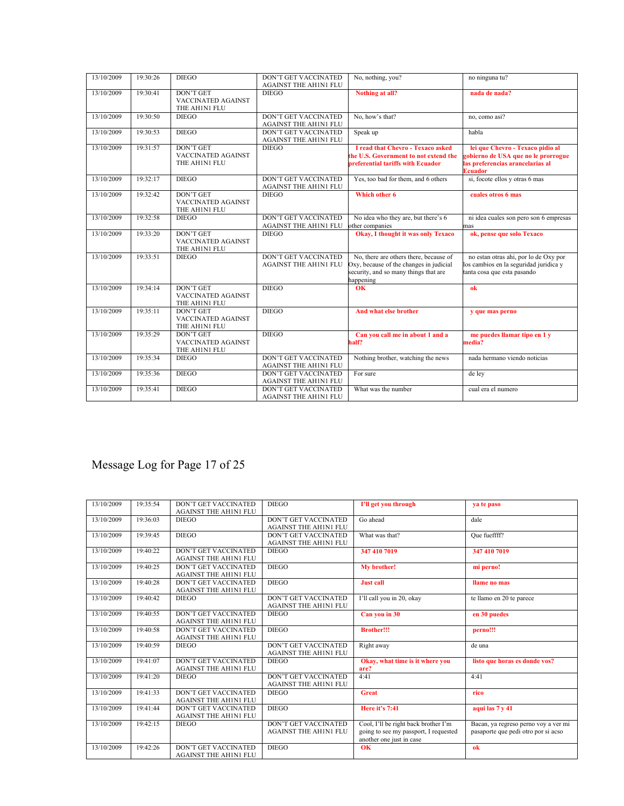| 13/10/2009 | 19:30:26 | <b>DIEGO</b>                                                   | <b>DON'T GET VACCINATED</b><br><b>AGAINST THE AH1N1 FLU</b> | No, nothing, you?                                                                                                                       | no ninguna tu?                                                                                                                |
|------------|----------|----------------------------------------------------------------|-------------------------------------------------------------|-----------------------------------------------------------------------------------------------------------------------------------------|-------------------------------------------------------------------------------------------------------------------------------|
| 13/10/2009 | 19:30:41 | <b>DON'T GET</b><br><b>VACCINATED AGAINST</b><br>THE AH1N1 FLU | <b>DIEGO</b>                                                | Nothing at all?                                                                                                                         | nada de nada?                                                                                                                 |
| 13/10/2009 | 19:30:50 | <b>DIEGO</b>                                                   | <b>DON'T GET VACCINATED</b><br><b>AGAINST THE AH1N1 FLU</b> | No, how's that?                                                                                                                         | no, como asi?                                                                                                                 |
| 13/10/2009 | 19:30:53 | <b>DIEGO</b>                                                   | <b>DON'T GET VACCINATED</b><br><b>AGAINST THE AH1N1 FLU</b> | Speak up                                                                                                                                | habla                                                                                                                         |
| 13/10/2009 | 19:31:57 | <b>DON'T GET</b><br><b>VACCINATED AGAINST</b><br>THE AH1N1 FLU | <b>DIEGO</b>                                                | I read that Chevro - Texaco asked<br>the U.S. Government to not extend the<br><b>preferential tariffs with Ecuador</b>                  | lei que Chevro - Texaco pidio al<br>zobierno de USA que no le prorrogue<br>las preferencias arancelarias al<br><b>Ecuador</b> |
| 13/10/2009 | 19:32:17 | <b>DIEGO</b>                                                   | <b>DON'T GET VACCINATED</b><br><b>AGAINST THE AH1N1 FLU</b> | Yes, too bad for them, and 6 others                                                                                                     | si, focote ellos y otras 6 mas                                                                                                |
| 13/10/2009 | 19:32:42 | <b>DON'T GET</b><br><b>VACCINATED AGAINST</b><br>THE AH1N1 FLU | <b>DIEGO</b>                                                | Which other 6                                                                                                                           | cuales otros 6 mas                                                                                                            |
| 13/10/2009 | 19:32:58 | <b>DIEGO</b>                                                   | <b>DON'T GET VACCINATED</b><br><b>AGAINST THE AH1N1 FLU</b> | No idea who they are, but there's 6<br>other companies                                                                                  | ni idea cuales son pero son 6 empresas<br>mas                                                                                 |
| 13/10/2009 | 19:33:20 | <b>DON'T GET</b><br><b>VACCINATED AGAINST</b><br>THE AH1N1 FLU | <b>DIEGO</b>                                                | Okay, I thought it was only Texaco                                                                                                      | ok, pense que solo Texaco                                                                                                     |
| 13/10/2009 | 19:33:51 | <b>DIEGO</b>                                                   | <b>DON'T GET VACCINATED</b><br><b>AGAINST THE AH1N1 FLU</b> | No, there are others there, because of<br>Oxy, because of the changes in judicial<br>security, and so many things that are<br>happening | no estan otras ahi, por lo de Oxy por<br>los cambios en la seguridad jurídica y<br>tanta cosa que esta pasando                |
| 13/10/2009 | 19:34:14 | <b>DON'T GET</b><br>VACCINATED AGAINST<br>THE AH1N1 FLU        | <b>DIEGO</b>                                                | $\alpha$                                                                                                                                | $\alpha$                                                                                                                      |
| 13/10/2009 | 19:35:11 | <b>DON'T GET</b><br><b>VACCINATED AGAINST</b><br>THE AH1N1 FLU | <b>DIEGO</b>                                                | And what else brother                                                                                                                   | y que mas perno                                                                                                               |
| 13/10/2009 | 19:35:29 | <b>DON'T GET</b><br>VACCINATED AGAINST<br>THE AH1N1 FLU        | <b>DIEGO</b>                                                | Can you call me in about 1 and a<br>half?                                                                                               | me puedes llamar tipo en 1 y<br>media?                                                                                        |
| 13/10/2009 | 19:35:34 | <b>DIEGO</b>                                                   | <b>DON'T GET VACCINATED</b><br><b>AGAINST THE AH1N1 FLU</b> | Nothing brother, watching the news                                                                                                      | nada hermano viendo noticias                                                                                                  |
| 13/10/2009 | 19:35:36 | <b>DIEGO</b>                                                   | <b>DON'T GET VACCINATED</b><br><b>AGAINST THE AH1N1 FLU</b> | For sure                                                                                                                                | de lev                                                                                                                        |
| 13/10/2009 | 19:35:41 | <b>DIEGO</b>                                                   | <b>DON'T GET VACCINATED</b><br><b>AGAINST THE AH1N1 FLU</b> | What was the number                                                                                                                     | cual era el numero                                                                                                            |

# Message Log for Page 17 of 25

| 13/10/2009 | 19:35:54 | <b>DON'T GET VACCINATED</b><br><b>AGAINST THE AH1N1 FLU</b> | <b>DIEGO</b>                                                | I'll get you through                                                                                      | ya te paso                                                                  |
|------------|----------|-------------------------------------------------------------|-------------------------------------------------------------|-----------------------------------------------------------------------------------------------------------|-----------------------------------------------------------------------------|
| 13/10/2009 | 19:36:03 | <b>DIEGO</b>                                                | <b>DON'T GET VACCINATED</b><br><b>AGAINST THE AH1N1 FLU</b> | Go ahead                                                                                                  | dale                                                                        |
| 13/10/2009 | 19:39:45 | <b>DIEGO</b>                                                | <b>DON'T GET VACCINATED</b><br><b>AGAINST THE AH1N1 FLU</b> | What was that?                                                                                            | Oue fueffff?                                                                |
| 13/10/2009 | 19:40:22 | DON'T GET VACCINATED<br><b>AGAINST THE AHIN1 FLU</b>        | <b>DIEGO</b>                                                | 347 410 7019                                                                                              | 347 410 7019                                                                |
| 13/10/2009 | 19:40:25 | <b>DON'T GET VACCINATED</b><br><b>AGAINST THE AH1N1 FLU</b> | <b>DIEGO</b>                                                | My brother!                                                                                               | mi perno!                                                                   |
| 13/10/2009 | 19:40:28 | DON'T GET VACCINATED<br><b>AGAINST THE AHIN1 FLU</b>        | <b>DIEGO</b>                                                | <b>Just call</b>                                                                                          | llame no mas                                                                |
| 13/10/2009 | 19:40:42 | <b>DIEGO</b>                                                | <b>DON'T GET VACCINATED</b><br><b>AGAINST THE AH1N1 FLU</b> | I'll call you in 20, okay                                                                                 | te llamo en 20 te parece                                                    |
| 13/10/2009 | 19:40:55 | <b>DON'T GET VACCINATED</b><br><b>AGAINST THE AH1N1 FLU</b> | <b>DIEGO</b>                                                | Can you in 30                                                                                             | en 30 puedes                                                                |
| 13/10/2009 | 19:40:58 | <b>DON'T GET VACCINATED</b><br><b>AGAINST THE AH1N1 FLU</b> | <b>DIEGO</b>                                                | <b>Brother!!!</b>                                                                                         | perno!!!                                                                    |
| 13/10/2009 | 19:40:59 | <b>DIEGO</b>                                                | <b>DON'T GET VACCINATED</b><br><b>AGAINST THE AH1N1 FLU</b> | Right away                                                                                                | de una                                                                      |
| 13/10/2009 | 19:41:07 | DON'T GET VACCINATED<br><b>AGAINST THE AH1N1 FLU</b>        | <b>DIEGO</b>                                                | Okay, what time is it where you<br>are?                                                                   | listo que horas es donde vos?                                               |
| 13/10/2009 | 19:41:20 | <b>DIEGO</b>                                                | <b>DON'T GET VACCINATED</b><br><b>AGAINST THE AH1N1 FLU</b> | 4:41                                                                                                      | 4.41                                                                        |
| 13/10/2009 | 19:41:33 | <b>DON'T GET VACCINATED</b><br><b>AGAINST THE AHIN1 FLU</b> | <b>DIEGO</b>                                                | <b>Great</b>                                                                                              | rico                                                                        |
| 13/10/2009 | 19:41:44 | <b>DON'T GET VACCINATED</b><br><b>AGAINST THE AH1N1 FLU</b> | <b>DIEGO</b>                                                | Here it's 7:41                                                                                            | aqui las 7 y 41                                                             |
| 13/10/2009 | 19:42:15 | <b>DIEGO</b>                                                | <b>DON'T GET VACCINATED</b><br><b>AGAINST THE AH1N1 FLU</b> | Cool, I'll be right back brother I'm<br>going to see my passport, I requested<br>another one just in case | Bacan, ya regreso perno voy a ver mi<br>pasaporte que pedi otro por si acso |
| 13/10/2009 | 19:42:26 | <b>DON'T GET VACCINATED</b><br><b>AGAINST THE AH1N1 FLU</b> | <b>DIEGO</b>                                                | OK                                                                                                        | $\mathbf{ok}$                                                               |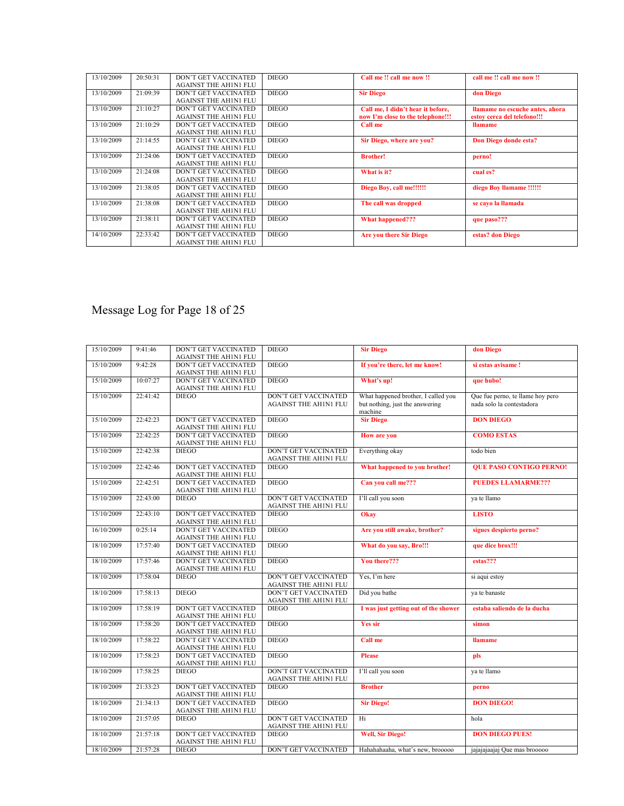| 13/10/2009 | 20:50:31 | <b>DON'T GET VACCINATED</b><br><b>AGAINST THE AH1N1 FLU</b> | <b>DIEGO</b> | Call me !! call me now !!                                              | call me !! call me now !!                                      |
|------------|----------|-------------------------------------------------------------|--------------|------------------------------------------------------------------------|----------------------------------------------------------------|
| 13/10/2009 | 21:09:39 | <b>DON'T GET VACCINATED</b><br><b>AGAINST THE AH1N1 FLU</b> | <b>DIEGO</b> | <b>Sir Diego</b>                                                       | don Diego                                                      |
| 13/10/2009 | 21:10:27 | <b>DON'T GET VACCINATED</b><br><b>AGAINST THE AH1N1 FLU</b> | <b>DIEGO</b> | Call me, I didn't hear it before,<br>now I'm close to the telephone!!! | llamame no escuche antes, ahora<br>estov cerca del telefono!!! |
| 13/10/2009 | 21:10:29 | <b>DON'T GET VACCINATED</b><br><b>AGAINST THE AH1N1 FLU</b> | <b>DIEGO</b> | Call me                                                                | <b>llamame</b>                                                 |
| 13/10/2009 | 21:14:55 | <b>DON'T GET VACCINATED</b><br><b>AGAINST THE AHIN1 FLU</b> | <b>DIEGO</b> | Sir Diego, where are you?                                              | Don Diego donde esta?                                          |
| 13/10/2009 | 21:24:06 | <b>DON'T GET VACCINATED</b><br><b>AGAINST THE AH1N1 FLU</b> | <b>DIEGO</b> | <b>Brother!</b>                                                        | perno!                                                         |
| 13/10/2009 | 21:24:08 | <b>DON'T GET VACCINATED</b><br><b>AGAINST THE AH1N1 FLU</b> | <b>DIEGO</b> | What is it?                                                            | cual es?                                                       |
| 13/10/2009 | 21:38:05 | <b>DON'T GET VACCINATED</b><br><b>AGAINST THE AHIN1 FLU</b> | <b>DIEGO</b> | Diego Boy, call me!!!!!!                                               | diego Boy llamame !!!!!!                                       |
| 13/10/2009 | 21:38:08 | <b>DON'T GET VACCINATED</b><br><b>AGAINST THE AH1N1 FLU</b> | <b>DIEGO</b> | The call was dropped                                                   | se cavo la llamada                                             |
| 13/10/2009 | 21:38:11 | <b>DON'T GET VACCINATED</b><br><b>AGAINST THE AH1N1 FLU</b> | <b>DIEGO</b> | What happened???                                                       | que paso???                                                    |
| 14/10/2009 | 22:33:42 | DON'T GET VACCINATED<br><b>AGAINST THE AHIN1 FLU</b>        | <b>DIEGO</b> | <b>Are you there Sir Diego</b>                                         | estas? don Diego                                               |

# Message Log for Page 18 of 25

| 15/10/2009 | 9:41:46  | <b>DON'T GET VACCINATED</b><br><b>AGAINST THE AHIN1 FLU</b> | <b>DIEGO</b>                                                | <b>Sir Diego</b>                                                                  | don Diego                                                     |
|------------|----------|-------------------------------------------------------------|-------------------------------------------------------------|-----------------------------------------------------------------------------------|---------------------------------------------------------------|
| 15/10/2009 | 9:42:28  | <b>DON'T GET VACCINATED</b><br><b>AGAINST THE AHIN1 FLU</b> | <b>DIEGO</b>                                                | If you're there, let me know!                                                     | si estas avisame !                                            |
| 15/10/2009 | 10:07:27 | <b>DON'T GET VACCINATED</b><br><b>AGAINST THE AHIN1 FLU</b> | <b>DIEGO</b>                                                | What's up!                                                                        | que hubo!                                                     |
| 15/10/2009 | 22:41:42 | <b>DIEGO</b>                                                | <b>DON'T GET VACCINATED</b><br><b>AGAINST THE AHIN1 FLU</b> | What happened brother, I called you<br>but nothing, just the answering<br>machine | Que fue perno, te llame hoy pero<br>nada solo la contestadora |
| 15/10/2009 | 22:42:23 | DON'T GET VACCINATED<br><b>AGAINST THE AHIN1 FLU</b>        | <b>DIEGO</b>                                                | <b>Sir Diego</b>                                                                  | <b>DON DIEGO</b>                                              |
| 15/10/2009 | 22:42:25 | DON'T GET VACCINATED<br><b>AGAINST THE AHIN1 FLU</b>        | <b>DIEGO</b>                                                | <b>How are you</b>                                                                | <b>COMO ESTAS</b>                                             |
| 15/10/2009 | 22:42:38 | <b>DIEGO</b>                                                | DON'T GET VACCINATED<br><b>AGAINST THE AHIN1 FLU</b>        | Everything okay                                                                   | todo bien                                                     |
| 15/10/2009 | 22:42:46 | <b>DON'T GET VACCINATED</b><br><b>AGAINST THE AHINI FLU</b> | <b>DIEGO</b>                                                | What happened to you brother!                                                     | <b>OUE PASO CONTIGO PERNO!</b>                                |
| 15/10/2009 | 22:42:51 | DON'T GET VACCINATED<br><b>AGAINST THE AH1N1 FLU</b>        | <b>DIEGO</b>                                                | Can you call me???                                                                | <b>PUEDES LLAMARME???</b>                                     |
| 15/10/2009 | 22:43:00 | <b>DIEGO</b>                                                | <b>DON'T GET VACCINATED</b><br><b>AGAINST THE AHIN1 FLU</b> | I'll call you soon                                                                | va te llamo                                                   |
| 15/10/2009 | 22:43:10 | <b>DON'T GET VACCINATED</b><br><b>AGAINST THE AHIN1 FLU</b> | <b>DIEGO</b>                                                | Okay                                                                              | <b>LISTO</b>                                                  |
| 16/10/2009 | 0:25:14  | <b>DON'T GET VACCINATED</b><br><b>AGAINST THE AHIN1 FLU</b> | <b>DIEGO</b>                                                | Are you still awake, brother?                                                     | sigues despierto perno?                                       |
| 18/10/2009 | 17:57:40 | <b>DON'T GET VACCINATED</b><br><b>AGAINST THE AHINI FLU</b> | <b>DIEGO</b>                                                | What do you say, Bro!!!                                                           | que dice brox!!!                                              |
| 18/10/2009 | 17:57:46 | <b>DON'T GET VACCINATED</b><br>AGAINST THE AHIN1 FLU        | <b>DIEGO</b>                                                | You there???                                                                      | $estas?$ ??                                                   |
| 18/10/2009 | 17:58:04 | <b>DIEGO</b>                                                | <b>DON'T GET VACCINATED</b><br><b>AGAINST THE AHIN1 FLU</b> | Yes. I'm here                                                                     | si aqui estov                                                 |
| 18/10/2009 | 17:58:13 | <b>DIEGO</b>                                                | <b>DON'T GET VACCINATED</b><br><b>AGAINST THE AHIN1 FLU</b> | Did you bathe                                                                     | ya te banaste                                                 |
| 18/10/2009 | 17:58:19 | <b>DON'T GET VACCINATED</b><br><b>AGAINST THE AHIN1 FLU</b> | <b>DIEGO</b>                                                | I was just getting out of the shower                                              | estaba saliendo de la ducha                                   |
| 18/10/2009 | 17:58:20 | <b>DON'T GET VACCINATED</b><br><b>AGAINST THE AHIN1 FLU</b> | <b>DIEGO</b>                                                | <b>Yes sir</b>                                                                    | simon                                                         |
| 18/10/2009 | 17:58:22 | <b>DON'T GET VACCINATED</b><br><b>AGAINST THE AH1N1 FLU</b> | <b>DIEGO</b>                                                | Call me                                                                           | <b>Ilamame</b>                                                |
| 18/10/2009 | 17:58:23 | DON'T GET VACCINATED<br><b>AGAINST THE AHIN1 FLU</b>        | <b>DIEGO</b>                                                | <b>Please</b>                                                                     | pls                                                           |
| 18/10/2009 | 17:58:25 | <b>DIEGO</b>                                                | <b>DON'T GET VACCINATED</b><br><b>AGAINST THE AHINI FLU</b> | I'll call you soon                                                                | va te llamo                                                   |
| 18/10/2009 | 21:33:23 | DON'T GET VACCINATED<br><b>AGAINST THE AHINI FLU</b>        | <b>DIEGO</b>                                                | <b>Brother</b>                                                                    | perno                                                         |
| 18/10/2009 | 21:34:13 | <b>DON'T GET VACCINATED</b><br><b>AGAINST THE AH1N1 FLU</b> | <b>DIEGO</b>                                                | <b>Sir Diego!</b>                                                                 | <b>DON DIEGO!</b>                                             |
| 18/10/2009 | 21:57:05 | <b>DIEGO</b>                                                | <b>DON'T GET VACCINATED</b><br><b>AGAINST THE AHIN1 FLU</b> | Hi                                                                                | hola                                                          |
| 18/10/2009 | 21:57:18 | <b>DON'T GET VACCINATED</b><br><b>AGAINST THE AHIN1 FLU</b> | <b>DIEGO</b>                                                | <b>Well, Sir Diego!</b>                                                           | <b>DON DIEGO PUES!</b>                                        |
| 18/10/2009 | 21:57:28 | <b>DIEGO</b>                                                | <b>DON'T GET VACCINATED</b>                                 | Hahahahaaha, what's new, brooooo                                                  | jajajajaajaj Que mas brooooo                                  |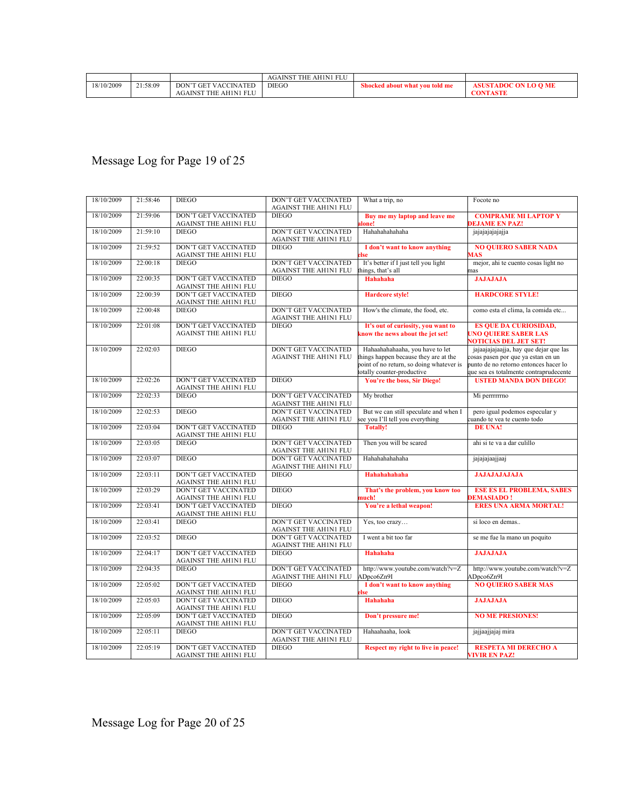|            |          |                                    | <b>AH1N1 FLU</b><br><b>THE</b><br><b>AGAINST</b> |                                |                             |
|------------|----------|------------------------------------|--------------------------------------------------|--------------------------------|-----------------------------|
| 18/10/2009 | 21:58:09 | <b>VACCINATED</b><br>DON'T<br>`GET | <b>DIEGO</b>                                     | Shocked about what you told me | <b>ASUSTADOC ON LO O ME</b> |
|            |          | THE AHINI FLU<br><b>AGAINST</b>    |                                                  |                                | <b>CONTASTE</b>             |

# Message Log for Page 19 of 25

| 18/10/2009 | 21:58:46 | <b>DIEGO</b>                                                | DON'T GET VACCINATED<br><b>AGAINST THE AH1N1 FLU</b>        | What a trip, no                                                                                                                                    | Focote no                                                                                                                                                      |
|------------|----------|-------------------------------------------------------------|-------------------------------------------------------------|----------------------------------------------------------------------------------------------------------------------------------------------------|----------------------------------------------------------------------------------------------------------------------------------------------------------------|
| 18/10/2009 | 21:59:06 | <b>DON'T GET VACCINATED</b><br>AGAINST THE AH1N1 FLU        | <b>DIEGO</b>                                                | Buy me my laptop and leave me<br>done!                                                                                                             | <b>COMPRAME MI LAPTOP Y</b><br><b>EJAME EN PAZ!</b>                                                                                                            |
| 18/10/2009 | 21:59:10 | <b>DIEGO</b>                                                | DON'T GET VACCINATED<br><b>AGAINST THE AH1N1 FLU</b>        | Hahahahahahaha                                                                                                                                     | jajajajajajaja                                                                                                                                                 |
| 18/10/2009 | 21:59:52 | <b>DON'T GET VACCINATED</b><br><b>AGAINST THE AHIN1 FLU</b> | <b>DIEGO</b>                                                | I don't want to know anything<br>lse                                                                                                               | <b>NO QUIERO SABER NADA</b><br>AAS                                                                                                                             |
| 18/10/2009 | 22:00:18 | <b>DIEGO</b>                                                | DON'T GET VACCINATED<br><b>AGAINST THE AH1N1 FLU</b>        | It's better if I just tell you light<br>hings, that's all                                                                                          | mejor, ahi te cuento cosas light no<br>nas                                                                                                                     |
| 18/10/2009 | 22:00:35 | <b>DON'T GET VACCINATED</b><br><b>AGAINST THE AHIN1 FLU</b> | <b>DIEGO</b>                                                | <b>Hahahaha</b>                                                                                                                                    | <b>JAJAJAJA</b>                                                                                                                                                |
| 18/10/2009 | 22:00:39 | <b>DON'T GET VACCINATED</b><br>AGAINST THE AH1N1 FLU        | <b>DIEGO</b>                                                | <b>Hardcore style!</b>                                                                                                                             | <b>HARDCORE STYLE!</b>                                                                                                                                         |
| 18/10/2009 | 22:00:48 | <b>DIEGO</b>                                                | <b>DON'T GET VACCINATED</b><br><b>AGAINST THE AH1N1 FLU</b> | How's the climate, the food, etc.                                                                                                                  | como esta el clima, la comida etc                                                                                                                              |
| 18/10/2009 | 22:01:08 | <b>DON'T GET VACCINATED</b><br><b>AGAINST THE AH1N1 FLU</b> | <b>DIEGO</b>                                                | It's out of curiosity, you want to<br>know the news about the jet set!                                                                             | <b>ES QUE DA CURIOSIDAD,</b><br><b>UNO QUIERE SABER LAS</b><br><b>NOTICIAS DEL JET SET!</b>                                                                    |
| 18/10/2009 | 22:02:03 | <b>DIEGO</b>                                                | DON'T GET VACCINATED<br><b>AGAINST THE AH1N1 FLU</b>        | Hahaahahahaaha, you have to let<br>things happen because they are at the<br>point of no return, so doing whatever is<br>totally counter-productive | jajaajajajaajja, hay que dejar que las<br>osas pasen por que ya estan en un<br>punto de no retorno entonces hacer lo<br>que sea es totalmente contraprudecente |
| 18/10/2009 | 22:02:26 | <b>DON'T GET VACCINATED</b><br><b>AGAINST THE AHIN1 FLU</b> | <b>DIEGO</b>                                                | You're the boss, Sir Diego!                                                                                                                        | <b>USTED MANDA DON DIEGO!</b>                                                                                                                                  |
| 18/10/2009 | 22:02:33 | <b>DIEGO</b>                                                | DON'T GET VACCINATED<br>AGAINST THE AHINI FLU               | My brother                                                                                                                                         | Mi perrrrrrno                                                                                                                                                  |
| 18/10/2009 | 22:02:53 | <b>DIEGO</b>                                                | <b>DON'T GET VACCINATED</b><br><b>AGAINST THE AHINI FLU</b> | But we can still speculate and when I<br>see you I'll tell you everything                                                                          | pero igual podemos especular y<br>uando te vea te cuento todo                                                                                                  |
| 18/10/2009 | 22:03:04 | <b>DON'T GET VACCINATED</b><br><b>AGAINST THE AH1N1 FLU</b> | <b>DIEGO</b>                                                | <b>Totally!</b>                                                                                                                                    | <b>DE UNA!</b>                                                                                                                                                 |
| 18/10/2009 | 22:03:05 | <b>DIEGO</b>                                                | <b>DON'T GET VACCINATED</b><br><b>AGAINST THE AH1N1 FLU</b> | Then you will be scared                                                                                                                            | ahi si te va a dar culillo                                                                                                                                     |
| 18/10/2009 | 22:03:07 | <b>DIEGO</b>                                                | DON'T GET VACCINATED<br><b>AGAINST THE AH1N1 FLU</b>        | Hahahahahaha                                                                                                                                       | jajajajaajjaaj                                                                                                                                                 |
| 18/10/2009 | 22:03:11 | <b>DON'T GET VACCINATED</b><br><b>AGAINST THE AHINI FLU</b> | <b>DIEGO</b>                                                | Hahahahahaha                                                                                                                                       | <b>JAJAJAJAJAJA</b>                                                                                                                                            |
| 18/10/2009 | 22:03:29 | <b>DON'T GET VACCINATED</b><br><b>AGAINST THE AHINI FLU</b> | <b>DIEGO</b>                                                | That's the problem, you know too<br>auch!                                                                                                          | <b>ESE ES EL PROBLEMA, SABES</b><br><b>EMASIADO!</b>                                                                                                           |
| 18/10/2009 | 22:03:41 | <b>DON'T GET VACCINATED</b><br><b>AGAINST THE AHIN1 FLU</b> | <b>DIEGO</b>                                                | You're a lethal weapon!                                                                                                                            | <b>ERES UNA ARMA MORTAL!</b>                                                                                                                                   |
| 18/10/2009 | 22:03:41 | <b>DIEGO</b>                                                | <b>DON'T GET VACCINATED</b><br>AGAINST THE AH1N1 FLU        | Yes, too crazy                                                                                                                                     | si loco en demas                                                                                                                                               |
| 18/10/2009 | 22:03:52 | <b>DIEGO</b>                                                | <b>DON'T GET VACCINATED</b><br><b>AGAINST THE AH1N1 FLU</b> | I went a bit too far                                                                                                                               | se me fue la mano un poquito                                                                                                                                   |
| 18/10/2009 | 22:04:17 | <b>DON'T GET VACCINATED</b><br><b>AGAINST THE AHIN1 FLU</b> | <b>DIEGO</b>                                                | <b>Hahahaha</b>                                                                                                                                    | <b>JAJAJAJA</b>                                                                                                                                                |
| 18/10/2009 | 22:04:35 | <b>DIEGO</b>                                                | <b>DON'T GET VACCINATED</b><br>AGAINST THE AHIN1 FLU        | http://www.youtube.com/watch?v=Z<br>ADpco6Zn9I                                                                                                     | http://www.youtube.com/watch?v=Z<br>ADpco6Zn9I                                                                                                                 |
| 18/10/2009 | 22:05:02 | <b>DON'T GET VACCINATED</b><br>AGAINST THE AH1N1 FLU        | $DIEGO$                                                     | I don't want to know anything<br>lse                                                                                                               | <b>NO QUIERO SABER MAS</b>                                                                                                                                     |
| 18/10/2009 | 22:05:03 | <b>DON'T GET VACCINATED</b><br><b>AGAINST THE AHIN1 FLU</b> | <b>DIEGO</b>                                                | <b>Hahahaha</b>                                                                                                                                    | <b>JAJAJAJA</b>                                                                                                                                                |
| 18/10/2009 | 22:05:09 | <b>DON'T GET VACCINATED</b><br><b>AGAINST THE AHIN1 FLU</b> | <b>DIEGO</b>                                                | Don't pressure me!                                                                                                                                 | <b>NO ME PRESIONES!</b>                                                                                                                                        |
| 18/10/2009 | 22:05:11 | <b>DIEGO</b>                                                | DON'T GET VACCINATED<br><b>AGAINST THE AH1N1 FLU</b>        | Hahaahaaha, look                                                                                                                                   | jajjaajjajaj mira                                                                                                                                              |
| 18/10/2009 | 22:05:19 | <b>DON'T GET VACCINATED</b><br><b>AGAINST THE AHINI FLU</b> | <b>DIEGO</b>                                                | Respect my right to live in peace!                                                                                                                 | <b>RESPETA MI DERECHO A</b><br><b>VIVIR EN PAZ!</b>                                                                                                            |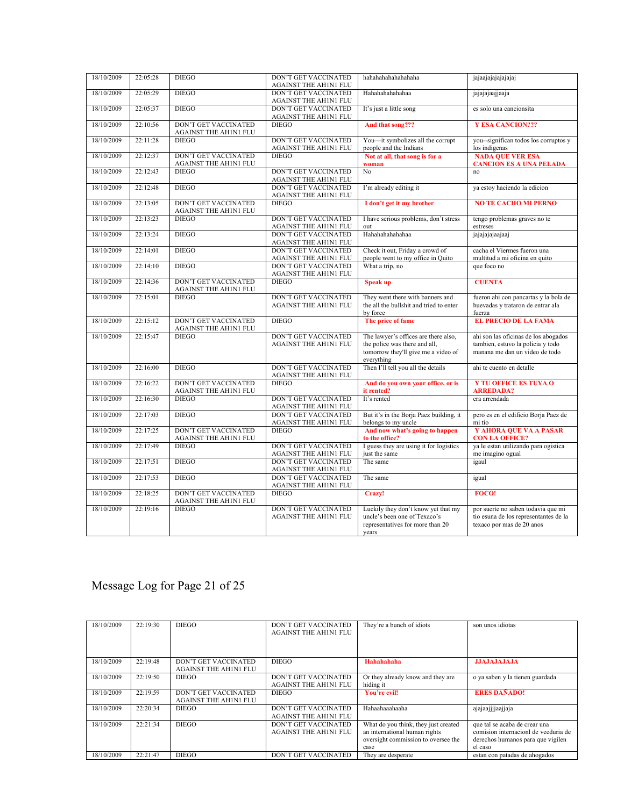| 18/10/2009 | 22:05:28 | <b>DIEGO</b>                                                | DON'T GET VACCINATED<br><b>AGAINST THE AH1N1 FLU</b>        | hahahahahahahaha                                                                                                           | jajaajajajajajaj                                                                                            |
|------------|----------|-------------------------------------------------------------|-------------------------------------------------------------|----------------------------------------------------------------------------------------------------------------------------|-------------------------------------------------------------------------------------------------------------|
| 18/10/2009 | 22:05:29 | <b>DIEGO</b>                                                | <b>DON'T GET VACCINATED</b><br><b>AGAINST THE AH1N1 FLU</b> | Hahahahahahaa                                                                                                              | jajajajaajjaaja                                                                                             |
| 18/10/2009 | 22:05:37 | <b>DIEGO</b>                                                | <b>DON'T GET VACCINATED</b><br><b>AGAINST THE AHINI FLU</b> | It's just a little song                                                                                                    | es solo una cancionsita                                                                                     |
| 18/10/2009 | 22:10:56 | <b>DON'T GET VACCINATED</b><br><b>AGAINST THE AHIN1 FLU</b> | <b>DIEGO</b>                                                | And that song???                                                                                                           | <b>Y ESA CANCION???</b>                                                                                     |
| 18/10/2009 | 22:11:28 | <b>DIEGO</b>                                                | DON'T GET VACCINATED<br><b>AGAINST THE AH1N1 FLU</b>        | You-it symbolizes all the corrupt<br>people and the Indians                                                                | you--significan todos los corruptos y<br>los indigenas                                                      |
| 18/10/2009 | 22:12:37 | <b>DON'T GET VACCINATED</b><br><b>AGAINST THE AHIN1 FLU</b> | <b>DIEGO</b>                                                | Not at all, that song is for a<br>woman                                                                                    | <b>NADA QUE VER ESA</b><br><b>CANCION ES A UNA PELADA</b>                                                   |
| 18/10/2009 | 22:12:43 | <b>DIEGO</b>                                                | <b>DON'T GET VACCINATED</b><br><b>AGAINST THE AH1N1 FLU</b> | No                                                                                                                         | no                                                                                                          |
| 18/10/2009 | 22:12:48 | <b>DIEGO</b>                                                | DON'T GET VACCINATED<br><b>AGAINST THE AHIN1 FLU</b>        | I'm already editing it                                                                                                     | ya estoy haciendo la edicion                                                                                |
| 18/10/2009 | 22:13:05 | DON'T GET VACCINATED<br><b>AGAINST THE AHIN1 FLU</b>        | <b>DIEGO</b>                                                | I don't get it my brother                                                                                                  | <b>NO TE CACHO MI PERNO</b>                                                                                 |
| 18/10/2009 | 22:13:23 | <b>DIEGO</b>                                                | DON'T GET VACCINATED<br><b>AGAINST THE AHIN1 FLU</b>        | I have serious problems, don't stress<br>out                                                                               | tengo problemas graves no te<br>estreses                                                                    |
| 18/10/2009 | 22:13:24 | <b>DIEGO</b>                                                | <b>DON'T GET VACCINATED</b><br><b>AGAINST THE AH1N1 FLU</b> | Hahahahahahaa                                                                                                              | jajajajajaajaaj                                                                                             |
| 18/10/2009 | 22:14:01 | <b>DIEGO</b>                                                | <b>DON'T GET VACCINATED</b><br>AGAINST THE AH1N1 FLU        | Check it out, Friday a crowd of<br>people went to my office in Quito                                                       | cacha el Viermes fueron una<br>multitud a mi oficina en quito                                               |
| 18/10/2009 | 22:14:10 | <b>DIEGO</b>                                                | <b>DON'T GET VACCINATED</b><br><b>AGAINST THE AH1N1 FLU</b> | What a trip, no                                                                                                            | que foco no                                                                                                 |
| 18/10/2009 | 22:14:36 | DON'T GET VACCINATED<br><b>AGAINST THE AHIN1 FLU</b>        | <b>DIEGO</b>                                                | <b>Speak up</b>                                                                                                            | <b>CUENTA</b>                                                                                               |
| 18/10/2009 | 22:15:01 | <b>DIEGO</b>                                                | DON'T GET VACCINATED<br><b>AGAINST THE AH1N1 FLU</b>        | They went there with banners and<br>the all the bullshit and tried to enter<br>by force                                    | fueron ahi con pancartas y la bola de<br>huevadas y trataron de entrar ala<br>fuerza                        |
| 18/10/2009 | 22:15:12 | <b>DON'T GET VACCINATED</b><br><b>AGAINST THE AHIN1 FLU</b> | <b>DIEGO</b>                                                | The price of fame                                                                                                          | <b>EL PRECIO DE LA FAMA</b>                                                                                 |
| 18/10/2009 | 22:15:47 | <b>DIEGO</b>                                                | <b>DON'T GET VACCINATED</b><br><b>AGAINST THE AH1N1 FLU</b> | The lawyer's offices are there also,<br>the police was there and all,<br>tomorrow they'll give me a video of<br>everything | ahi son las oficinas de los abogados<br>tambien, estuvo la policia y todo<br>manana me dan un video de todo |
| 18/10/2009 | 22:16:00 | <b>DIEGO</b>                                                | DON'T GET VACCINATED<br><b>AGAINST THE AH1N1 FLU</b>        | Then I'll tell you all the details                                                                                         | ahi te cuento en detalle                                                                                    |
| 18/10/2009 | 22:16:22 | <b>DON'T GET VACCINATED</b><br>AGAINST THE AH1N1 FLU        | <b>DIEGO</b>                                                | And do you own your office, or is<br>it rented?                                                                            | <b>Y TU OFFICE ES TUYA O</b><br><b>ARREDADA?</b>                                                            |
| 18/10/2009 | 22:16:30 | <b>DIEGO</b>                                                | DON'T GET VACCINATED<br><b>AGAINST THE AHIN1 FLU</b>        | It's rented                                                                                                                | era arrendada                                                                                               |
| 18/10/2009 | 22:17:03 | <b>DIEGO</b>                                                | <b>DON'T GET VACCINATED</b><br><b>AGAINST THE AH1N1 FLU</b> | But it's in the Borja Paez building, it<br>belongs to my uncle                                                             | pero es en el edificio Borja Paez de<br>mi tio                                                              |
| 18/10/2009 | 22:17:25 | DON'T GET VACCINATED<br><b>AGAINST THE AHIN1 FLU</b>        | <b>DIEGO</b>                                                | And now what's going to happen<br>to the office?                                                                           | Y AHORA QUE VA A PASAR<br><b>CON LA OFFICE?</b>                                                             |
| 18/10/2009 | 22:17:49 | <b>DIEGO</b>                                                | <b>DON'T GET VACCINATED</b><br><b>AGAINST THE AHINI FLU</b> | I guess they are using it for logistics<br>just the same                                                                   | ya le estan utilizando para ogistica<br>me imagino ogual                                                    |
| 18/10/2009 | 22:17:51 | <b>DIEGO</b>                                                | <b>DON'T GET VACCINATED</b><br><b>AGAINST THE AH1N1 FLU</b> | The same                                                                                                                   | igaul                                                                                                       |
| 18/10/2009 | 22:17:53 | <b>DIEGO</b>                                                | <b>DON'T GET VACCINATED</b><br><b>AGAINST THE AHIN1 FLU</b> | The same                                                                                                                   | igual                                                                                                       |
| 18/10/2009 | 22:18:25 | <b>DON'T GET VACCINATED</b><br><b>AGAINST THE AH1N1 FLU</b> | <b>DIEGO</b>                                                | Crazy!                                                                                                                     | <b>FOCO!</b>                                                                                                |
| 18/10/2009 | 22:19:16 | <b>DIEGO</b>                                                | <b>DON'T GET VACCINATED</b><br><b>AGAINST THE AHINI FLU</b> | Luckily they don't know yet that my<br>uncle's been one of Texaco's<br>representatives for more than 20<br>vears           | por suerte no saben todavia que mi<br>tio esuna de los representantes de la<br>texaco por mas de 20 anos    |

# Message Log for Page 21 of 25

| 18/10/2009 | 22:19:30 | <b>DIEGO</b>                                         | <b>DON'T GET VACCINATED</b><br><b>AGAINST THE AH1N1 FLU</b> | They're a bunch of idiots                                                                                            | son unos idiotas                                                                                                      |
|------------|----------|------------------------------------------------------|-------------------------------------------------------------|----------------------------------------------------------------------------------------------------------------------|-----------------------------------------------------------------------------------------------------------------------|
| 18/10/2009 | 22:19:48 | DON'T GET VACCINATED<br><b>AGAINST THE AHIN1 FLU</b> | <b>DIEGO</b>                                                | Hahahahaha                                                                                                           | <b>JJAJAJAJAJA</b>                                                                                                    |
| 18/10/2009 | 22:19:50 | <b>DIEGO</b>                                         | <b>DON'T GET VACCINATED</b><br><b>AGAINST THE AH1N1 FLU</b> | Or they already know and they are<br>hiding it                                                                       | o ya saben y la tienen guardada                                                                                       |
| 18/10/2009 | 22:19:59 | DON'T GET VACCINATED<br><b>AGAINST THE AHIN1 FLU</b> | DIEGO                                                       | You're evil!                                                                                                         | <b>ERES DAÑADO!</b>                                                                                                   |
| 18/10/2009 | 22:20:34 | <b>DIEGO</b>                                         | <b>DON'T GET VACCINATED</b><br><b>AGAINST THE AH1N1 FLU</b> | Hahaahaaahaaha                                                                                                       | ajajaajjjjaajjaja                                                                                                     |
| 18/10/2009 | 22:21:34 | <b>DIEGO</b>                                         | <b>DON'T GET VACCINATED</b><br><b>AGAINST THE AH1N1 FLU</b> | What do you think, they just created<br>an international human rights<br>oversight commission to oversee the<br>case | que tal se acaba de crear una<br>comision internacionl de veeduria de<br>derechos humanos para que vigilen<br>el caso |
| 18/10/2009 | 22:21:47 | <b>DIEGO</b>                                         | <b>DON'T GET VACCINATED</b>                                 | They are desperate                                                                                                   | estan con patadas de ahogados                                                                                         |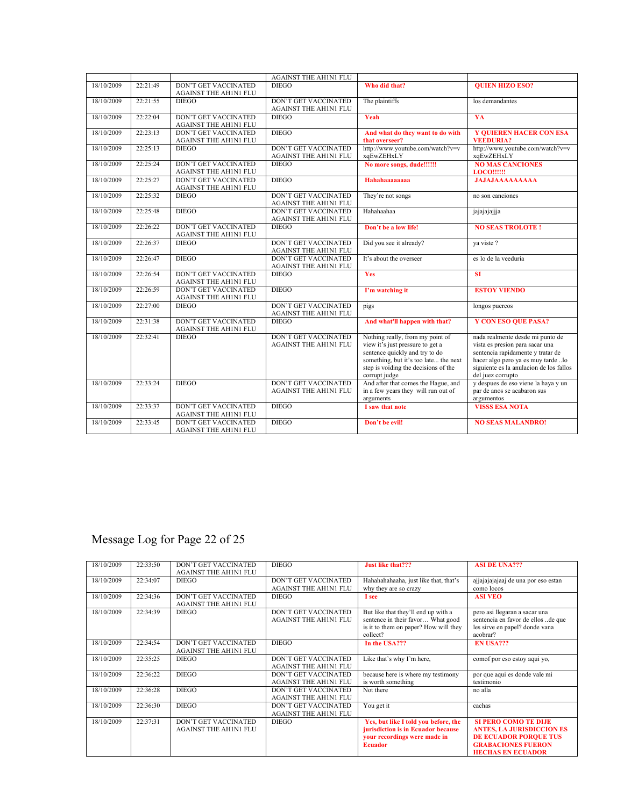|            |          |                              | <b>AGAINST THE AH1N1 FLU</b> |                                       |                                         |
|------------|----------|------------------------------|------------------------------|---------------------------------------|-----------------------------------------|
| 18/10/2009 | 22:21:49 | <b>DON'T GET VACCINATED</b>  | <b>DIEGO</b>                 | Who did that?                         | <b>OUIEN HIZO ESO?</b>                  |
|            |          | <b>AGAINST THE AHIN1 FLU</b> |                              |                                       |                                         |
| 18/10/2009 | 22:21:55 | <b>DIEGO</b>                 | <b>DON'T GET VACCINATED</b>  | The plaintiffs                        | los demandantes                         |
|            |          |                              | <b>AGAINST THE AH1N1 FLU</b> |                                       |                                         |
| 18/10/2009 | 22:22:04 | <b>DON'T GET VACCINATED</b>  | <b>DIEGO</b>                 | Yeah                                  | YA                                      |
|            |          | <b>AGAINST THE AH1N1 FLU</b> |                              |                                       |                                         |
| 18/10/2009 | 22:23:13 | <b>DON'T GET VACCINATED</b>  | <b>DIEGO</b>                 | And what do they want to do with      | <b>Y QUIEREN HACER CON ESA</b>          |
|            |          |                              |                              |                                       |                                         |
|            |          | <b>AGAINST THE AHIN1 FLU</b> |                              | that overseer?                        | <b>VEEDURIA?</b>                        |
| 18/10/2009 | 22:25:13 | <b>DIEGO</b>                 | <b>DON'T GET VACCINATED</b>  | http://www.youtube.com/watch?v=v      | http://www.youtube.com/watch?v=v        |
|            |          |                              | <b>AGAINST THE AH1N1 FLU</b> | xqEwZEHxLY                            | xqEwZEHxLY                              |
| 18/10/2009 | 22:25:24 | <b>DON'T GET VACCINATED</b>  | <b>DIEGO</b>                 | No more songs, dude!!!!!!             | <b>NO MAS CANCIONES</b>                 |
|            |          | <b>AGAINST THE AHINI FLU</b> |                              |                                       | LOCO!!!!!!                              |
| 18/10/2009 | 22:25:27 | <b>DON'T GET VACCINATED</b>  | <b>DIEGO</b>                 | Hahahaaaaaaaa                         | <b>JAJAJAAAAAAAAA</b>                   |
|            |          | <b>AGAINST THE AHINI FLU</b> |                              |                                       |                                         |
| 18/10/2009 | 22:25:32 | <b>DIEGO</b>                 | <b>DON'T GET VACCINATED</b>  | They're not songs                     | no son canciones                        |
|            |          |                              | <b>AGAINST THE AH1N1 FLU</b> |                                       |                                         |
| 18/10/2009 | 22:25:48 | $DIEGO$                      | <b>DON'T GET VACCINATED</b>  | Hahahaahaa                            | jajajajajja                             |
|            |          |                              | <b>AGAINST THE AH1N1 FLU</b> |                                       |                                         |
| 18/10/2009 | 22:26:22 | <b>DON'T GET VACCINATED</b>  | <b>DIEGO</b>                 | Don't be a low life!                  | <b>NO SEAS TROLOTE!</b>                 |
|            |          |                              |                              |                                       |                                         |
|            |          | <b>AGAINST THE AHIN1 FLU</b> |                              |                                       |                                         |
| 18/10/2009 | 22:26:37 | <b>DIEGO</b>                 | <b>DON'T GET VACCINATED</b>  | Did you see it already?               | va viste?                               |
|            |          |                              | <b>AGAINST THE AH1N1 FLU</b> |                                       |                                         |
| 18/10/2009 | 22:26:47 | <b>DIEGO</b>                 | <b>DON'T GET VACCINATED</b>  | It's about the overseer               | es lo de la veeduria                    |
|            |          |                              | <b>AGAINST THE AH1N1 FLU</b> |                                       |                                         |
| 18/10/2009 | 22:26:54 | <b>DON'T GET VACCINATED</b>  | <b>DIEGO</b>                 | Yes                                   | SI                                      |
|            |          | <b>AGAINST THE AH1N1 FLU</b> |                              |                                       |                                         |
| 18/10/2009 | 22:26:59 | <b>DON'T GET VACCINATED</b>  | <b>DIEGO</b>                 | I'm watching it                       | <b>ESTOY VIENDO</b>                     |
|            |          | <b>AGAINST THE AH1N1 FLU</b> |                              |                                       |                                         |
| 18/10/2009 | 22:27:00 | <b>DIEGO</b>                 | <b>DON'T GET VACCINATED</b>  | pigs                                  | longos puercos                          |
|            |          |                              | <b>AGAINST THE AH1N1 FLU</b> |                                       |                                         |
| 18/10/2009 | 22:31:38 | <b>DON'T GET VACCINATED</b>  | <b>DIEGO</b>                 | And what'll happen with that?         | <b>Y CON ESO QUE PASA?</b>              |
|            |          | <b>AGAINST THE AHIN1 FLU</b> |                              |                                       |                                         |
|            | 22.32.41 | <b>DIEGO</b>                 | <b>DON'T GET VACCINATED</b>  |                                       |                                         |
| 18/10/2009 |          |                              |                              | Nothing really, from my point of      | nada realmente desde mi punto de        |
|            |          |                              | <b>AGAINST THE AH1N1 FLU</b> | view it's just pressure to get a      | vista es presion para sacar una         |
|            |          |                              |                              | sentence quickly and try to do        | sentencia rapidamente y tratar de       |
|            |          |                              |                              | something, but it's too late the next | hacer algo pero ya es muy tarde lo      |
|            |          |                              |                              | step is voiding the decisions of the  | siguiente es la anulacion de los fallos |
|            |          |                              |                              | corrupt judge                         | del juez corrupto                       |
| 18/10/2009 | 22:33:24 | <b>DIEGO</b>                 | <b>DON'T GET VACCINATED</b>  | And after that comes the Hague, and   | y despues de eso viene la haya y un     |
|            |          |                              | <b>AGAINST THE AH1N1 FLU</b> | in a few years they will run out of   | par de anos se acabaron sus             |
|            |          |                              |                              | arguments                             | argumentos                              |
| 18/10/2009 | 22:33:37 | <b>DON'T GET VACCINATED</b>  | <b>DIEGO</b>                 | I saw that note                       | <b>VISSS ESA NOTA</b>                   |
|            |          | <b>AGAINST THE AH1N1 FLU</b> |                              |                                       |                                         |
| 18/10/2009 | 22:33:45 | <b>DON'T GET VACCINATED</b>  | <b>DIEGO</b>                 | Don't be evil!                        | <b>NO SEAS MALANDRO!</b>                |
|            |          | <b>AGAINST THE AH1N1 FLU</b> |                              |                                       |                                         |
|            |          |                              |                              |                                       |                                         |

# Message Log for Page 22 of 25

| 18/10/2009 | 22:33:50 | <b>DON'T GET VACCINATED</b><br><b>AGAINST THE AHINI FLU</b> | <b>DIEGO</b>                                                | <b>Just like that???</b>                                                                                                      | <b>ASI DE UNA???</b>                                                                                                                              |
|------------|----------|-------------------------------------------------------------|-------------------------------------------------------------|-------------------------------------------------------------------------------------------------------------------------------|---------------------------------------------------------------------------------------------------------------------------------------------------|
| 18/10/2009 | 22:34:07 | <b>DIEGO</b>                                                | <b>DON'T GET VACCINATED</b><br><b>AGAINST THE AHINI FLU</b> | Hahahahahaaha, just like that, that's<br>why they are so crazy                                                                | ajjajajajajaaj de una por eso estan<br>como locos                                                                                                 |
| 18/10/2009 | 22:34:36 | <b>DON'T GET VACCINATED</b><br><b>AGAINST THE AHINI FLU</b> | <b>DIEGO</b>                                                | <b>I</b> see                                                                                                                  | <b>ASI VEO</b>                                                                                                                                    |
| 18/10/2009 | 22:34:39 | <b>DIEGO</b>                                                | <b>DON'T GET VACCINATED</b><br><b>AGAINST THE AHINI FLU</b> | But like that they'll end up with a<br>sentence in their favor What good<br>is it to them on paper? How will they<br>collect? | pero asi llegaran a sacar una<br>sentencia en favor de ellos de que<br>les sirve en papel? donde vana<br>acobrar?                                 |
| 18/10/2009 | 22:34:54 | <b>DON'T GET VACCINATED</b><br><b>AGAINST THE AH1N1 FLU</b> | <b>DIEGO</b>                                                | In the USA???                                                                                                                 | <b>EN USA???</b>                                                                                                                                  |
| 18/10/2009 | 22:35:25 | <b>DIEGO</b>                                                | <b>DON'T GET VACCINATED</b><br><b>AGAINST THE AHINI FLU</b> | Like that's why I'm here,                                                                                                     | comof por eso estoy aqui yo,                                                                                                                      |
| 18/10/2009 | 22:36:22 | <b>DIEGO</b>                                                | <b>DON'T GET VACCINATED</b><br><b>AGAINST THE AHINI FLU</b> | because here is where my testimony<br>is worth something                                                                      | por que aqui es donde vale mi<br>testimonio                                                                                                       |
| 18/10/2009 | 22:36:28 | <b>DIEGO</b>                                                | <b>DON'T GET VACCINATED</b><br><b>AGAINST THE AHINI FLU</b> | Not there                                                                                                                     | no alla                                                                                                                                           |
| 18/10/2009 | 22:36:30 | <b>DIEGO</b>                                                | <b>DON'T GET VACCINATED</b><br><b>AGAINST THE AH1N1 FLU</b> | You get it                                                                                                                    | cachas                                                                                                                                            |
| 18/10/2009 | 22:37:31 | DON'T GET VACCINATED<br><b>AGAINST THE AHINI FLU</b>        | <b>DIEGO</b>                                                | Yes, but like I told you before, the<br>jurisdiction is in Ecuador because<br>vour recordings were made in<br><b>Ecuador</b>  | <b>SI PERO COMO TE DIJE</b><br><b>ANTES, LA JURISDICCION ES</b><br>DE ECUADOR PORQUE TUS<br><b>GRABACIONES FUERON</b><br><b>HECHAS EN ECUADOR</b> |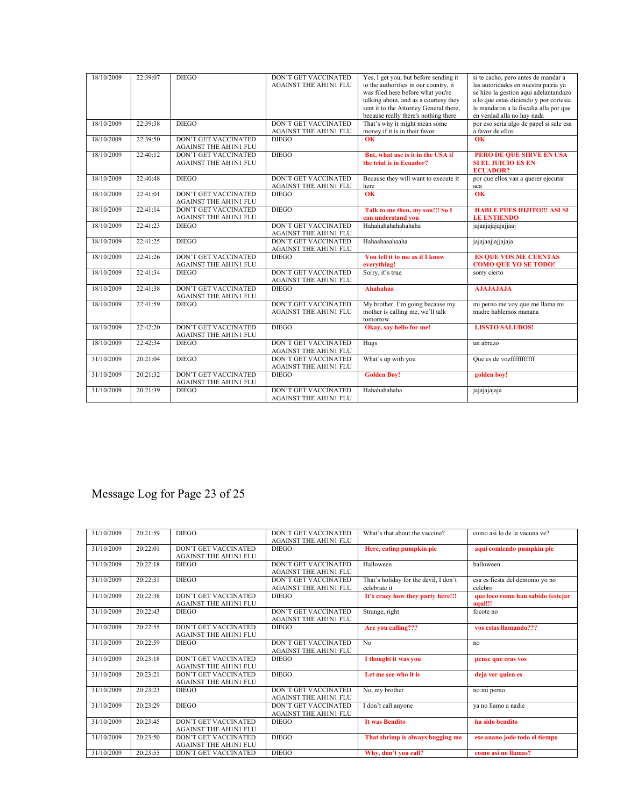| 18/10/2009 | 22:39:07 | <b>DIEGO</b>                                                | <b>DON'T GET VACCINATED</b><br><b>AGAINST THE AH1N1 FLU</b> | Yes, I get you, but before sending it<br>to the authorities in our country, it<br>was filed here before what you're<br>talking about, and as a courtesy they<br>sent it to the Attorney General there,<br>because really there's nothing there | si te cacho, pero antes de mandar a<br>las autoridades en nuestra patria ya<br>se hizo la gestion aqui adelantandazo<br>a lo que estas diciendo y por cortesia<br>le mandaron a la fiscalia alla por que<br>en verdad alla no hay nada |
|------------|----------|-------------------------------------------------------------|-------------------------------------------------------------|------------------------------------------------------------------------------------------------------------------------------------------------------------------------------------------------------------------------------------------------|----------------------------------------------------------------------------------------------------------------------------------------------------------------------------------------------------------------------------------------|
| 18/10/2009 | 22:39:38 | <b>DIEGO</b>                                                | <b>DON'T GET VACCINATED</b><br><b>AGAINST THE AH1N1 FLU</b> | That's why it might mean some<br>money if it is in their favor                                                                                                                                                                                 | por eso seria algo de papel si sale esa<br>a favor de ellos                                                                                                                                                                            |
| 18/10/2009 | 22:39:50 | <b>DON'T GET VACCINATED</b><br><b>AGAINST THE AH1N1 FLU</b> | <b>DIEGO</b>                                                | OK                                                                                                                                                                                                                                             | $\overline{\textbf{OK}}$                                                                                                                                                                                                               |
| 18/10/2009 | 22:40:12 | <b>DON'T GET VACCINATED</b><br><b>AGAINST THE AH1N1 FLU</b> | <b>DIEGO</b>                                                | But, what use is it in the USA if<br>the trial is in Ecuador?                                                                                                                                                                                  | PERO DE QUE SIRVE EN USA<br><b>SI EL JUICIO ES EN</b><br><b>ECUADOR?</b>                                                                                                                                                               |
| 18/10/2009 | 22:40:48 | <b>DIEGO</b>                                                | <b>DON'T GET VACCINATED</b><br><b>AGAINST THE AH1N1 FLU</b> | Because they will want to execute it<br>here                                                                                                                                                                                                   | por que ellos van a querer ejecutar<br>aca                                                                                                                                                                                             |
| 18/10/2009 | 22:41:01 | <b>DON'T GET VACCINATED</b><br><b>AGAINST THE AH1N1 FLU</b> | <b>DIEGO</b>                                                | $\overline{\textbf{OK}}$                                                                                                                                                                                                                       | $\overline{OK}$                                                                                                                                                                                                                        |
| 18/10/2009 | 22:41:14 | <b>DON'T GET VACCINATED</b><br>AGAINST THE AH1N1 FLU        | <b>DIEGO</b>                                                | Talk to me then, my son!!! So I<br>can understand you                                                                                                                                                                                          | <b>HABLE PUES HIJITO!!! ASI SI</b><br><b>LE ENTIENDO</b>                                                                                                                                                                               |
| 18/10/2009 | 22:41:23 | <b>DIEGO</b>                                                | <b>DON'T GET VACCINATED</b><br><b>AGAINST THE AH1N1 FLU</b> | Hahahahahahahaha                                                                                                                                                                                                                               | jajaajajajajajaaj                                                                                                                                                                                                                      |
| 18/10/2009 | 22:41:25 | <b>DIEGO</b>                                                | <b>DON'T GET VACCINATED</b><br><b>AGAINST THE AH1N1 FLU</b> | Hahaahaaahaaha                                                                                                                                                                                                                                 | jajajaajjajjajaja                                                                                                                                                                                                                      |
| 18/10/2009 | 22:41:26 | <b>DON'T GET VACCINATED</b><br><b>AGAINST THE AH1N1 FLU</b> | <b>DIEGO</b>                                                | You tell it to me as if I know<br>everything!                                                                                                                                                                                                  | <b>ES QUE VOS ME CUENTAS</b><br><b>COMO QUE YO SE TODO!</b>                                                                                                                                                                            |
| 18/10/2009 | 22:41:34 | <b>DIEGO</b>                                                | <b>DON'T GET VACCINATED</b><br><b>AGAINST THE AH1N1 FLU</b> | Sorry, it's true                                                                                                                                                                                                                               | sorry cierto                                                                                                                                                                                                                           |
| 18/10/2009 | 22:41:38 | <b>DON'T GET VACCINATED</b><br><b>AGAINST THE AH1N1 FLU</b> | <b>DIEGO</b>                                                | Ahahahaa                                                                                                                                                                                                                                       | <b>AJAJAJAJA</b>                                                                                                                                                                                                                       |
| 18/10/2009 | 22.41.59 | <b>DIEGO</b>                                                | DON'T GET VACCINATED<br><b>AGAINST THE AH1N1 FLU</b>        | My brother, I'm going because my<br>mother is calling me, we'll talk<br>tomorrow                                                                                                                                                               | mi perno me voy que me llama mi<br>madre hablemos manana                                                                                                                                                                               |
| 18/10/2009 | 22:42:20 | <b>DON'T GET VACCINATED</b><br><b>AGAINST THE AH1N1 FLU</b> | <b>DIEGO</b>                                                | Okay, say hello for me!                                                                                                                                                                                                                        | <b>LISSTO SALUDOS!</b>                                                                                                                                                                                                                 |
| 18/10/2009 | 22:42:34 | <b>DIEGO</b>                                                | <b>DON'T GET VACCINATED</b><br><b>AGAINST THE AH1N1 FLU</b> | Hugs                                                                                                                                                                                                                                           | un abrazo                                                                                                                                                                                                                              |
| 31/10/2009 | 20:21:04 | <b>DIEGO</b>                                                | <b>DON'T GET VACCINATED</b><br><b>AGAINST THE AH1N1 FLU</b> | What's up with you                                                                                                                                                                                                                             | Oue es de vozfffffffffffff                                                                                                                                                                                                             |
| 31/10/2009 | 20:21:32 | <b>DON'T GET VACCINATED</b><br><b>AGAINST THE AH1N1 FLU</b> | <b>DIEGO</b>                                                | <b>Golden Boy!</b>                                                                                                                                                                                                                             | golden boy!                                                                                                                                                                                                                            |
| 31/10/2009 | 20:21:39 | <b>DIEGO</b>                                                | <b>DON'T GET VACCINATED</b><br><b>AGAINST THE AH1N1 FLU</b> | Hahahahaha                                                                                                                                                                                                                                     | jajajajaja                                                                                                                                                                                                                             |

# Message Log for Page 23 of 25

| 31/10/2009 | 20:21:59 | <b>DIEGO</b>                                                | DON'T GET VACCINATED<br><b>AGAINST THE AH1N1 FLU</b>        | What's that about the vaccine?                        | como asi lo de la vacuna ve?                 |
|------------|----------|-------------------------------------------------------------|-------------------------------------------------------------|-------------------------------------------------------|----------------------------------------------|
| 31/10/2009 | 20:22:01 | <b>DON'T GET VACCINATED</b><br><b>AGAINST THE AH1N1 FLU</b> | <b>DIEGO</b>                                                | Here, eating pumpkin pie                              | aqui comiendo pumpkin pie                    |
| 31/10/2009 | 20:22:18 | <b>DIEGO</b>                                                | <b>DON'T GET VACCINATED</b><br><b>AGAINST THE AH1N1 FLU</b> | Halloween                                             | halloween                                    |
| 31/10/2009 | 20:22:31 | <b>DIEGO</b>                                                | DON'T GET VACCINATED<br><b>AGAINST THE AH1N1 FLU</b>        | That's holiday for the devil, I don't<br>celebrate it | esa es fiesta del demonio yo no<br>celebro   |
| 31/10/2009 | 20:22:38 | DON'T GET VACCINATED<br><b>AGAINST THE AH1N1 FLU</b>        | <b>DIEGO</b>                                                | It's crazy how they party here!!!                     | que loco como han sabido festejar<br>aqui!!! |
| 31/10/2009 | 20:22:43 | <b>DIEGO</b>                                                | <b>DON'T GET VACCINATED</b><br><b>AGAINST THE AH1N1 FLU</b> | Strange, right                                        | focote no                                    |
| 31/10/2009 | 20:22:55 | <b>DON'T GET VACCINATED</b><br><b>AGAINST THE AHINI FLU</b> | <b>DIEGO</b>                                                | Are you calling???                                    | vos estas llamando???                        |
| 31/10/2009 | 20:22:59 | <b>DIEGO</b>                                                | <b>DON'T GET VACCINATED</b><br><b>AGAINST THE AH1N1 FLU</b> | No                                                    | no                                           |
| 31/10/2009 | 20:23:18 | <b>DON'T GET VACCINATED</b><br><b>AGAINST THE AHINI FLU</b> | <b>DIEGO</b>                                                | I thought it was you                                  | pense que eras vos                           |
| 31/10/2009 | 20:23:21 | DON'T GET VACCINATED<br><b>AGAINST THE AH1N1 FLU</b>        | <b>DIEGO</b>                                                | Let me see who it is                                  | deja ver quien es                            |
| 31/10/2009 | 20:23:23 | <b>DIEGO</b>                                                | <b>DON'T GET VACCINATED</b><br><b>AGAINST THE AH1N1 FLU</b> | No, my brother                                        | no mi perno                                  |
| 31/10/2009 | 20:23:29 | <b>DIEGO</b>                                                | <b>DON'T GET VACCINATED</b><br><b>AGAINST THE AH1N1 FLU</b> | I don't call anyone                                   | ya no llamo a nadie                          |
| 31/10/2009 | 20:23:45 | <b>DON'T GET VACCINATED</b><br><b>AGAINST THE AH1N1 FLU</b> | <b>DIEGO</b>                                                | <b>It was Bendito</b>                                 | ha sido bendito                              |
| 31/10/2009 | 20:23:50 | DON'T GET VACCINATED<br><b>AGAINST THE AHINI FLU</b>        | <b>DIEGO</b>                                                | That shrimp is always bugging me                      | ese anano jode todo el tiempo                |
| 31/10/2009 | 20:23:55 | <b>DON'T GET VACCINATED</b>                                 | <b>DIEGO</b>                                                | Why, don't you call?                                  | como asi no llamas?                          |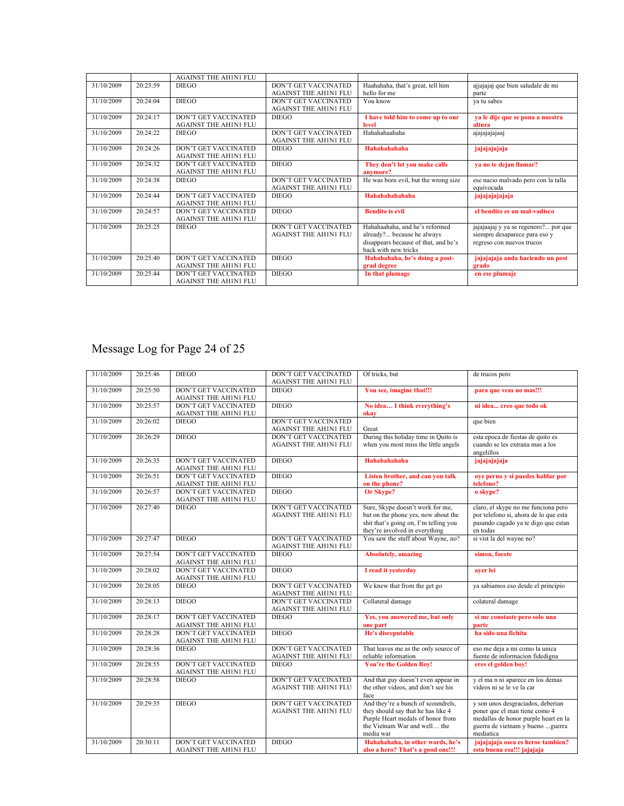|            |          | <b>AGAINST THE AH1N1 FLU</b>                                |                                                             |                                                                                                                              |                                                                                                    |
|------------|----------|-------------------------------------------------------------|-------------------------------------------------------------|------------------------------------------------------------------------------------------------------------------------------|----------------------------------------------------------------------------------------------------|
| 31/10/2009 | 20.23.59 | <b>DIEGO</b>                                                | <b>DON'T GET VACCINATED</b><br><b>AGAINST THE AH1N1 FLU</b> | Haahahaha, that's great, tell him<br>hello for me                                                                            | ajjajajaj que bien saludale de mi<br>parte                                                         |
| 31/10/2009 | 20.24.04 | <b>DIEGO</b>                                                | DON'T GET VACCINATED<br><b>AGAINST THE AH1N1 FLU</b>        | You know                                                                                                                     | va tu sabes                                                                                        |
| 31/10/2009 | 20:24:17 | DON'T GET VACCINATED<br><b>AGAINST THE AHIN1 FLU</b>        | <b>DIEGO</b>                                                | I have told him to come up to our<br>level                                                                                   | ya le dije que se pona a nuestra<br>altura                                                         |
| 31/10/2009 | 20:24:22 | <b>DIEGO</b>                                                | <b>DON'T GET VACCINATED</b><br><b>AGAINST THE AH1N1 FLU</b> | Hahahahaahaha                                                                                                                | ajajajajajaaj                                                                                      |
| 31/10/2009 | 20.24.26 | <b>DON'T GET VACCINATED</b><br><b>AGAINST THE AHINI FLU</b> | <b>DIEGO</b>                                                | Hahahahahaha                                                                                                                 | jajajajajaja                                                                                       |
| 31/10/2009 | 20:24:32 | DON'T GET VACCINATED<br><b>AGAINST THE AHIN1 FLU</b>        | <b>DIEGO</b>                                                | They don't let you make calls<br>anymore?                                                                                    | ya no te dejan llamar?                                                                             |
| 31/10/2009 | 20:24:38 | <b>DIEGO</b>                                                | <b>DON'T GET VACCINATED</b><br><b>AGAINST THE AH1N1 FLU</b> | He was born evil, but the wrong size                                                                                         | ese nacio malvado pero con la talla<br>equivocada                                                  |
| 31/10/2009 | 20:24:44 | <b>DON'T GET VACCINATED</b><br><b>AGAINST THE AHIN1 FLU</b> | <b>DIEGO</b>                                                | Hahahahahahaha                                                                                                               | jajajajajaja                                                                                       |
| 31/10/2009 | 20.24:57 | DON'T GET VACCINATED<br><b>AGAINST THE AHINI FLU</b>        | <b>DIEGO</b>                                                | <b>Bendito</b> is evil                                                                                                       | el bendito es un mal-vadisco                                                                       |
| 31/10/2009 | 20:25:25 | <b>DIEGO</b>                                                | <b>DON'T GET VACCINATED</b><br><b>AGAINST THE AHINI FLU</b> | Hahahaahaha, and he's reformed<br>already? because he always<br>disappears because of that, and he's<br>back with new tricks | jajajaajaj y ya se regenero? por que<br>siempre desaparece para eso y<br>regreso con nuevos trucos |
| 31/10/2009 | 20:25:40 | <b>DON'T GET VACCINATED</b><br><b>AGAINST THE AH1N1 FLU</b> | <b>DIEGO</b>                                                | Hahahahaha, he's doing a post-<br>grad degree                                                                                | jajajajaja anda haciendo un post<br>grado                                                          |
| 31/10/2009 | 20:25:44 | DON'T GET VACCINATED<br><b>AGAINST THE AH1N1 FLU</b>        | <b>DIEGO</b>                                                | In that plumage                                                                                                              | en ese plumaje                                                                                     |

#### Message Log for Page 24 of 25

| 31/10/2009 | 20:25:46 | <b>DIEGO</b>                                                | DON'T GET VACCINATED<br><b>AGAINST THE AH1N1 FLU</b>        | Of tricks, but                                                                                                                                             | de trucos pero                                                                                                                                               |
|------------|----------|-------------------------------------------------------------|-------------------------------------------------------------|------------------------------------------------------------------------------------------------------------------------------------------------------------|--------------------------------------------------------------------------------------------------------------------------------------------------------------|
| 31/10/2009 | 20:25:50 | <b>DON'T GET VACCINATED</b><br><b>AGAINST THE AHIN1 FLU</b> | <b>DIEGO</b>                                                | You see, imagine that!!!                                                                                                                                   | para que veas no mas!!!                                                                                                                                      |
| 31/10/2009 | 20:25:57 | <b>DON'T GET VACCINATED</b><br><b>AGAINST THE AHIN1 FLU</b> | <b>DIEGO</b>                                                | No idea I think everything's<br>okav                                                                                                                       | ni idea creo que todo ok                                                                                                                                     |
| 31/10/2009 | 20:26:02 | <b>DIEGO</b>                                                | <b>DON'T GET VACCINATED</b><br><b>AGAINST THE AH1N1 FLU</b> | Great                                                                                                                                                      | que bien                                                                                                                                                     |
| 31/10/2009 | 20:26:29 | <b>DIEGO</b>                                                | <b>DON'T GET VACCINATED</b><br><b>AGAINST THE AH1N1 FLU</b> | During this holiday time in Quito is<br>when you most miss the little angels                                                                               | esta epoca de fiestas de quito es<br>cuando se les extrana mas a los<br>angelillos                                                                           |
| 31/10/2009 | 20:26:35 | <b>DON'T GET VACCINATED</b><br><b>AGAINST THE AHINI FLU</b> | <b>DIEGO</b>                                                | Hahahahahaha                                                                                                                                               | jajajajaja                                                                                                                                                   |
| 31/10/2009 | 20:26:51 | <b>DON'T GET VACCINATED</b><br><b>AGAINST THE AHINI FLU</b> | <b>DIEGO</b>                                                | Listen brother, and can you talk<br>on the phone?                                                                                                          | oye perno y si puedes hablar por<br>telefono?                                                                                                                |
| 31/10/2009 | 20:26:57 | <b>DON'T GET VACCINATED</b><br><b>AGAINST THE AHIN1 FLU</b> | <b>DIEGO</b>                                                | <b>Or Skype?</b>                                                                                                                                           | o skype?                                                                                                                                                     |
| 31/10/2009 | 20:27:40 | <b>DIEGO</b>                                                | DON'T GET VACCINATED<br><b>AGAINST THE AHINI FLU</b>        | Sure, Skype doesn't work for me,<br>but on the phone yes, now about the<br>shit that's going on, I'm telling you<br>they're involved in everything         | claro, el skype no me funciona pero<br>por telefono si, ahora de lo que esta<br>pasando cagado ya te digo que estan<br>en todas                              |
| 31/10/2009 | 20:27:47 | <b>DIEGO</b>                                                | <b>DON'T GET VACCINATED</b><br><b>AGAINST THE AH1N1 FLU</b> | You saw the stuff about Wayne, no?                                                                                                                         | si vist la del wayne no?                                                                                                                                     |
| 31/10/2009 | 20:27:54 | <b>DON'T GET VACCINATED</b><br><b>AGAINST THE AHIN1 FLU</b> | <b>DIEGO</b>                                                | <b>Absolutely, amazing</b>                                                                                                                                 | simon, focote                                                                                                                                                |
| 31/10/2009 | 20:28:02 | <b>DON'T GET VACCINATED</b><br><b>AGAINST THE AHIN1 FLU</b> | <b>DIEGO</b>                                                | I read it yesterday                                                                                                                                        | aver lei                                                                                                                                                     |
| 31/10/2009 | 20:28:05 | <b>DIEGO</b>                                                | DON'T GET VACCINATED<br><b>AGAINST THE AH1N1 FLU</b>        | We knew that from the get go                                                                                                                               | ya sabiamos eso desde el principio                                                                                                                           |
| 31/10/2009 | 20:28:13 | <b>DIEGO</b>                                                | <b>DON'T GET VACCINATED</b><br><b>AGAINST THE AH1N1 FLU</b> | Collateral damage                                                                                                                                          | colateral damage                                                                                                                                             |
| 31/10/2009 | 20:28:17 | DON'T GET VACCINATED<br><b>AGAINST THE AHIN1 FLU</b>        | <b>DIEGO</b>                                                | Yes, you answered me, but only<br>one part                                                                                                                 | si me constaste pero solo una<br>parte                                                                                                                       |
| 31/10/2009 | 20:28:28 | DON'T GET VACCINATED<br><b>AGAINST THE AHIN1 FLU</b>        | <b>DIEGO</b>                                                | He's disreputable                                                                                                                                          | ha sido una fichita                                                                                                                                          |
| 31/10/2009 | 20:28:36 | <b>DIEGO</b>                                                | <b>DON'T GET VACCINATED</b><br><b>AGAINST THE AH1N1 FLU</b> | That leaves me as the only source of<br>reliable information                                                                                               | eso me deja a mi como la unica<br>fuente de informacion fidedigna                                                                                            |
| 31/10/2009 | 20:28:55 | <b>DON'T GET VACCINATED</b><br><b>AGAINST THE AHINI FLU</b> | <b>DIEGO</b>                                                | <b>You're the Golden Boy!</b>                                                                                                                              | eres el golden boy!                                                                                                                                          |
| 31/10/2009 | 20:28:58 | <b>DIEGO</b>                                                | DON'T GET VACCINATED<br><b>AGAINST THE AHINI FLU</b>        | And that guy doesn't even appear in<br>the other videos, and don't see his<br>face                                                                         | y el ma n ni aparece en los demas<br>videos ni se le ve la car                                                                                               |
| 31/10/2009 | 20:29:35 | <b>DIEGO</b>                                                | <b>DON'T GET VACCINATED</b><br><b>AGAINST THE AH1N1 FLU</b> | And they're a bunch of scoundrels,<br>they should say that he has like 4<br>Purple Heart medals of honor from<br>the Vietnam War and well the<br>media war | y son unos desgraciados, deberian<br>poner que el man tiene como 4<br>medallas de honor purple heart en la<br>guerra de vietnam y bueno  guerra<br>mediatica |
| 31/10/2009 | 20:30:11 | <b>DON'T GET VACCINATED</b><br><b>AGAINST THE AHIN1 FLU</b> | <b>DIEGO</b>                                                | Hahahahaha, in other words, he's<br>also a hero? That's a good one!!!                                                                                      | jajajajaja osea es heroe tambien?<br>esta buena esa!!! jajajaja                                                                                              |